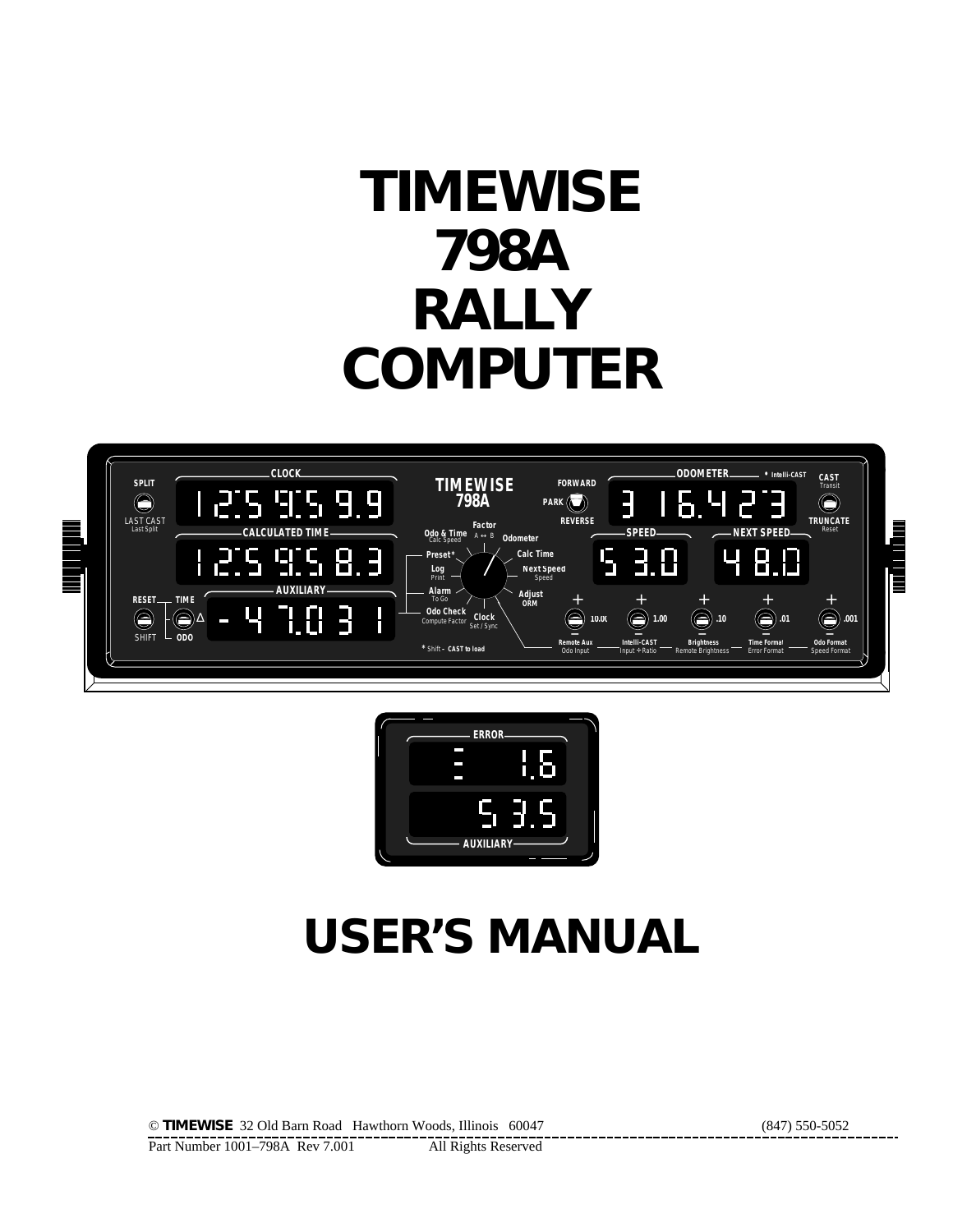# **TIMEWISE 798A RALLY COMPUTER**





# **USER'S MANUAL**

© **TIMEWISE** 32 Old Barn Road Hawthorn Woods, Illinois 60047 (847) 550-5052 Part Number 1001–798A Rev 7.001 All Rights Reserved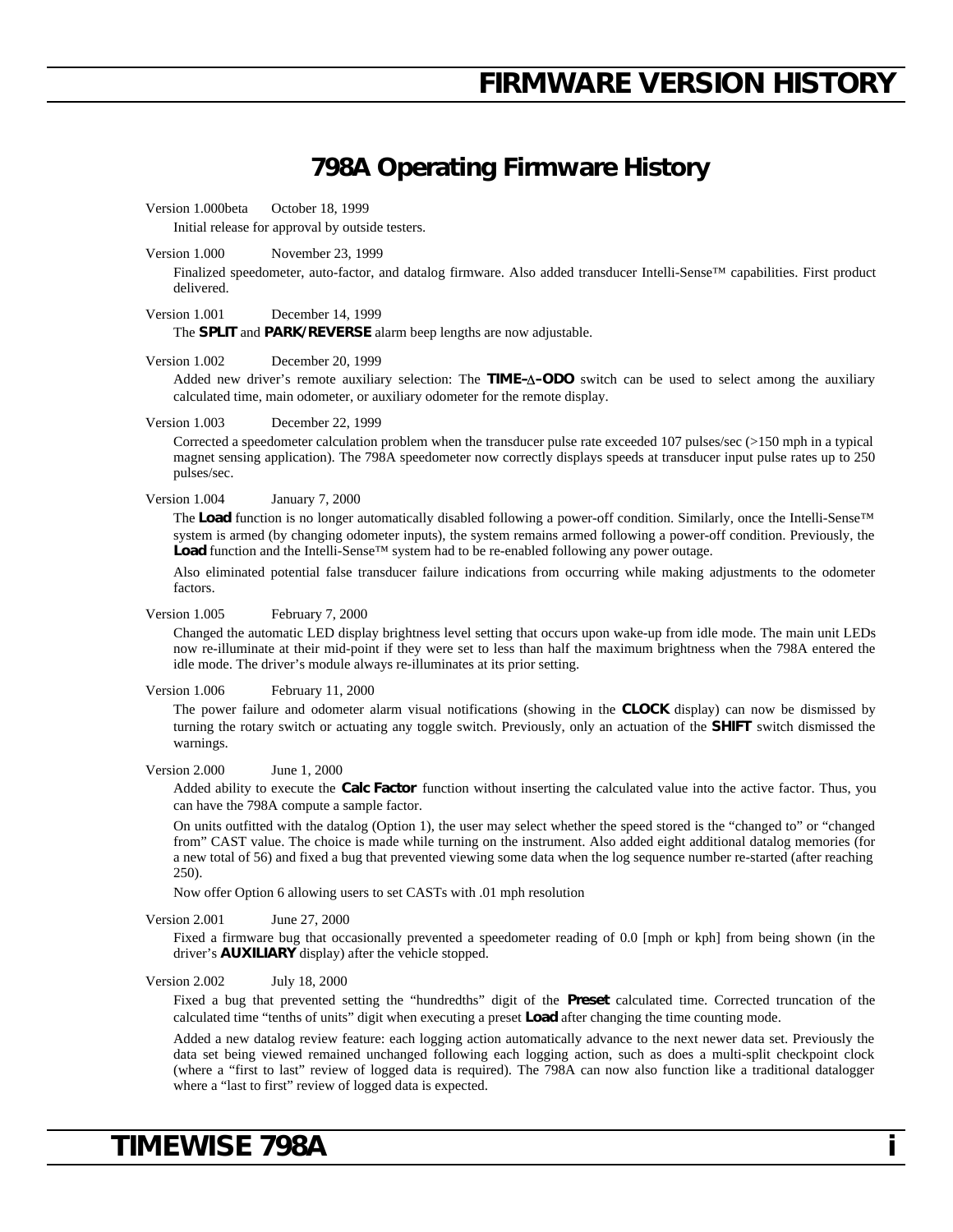### **798A Operating Firmware History**

Version 1.000beta October 18, 1999

Initial release for approval by outside testers.

Version 1.000 November 23, 1999

Finalized speedometer, auto-factor, and datalog firmware. Also added transducer Intelli-Sense™ capabilities. First product delivered.

#### Version 1.001 December 14, 1999

The **SPLIT** and **PARK/REVERSE** alarm beep lengths are now adjustable.

#### Version 1.002 December 20, 1999

Added new driver's remote auxiliary selection: The **TIME-** $\Delta$ **-ODO** switch can be used to select among the auxiliary calculated time, main odometer, or auxiliary odometer for the remote display.

Version 1.003 December 22, 1999

Corrected a speedometer calculation problem when the transducer pulse rate exceeded 107 pulses/sec (>150 mph in a typical magnet sensing application). The 798A speedometer now correctly displays speeds at transducer input pulse rates up to 250 pulses/sec.

#### Version 1.004 January 7, 2000

The **Load** function is no longer automatically disabled following a power-off condition. Similarly, once the Intelli-Sense™ system is armed (by changing odometer inputs), the system remains armed following a power-off condition. Previously, the **Load** function and the Intelli-Sense™ system had to be re-enabled following any power outage.

Also eliminated potential false transducer failure indications from occurring while making adjustments to the odometer factors.

Version 1.005 February 7, 2000

Changed the automatic LED display brightness level setting that occurs upon wake-up from idle mode. The main unit LEDs now re-illuminate at their mid-point if they were set to less than half the maximum brightness when the 798A entered the idle mode. The driver's module always re-illuminates at its prior setting.

Version 1.006 February 11, 2000

The power failure and odometer alarm visual notifications (showing in the **CLOCK** display) can now be dismissed by turning the rotary switch or actuating any toggle switch. Previously, only an actuation of the **SHIFT** switch dismissed the warnings.

Version 2.000 June 1, 2000

Added ability to execute the **Calc Factor** function without inserting the calculated value into the active factor. Thus, you can have the 798A compute a sample factor.

On units outfitted with the datalog (Option 1), the user may select whether the speed stored is the "changed to" or "changed from" CAST value. The choice is made while turning on the instrument. Also added eight additional datalog memories (for a new total of 56) and fixed a bug that prevented viewing some data when the log sequence number re-started (after reaching 250).

Now offer Option 6 allowing users to set CASTs with .01 mph resolution

Version 2.001 June 27, 2000

Fixed a firmware bug that occasionally prevented a speedometer reading of 0.0 [mph or kph] from being shown (in the driver's **AUXILIARY** display) after the vehicle stopped.

#### Version 2.002 July 18, 2000

Fixed a bug that prevented setting the "hundredths" digit of the **Preset** calculated time. Corrected truncation of the calculated time "tenths of units" digit when executing a preset **Load** after changing the time counting mode.

Added a new datalog review feature: each logging action automatically advance to the next newer data set. Previously the data set being viewed remained unchanged following each logging action, such as does a multi-split checkpoint clock (where a "first to last" review of logged data is required). The 798A can now also function like a traditional datalogger where a "last to first" review of logged data is expected.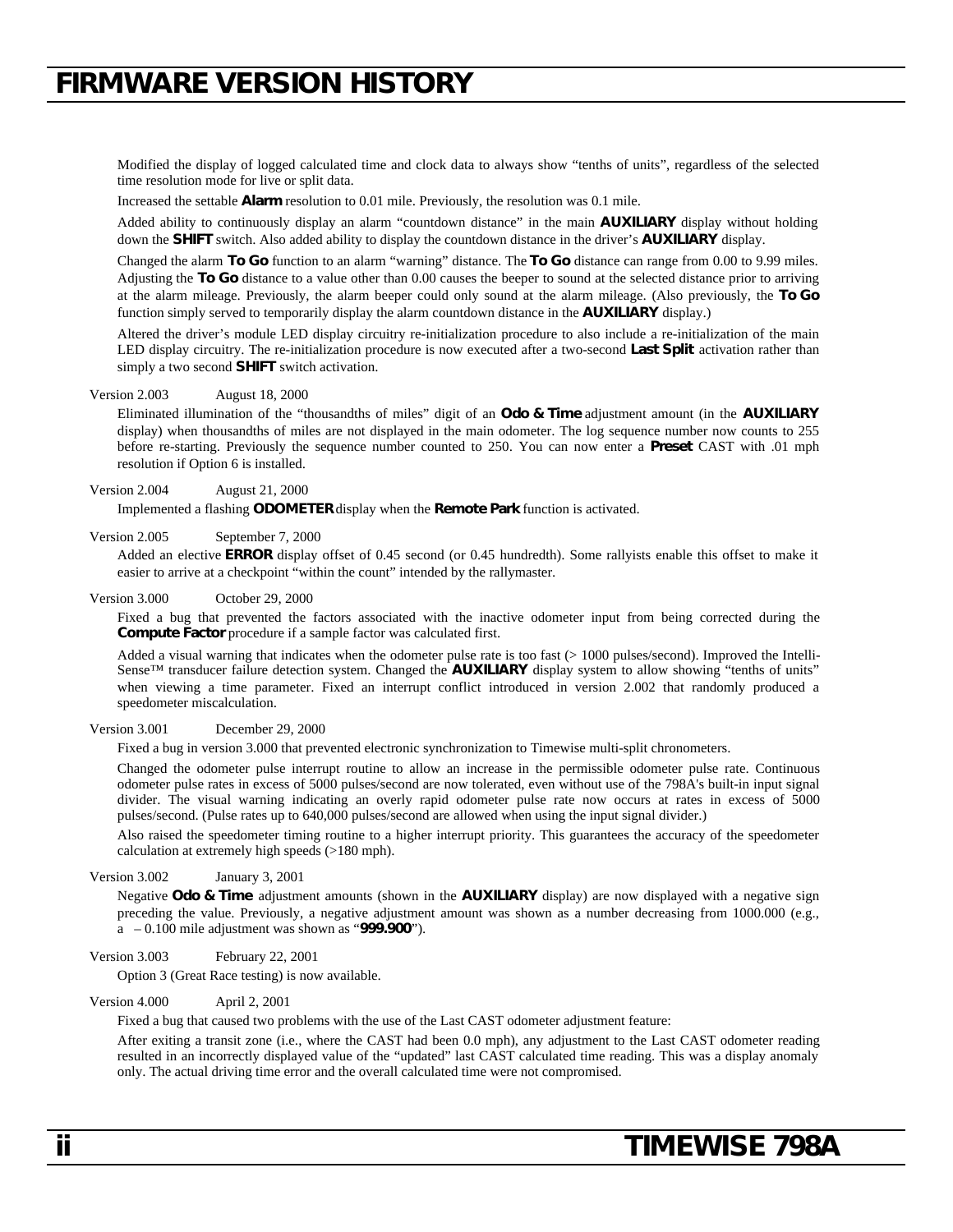## **FIRMWARE VERSION HISTORY**

Modified the display of logged calculated time and clock data to always show "tenths of units", regardless of the selected time resolution mode for live or split data.

Increased the settable **Alarm** resolution to 0.01 mile. Previously, the resolution was 0.1 mile.

Added ability to continuously display an alarm "countdown distance" in the main **AUXILIARY** display without holding down the **SHIFT** switch. Also added ability to display the countdown distance in the driver's **AUXILIARY** display.

Changed the alarm **To Go** function to an alarm "warning" distance. The **To Go** distance can range from 0.00 to 9.99 miles. Adjusting the **To Go** distance to a value other than 0.00 causes the beeper to sound at the selected distance prior to arriving at the alarm mileage. Previously, the alarm beeper could only sound at the alarm mileage. (Also previously, the **To Go** function simply served to temporarily display the alarm countdown distance in the **AUXILIARY** display.)

Altered the driver's module LED display circuitry re-initialization procedure to also include a re-initialization of the main LED display circuitry. The re-initialization procedure is now executed after a two-second **Last Split** activation rather than simply a two second **SHIFT** switch activation.

Version 2.003 August 18, 2000

Eliminated illumination of the "thousandths of miles" digit of an **Odo & Time** adjustment amount (in the **AUXILIARY** display) when thousandths of miles are not displayed in the main odometer. The log sequence number now counts to 255 before re-starting. Previously the sequence number counted to 250. You can now enter a **Preset** CAST with .01 mph resolution if Option 6 is installed.

Version 2.004 August 21, 2000

Implemented a flashing **ODOMETER** display when the **Remote Park** function is activated.

Version 2.005 September 7, 2000

Added an elective **ERROR** display offset of 0.45 second (or 0.45 hundredth). Some rallyists enable this offset to make it easier to arrive at a checkpoint "within the count" intended by the rallymaster.

Version 3.000 October 29, 2000

Fixed a bug that prevented the factors associated with the inactive odometer input from being corrected during the **Compute Factor** procedure if a sample factor was calculated first.

Added a visual warning that indicates when the odometer pulse rate is too fast  $(>1000 \text{ pulses/second})$ . Improved the Intelli-Sense™ transducer failure detection system. Changed the **AUXILIARY** display system to allow showing "tenths of units" when viewing a time parameter. Fixed an interrupt conflict introduced in version 2.002 that randomly produced a speedometer miscalculation.

Version 3.001 December 29, 2000

Fixed a bug in version 3.000 that prevented electronic synchronization to Timewise multi-split chronometers.

Changed the odometer pulse interrupt routine to allow an increase in the permissible odometer pulse rate. Continuous odometer pulse rates in excess of 5000 pulses/second are now tolerated, even without use of the 798A's built-in input signal divider. The visual warning indicating an overly rapid odometer pulse rate now occurs at rates in excess of 5000 pulses/second. (Pulse rates up to 640,000 pulses/second are allowed when using the input signal divider.)

Also raised the speedometer timing routine to a higher interrupt priority. This guarantees the accuracy of the speedometer calculation at extremely high speeds (>180 mph).

Version 3.002 January 3, 2001

Negative **Odo & Time** adjustment amounts (shown in the **AUXILIARY** display) are now displayed with a negative sign preceding the value. Previously, a negative adjustment amount was shown as a number decreasing from 1000.000 (e.g., a – 0.100 mile adjustment was shown as "**999.900**").

Version 3.003 February 22, 2001

Option 3 (Great Race testing) is now available.

Version 4.000 April 2, 2001

Fixed a bug that caused two problems with the use of the Last CAST odometer adjustment feature:

After exiting a transit zone (i.e., where the CAST had been 0.0 mph), any adjustment to the Last CAST odometer reading resulted in an incorrectly displayed value of the "updated" last CAST calculated time reading. This was a display anomaly only. The actual driving time error and the overall calculated time were not compromised.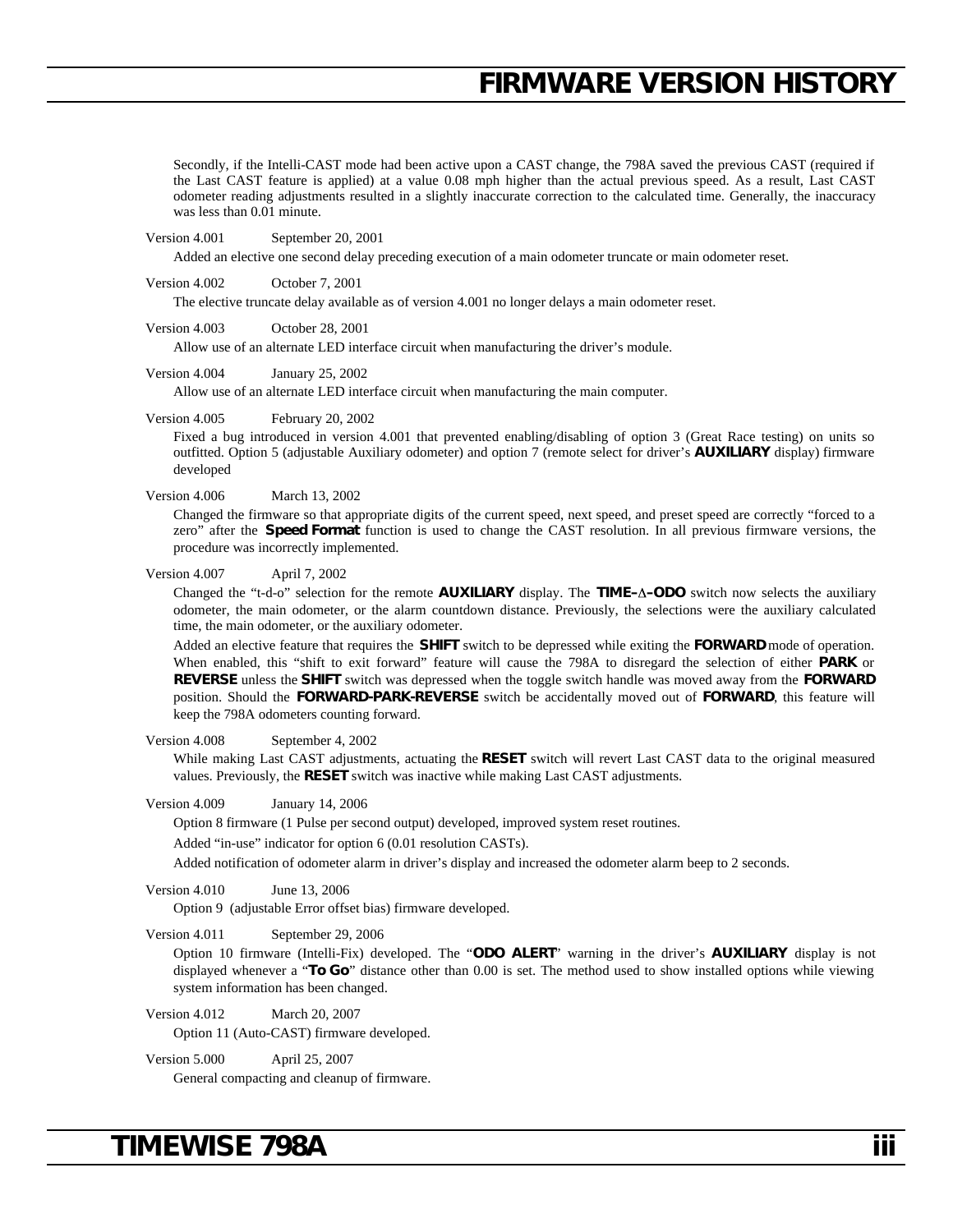## **FIRMWARE VERSION HISTORY**

Secondly, if the Intelli-CAST mode had been active upon a CAST change, the 798A saved the previous CAST (required if the Last CAST feature is applied) at a value 0.08 mph higher than the actual previous speed. As a result, Last CAST odometer reading adjustments resulted in a slightly inaccurate correction to the calculated time. Generally, the inaccuracy was less than 0.01 minute.

#### Version 4.001 September 20, 2001

Added an elective one second delay preceding execution of a main odometer truncate or main odometer reset.

Version 4.002 October 7, 2001

The elective truncate delay available as of version 4.001 no longer delays a main odometer reset.

Version 4.003 October 28, 2001

Allow use of an alternate LED interface circuit when manufacturing the driver's module.

Version 4.004 January 25, 2002

Allow use of an alternate LED interface circuit when manufacturing the main computer.

Version 4.005 February 20, 2002

Fixed a bug introduced in version 4.001 that prevented enabling/disabling of option 3 (Great Race testing) on units so outfitted. Option 5 (adjustable Auxiliary odometer) and option 7 (remote select for driver's **AUXILIARY** display) firmware developed

Version 4.006 March 13, 2002

Changed the firmware so that appropriate digits of the current speed, next speed, and preset speed are correctly "forced to a zero" after the **Speed Format** function is used to change the CAST resolution. In all previous firmware versions, the procedure was incorrectly implemented.

Version 4.007 April 7, 2002

Changed the "t-d-o" selection for the remote **AUXILIARY** display. The **TIME– –ODO** switch now selects the auxiliary odometer, the main odometer, or the alarm countdown distance. Previously, the selections were the auxiliary calculated time, the main odometer, or the auxiliary odometer.

Added an elective feature that requires the **SHIFT** switch to be depressed while exiting the **FORWARD** mode of operation. When enabled, this "shift to exit forward" feature will cause the 798A to disregard the selection of either **PARK** or **REVERSE** unless the **SHIFT** switch was depressed when the toggle switch handle was moved away from the **FORWARD** position. Should the **FORWARD-PARK-REVERSE** switch be accidentally moved out of **FORWARD**, this feature will keep the 798A odometers counting forward.

Version 4.008 September 4, 2002

While making Last CAST adjustments, actuating the **RESET** switch will revert Last CAST data to the original measured values. Previously, the **RESET** switch was inactive while making Last CAST adjustments.

Version 4.009 January 14, 2006

Option 8 firmware (1 Pulse per second output) developed, improved system reset routines.

Added "in-use" indicator for option 6 (0.01 resolution CASTs).

Added notification of odometer alarm in driver's display and increased the odometer alarm beep to 2 seconds.

Version 4.010 June 13, 2006

Option 9 (adjustable Error offset bias) firmware developed.

Version 4.011 September 29, 2006

Option 10 firmware (Intelli-Fix) developed. The "**ODO ALERT**" warning in the driver's **AUXILIARY** display is not displayed whenever a "**To Go**" distance other than 0.00 is set. The method used to show installed options while viewing system information has been changed.

Version 4.012 March 20, 2007

Option 11 (Auto-CAST) firmware developed.

Version 5.000 April 25, 2007 General compacting and cleanup of firmware.

### **TIMEWISE 798A iii**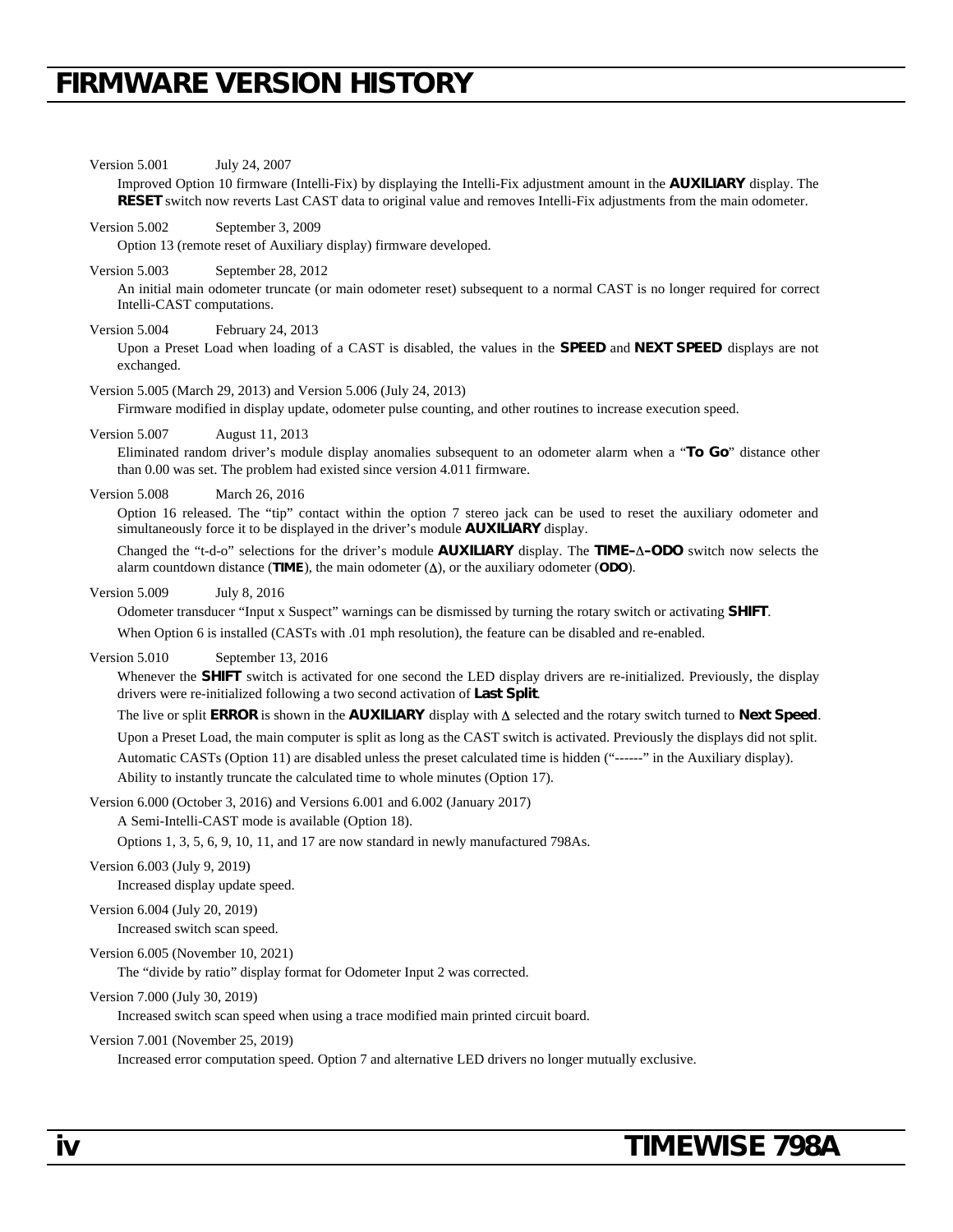### **FIRMWARE VERSION HISTORY**

Version 5.001 July 24, 2007 Improved Option 10 firmware (Intelli-Fix) by displaying the Intelli-Fix adjustment amount in the **AUXILIARY** display. The **RESET** switch now reverts Last CAST data to original value and removes Intelli-Fix adjustments from the main odometer. Version 5.002 September 3, 2009 Option 13 (remote reset of Auxiliary display) firmware developed. Version 5.003 September 28, 2012 An initial main odometer truncate (or main odometer reset) subsequent to a normal CAST is no longer required for correct Intelli-CAST computations. Version 5.004 February 24, 2013 Upon a Preset Load when loading of a CAST is disabled, the values in the **SPEED** and **NEXT SPEED** displays are not exchanged. Version 5.005 (March 29, 2013) and Version 5.006 (July 24, 2013) Firmware modified in display update, odometer pulse counting, and other routines to increase execution speed. Version 5.007 August 11, 2013 Eliminated random driver's module display anomalies subsequent to an odometer alarm when a "**To Go**" distance other than 0.00 was set. The problem had existed since version 4.011 firmware. Version 5.008 March 26, 2016 Option 16 released. The "tip" contact within the option 7 stereo jack can be used to reset the auxiliary odometer and simultaneously force it to be displayed in the driver's module **AUXILIARY** display. Changed the "t-d-o" selections for the driver's module **AUXILIARY** display. The **TIME– –ODO** switch now selects the alarm countdown distance ( $\textsf{TIME}$ ), the main odometer  $(\Delta)$ , or the auxiliary odometer ( $\textsf{ODO}$ ). Version 5.009 July 8, 2016 Odometer transducer "Input x Suspect" warnings can be dismissed by turning the rotary switch or activating **SHIFT**. When Option 6 is installed (CASTs with .01 mph resolution), the feature can be disabled and re-enabled. Version 5.010 September 13, 2016 Whenever the **SHIFT** switch is activated for one second the LED display drivers are re-initialized. Previously, the display drivers were re-initialized following a two second activation of **Last Split**. The live or split **ERROR** is shown in the **AUXILIARY** display with  $\Delta$  selected and the rotary switch turned to **Next Speed**. Upon a Preset Load, the main computer is split as long as the CAST switch is activated. Previously the displays did not split. Automatic CASTs (Option 11) are disabled unless the preset calculated time is hidden ("------" in the Auxiliary display). Ability to instantly truncate the calculated time to whole minutes (Option 17). Version 6.000 (October 3, 2016) and Versions 6.001 and 6.002 (January 2017) A Semi-Intelli-CAST mode is available (Option 18). Options 1, 3, 5, 6, 9, 10, 11, and 17 are now standard in newly manufactured 798As. Version 6.003 (July 9, 2019) Increased display update speed. Version 6.004 (July 20, 2019) Increased switch scan speed. Version 6.005 (November 10, 2021) The "divide by ratio" display format for Odometer Input 2 was corrected. Version 7.000 (July 30, 2019) Increased switch scan speed when using a trace modified main printed circuit board. Version 7.001 (November 25, 2019) Increased error computation speed. Option 7 and alternative LED drivers no longer mutually exclusive.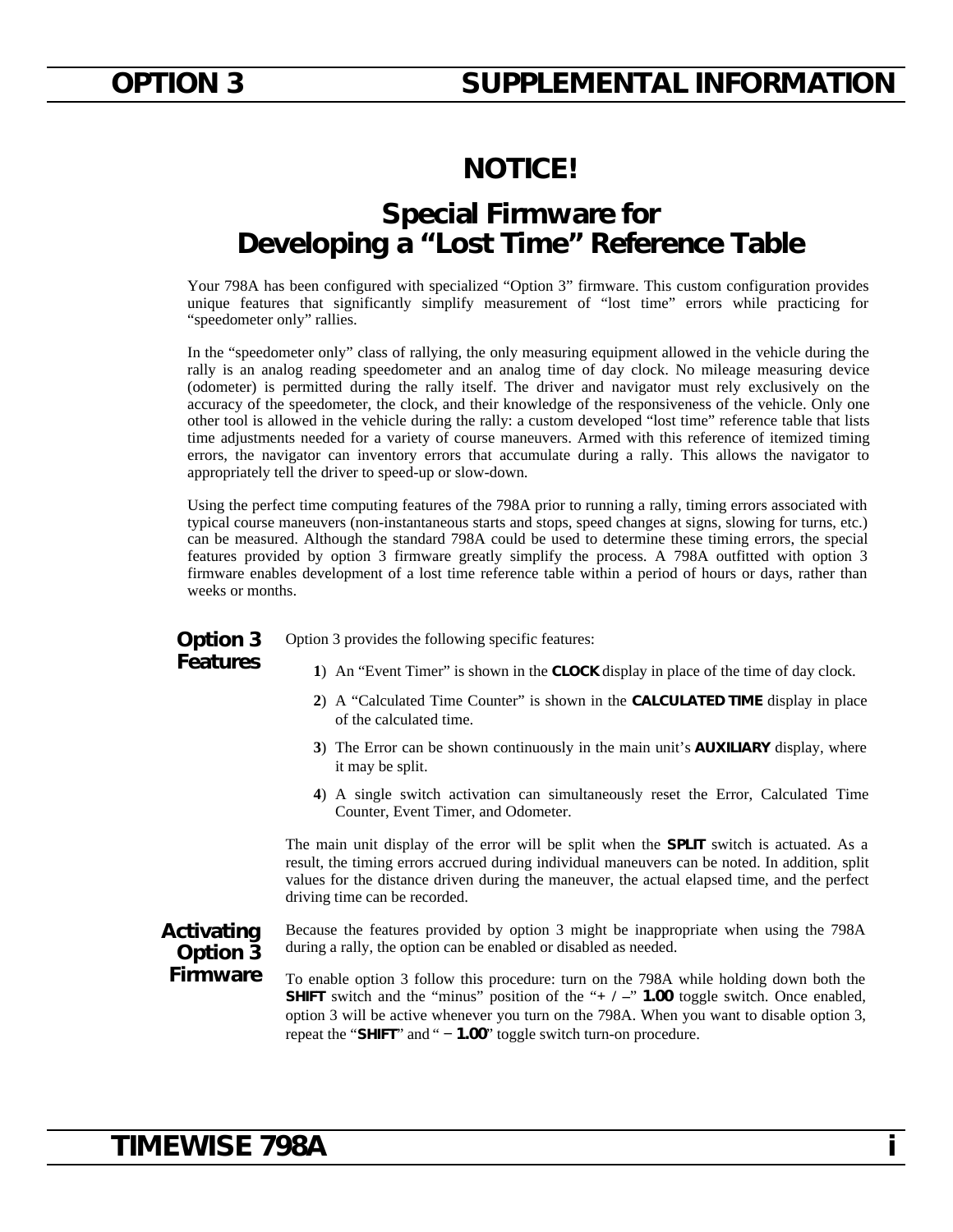### **NOTICE!**

### **Special Firmware for Developing a "Lost Time" Reference Table**

Your 798A has been configured with specialized "Option 3" firmware. This custom configuration provides unique features that significantly simplify measurement of "lost time" errors while practicing for "speedometer only" rallies.

In the "speedometer only" class of rallying, the only measuring equipment allowed in the vehicle during the rally is an analog reading speedometer and an analog time of day clock. No mileage measuring device (odometer) is permitted during the rally itself. The driver and navigator must rely exclusively on the accuracy of the speedometer, the clock, and their knowledge of the responsiveness of the vehicle. Only one other tool is allowed in the vehicle during the rally: a custom developed "lost time" reference table that lists time adjustments needed for a variety of course maneuvers. Armed with this reference of itemized timing errors, the navigator can inventory errors that accumulate during a rally. This allows the navigator to appropriately tell the driver to speed-up or slow-down.

Using the perfect time computing features of the 798A prior to running a rally, timing errors associated with typical course maneuvers (non-instantaneous starts and stops, speed changes at signs, slowing for turns, etc.) can be measured. Although the standard 798A could be used to determine these timing errors, the special features provided by option 3 firmware greatly simplify the process. A 798A outfitted with option 3 firmware enables development of a lost time reference table within a period of hours or days, rather than weeks or months.

**Option 3 Features**

Option 3 provides the following specific features:

- **1**) An "Event Timer" is shown in the **CLOCK** display in place of the time of day clock.
- **2**) A "Calculated Time Counter" is shown in the **CALCULATED TIME** display in place of the calculated time.
- **3**) The Error can be shown continuously in the main unit's **AUXILIARY** display, where it may be split.
- **4**) A single switch activation can simultaneously reset the Error, Calculated Time Counter, Event Timer, and Odometer.

The main unit display of the error will be split when the **SPLIT** switch is actuated. As a result, the timing errors accrued during individual maneuvers can be noted. In addition, split values for the distance driven during the maneuver, the actual elapsed time, and the perfect driving time can be recorded.

#### **Activating Option 3 Firmware**

Because the features provided by option 3 might be inappropriate when using the 798A during a rally, the option can be enabled or disabled as needed.

To enable option 3 follow this procedure: turn on the 798A while holding down both the **SHIFT** switch and the "minus" position of the "**+ / –**" **1.00** toggle switch. Once enabled, option 3 will be active whenever you turn on the 798A. When you want to disable option 3, repeat the "**SHIFT**" and " **– 1.00**" toggle switch turn-on procedure.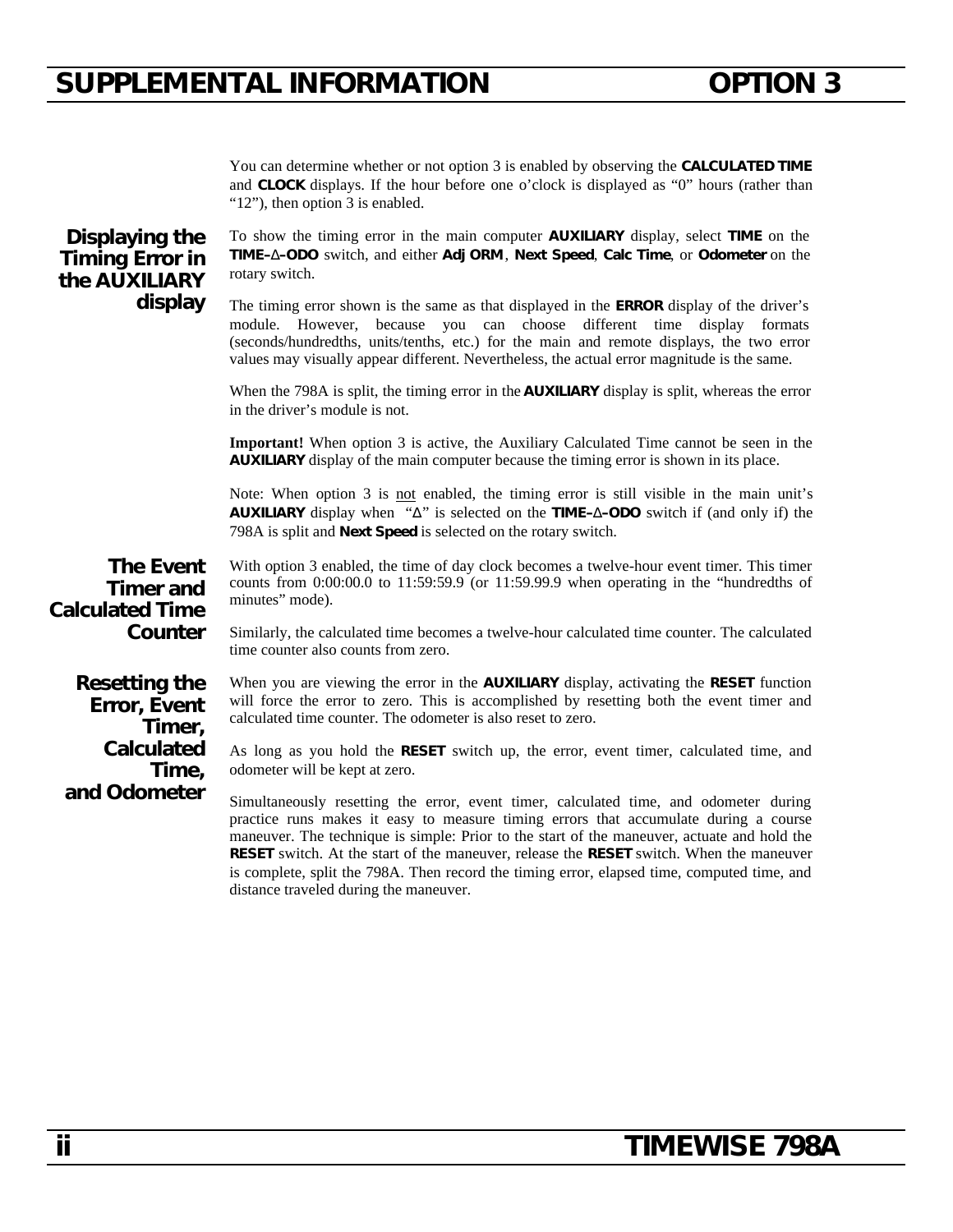### **SUPPLEMENTAL INFORMATION OPTION 3**

You can determine whether or not option 3 is enabled by observing the **CALCULATED TIME** and **CLOCK** displays. If the hour before one o'clock is displayed as "0" hours (rather than "12"), then option 3 is enabled.

#### **Displaying the Timing Error in the AUXILIARY display**

To show the timing error in the main computer **AUXILIARY** display, select **TIME** on the **TIME– –ODO** switch, and either **Adj ORM**, **Next Speed**, **Calc Time**, or **Odometer** on the rotary switch.

The timing error shown is the same as that displayed in the **ERROR** display of the driver's module. However, because you can choose different time display formats (seconds/hundredths, units/tenths, etc.) for the main and remote displays, the two error values may visually appear different. Nevertheless, the actual error magnitude is the same.

When the 798A is split, the timing error in the **AUXILIARY** display is split, whereas the error in the driver's module is not.

**Important!** When option 3 is active, the Auxiliary Calculated Time cannot be seen in the **AUXILIARY** display of the main computer because the timing error is shown in its place.

Note: When option 3 is not enabled, the timing error is still visible in the main unit's **AUXILIARY** display when " " is selected on the **TIME– –ODO** switch if (and only if) the 798A is split and **Next Speed** is selected on the rotary switch.

**The Event Timer and Calculated Time** With option 3 enabled, the time of day clock becomes a twelve-hour event timer. This timer counts from 0:00:00.0 to 11:59:59.9 (or 11:59.99.9 when operating in the "hundredths of minutes" mode).

> Similarly, the calculated time becomes a twelve-hour calculated time counter. The calculated time counter also counts from zero.

**Resetting the Error, Event Timer, Calculated Time, and Odometer**

**Counter**

When you are viewing the error in the **AUXILIARY** display, activating the **RESET** function will force the error to zero. This is accomplished by resetting both the event timer and calculated time counter. The odometer is also reset to zero.

As long as you hold the **RESET** switch up, the error, event timer, calculated time, and odometer will be kept at zero.

Simultaneously resetting the error, event timer, calculated time, and odometer during practice runs makes it easy to measure timing errors that accumulate during a course maneuver. The technique is simple: Prior to the start of the maneuver, actuate and hold the **RESET** switch. At the start of the maneuver, release the **RESET** switch. When the maneuver is complete, split the 798A. Then record the timing error, elapsed time, computed time, and distance traveled during the maneuver.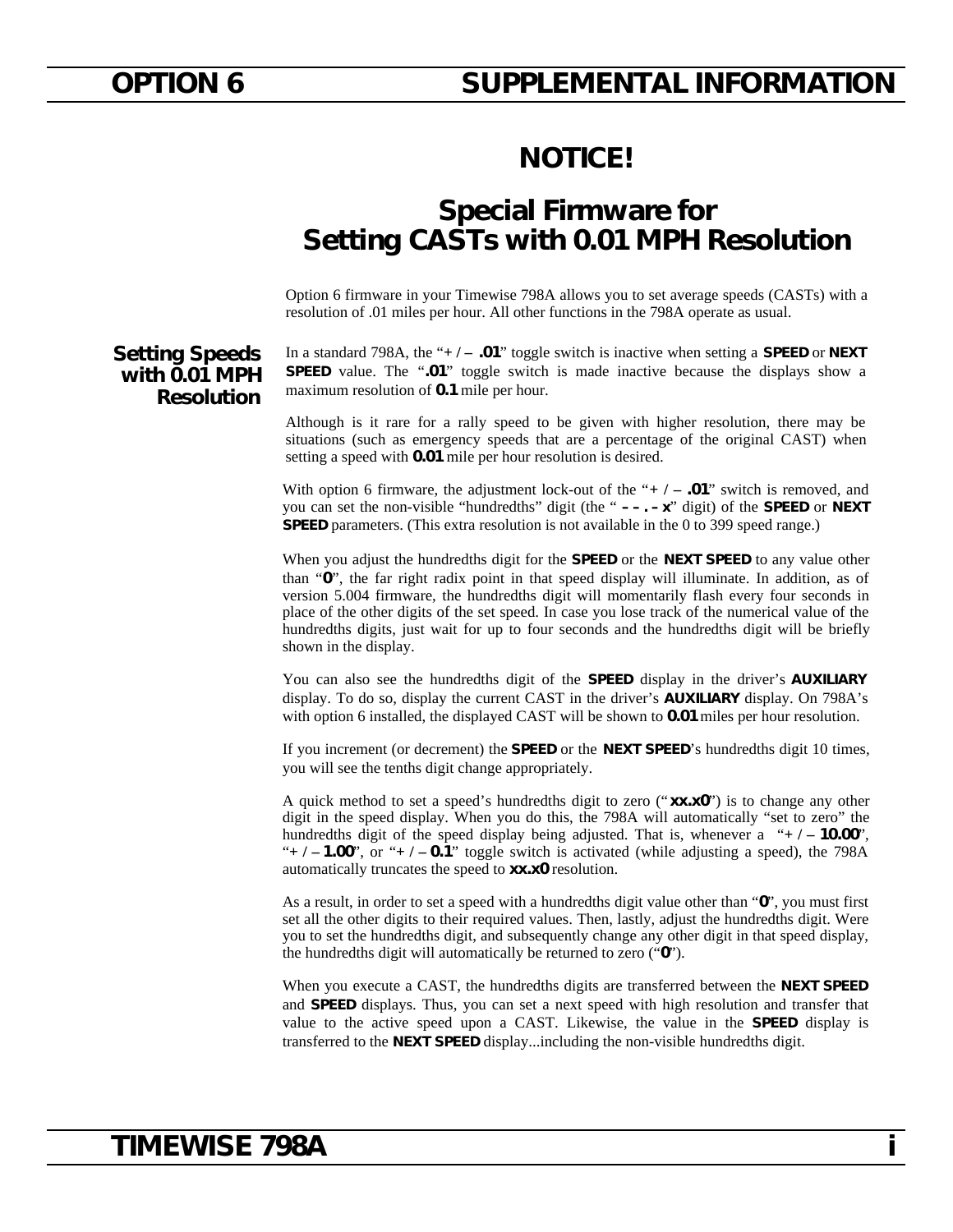### **OPTION 6 SUPPLEMENTAL INFORMATION**

### **NOTICE!**

### **Special Firmware for Setting CASTs with 0.01 MPH Resolution**

Option 6 firmware in your Timewise 798A allows you to set average speeds (CASTs) with a resolution of .01 miles per hour. All other functions in the 798A operate as usual.

#### **Setting Speeds with 0.01 MPH Resolution**

In a standard 798A, the "**+ / – .01**" toggle switch is inactive when setting a **SPEED** or **NEXT SPEED** value. The "**.01**" toggle switch is made inactive because the displays show a maximum resolution of **0.1** mile per hour.

Although is it rare for a rally speed to be given with higher resolution, there may be situations (such as emergency speeds that are a percentage of the original CAST) when setting a speed with **0.01** mile per hour resolution is desired.

With option 6 firmware, the adjustment lock-out of the " $+ / -0.01$ " switch is removed, and you can set the non-visible "hundredths" digit (the " **– – . – x**" digit) of the **SPEED** or **NEXT SPEED** parameters. (This extra resolution is not available in the 0 to 399 speed range.)

When you adjust the hundredths digit for the **SPEED** or the **NEXT SPEED** to any value other than "**0**", the far right radix point in that speed display will illuminate. In addition, as of version 5.004 firmware, the hundredths digit will momentarily flash every four seconds in place of the other digits of the set speed. In case you lose track of the numerical value of the hundredths digits, just wait for up to four seconds and the hundredths digit will be briefly shown in the display.

You can also see the hundredths digit of the **SPEED** display in the driver's **AUXILIARY** display. To do so, display the current CAST in the driver's **AUXILIARY** display. On 798A's with option 6 installed, the displayed CAST will be shown to **0.01** miles per hour resolution.

If you increment (or decrement) the **SPEED** or the **NEXT SPEED**'s hundredths digit 10 times, you will see the tenths digit change appropriately.

A quick method to set a speed's hundredths digit to zero ("**xx.x0**") is to change any other digit in the speed display. When you do this, the 798A will automatically "set to zero" the hundredths digit of the speed display being adjusted. That is, whenever a "**+ / – 10.00**", " $+$   $/$  – **1.00**", or " $+$   $/$  – **0.1**" toggle switch is activated (while adjusting a speed), the 798A automatically truncates the speed to **xx.x0** resolution.

As a result, in order to set a speed with a hundredths digit value other than "**0**", you must first set all the other digits to their required values. Then, lastly, adjust the hundredths digit. Were you to set the hundredths digit, and subsequently change any other digit in that speed display, the hundredths digit will automatically be returned to zero ("**0**").

When you execute a CAST, the hundredths digits are transferred between the **NEXT SPEED** and **SPEED** displays. Thus, you can set a next speed with high resolution and transfer that value to the active speed upon a CAST. Likewise, the value in the **SPEED** display is transferred to the **NEXT SPEED** display...including the non-visible hundredths digit.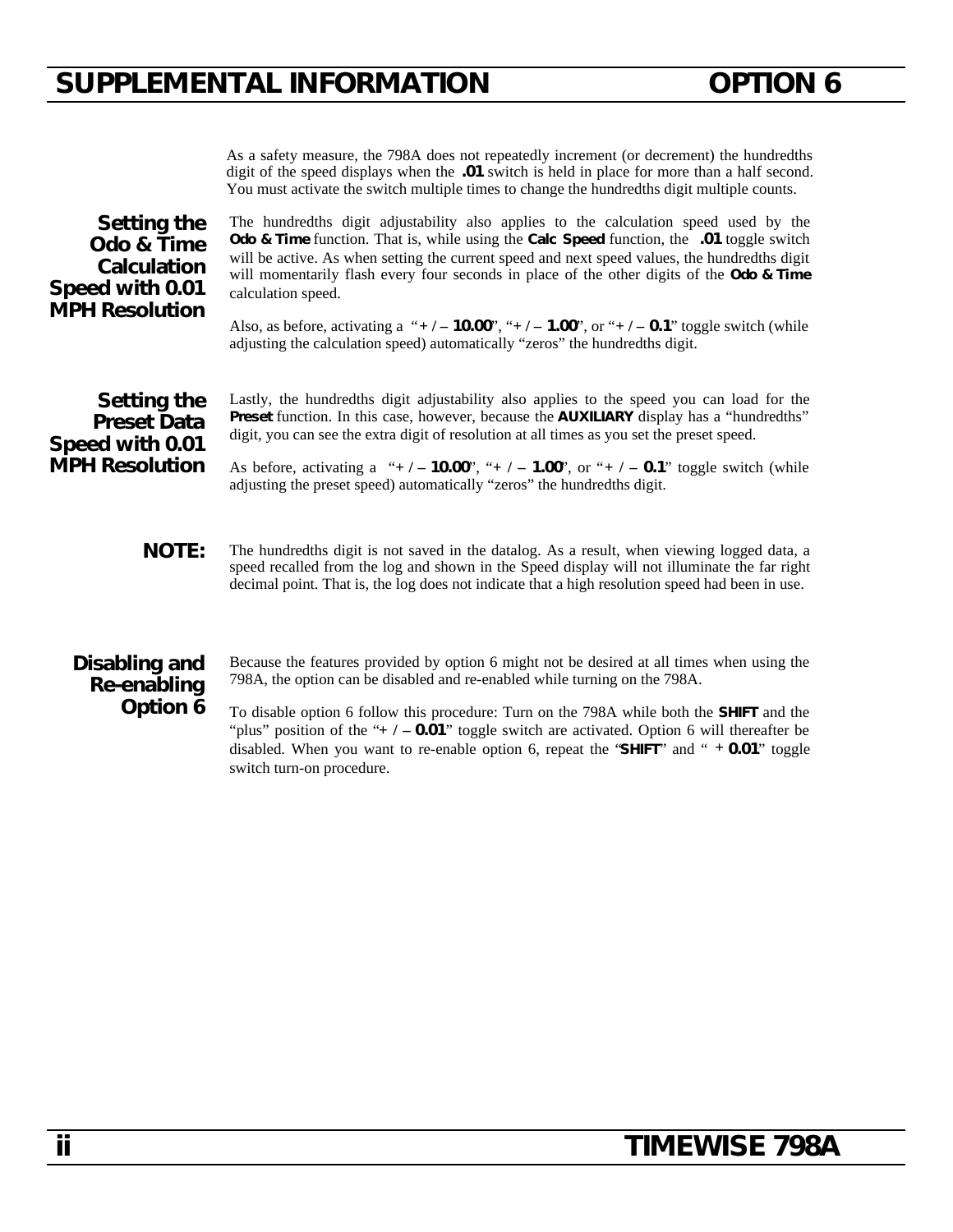|                                                                                             | As a safety measure, the 798A does not repeatedly increment (or decrement) the hundredths<br>digit of the speed displays when the .01 switch is held in place for more than a half second.<br>You must activate the switch multiple times to change the hundredths digit multiple counts.                                                                                                                             |
|---------------------------------------------------------------------------------------------|-----------------------------------------------------------------------------------------------------------------------------------------------------------------------------------------------------------------------------------------------------------------------------------------------------------------------------------------------------------------------------------------------------------------------|
| Setting the<br>Odo & Time<br><b>Calculation</b><br>Speed with 0.01<br><b>MPH Resolution</b> | The hundredths digit adjustability also applies to the calculation speed used by the<br><b>Odo &amp; Time</b> function. That is, while using the <b>Calc Speed</b> function, the .01 toggle switch<br>will be active. As when setting the current speed and next speed values, the hundredths digit<br>will momentarily flash every four seconds in place of the other digits of the Odo & Time<br>calculation speed. |
|                                                                                             | Also, as before, activating a "+/-10.00", "+/-1.00", or "+/-0.1" toggle switch (while<br>adjusting the calculation speed) automatically "zeros" the hundredths digit.                                                                                                                                                                                                                                                 |
| Setting the<br><b>Preset Data</b><br>Speed with 0.01<br><b>MPH Resolution</b>               | Lastly, the hundredths digit adjustability also applies to the speed you can load for the<br>Preset function. In this case, however, because the AUXILIARY display has a "hundredths"<br>digit, you can see the extra digit of resolution at all times as you set the preset speed.                                                                                                                                   |
|                                                                                             | As before, activating a "+ $/$ – 10.00", "+ $/$ – 1.00", or "+ $/$ – 0.1" toggle switch (while<br>adjusting the preset speed) automatically "zeros" the hundredths digit.                                                                                                                                                                                                                                             |
| <b>NOTE:</b>                                                                                | The hundredths digit is not saved in the datalog. As a result, when viewing logged data, a<br>speed recalled from the log and shown in the Speed display will not illuminate the far right<br>decimal point. That is, the log does not indicate that a high resolution speed had been in use.                                                                                                                         |
| Disabling and                                                                               | Because the features provided by option 6 might not be desired at all times when using the                                                                                                                                                                                                                                                                                                                            |

### **Re-enabling Option 6**

798A, the option can be disabled and re-enabled while turning on the 798A.

To disable option 6 follow this procedure: Turn on the 798A while both the **SHIFT** and the "plus" position of the "**+ / – 0.01**" toggle switch are activated. Option 6 will thereafter be disabled. When you want to re-enable option 6, repeat the "**SHIFT**" and " **+ 0.01**" toggle switch turn-on procedure.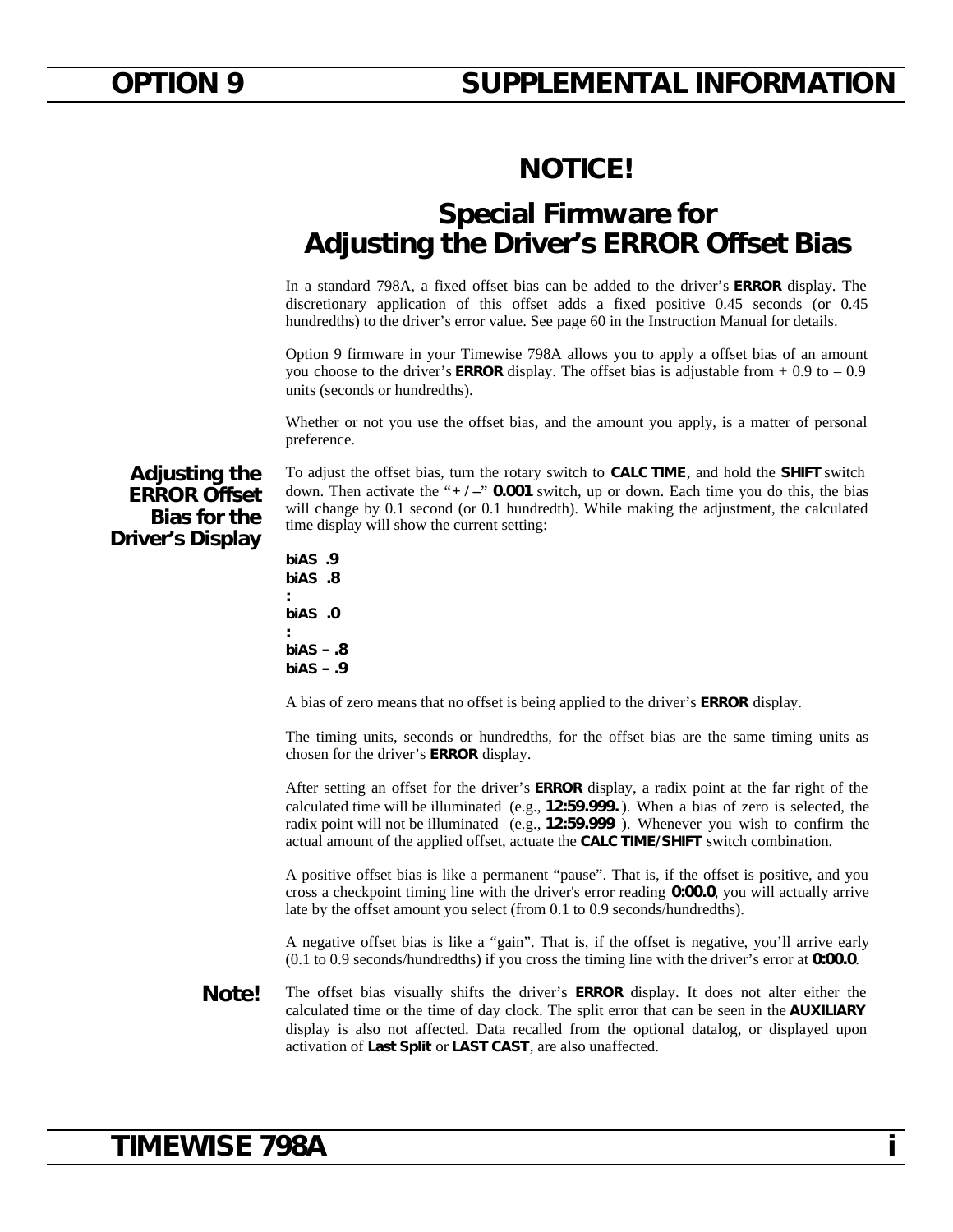### **NOTICE!**

### **Special Firmware for Adjusting the Driver's ERROR Offset Bias**

In a standard 798A, a fixed offset bias can be added to the driver's **ERROR** display. The discretionary application of this offset adds a fixed positive 0.45 seconds (or 0.45 hundredths) to the driver's error value. See page 60 in the Instruction Manual for details.

Option 9 firmware in your Timewise 798A allows you to apply a offset bias of an amount you choose to the driver's **ERROR** display. The offset bias is adjustable from  $+0.9$  to  $-0.9$ units (seconds or hundredths).

Whether or not you use the offset bias, and the amount you apply, is a matter of personal preference.

**Adjusting the ERROR Offset Bias for the Driver's Display**

To adjust the offset bias, turn the rotary switch to **CALC TIME**, and hold the **SHIFT** switch down. Then activate the " $+/-$ " **0.001** switch, up or down. Each time you do this, the bias will change by 0.1 second (or 0.1 hundredth). While making the adjustment, the calculated time display will show the current setting:

**biAS .9 biAS .8 : biAS .0 : biAS – .8 biAS – .9**

A bias of zero means that no offset is being applied to the driver's **ERROR** display.

The timing units, seconds or hundredths, for the offset bias are the same timing units as chosen for the driver's **ERROR** display.

After setting an offset for the driver's **ERROR** display, a radix point at the far right of the calculated time will be illuminated (e.g., **12:59.999.** ). When a bias of zero is selected, the radix point will not be illuminated (e.g., **12:59.999** ). Whenever you wish to confirm the actual amount of the applied offset, actuate the **CALC TIME/SHIFT** switch combination.

A positive offset bias is like a permanent "pause". That is, if the offset is positive, and you cross a checkpoint timing line with the driver's error reading **0:00.0**, you will actually arrive late by the offset amount you select (from 0.1 to 0.9 seconds/hundredths).

A negative offset bias is like a "gain". That is, if the offset is negative, you'll arrive early (0.1 to 0.9 seconds/hundredths) if you cross the timing line with the driver's error at **0:00.0**.

**Note!** The offset bias visually shifts the driver's **ERROR** display. It does not alter either the calculated time or the time of day clock. The split error that can be seen in the **AUXILIARY** display is also not affected. Data recalled from the optional datalog, or displayed upon activation of **Last Split** or **LAST CAST**, are also unaffected.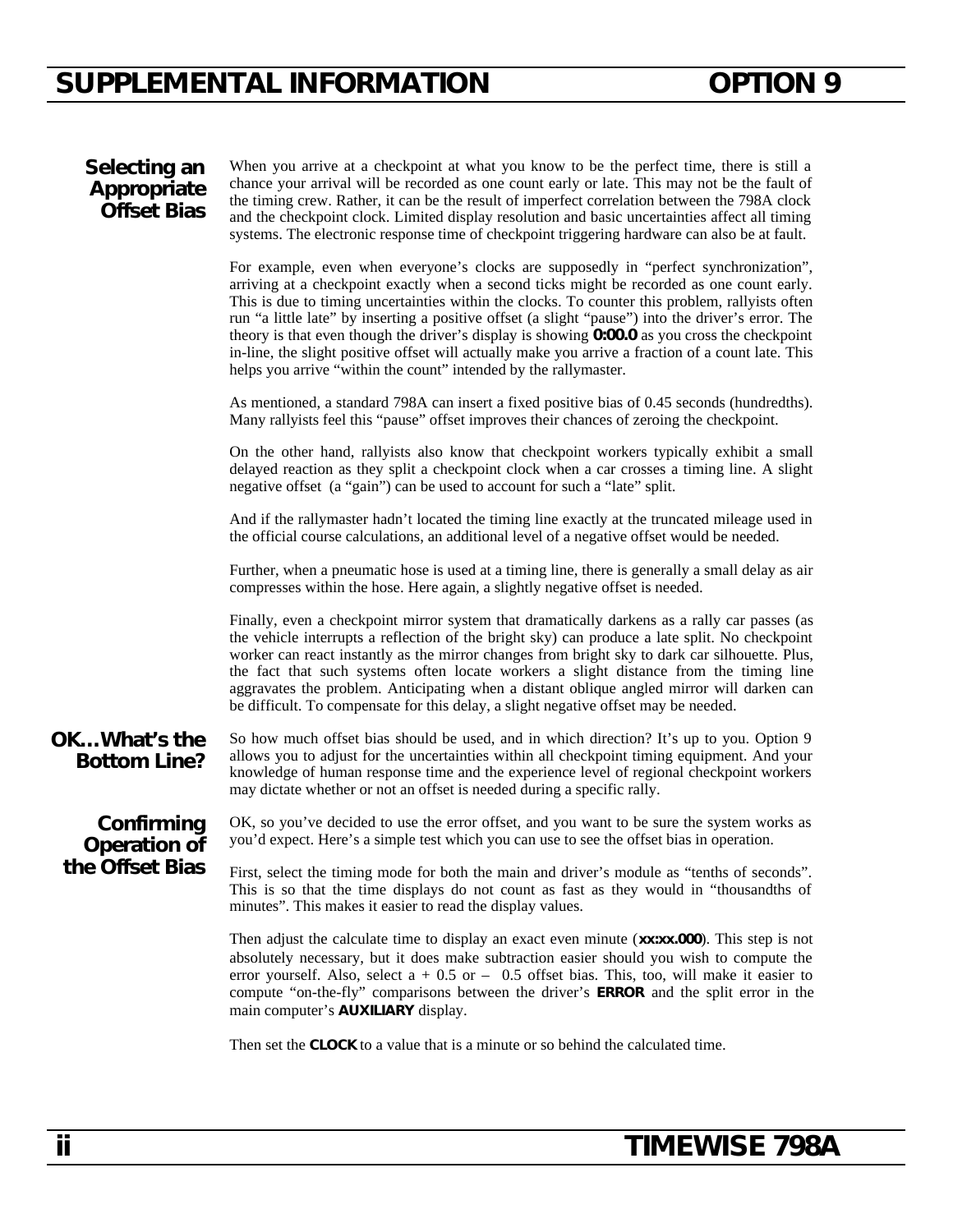#### **Selecting an Appropriate Offset Bias**

When you arrive at a checkpoint at what you know to be the perfect time, there is still a chance your arrival will be recorded as one count early or late. This may not be the fault of the timing crew. Rather, it can be the result of imperfect correlation between the 798A clock and the checkpoint clock. Limited display resolution and basic uncertainties affect all timing systems. The electronic response time of checkpoint triggering hardware can also be at fault.

For example, even when everyone's clocks are supposedly in "perfect synchronization", arriving at a checkpoint exactly when a second ticks might be recorded as one count early. This is due to timing uncertainties within the clocks. To counter this problem, rallyists often run "a little late" by inserting a positive offset (a slight "pause") into the driver's error. The theory is that even though the driver's display is showing **0:00.0** as you cross the checkpoint in-line, the slight positive offset will actually make you arrive a fraction of a count late. This helps you arrive "within the count" intended by the rallymaster.

As mentioned, a standard 798A can insert a fixed positive bias of 0.45 seconds (hundredths). Many rallyists feel this "pause" offset improves their chances of zeroing the checkpoint.

On the other hand, rallyists also know that checkpoint workers typically exhibit a small delayed reaction as they split a checkpoint clock when a car crosses a timing line. A slight negative offset (a "gain") can be used to account for such a "late" split.

And if the rallymaster hadn't located the timing line exactly at the truncated mileage used in the official course calculations, an additional level of a negative offset would be needed.

Further, when a pneumatic hose is used at a timing line, there is generally a small delay as air compresses within the hose. Here again, a slightly negative offset is needed.

Finally, even a checkpoint mirror system that dramatically darkens as a rally car passes (as the vehicle interrupts a reflection of the bright sky) can produce a late split. No checkpoint worker can react instantly as the mirror changes from bright sky to dark car silhouette. Plus, the fact that such systems often locate workers a slight distance from the timing line aggravates the problem. Anticipating when a distant oblique angled mirror will darken can be difficult. To compensate for this delay, a slight negative offset may be needed.

#### **OK…What's the Bottom Line?** So how much offset bias should be used, and in which direction? It's up to you. Option 9 allows you to adjust for the uncertainties within all checkpoint timing equipment. And your knowledge of human response time and the experience level of regional checkpoint workers may dictate whether or not an offset is needed during a specific rally.

**Confirming Operation of the Offset Bias** OK, so you've decided to use the error offset, and you want to be sure the system works as you'd expect. Here's a simple test which you can use to see the offset bias in operation.

First, select the timing mode for both the main and driver's module as "tenths of seconds". This is so that the time displays do not count as fast as they would in "thousandths of minutes". This makes it easier to read the display values.

Then adjust the calculate time to display an exact even minute (**xx:xx.000**). This step is not absolutely necessary, but it does make subtraction easier should you wish to compute the error yourself. Also, select  $a + 0.5$  or  $- 0.5$  offset bias. This, too, will make it easier to compute "on-the-fly" comparisons between the driver's **ERROR** and the split error in the main computer's **AUXILIARY** display.

Then set the **CLOCK** to a value that is a minute or so behind the calculated time.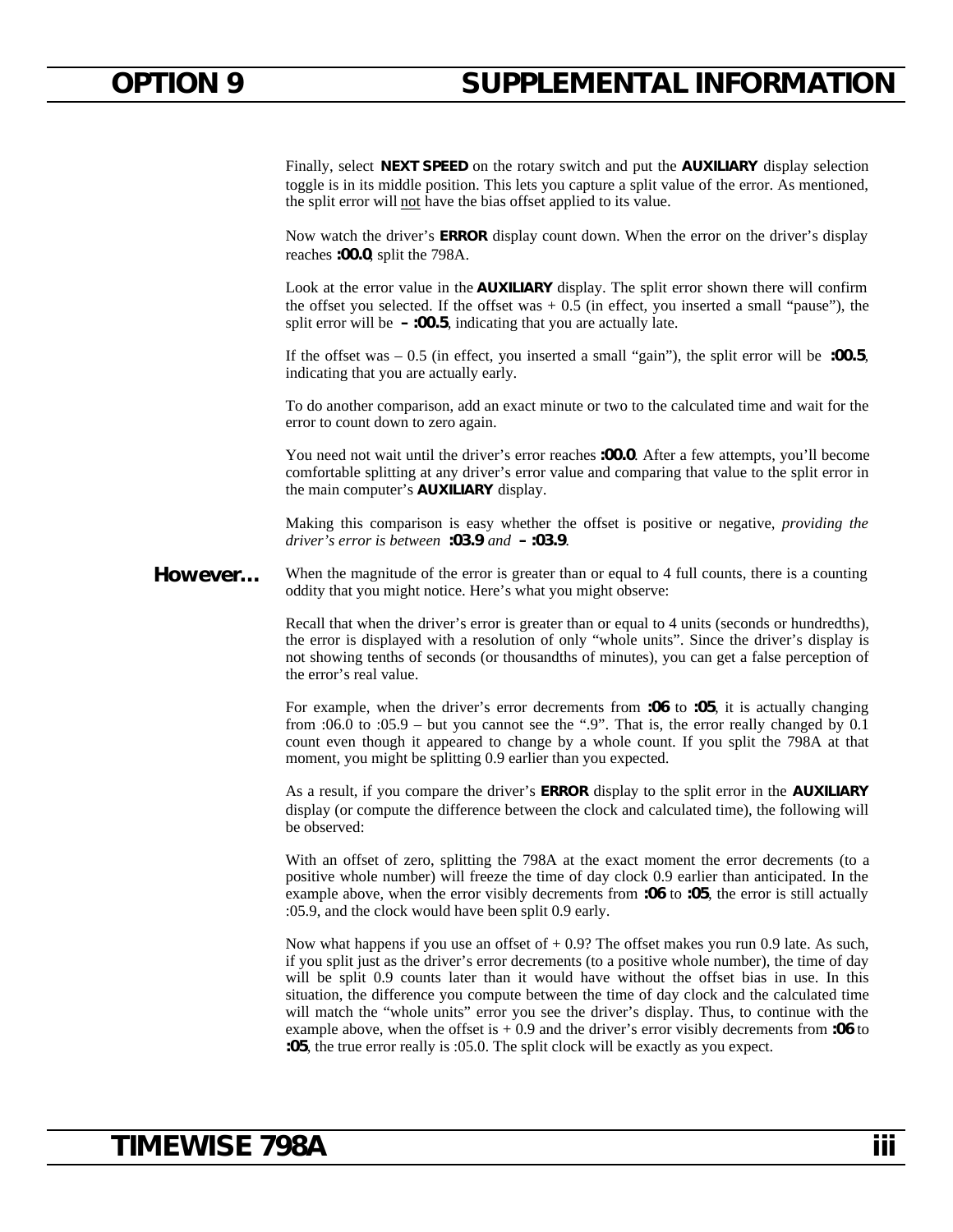Finally, select **NEXT SPEED** on the rotary switch and put the **AUXILIARY** display selection toggle is in its middle position. This lets you capture a split value of the error. As mentioned, the split error will not have the bias offset applied to its value.

Now watch the driver's **ERROR** display count down. When the error on the driver's display reaches **:00.0**, split the 798A.

Look at the error value in the **AUXILIARY** display. The split error shown there will confirm the offset you selected. If the offset was  $+0.5$  (in effect, you inserted a small "pause"), the split error will be **– :00.5**, indicating that you are actually late.

If the offset was – 0.5 (in effect, you inserted a small "gain"), the split error will be **:00.5**, indicating that you are actually early.

To do another comparison, add an exact minute or two to the calculated time and wait for the error to count down to zero again.

You need not wait until the driver's error reaches **:00.0**. After a few attempts, you'll become comfortable splitting at any driver's error value and comparing that value to the split error in the main computer's **AUXILIARY** display.

Making this comparison is easy whether the offset is positive or negative, *providing the driver's error is between* **:03.9** *and* **– :03.9**.

**However…** When the magnitude of the error is greater than or equal to 4 full counts, there is a counting oddity that you might notice. Here's what you might observe:

> Recall that when the driver's error is greater than or equal to 4 units (seconds or hundredths), the error is displayed with a resolution of only "whole units". Since the driver's display is not showing tenths of seconds (or thousandths of minutes), you can get a false perception of the error's real value.

> For example, when the driver's error decrements from **:06** to **:05**, it is actually changing from :06.0 to :05.9 – but you cannot see the ".9". That is, the error really changed by 0.1 count even though it appeared to change by a whole count. If you split the 798A at that moment, you might be splitting 0.9 earlier than you expected.

> As a result, if you compare the driver's **ERROR** display to the split error in the **AUXILIARY** display (or compute the difference between the clock and calculated time), the following will be observed:

> With an offset of zero, splitting the 798A at the exact moment the error decrements (to a positive whole number) will freeze the time of day clock 0.9 earlier than anticipated. In the example above, when the error visibly decrements from **:06** to **:05**, the error is still actually :05.9, and the clock would have been split 0.9 early.

> Now what happens if you use an offset of  $+0.9$ ? The offset makes you run 0.9 late. As such, if you split just as the driver's error decrements (to a positive whole number), the time of day will be split 0.9 counts later than it would have without the offset bias in use. In this situation, the difference you compute between the time of day clock and the calculated time will match the "whole units" error you see the driver's display. Thus, to continue with the example above, when the offset is  $+0.9$  and the driver's error visibly decrements from **:06** to **:05**, the true error really is :05.0. The split clock will be exactly as you expect.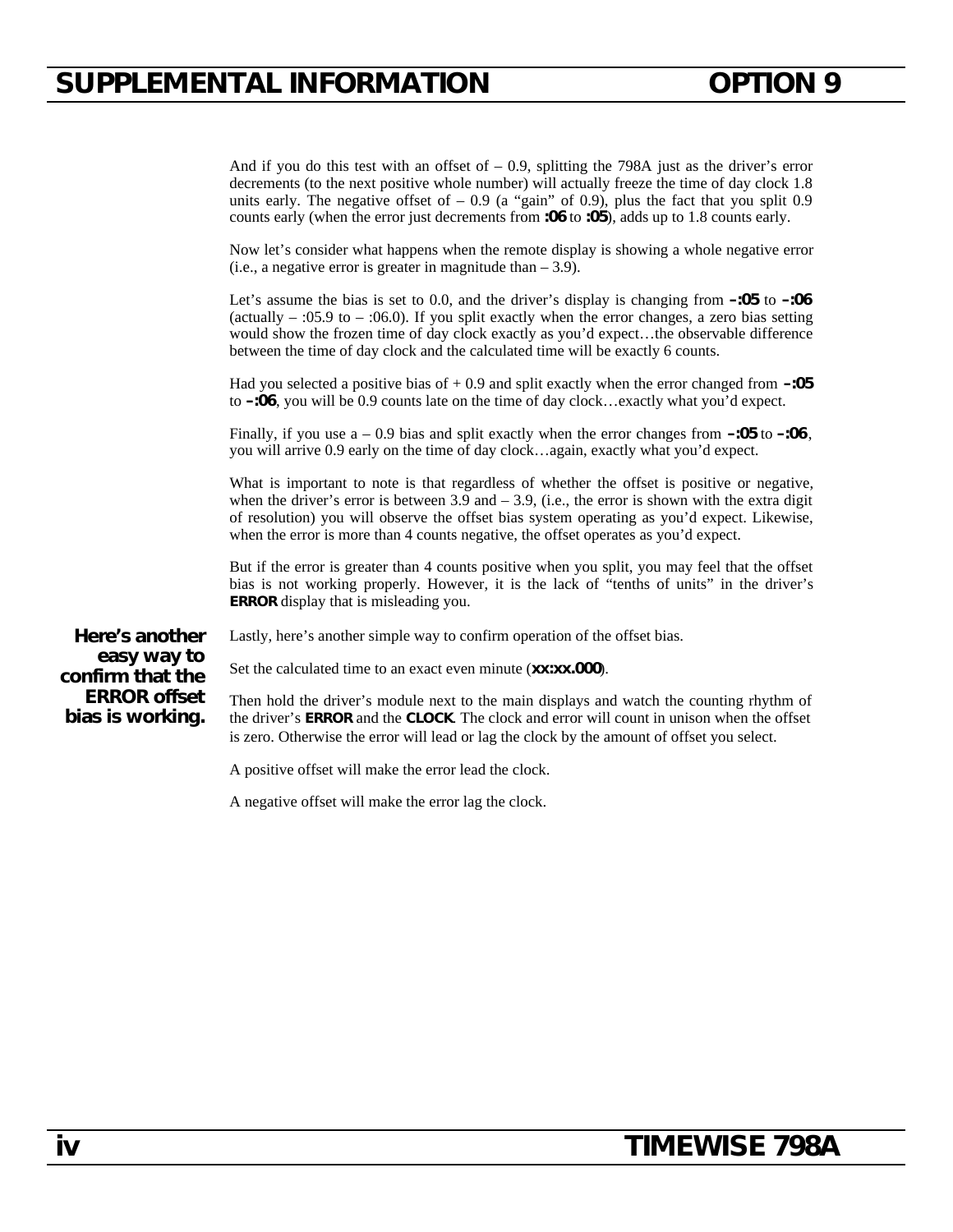And if you do this test with an offset of  $-0.9$ , splitting the 798A just as the driver's error decrements (to the next positive whole number) will actually freeze the time of day clock 1.8 units early. The negative offset of  $-0.9$  (a "gain" of 0.9), plus the fact that you split 0.9 counts early (when the error just decrements from **:06** to **:05**), adds up to 1.8 counts early.

Now let's consider what happens when the remote display is showing a whole negative error (i.e., a negative error is greater in magnitude than – 3.9).

Let's assume the bias is set to 0.0, and the driver's display is changing from **–:05** to **–:06** (actually  $-$  :05.9 to  $-$  :06.0). If you split exactly when the error changes, a zero bias setting would show the frozen time of day clock exactly as you'd expect…the observable difference between the time of day clock and the calculated time will be exactly 6 counts.

Had you selected a positive bias of + 0.9 and split exactly when the error changed from **–:05** to **–:06**, you will be 0.9 counts late on the time of day clock…exactly what you'd expect.

Finally, if you use a – 0.9 bias and split exactly when the error changes from **–:05** to **–:06**, you will arrive 0.9 early on the time of day clock…again, exactly what you'd expect.

What is important to note is that regardless of whether the offset is positive or negative, when the driver's error is between  $3.9$  and  $-3.9$ , (i.e., the error is shown with the extra digit of resolution) you will observe the offset bias system operating as you'd expect. Likewise, when the error is more than 4 counts negative, the offset operates as you'd expect.

But if the error is greater than 4 counts positive when you split, you may feel that the offset bias is not working properly. However, it is the lack of "tenths of units" in the driver's **ERROR** display that is misleading you.

Lastly, here's another simple way to confirm operation of the offset bias.

**Here's another easy way to confirm that the ERROR offset bias is working.**

Set the calculated time to an exact even minute (**xx:xx.000**).

Then hold the driver's module next to the main displays and watch the counting rhythm of the driver's **ERROR** and the **CLOCK**. The clock and error will count in unison when the offset is zero. Otherwise the error will lead or lag the clock by the amount of offset you select.

A positive offset will make the error lead the clock.

A negative offset will make the error lag the clock.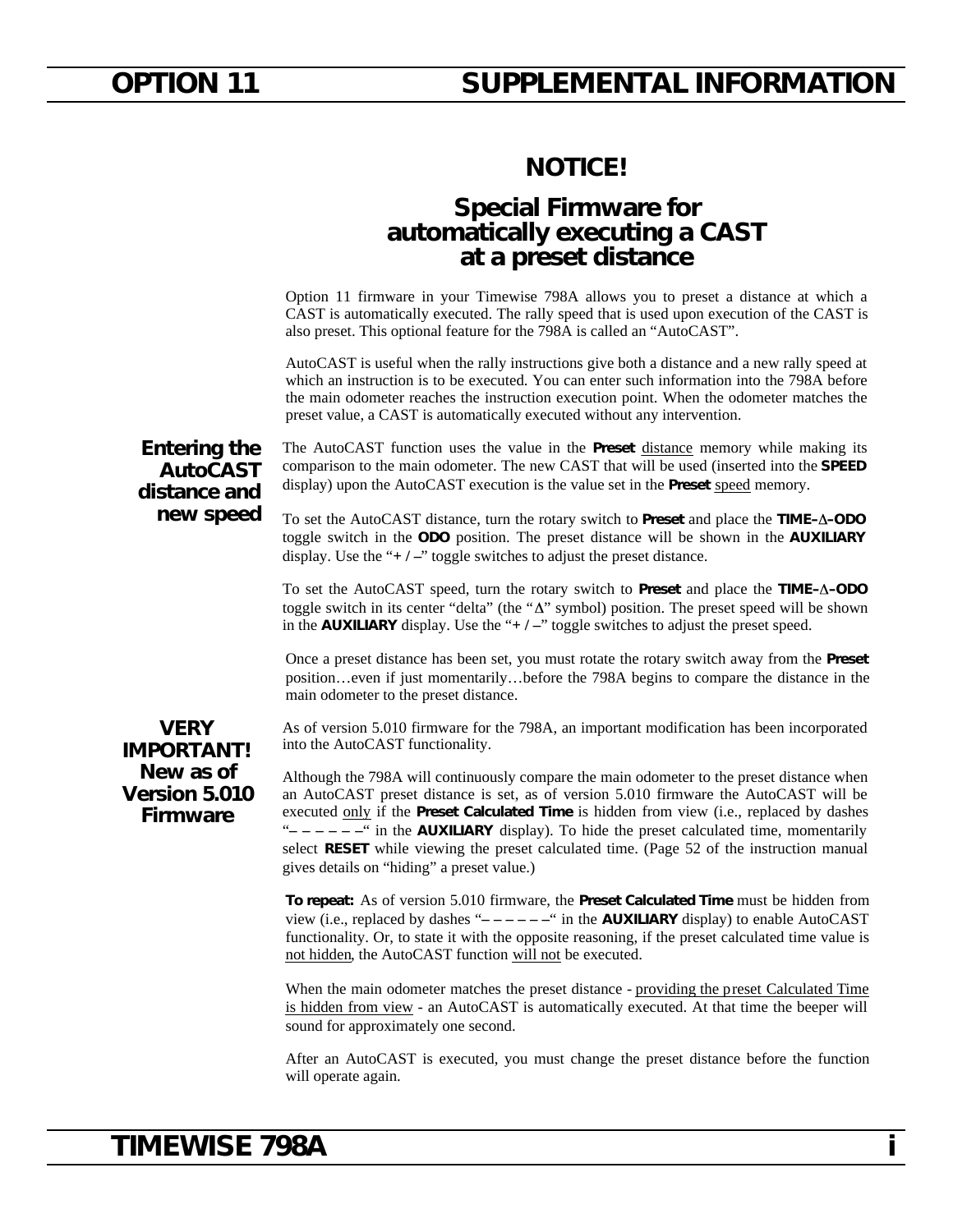### **OPTION 11 SUPPLEMENTAL INFORMATION**

### **NOTICE!**

### **Special Firmware for automatically executing a CAST at a preset distance**

Option 11 firmware in your Timewise 798A allows you to preset a distance at which a CAST is automatically executed. The rally speed that is used upon execution of the CAST is also preset. This optional feature for the 798A is called an "AutoCAST".

AutoCAST is useful when the rally instructions give both a distance and a new rally speed at which an instruction is to be executed. You can enter such information into the 798A before the main odometer reaches the instruction execution point. When the odometer matches the preset value, a CAST is automatically executed without any intervention.

**Entering the AutoCAST distance and new speed** The AutoCAST function uses the value in the **Preset** distance memory while making its comparison to the main odometer. The new CAST that will be used (inserted into the **SPEED** display) upon the AutoCAST execution is the value set in the **Preset** speed memory.

To set the AutoCAST distance, turn the rotary switch to **Preset** and place the **TIME– –ODO** toggle switch in the **ODO** position. The preset distance will be shown in the **AUXILIARY** display. Use the "**+ / –**" toggle switches to adjust the preset distance.

To set the AutoCAST speed, turn the rotary switch to **Preset** and place the **TIME– –ODO** toggle switch in its center "delta" (the " $\Delta$ " symbol) position. The preset speed will be shown in the **AUXILIARY** display. Use the "**+ / –**" toggle switches to adjust the preset speed.

Once a preset distance has been set, you must rotate the rotary switch away from the **Preset** position…even if just momentarily…before the 798A begins to compare the distance in the main odometer to the preset distance.

#### **VERY IMPORTANT! New as of Version 5.010 Firmware**

As of version 5.010 firmware for the 798A, an important modification has been incorporated into the AutoCAST functionality.

Although the 798A will continuously compare the main odometer to the preset distance when an AutoCAST preset distance is set, as of version 5.010 firmware the AutoCAST will be executed only if the **Preset Calculated Time** is hidden from view (i.e., replaced by dashes "**– – – – – –**" in the **AUXILIARY** display). To hide the preset calculated time, momentarily select **RESET** while viewing the preset calculated time. (Page 52 of the instruction manual gives details on "hiding" a preset value.)

**To repeat:** As of version 5.010 firmware, the **Preset Calculated Time** must be hidden from view (i.e., replaced by dashes "**– – – – – –**" in the **AUXILIARY** display) to enable AutoCAST functionality. Or, to state it with the opposite reasoning, if the preset calculated time value is not hidden, the AutoCAST function will not be executed.

When the main odometer matches the preset distance - providing the preset Calculated Time is hidden from view - an AutoCAST is automatically executed. At that time the beeper will sound for approximately one second.

After an AutoCAST is executed, you must change the preset distance before the function will operate again.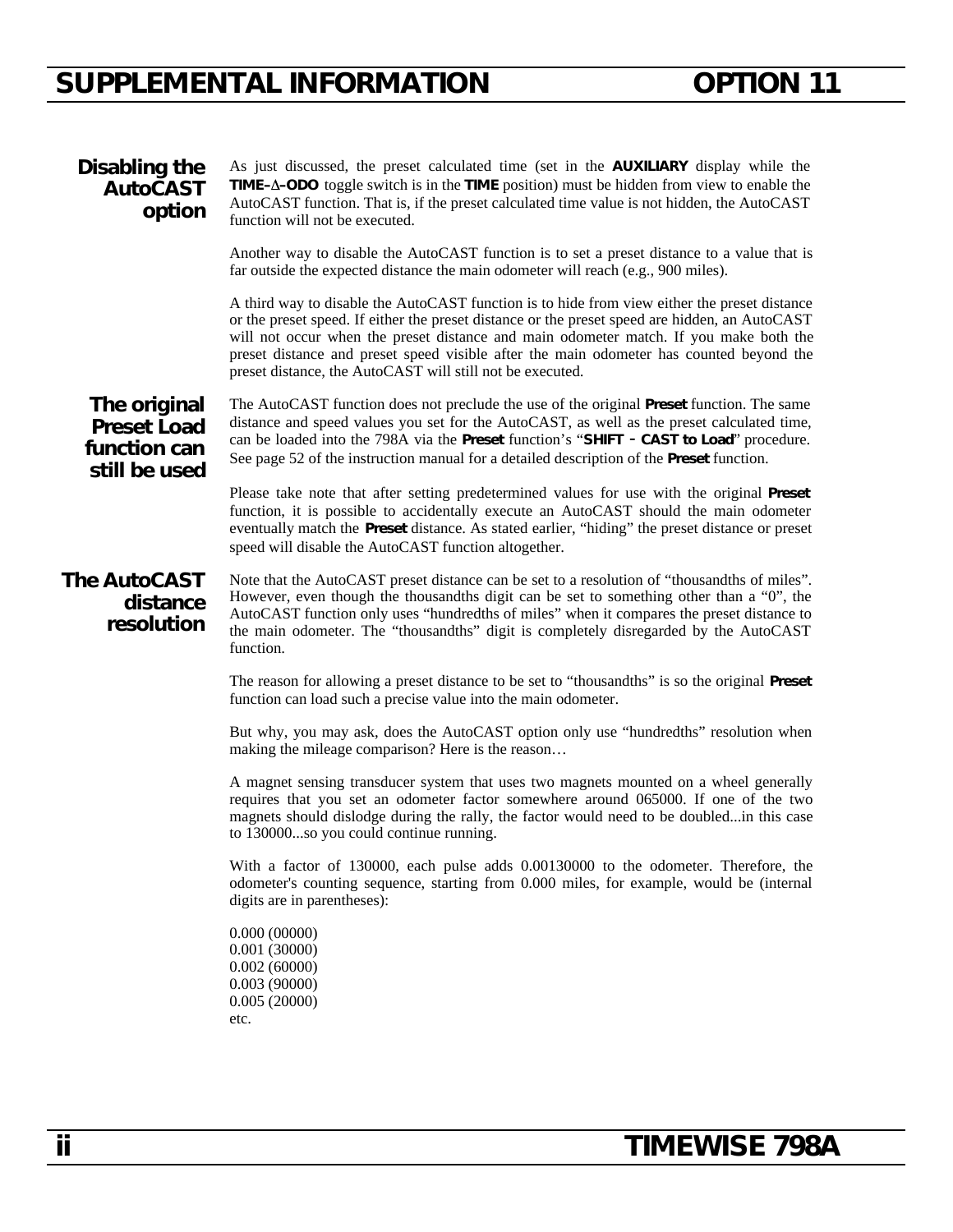## **SUPPLEMENTAL INFORMATION**

|                                               | <b>OPTION 11</b> |  |  |
|-----------------------------------------------|------------------|--|--|
|                                               |                  |  |  |
|                                               |                  |  |  |
| <b>UXILIARY</b> display while the<br>$\cdots$ |                  |  |  |

**Disabling the AutoCAST option**

As just discussed, the preset calculated time (set in the **A TIME– –ODO** toggle switch is in the **TIME** position) must be hidden from view to enable the AutoCAST function. That is, if the preset calculated time value is not hidden, the AutoCAST function will not be executed.

Another way to disable the AutoCAST function is to set a preset distance to a value that is far outside the expected distance the main odometer will reach (e.g., 900 miles).

A third way to disable the AutoCAST function is to hide from view either the preset distance or the preset speed. If either the preset distance or the preset speed are hidden, an AutoCAST will not occur when the preset distance and main odometer match. If you make both the preset distance and preset speed visible after the main odometer has counted beyond the preset distance, the AutoCAST will still not be executed.

**The original Preset Load function can still be used** The AutoCAST function does not preclude the use of the original **Preset** function. The same distance and speed values you set for the AutoCAST, as well as the preset calculated time, can be loaded into the 798A via the **Preset** function's "**SHIFT – CAST to Load**" procedure. See page 52 of the instruction manual for a detailed description of the **Preset** function.

> Please take note that after setting predetermined values for use with the original **Preset** function, it is possible to accidentally execute an AutoCAST should the main odometer eventually match the **Preset** distance. As stated earlier, "hiding" the preset distance or preset speed will disable the AutoCAST function altogether.

**The AutoCAST distance resolution** Note that the AutoCAST preset distance can be set to a resolution of "thousandths of miles". However, even though the thousandths digit can be set to something other than a "0", the AutoCAST function only uses "hundredths of miles" when it compares the preset distance to the main odometer. The "thousandths" digit is completely disregarded by the AutoCAST function.

> The reason for allowing a preset distance to be set to "thousandths" is so the original **Preset** function can load such a precise value into the main odometer.

> But why, you may ask, does the AutoCAST option only use "hundredths" resolution when making the mileage comparison? Here is the reason…

> A magnet sensing transducer system that uses two magnets mounted on a wheel generally requires that you set an odometer factor somewhere around 065000. If one of the two magnets should dislodge during the rally, the factor would need to be doubled...in this case to 130000...so you could continue running.

> With a factor of 130000, each pulse adds 0.00130000 to the odometer. Therefore, the odometer's counting sequence, starting from 0.000 miles, for example, would be (internal digits are in parentheses):

0.000 (00000) 0.001 (30000) 0.002 (60000) 0.003 (90000) 0.005 (20000) etc.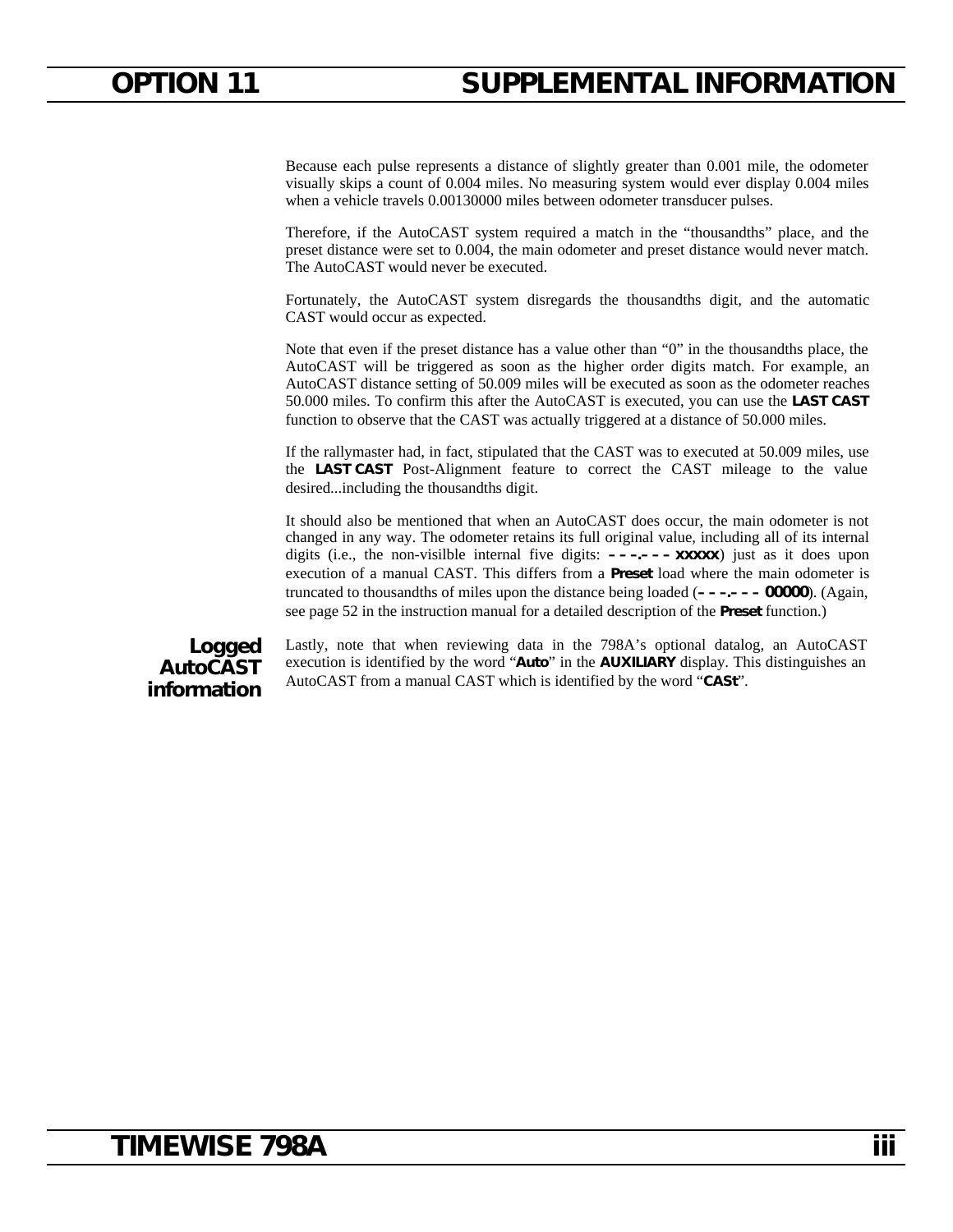Because each pulse represents a distance of slightly greater than 0.001 mile, the odometer visually skips a count of 0.004 miles. No measuring system would ever display 0.004 miles when a vehicle travels 0.00130000 miles between odometer transducer pulses.

Therefore, if the AutoCAST system required a match in the "thousandths" place, and the preset distance were set to 0.004, the main odometer and preset distance would never match. The AutoCAST would never be executed.

Fortunately, the AutoCAST system disregards the thousandths digit, and the automatic CAST would occur as expected.

Note that even if the preset distance has a value other than "0" in the thousandths place, the AutoCAST will be triggered as soon as the higher order digits match. For example, an AutoCAST distance setting of 50.009 miles will be executed as soon as the odometer reaches 50.000 miles. To confirm this after the AutoCAST is executed, you can use the **LAST CAST** function to observe that the CAST was actually triggered at a distance of 50.000 miles.

If the rallymaster had, in fact, stipulated that the CAST was to executed at 50.009 miles, use the **LAST CAST** Post-Alignment feature to correct the CAST mileage to the value desired...including the thousandths digit.

It should also be mentioned that when an AutoCAST does occur, the main odometer is not changed in any way. The odometer retains its full original value, including all of its internal digits (i.e., the non-visilble internal five digits: **– – –.– – – xxxxx**) just as it does upon execution of a manual CAST. This differs from a **Preset** load where the main odometer is truncated to thousandths of miles upon the distance being loaded (**– – –.– – – 00000**). (Again, see page 52 in the instruction manual for a detailed description of the **Preset** function.)

**Logged AutoCAST information** Lastly, note that when reviewing data in the 798A's optional datalog, an AutoCAST execution is identified by the word "**Auto**" in the **AUXILIARY** display. This distinguishes an AutoCAST from a manual CAST which is identified by the word "**CASt**".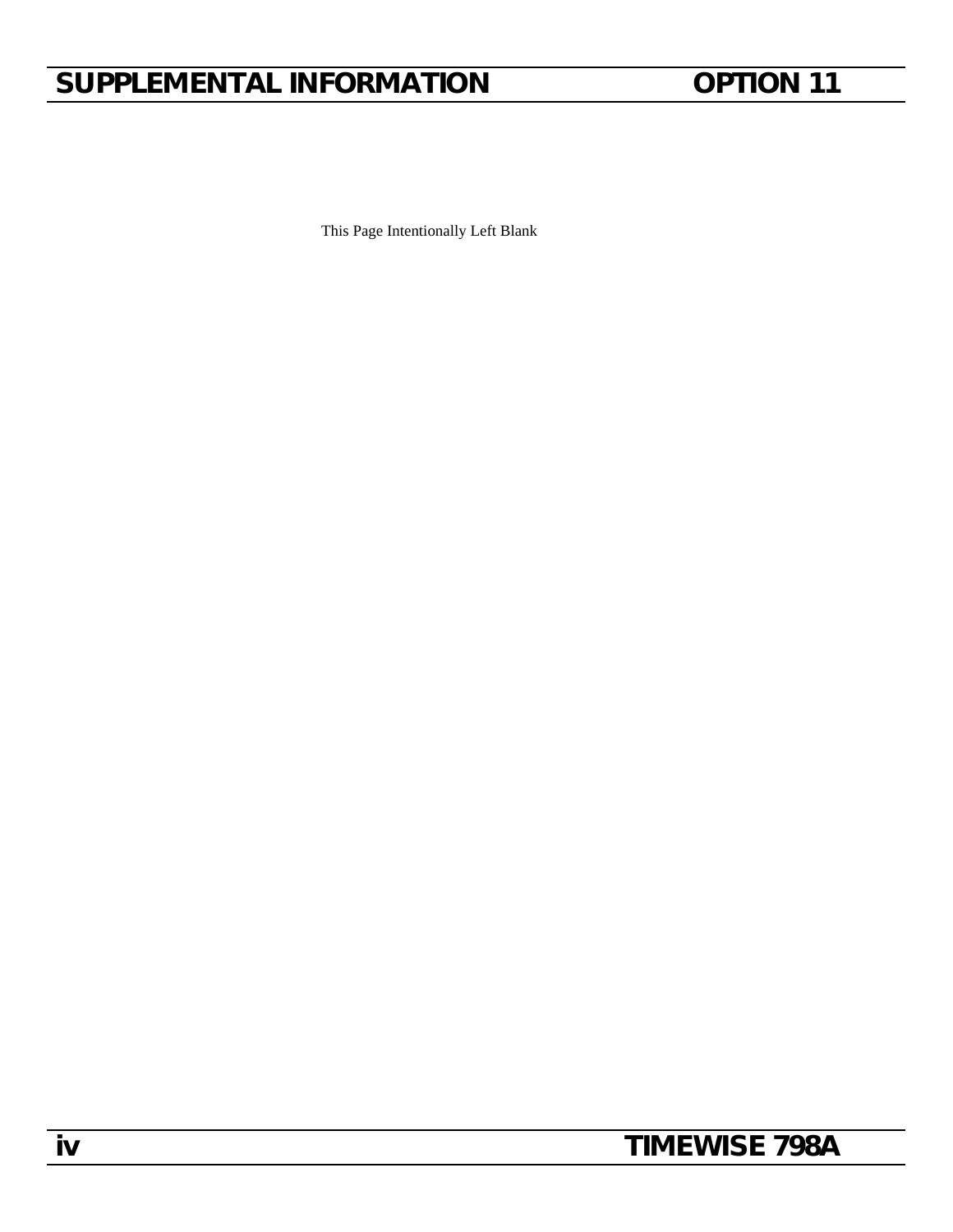## **SUPPLEMENTAL INFORMATION OPTION 11**

This Page Intentionally Left Blank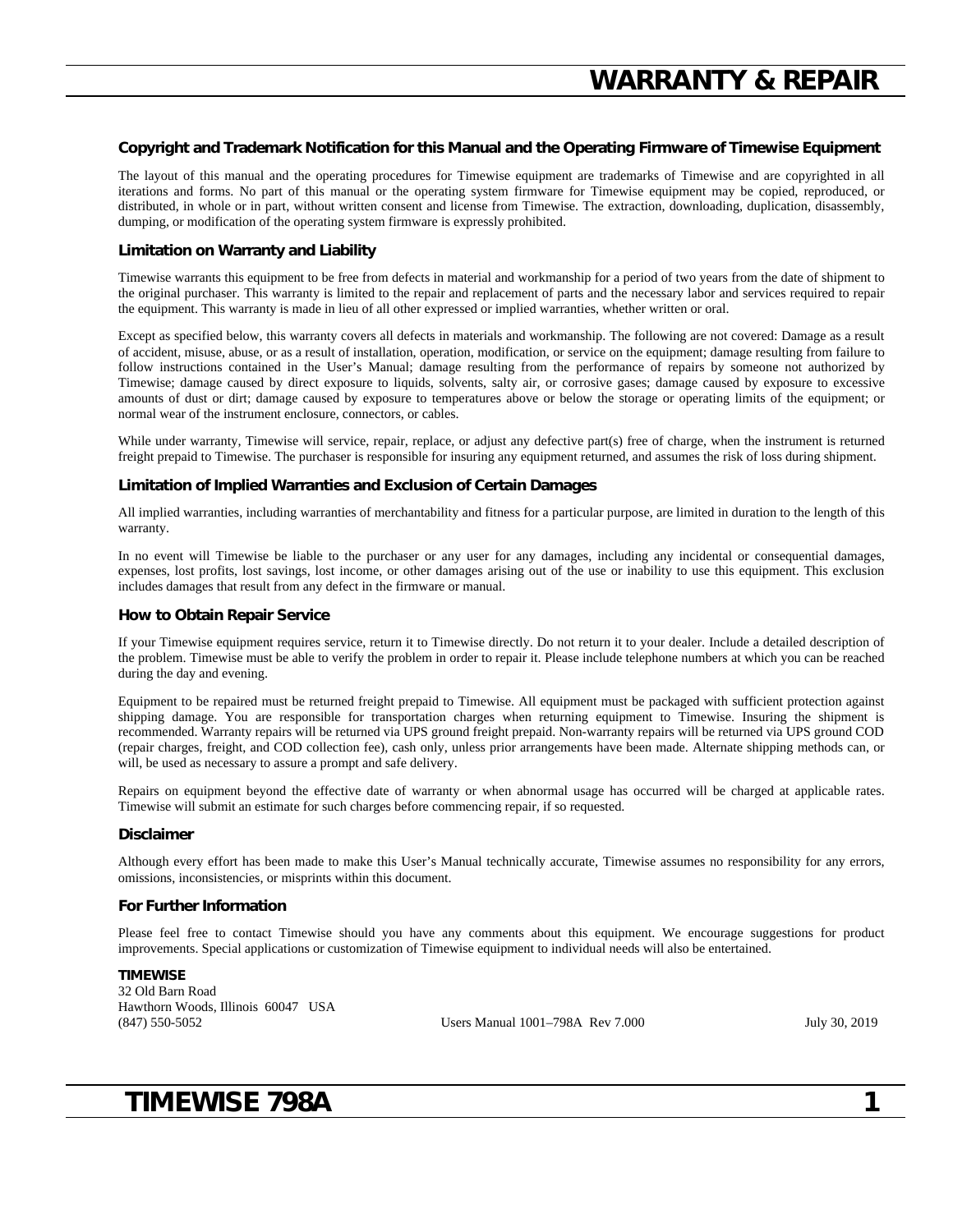#### **Copyright and Trademark Notification for this Manual and the Operating Firmware of Timewise Equipment**

The layout of this manual and the operating procedures for Timewise equipment are trademarks of Timewise and are copyrighted in all iterations and forms. No part of this manual or the operating system firmware for Timewise equipment may be copied, reproduced, or distributed, in whole or in part, without written consent and license from Timewise. The extraction, downloading, duplication, disassembly, dumping, or modification of the operating system firmware is expressly prohibited.

#### **Limitation on Warranty and Liability**

Timewise warrants this equipment to be free from defects in material and workmanship for a period of two years from the date of shipment to the original purchaser. This warranty is limited to the repair and replacement of parts and the necessary labor and services required to repair the equipment. This warranty is made in lieu of all other expressed or implied warranties, whether written or oral.

Except as specified below, this warranty covers all defects in materials and workmanship. The following are not covered: Damage as a result of accident, misuse, abuse, or as a result of installation, operation, modification, or service on the equipment; damage resulting from failure to follow instructions contained in the User's Manual; damage resulting from the performance of repairs by someone not authorized by Timewise; damage caused by direct exposure to liquids, solvents, salty air, or corrosive gases; damage caused by exposure to excessive amounts of dust or dirt; damage caused by exposure to temperatures above or below the storage or operating limits of the equipment; or normal wear of the instrument enclosure, connectors, or cables.

While under warranty, Timewise will service, repair, replace, or adjust any defective part(s) free of charge, when the instrument is returned freight prepaid to Timewise. The purchaser is responsible for insuring any equipment returned, and assumes the risk of loss during shipment.

#### **Limitation of Implied Warranties and Exclusion of Certain Damages**

All implied warranties, including warranties of merchantability and fitness for a particular purpose, are limited in duration to the length of this warranty.

In no event will Timewise be liable to the purchaser or any user for any damages, including any incidental or consequential damages, expenses, lost profits, lost savings, lost income, or other damages arising out of the use or inability to use this equipment. This exclusion includes damages that result from any defect in the firmware or manual.

#### **How to Obtain Repair Service**

If your Timewise equipment requires service, return it to Timewise directly. Do not return it to your dealer. Include a detailed description of the problem. Timewise must be able to verify the problem in order to repair it. Please include telephone numbers at which you can be reached during the day and evening.

Equipment to be repaired must be returned freight prepaid to Timewise. All equipment must be packaged with sufficient protection against shipping damage. You are responsible for transportation charges when returning equipment to Timewise. Insuring the shipment is recommended. Warranty repairs will be returned via UPS ground freight prepaid. Non-warranty repairs will be returned via UPS ground COD (repair charges, freight, and COD collection fee), cash only, unless prior arrangements have been made. Alternate shipping methods can, or will, be used as necessary to assure a prompt and safe delivery.

Repairs on equipment beyond the effective date of warranty or when abnormal usage has occurred will be charged at applicable rates. Timewise will submit an estimate for such charges before commencing repair, if so requested.

#### **Disclaimer**

Although every effort has been made to make this User's Manual technically accurate, Timewise assumes no responsibility for any errors, omissions, inconsistencies, or misprints within this document.

#### **For Further Information**

Please feel free to contact Timewise should you have any comments about this equipment. We encourage suggestions for product improvements. Special applications or customization of Timewise equipment to individual needs will also be entertained.

#### **TIMEWISE**

32 Old Barn Road Hawthorn Woods, Illinois 60047 USA (847) 550-5052 Users Manual 1001–798A Rev 7.000 July 30, 2019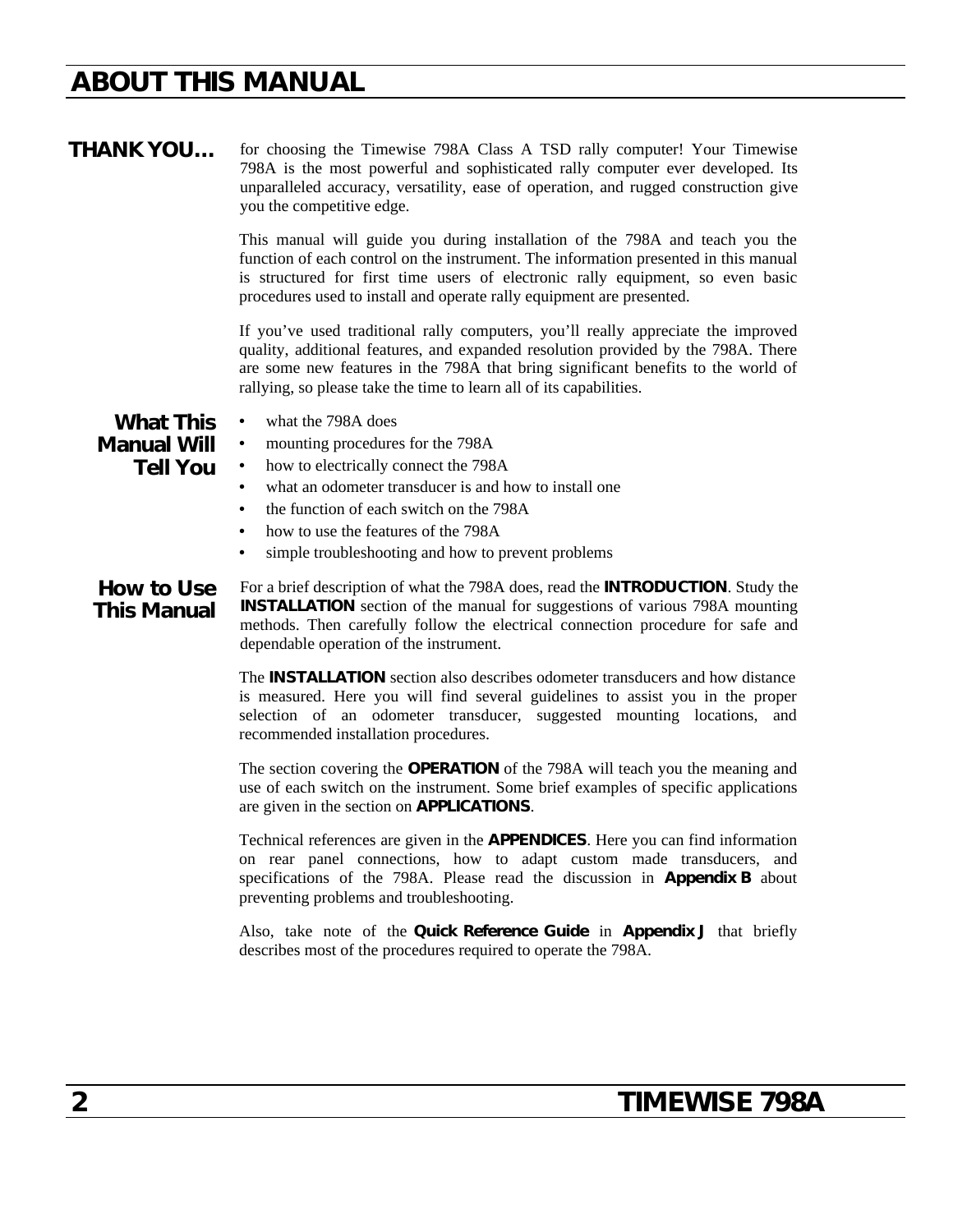## **ABOUT THIS MANUAL**

| <b>THANK YOU</b>                                          | for choosing the Timewise 798A Class A TSD rally computer! Your Timewise<br>798A is the most powerful and sophisticated rally computer ever developed. Its<br>unparalleled accuracy, versatility, ease of operation, and rugged construction give<br>you the competitive edge.                                                                                                             |
|-----------------------------------------------------------|--------------------------------------------------------------------------------------------------------------------------------------------------------------------------------------------------------------------------------------------------------------------------------------------------------------------------------------------------------------------------------------------|
|                                                           | This manual will guide you during installation of the 798A and teach you the<br>function of each control on the instrument. The information presented in this manual<br>is structured for first time users of electronic rally equipment, so even basic<br>procedures used to install and operate rally equipment are presented.                                                           |
|                                                           | If you've used traditional rally computers, you'll really appreciate the improved<br>quality, additional features, and expanded resolution provided by the 798A. There<br>are some new features in the 798A that bring significant benefits to the world of<br>rallying, so please take the time to learn all of its capabilities.                                                         |
| <b>What This</b><br><b>Manual Will</b><br><b>Tell You</b> | what the 798A does<br>$\bullet$<br>mounting procedures for the 798A<br>$\bullet$<br>how to electrically connect the 798A<br>$\bullet$<br>what an odometer transducer is and how to install one<br>$\bullet$<br>the function of each switch on the 798A<br>$\bullet$<br>how to use the features of the 798A<br>$\bullet$<br>simple troubleshooting and how to prevent problems<br>$\bullet$ |
| <b>How to Use</b><br><b>This Manual</b>                   | For a brief description of what the 798A does, read the <b>INTRODUCTION</b> . Study the<br><b>INSTALLATION</b> section of the manual for suggestions of various 798A mounting<br>methods. Then carefully follow the electrical connection procedure for safe and<br>dependable operation of the instrument.                                                                                |
|                                                           | The <b>INSTALLATION</b> section also describes odometer transducers and how distance<br>is measured. Here you will find several guidelines to assist you in the proper<br>selection of an odometer transducer, suggested mounting locations,<br>and<br>recommended installation procedures.                                                                                                |

The section covering the **OPERATION** of the 798A will teach you the meaning and use of each switch on the instrument. Some brief examples of specific applications are given in the section on **APPLICATIONS**.

Technical references are given in the **APPENDICES**. Here you can find information on rear panel connections, how to adapt custom made transducers, and specifications of the 798A. Please read the discussion in **Appendix B** about preventing problems and troubleshooting.

Also, take note of the **Quick Reference Guide** in **Appendix J** that briefly describes most of the procedures required to operate the 798A.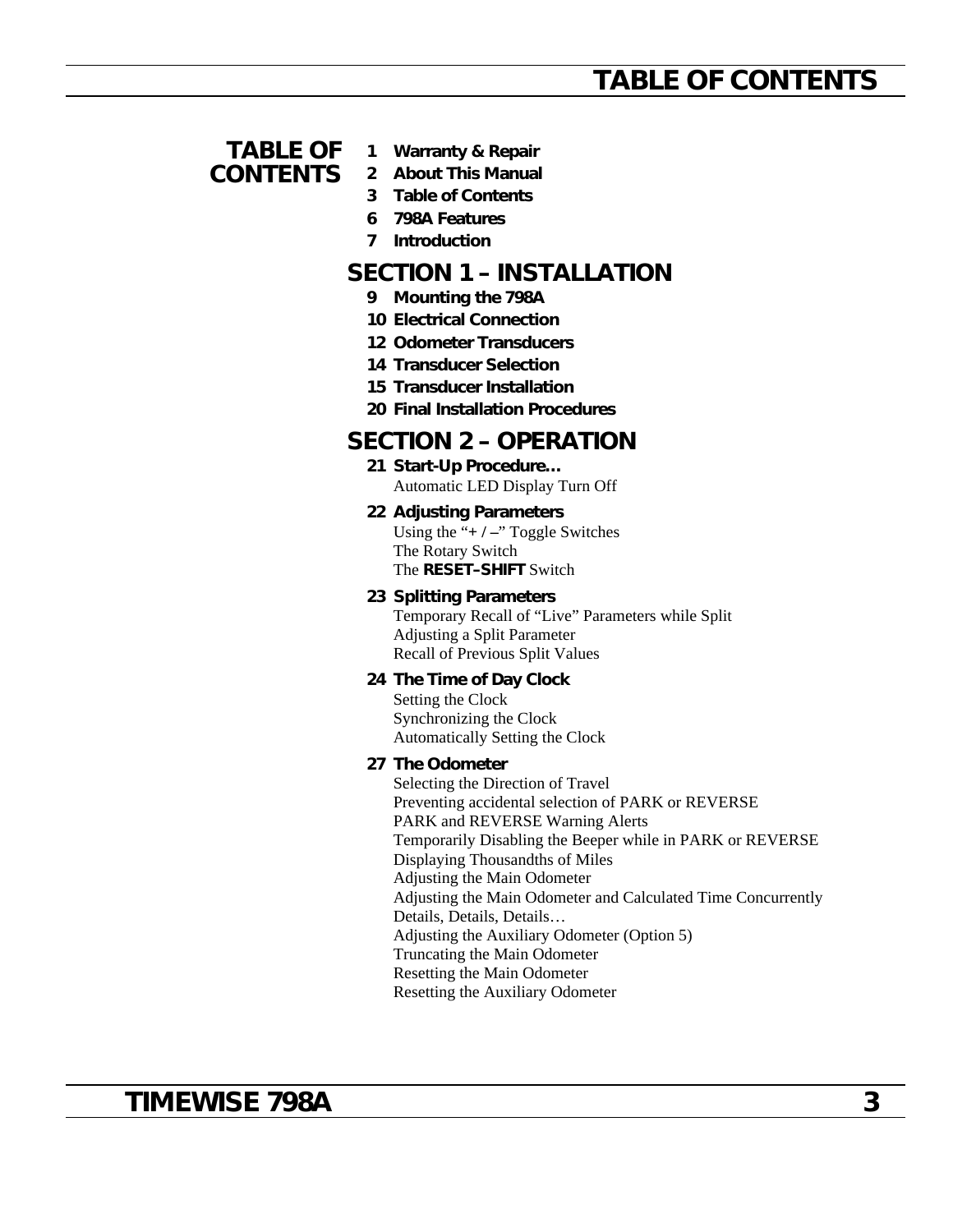### **TABLE OF CONTENTS**

- **1 Warranty & Repair**
- **2 About This Manual**
- **3 Table of Contents**
- **6 798A Features**
- **7 Introduction**

### **SECTION 1 – INSTALLATION**

- **9 Mounting the 798A**
- **10 Electrical Connection**
- **12 Odometer Transducers**
- **14 Transducer Selection**
- **15 Transducer Installation**
- **20 Final Installation Procedures**

### **SECTION 2 – OPERATION**

- **21 Start-Up Procedure…** Automatic LED Display Turn Off
- **22 Adjusting Parameters** Using the "**+ / –**" Toggle Switches The Rotary Switch The **RESET–SHIFT** Switch

#### **23 Splitting Parameters**

Temporary Recall of "Live" Parameters while Split Adjusting a Split Parameter Recall of Previous Split Values

#### **24 The Time of Day Clock**

Setting the Clock Synchronizing the Clock Automatically Setting the Clock

#### **27 The Odometer**

Selecting the Direction of Travel Preventing accidental selection of PARK or REVERSE PARK and REVERSE Warning Alerts Temporarily Disabling the Beeper while in PARK or REVERSE Displaying Thousandths of Miles Adjusting the Main Odometer Adjusting the Main Odometer and Calculated Time Concurrently Details, Details, Details… Adjusting the Auxiliary Odometer (Option 5) Truncating the Main Odometer Resetting the Main Odometer Resetting the Auxiliary Odometer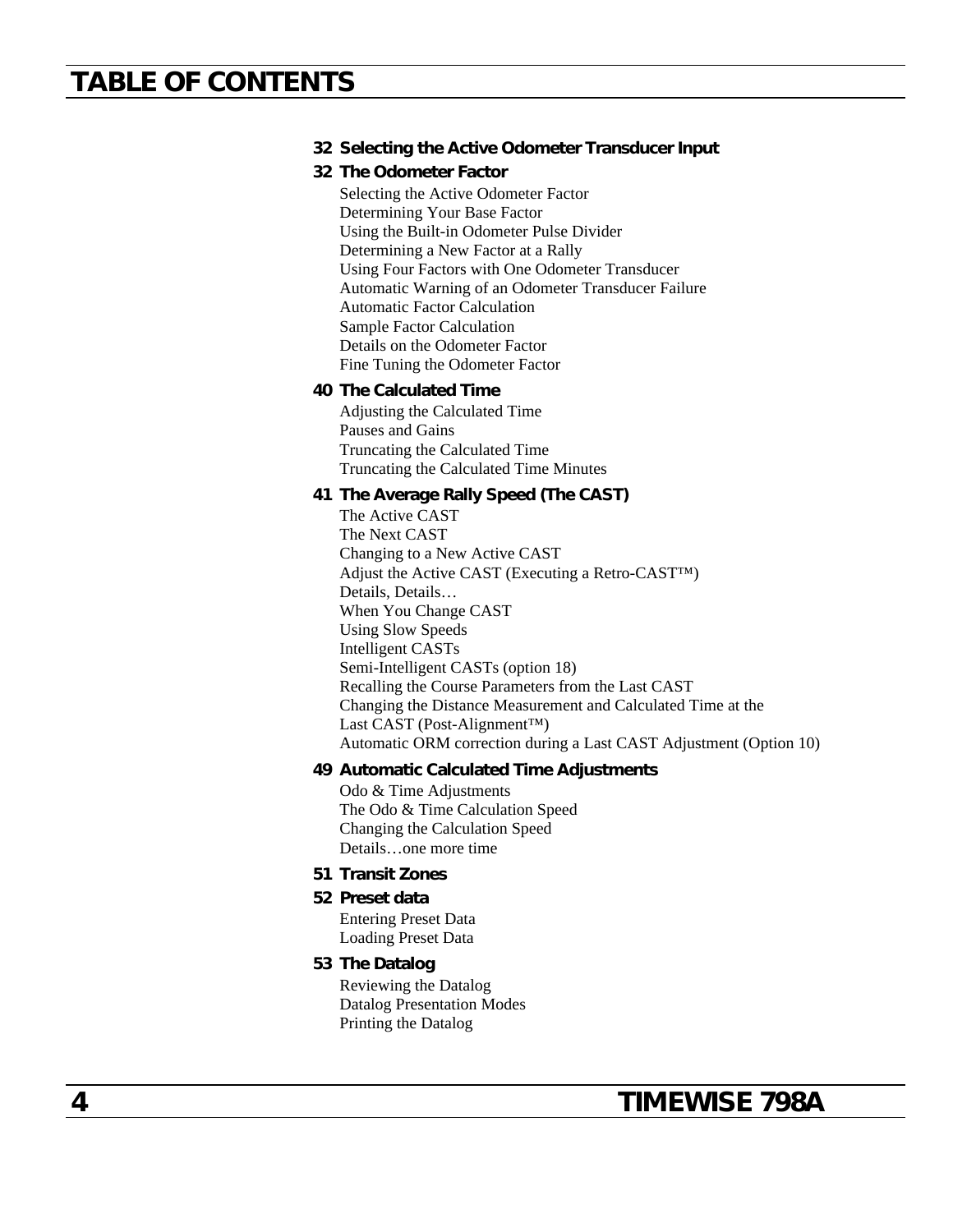#### **32 Selecting the Active Odometer Transducer Input**

#### **32 The Odometer Factor**

Selecting the Active Odometer Factor Determining Your Base Factor Using the Built-in Odometer Pulse Divider Determining a New Factor at a Rally Using Four Factors with One Odometer Transducer Automatic Warning of an Odometer Transducer Failure Automatic Factor Calculation Sample Factor Calculation Details on the Odometer Factor Fine Tuning the Odometer Factor

#### **40 The Calculated Time**

Adjusting the Calculated Time Pauses and Gains Truncating the Calculated Time Truncating the Calculated Time Minutes

#### **41 The Average Rally Speed (The CAST)**

The Active CAST The Next CAST Changing to a New Active CAST Adjust the Active CAST (Executing a Retro-CAST™) Details, Details… When You Change CAST Using Slow Speeds Intelligent CASTs Semi-Intelligent CASTs (option 18) Recalling the Course Parameters from the Last CAST Changing the Distance Measurement and Calculated Time at the Last CAST (Post-Alignment™) Automatic ORM correction during a Last CAST Adjustment (Option 10)

#### **49 Automatic Calculated Time Adjustments**

Odo & Time Adjustments The Odo & Time Calculation Speed Changing the Calculation Speed Details…one more time

#### **51 Transit Zones**

#### **52 Preset data**

Entering Preset Data Loading Preset Data

#### **53 The Datalog**

Reviewing the Datalog Datalog Presentation Modes Printing the Datalog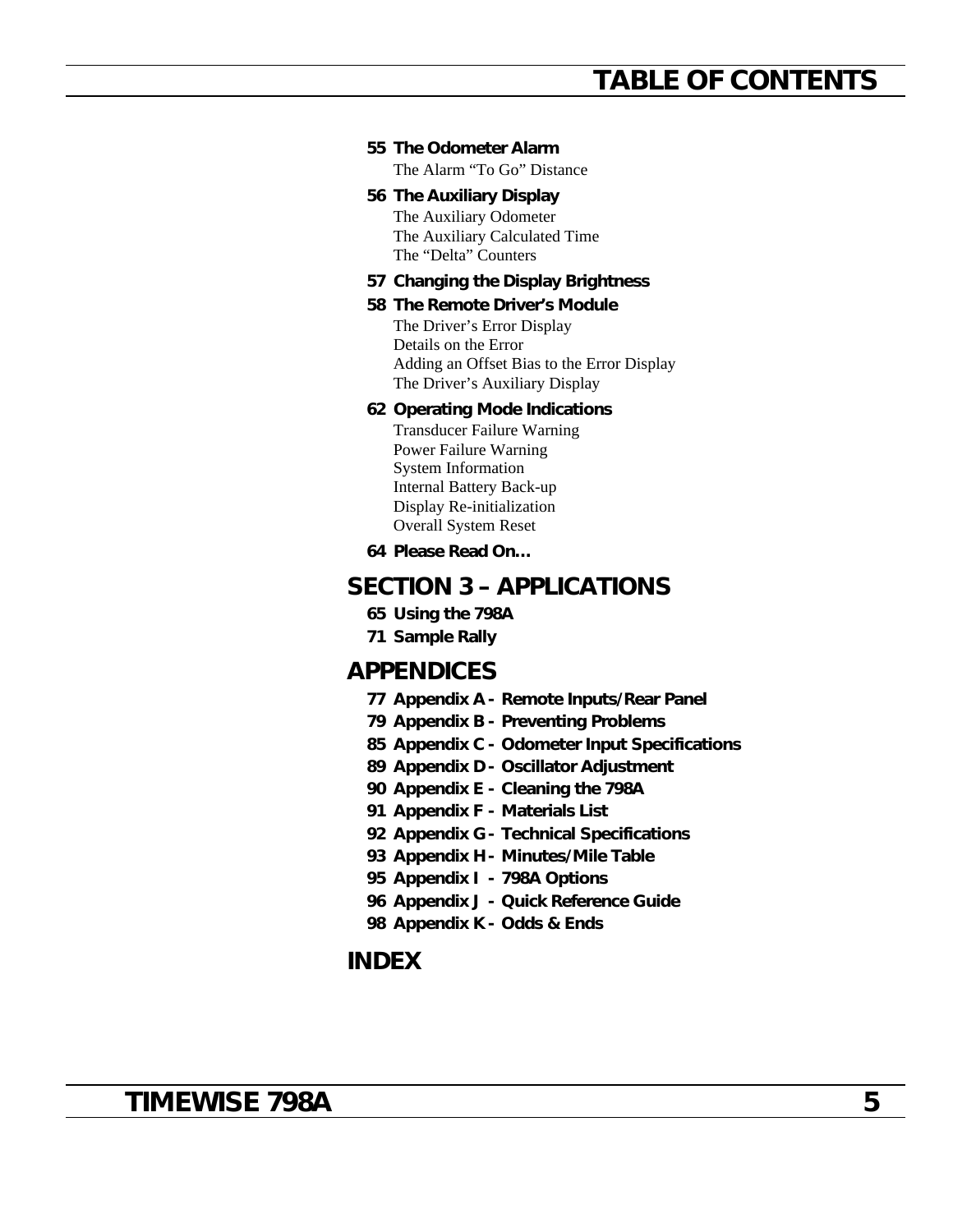#### **55 The Odometer Alarm**

The Alarm "To Go" Distance

#### **56 The Auxiliary Display**

The Auxiliary Odometer The Auxiliary Calculated Time The "Delta" Counters

#### **57 Changing the Display Brightness**

#### **58 The Remote Driver's Module** The Driver's Error Display

Details on the Error Adding an Offset Bias to the Error Display The Driver's Auxiliary Display

#### **62 Operating Mode Indications**

Transducer Failure Warning Power Failure Warning System Information Internal Battery Back-up Display Re-initialization Overall System Reset

**64 Please Read On…**

### **SECTION 3 – APPLICATIONS**

- **65 Using the 798A**
- **71 Sample Rally**

### **APPENDICES**

- **77 Appendix A - Remote Inputs/Rear Panel**
- **79 Appendix B - Preventing Problems**
- **85 Appendix C - Odometer Input Specifications**
- **89 Appendix D - Oscillator Adjustment**
- **90 Appendix E - Cleaning the 798A**
- **91 Appendix F - Materials List**
- **92 Appendix G - Technical Specifications**
- **93 Appendix H - Minutes/Mile Table**
- **95 Appendix I - 798A Options**
- **96 Appendix J - Quick Reference Guide**
- **98 Appendix K - Odds & Ends**

### **INDEX**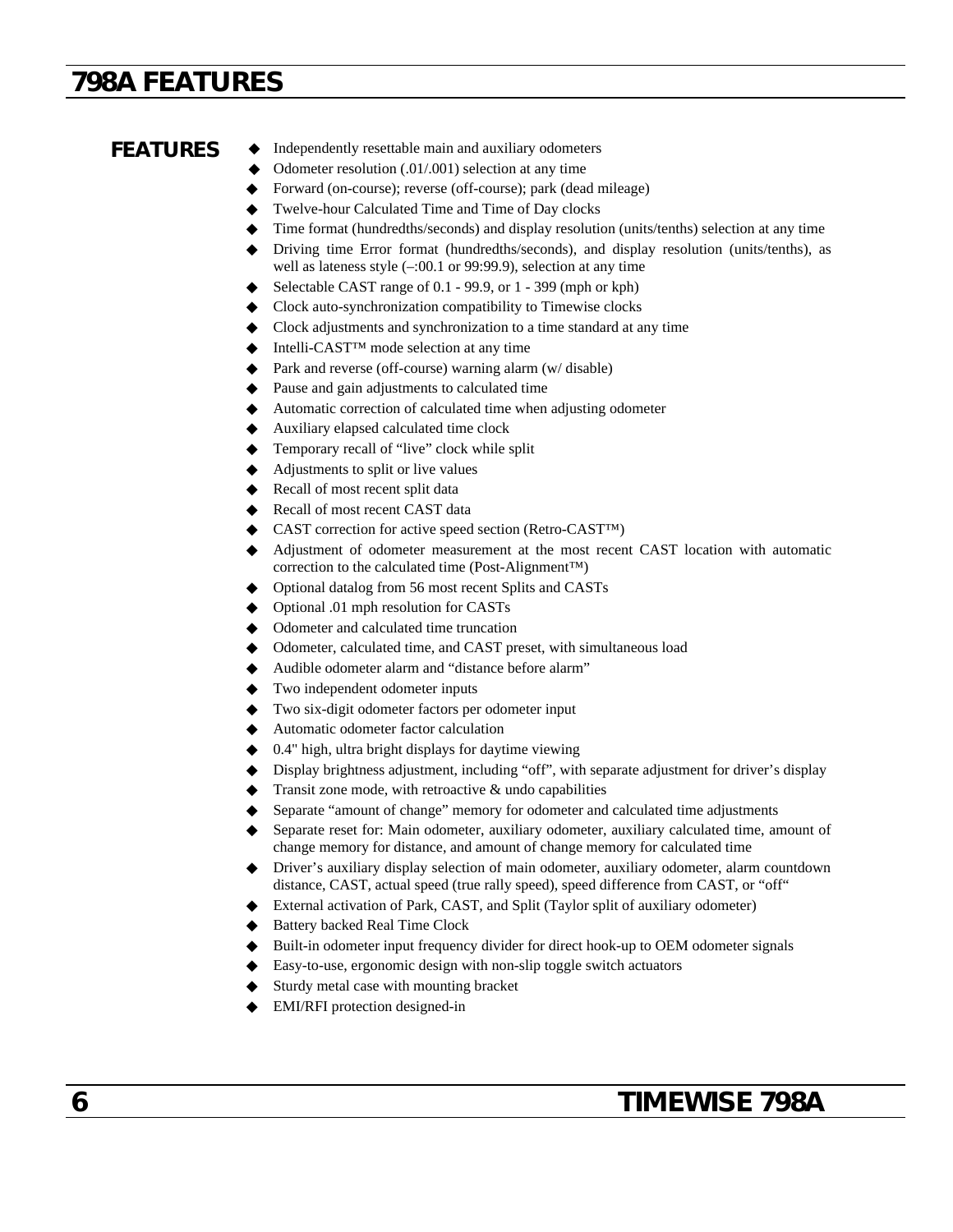## **798A FEATURES**

- **FEATURES →** Independently resettable main and auxiliary odometers
	- Odometer resolution  $(.01/.001)$  selection at any time
	- ◆ Forward (on-course); reverse (off-course); park (dead mileage)
	- ◆ Twelve-hour Calculated Time and Time of Day clocks
	- ◆ Time format (hundredths/seconds) and display resolution (units/tenths) selection at any time
	- ◆ Driving time Error format (hundredths/seconds), and display resolution (units/tenths), as well as lateness style (–:00.1 or 99:99.9), selection at any time
	- ◆ Selectable CAST range of 0.1 99.9, or 1 399 (mph or kph)
	- Clock auto-synchronization compatibility to Timewise clocks
	- ◆ Clock adjustments and synchronization to a time standard at any time
	- ◆ Intelli-CAST™ mode selection at any time
	- ◆ Park and reverse (off-course) warning alarm (w/ disable)
	- ◆ Pause and gain adjustments to calculated time
	- ◆ Automatic correction of calculated time when adjusting odometer
	- ◆ Auxiliary elapsed calculated time clock
	- ◆ Temporary recall of "live" clock while split
	- ◆ Adjustments to split or live values
	- ◆ Recall of most recent split data
	- ◆ Recall of most recent CAST data
	- $CAST$  correction for active speed section (Retro-CAST™)
	- ◆ Adjustment of odometer measurement at the most recent CAST location with automatic correction to the calculated time (Post-Alignment™)
	- ◆ Optional datalog from 56 most recent Splits and CASTs
	- Optional .01 mph resolution for CASTs
	- Odometer and calculated time truncation
	- ◆ Odometer, calculated time, and CAST preset, with simultaneous load
	- Audible odometer alarm and "distance before alarm"
	- ◆ Two independent odometer inputs
	- Two six-digit odometer factors per odometer input
	- ◆ Automatic odometer factor calculation
	- ◆ 0.4" high, ultra bright displays for daytime viewing
	- ◆ Display brightness adjustment, including "off", with separate adjustment for driver's display
	- $\blacklozenge$  Transit zone mode, with retroactive  $\&$  undo capabilities
	- Separate "amount of change" memory for odometer and calculated time adjustments
	- ◆ Separate reset for: Main odometer, auxiliary odometer, auxiliary calculated time, amount of change memory for distance, and amount of change memory for calculated time
	- ◆ Driver's auxiliary display selection of main odometer, auxiliary odometer, alarm countdown distance, CAST, actual speed (true rally speed), speed difference from CAST, or "off"
	- ◆ External activation of Park, CAST, and Split (Taylor split of auxiliary odometer)
	- **Battery backed Real Time Clock**
	- ◆ Built-in odometer input frequency divider for direct hook-up to OEM odometer signals
	- ◆ Easy-to-use, ergonomic design with non-slip toggle switch actuators
	- ◆ Sturdy metal case with mounting bracket
	- ◆ EMI/RFI protection designed-in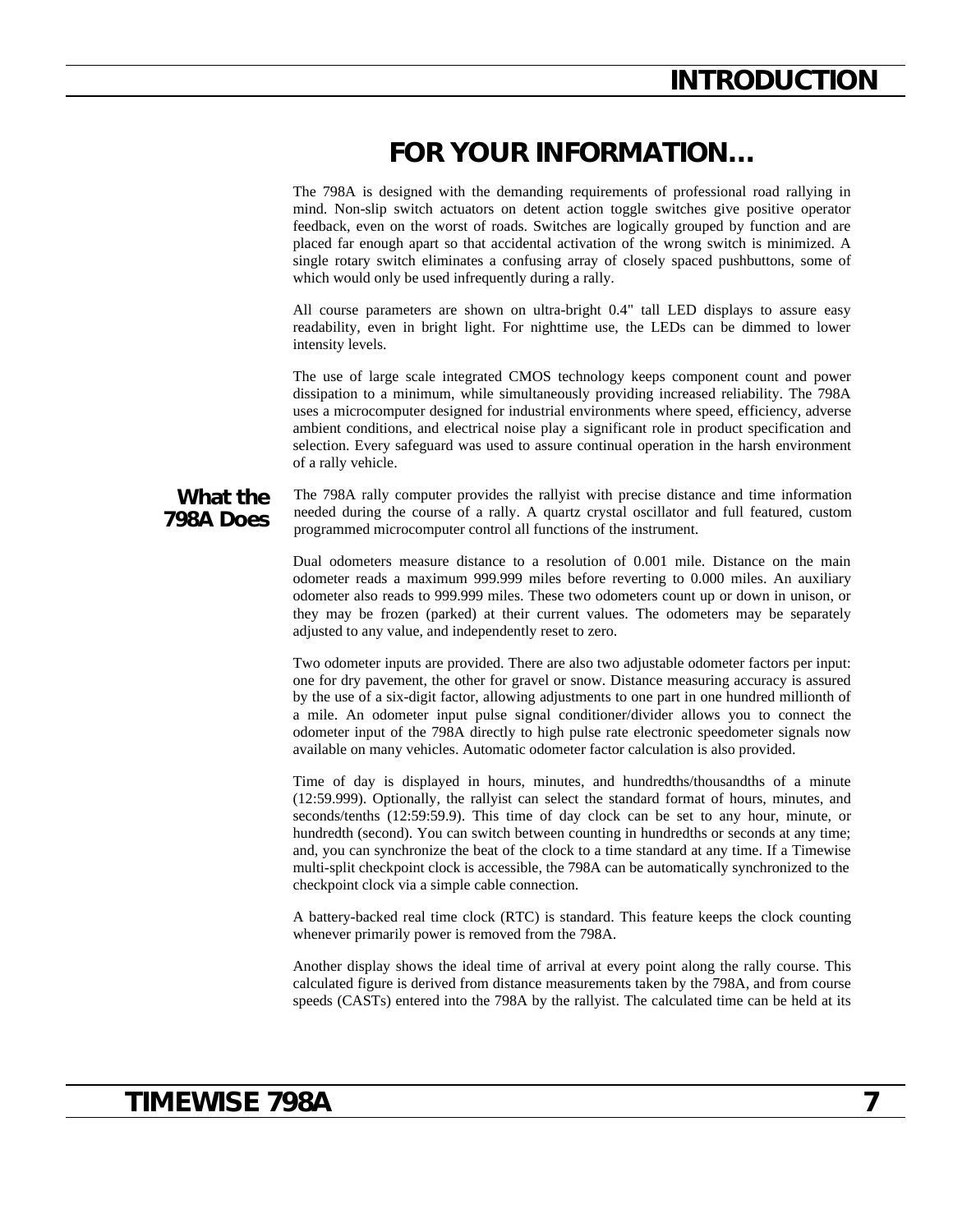## **FOR YOUR INFORMATION…**

The 798A is designed with the demanding requirements of professional road rallying in mind. Non-slip switch actuators on detent action toggle switches give positive operator feedback, even on the worst of roads. Switches are logically grouped by function and are placed far enough apart so that accidental activation of the wrong switch is minimized. A single rotary switch eliminates a confusing array of closely spaced pushbuttons, some of which would only be used infrequently during a rally.

All course parameters are shown on ultra-bright 0.4" tall LED displays to assure easy readability, even in bright light. For nighttime use, the LEDs can be dimmed to lower intensity levels.

The use of large scale integrated CMOS technology keeps component count and power dissipation to a minimum, while simultaneously providing increased reliability. The 798A uses a microcomputer designed for industrial environments where speed, efficiency, adverse ambient conditions, and electrical noise play a significant role in product specification and selection. Every safeguard was used to assure continual operation in the harsh environment of a rally vehicle.

#### **What the 798A Does**

The 798A rally computer provides the rallyist with precise distance and time information needed during the course of a rally. A quartz crystal oscillator and full featured, custom programmed microcomputer control all functions of the instrument.

Dual odometers measure distance to a resolution of 0.001 mile. Distance on the main odometer reads a maximum 999.999 miles before reverting to 0.000 miles. An auxiliary odometer also reads to 999.999 miles. These two odometers count up or down in unison, or they may be frozen (parked) at their current values. The odometers may be separately adjusted to any value, and independently reset to zero.

Two odometer inputs are provided. There are also two adjustable odometer factors per input: one for dry pavement, the other for gravel or snow. Distance measuring accuracy is assured by the use of a six-digit factor, allowing adjustments to one part in one hundred millionth of a mile. An odometer input pulse signal conditioner/divider allows you to connect the odometer input of the 798A directly to high pulse rate electronic speedometer signals now available on many vehicles. Automatic odometer factor calculation is also provided.

Time of day is displayed in hours, minutes, and hundredths/thousandths of a minute (12:59.999). Optionally, the rallyist can select the standard format of hours, minutes, and seconds/tenths (12:59:59.9). This time of day clock can be set to any hour, minute, or hundredth (second). You can switch between counting in hundredths or seconds at any time; and, you can synchronize the beat of the clock to a time standard at any time. If a Timewise multi-split checkpoint clock is accessible, the 798A can be automatically synchronized to the checkpoint clock via a simple cable connection.

A battery-backed real time clock (RTC) is standard. This feature keeps the clock counting whenever primarily power is removed from the 798A.

Another display shows the ideal time of arrival at every point along the rally course. This calculated figure is derived from distance measurements taken by the 798A, and from course speeds (CASTs) entered into the 798A by the rallyist. The calculated time can be held at its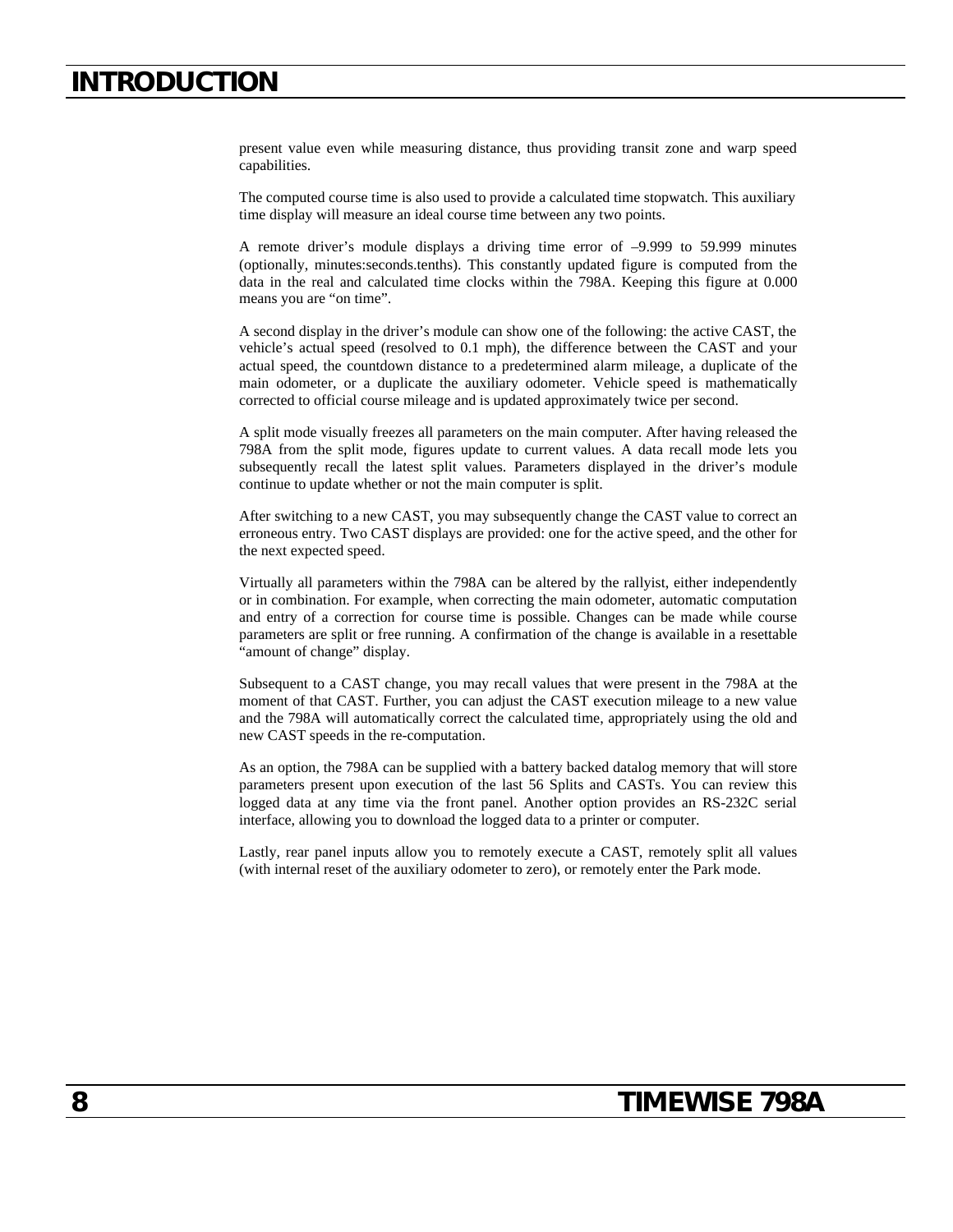### **INTRODUCTION**

present value even while measuring distance, thus providing transit zone and warp speed capabilities.

The computed course time is also used to provide a calculated time stopwatch. This auxiliary time display will measure an ideal course time between any two points.

A remote driver's module displays a driving time error of –9.999 to 59.999 minutes (optionally, minutes:seconds.tenths). This constantly updated figure is computed from the data in the real and calculated time clocks within the 798A. Keeping this figure at 0.000 means you are "on time".

A second display in the driver's module can show one of the following: the active CAST, the vehicle's actual speed (resolved to 0.1 mph), the difference between the CAST and your actual speed, the countdown distance to a predetermined alarm mileage, a duplicate of the main odometer, or a duplicate the auxiliary odometer. Vehicle speed is mathematically corrected to official course mileage and is updated approximately twice per second.

A split mode visually freezes all parameters on the main computer. After having released the 798A from the split mode, figures update to current values. A data recall mode lets you subsequently recall the latest split values. Parameters displayed in the driver's module continue to update whether or not the main computer is split.

After switching to a new CAST, you may subsequently change the CAST value to correct an erroneous entry. Two CAST displays are provided: one for the active speed, and the other for the next expected speed.

Virtually all parameters within the 798A can be altered by the rallyist, either independently or in combination. For example, when correcting the main odometer, automatic computation and entry of a correction for course time is possible. Changes can be made while course parameters are split or free running. A confirmation of the change is available in a resettable "amount of change" display.

Subsequent to a CAST change, you may recall values that were present in the 798A at the moment of that CAST. Further, you can adjust the CAST execution mileage to a new value and the 798A will automatically correct the calculated time, appropriately using the old and new CAST speeds in the re-computation.

As an option, the 798A can be supplied with a battery backed datalog memory that will store parameters present upon execution of the last 56 Splits and CASTs. You can review this logged data at any time via the front panel. Another option provides an RS-232C serial interface, allowing you to download the logged data to a printer or computer.

Lastly, rear panel inputs allow you to remotely execute a CAST, remotely split all values (with internal reset of the auxiliary odometer to zero), or remotely enter the Park mode.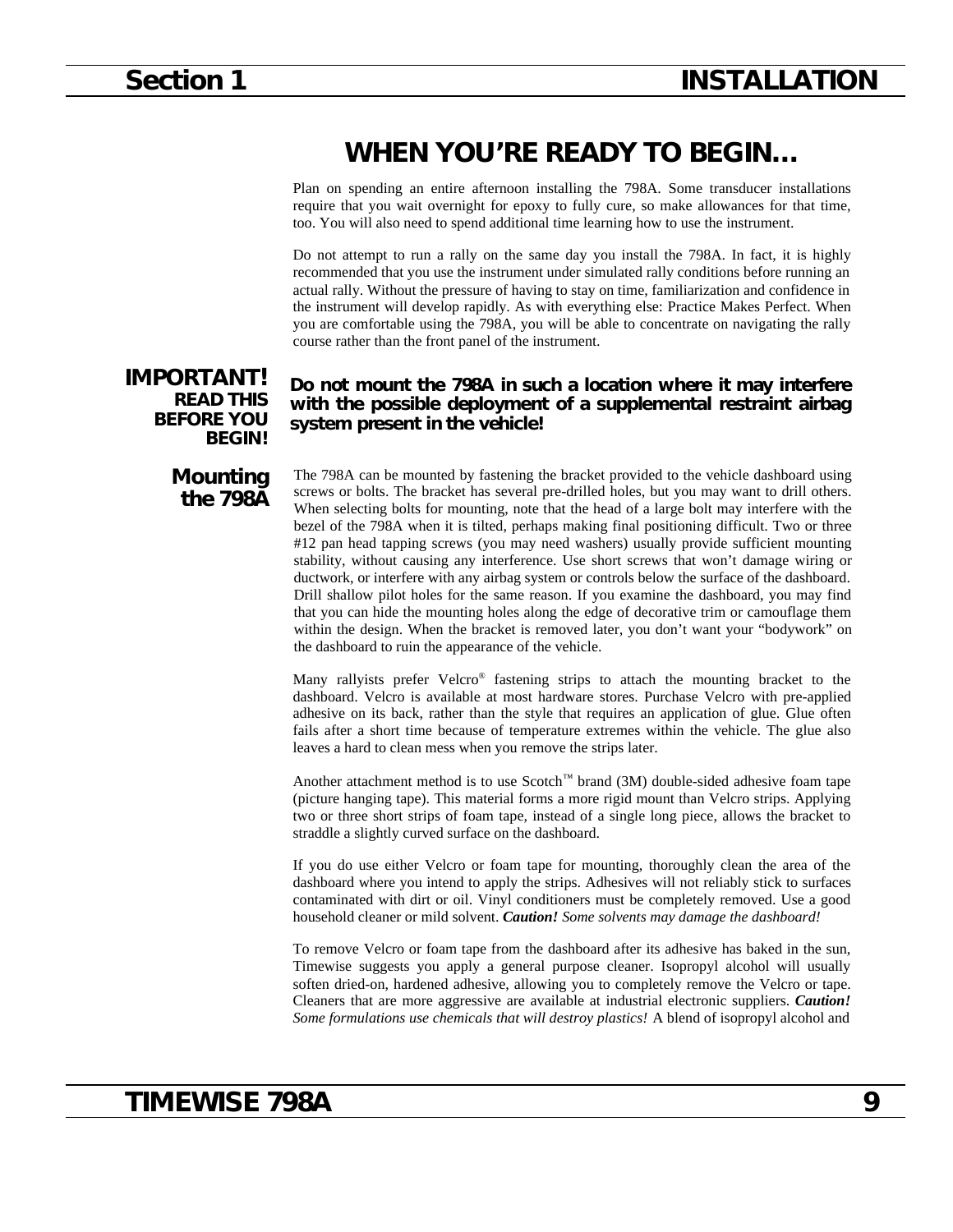### **WHEN YOU'RE READY TO BEGIN…**

Plan on spending an entire afternoon installing the 798A. Some transducer installations require that you wait overnight for epoxy to fully cure, so make allowances for that time, too. You will also need to spend additional time learning how to use the instrument.

Do not attempt to run a rally on the same day you install the 798A. In fact, it is highly recommended that you use the instrument under simulated rally conditions before running an actual rally. Without the pressure of having to stay on time, familiarization and confidence in the instrument will develop rapidly. As with everything else: Practice Makes Perfect. When you are comfortable using the 798A, you will be able to concentrate on navigating the rally course rather than the front panel of the instrument.

#### **IMPORTANT! READ THIS BEFORE YOU BEGIN!**

### Do not mount the 798A in such a location where it may interfere with the possible deployment of a supplemental restraint airbag system present in the vehicle!

**Mounting the 798A**

The 798A can be mounted by fastening the bracket provided to the vehicle dashboard using screws or bolts. The bracket has several pre-drilled holes, but you may want to drill others. When selecting bolts for mounting, note that the head of a large bolt may interfere with the bezel of the 798A when it is tilted, perhaps making final positioning difficult. Two or three #12 pan head tapping screws (you may need washers) usually provide sufficient mounting stability, without causing any interference. Use short screws that won't damage wiring or ductwork, or interfere with any airbag system or controls below the surface of the dashboard. Drill shallow pilot holes for the same reason. If you examine the dashboard, you may find that you can hide the mounting holes along the edge of decorative trim or camouflage them within the design. When the bracket is removed later, you don't want your "bodywork" on the dashboard to ruin the appearance of the vehicle.

Many rallyists prefer Velcro® fastening strips to attach the mounting bracket to the dashboard. Velcro is available at most hardware stores. Purchase Velcro with pre-applied adhesive on its back, rather than the style that requires an application of glue. Glue often fails after a short time because of temperature extremes within the vehicle. The glue also leaves a hard to clean mess when you remove the strips later.

Another attachment method is to use Scotch™ brand (3M) double-sided adhesive foam tape (picture hanging tape). This material forms a more rigid mount than Velcro strips. Applying two or three short strips of foam tape, instead of a single long piece, allows the bracket to straddle a slightly curved surface on the dashboard.

If you do use either Velcro or foam tape for mounting, thoroughly clean the area of the dashboard where you intend to apply the strips. Adhesives will not reliably stick to surfaces contaminated with dirt or oil. Vinyl conditioners must be completely removed. Use a good household cleaner or mild solvent. *Caution! Some solvents may damage the dashboard!*

To remove Velcro or foam tape from the dashboard after its adhesive has baked in the sun, Timewise suggests you apply a general purpose cleaner. Isopropyl alcohol will usually soften dried-on, hardened adhesive, allowing you to completely remove the Velcro or tape. Cleaners that are more aggressive are available at industrial electronic suppliers. *Caution! Some formulations use chemicals that will destroy plastics!* A blend of isopropyl alcohol and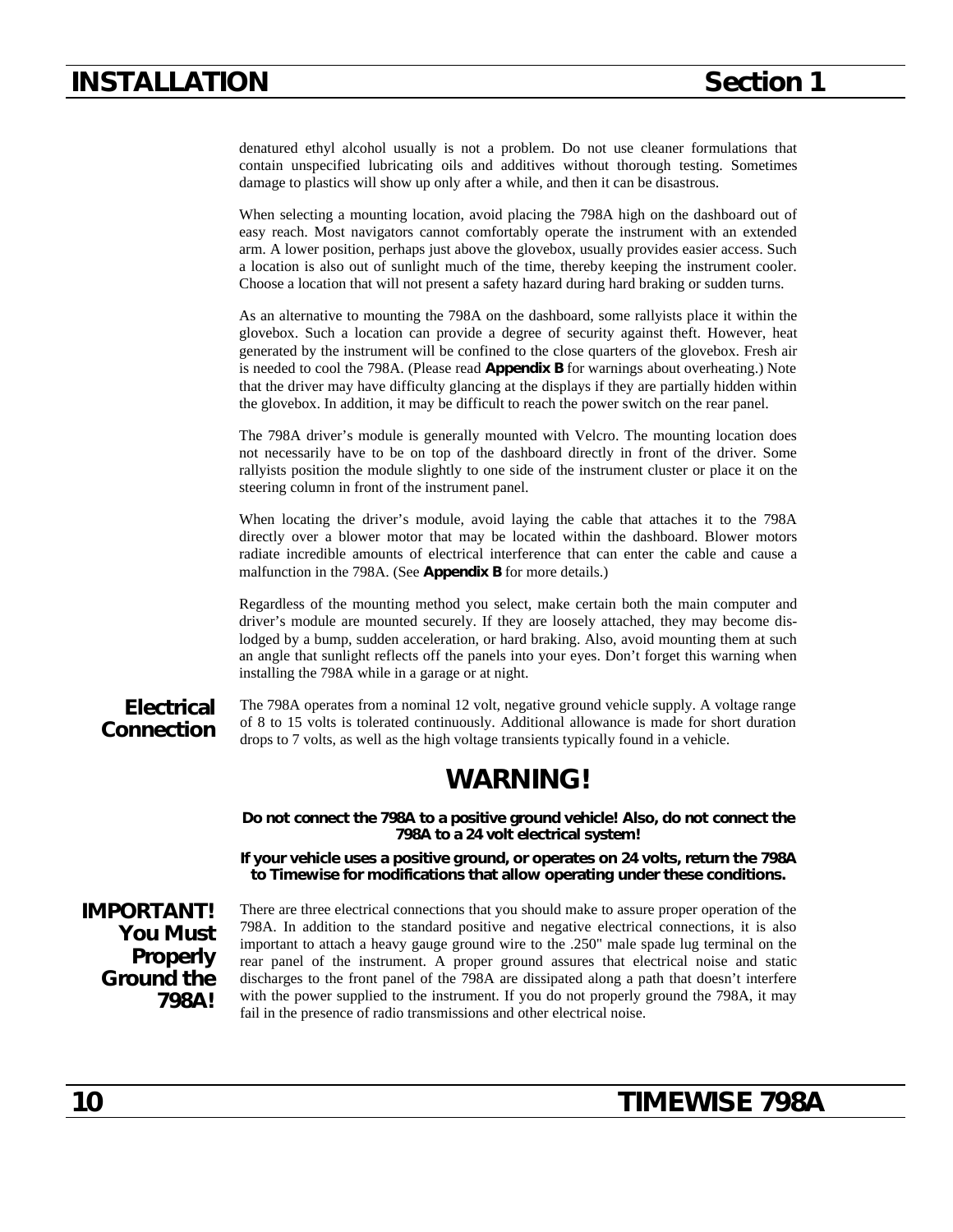denatured ethyl alcohol usually is not a problem. Do not use cleaner formulations that contain unspecified lubricating oils and additives without thorough testing. Sometimes damage to plastics will show up only after a while, and then it can be disastrous.

When selecting a mounting location, avoid placing the 798A high on the dashboard out of easy reach. Most navigators cannot comfortably operate the instrument with an extended arm. A lower position, perhaps just above the glovebox, usually provides easier access. Such a location is also out of sunlight much of the time, thereby keeping the instrument cooler. Choose a location that will not present a safety hazard during hard braking or sudden turns.

As an alternative to mounting the 798A on the dashboard, some rallyists place it within the glovebox. Such a location can provide a degree of security against theft. However, heat generated by the instrument will be confined to the close quarters of the glovebox. Fresh air is needed to cool the 798A. (Please read **Appendix B** for warnings about overheating.) Note that the driver may have difficulty glancing at the displays if they are partially hidden within the glovebox. In addition, it may be difficult to reach the power switch on the rear panel.

The 798A driver's module is generally mounted with Velcro. The mounting location does not necessarily have to be on top of the dashboard directly in front of the driver. Some rallyists position the module slightly to one side of the instrument cluster or place it on the steering column in front of the instrument panel.

When locating the driver's module, avoid laying the cable that attaches it to the 798A directly over a blower motor that may be located within the dashboard. Blower motors radiate incredible amounts of electrical interference that can enter the cable and cause a malfunction in the 798A. (See **Appendix B** for more details.)

Regardless of the mounting method you select, make certain both the main computer and driver's module are mounted securely. If they are loosely attached, they may become dislodged by a bump, sudden acceleration, or hard braking. Also, avoid mounting them at such an angle that sunlight reflects off the panels into your eyes. Don't forget this warning when installing the 798A while in a garage or at night.

**Electrical Connection**

The 798A operates from a nominal 12 volt, negative ground vehicle supply. A voltage range of 8 to 15 volts is tolerated continuously. Additional allowance is made for short duration drops to 7 volts, as well as the high voltage transients typically found in a vehicle.

### **WARNING!**

**Do not connect the 798A to a positive ground vehicle! Also, do not connect the 798A to a 24 volt electrical system!** 

**If your vehicle uses a positive ground, or operates on 24 volts, return the 798A to Timewise for modifications that allow operating under these conditions.**

**IMPORTANT! You Must Properly Ground the 798A!**

There are three electrical connections that you should make to assure proper operation of the 798A. In addition to the standard positive and negative electrical connections, it is also important to attach a heavy gauge ground wire to the .250" male spade lug terminal on the rear panel of the instrument. A proper ground assures that electrical noise and static discharges to the front panel of the 798A are dissipated along a path that doesn't interfere with the power supplied to the instrument. If you do not properly ground the 798A, it may fail in the presence of radio transmissions and other electrical noise.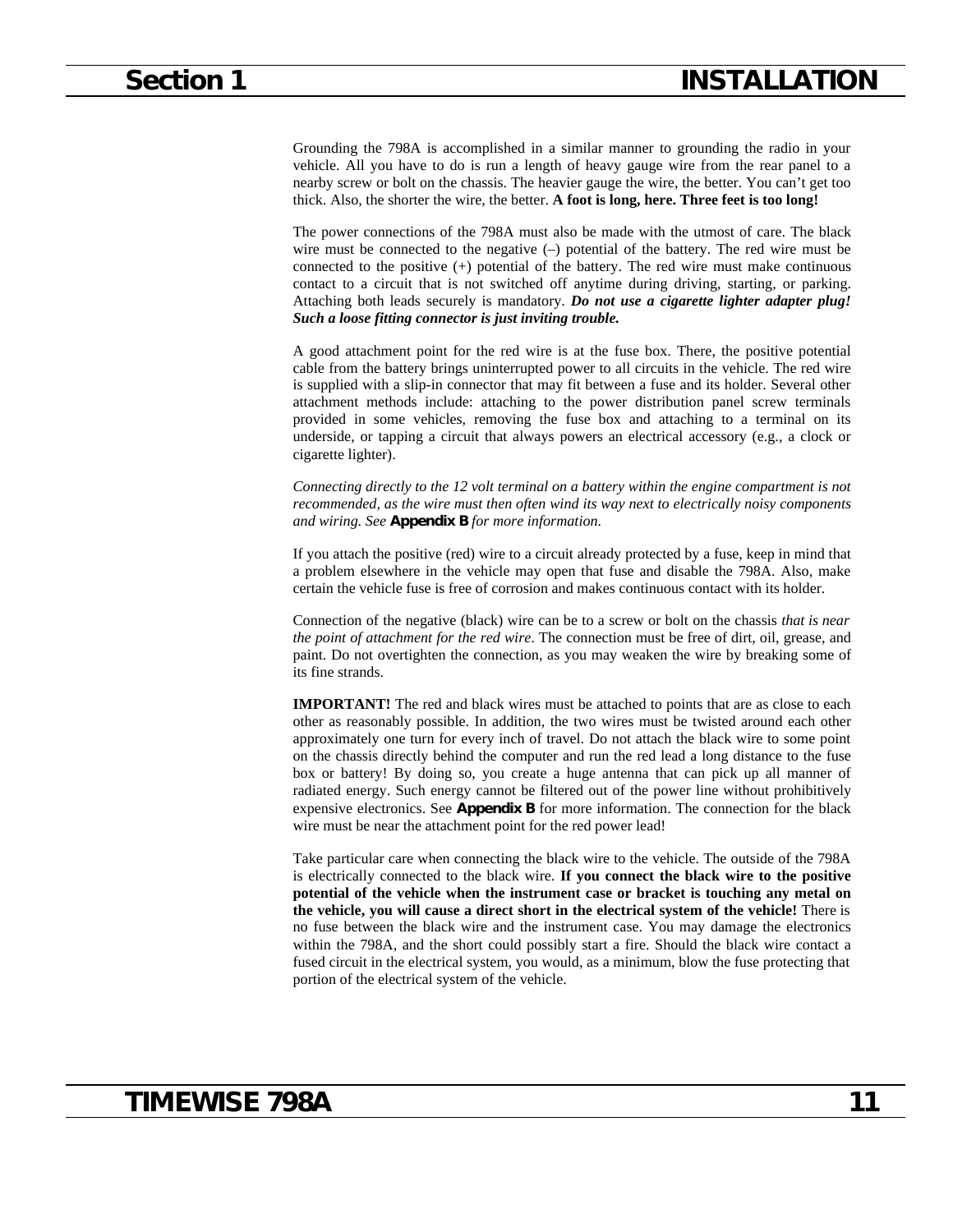Grounding the 798A is accomplished in a similar manner to grounding the radio in your vehicle. All you have to do is run a length of heavy gauge wire from the rear panel to a nearby screw or bolt on the chassis. The heavier gauge the wire, the better. You can't get too thick. Also, the shorter the wire, the better. **A foot is long, here. Three feet is too long!**

The power connections of the 798A must also be made with the utmost of care. The black wire must be connected to the negative (–) potential of the battery. The red wire must be connected to the positive (+) potential of the battery. The red wire must make continuous contact to a circuit that is not switched off anytime during driving, starting, or parking. Attaching both leads securely is mandatory. *Do not use a cigarette lighter adapter plug! Such a loose fitting connector is just inviting trouble.*

A good attachment point for the red wire is at the fuse box. There, the positive potential cable from the battery brings uninterrupted power to all circuits in the vehicle. The red wire is supplied with a slip-in connector that may fit between a fuse and its holder. Several other attachment methods include: attaching to the power distribution panel screw terminals provided in some vehicles, removing the fuse box and attaching to a terminal on its underside, or tapping a circuit that always powers an electrical accessory (e.g., a clock or cigarette lighter).

*Connecting directly to the 12 volt terminal on a battery within the engine compartment is not recommended, as the wire must then often wind its way next to electrically noisy components and wiring. See* **Appendix B** *for more information.*

If you attach the positive (red) wire to a circuit already protected by a fuse, keep in mind that a problem elsewhere in the vehicle may open that fuse and disable the 798A. Also, make certain the vehicle fuse is free of corrosion and makes continuous contact with its holder.

Connection of the negative (black) wire can be to a screw or bolt on the chassis *that is near the point of attachment for the red wire*. The connection must be free of dirt, oil, grease, and paint. Do not overtighten the connection, as you may weaken the wire by breaking some of its fine strands.

**IMPORTANT!** The red and black wires must be attached to points that are as close to each other as reasonably possible. In addition, the two wires must be twisted around each other approximately one turn for every inch of travel. Do not attach the black wire to some point on the chassis directly behind the computer and run the red lead a long distance to the fuse box or battery! By doing so, you create a huge antenna that can pick up all manner of radiated energy. Such energy cannot be filtered out of the power line without prohibitively expensive electronics. See **Appendix B** for more information. The connection for the black wire must be near the attachment point for the red power lead!

Take particular care when connecting the black wire to the vehicle. The outside of the 798A is electrically connected to the black wire. **If you connect the black wire to the positive potential of the vehicle when the instrument case or bracket is touching any metal on the vehicle, you will cause a direct short in the electrical system of the vehicle!** There is no fuse between the black wire and the instrument case. You may damage the electronics within the 798A, and the short could possibly start a fire. Should the black wire contact a fused circuit in the electrical system, you would, as a minimum, blow the fuse protecting that portion of the electrical system of the vehicle.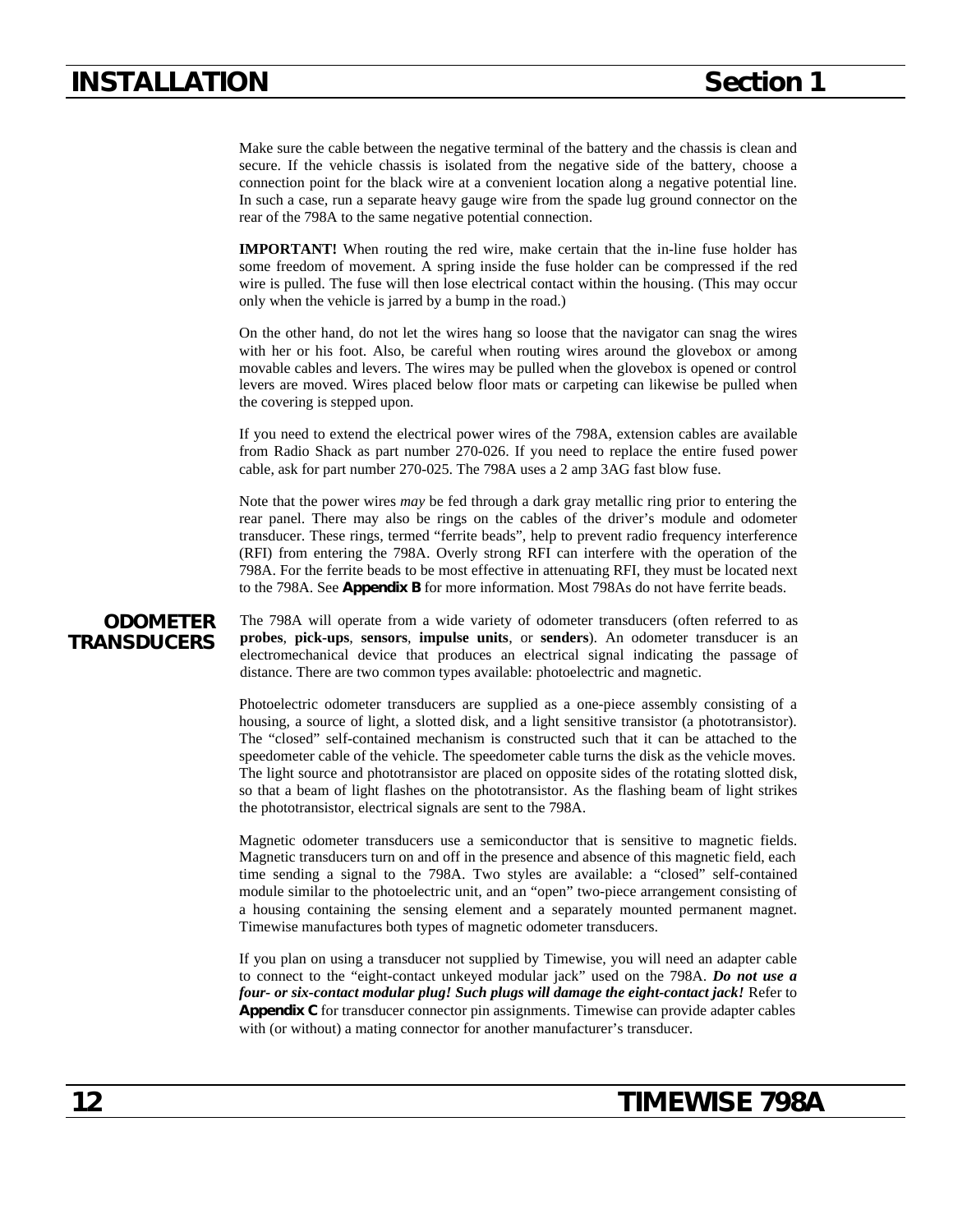Make sure the cable between the negative terminal of the battery and the chassis is clean and secure. If the vehicle chassis is isolated from the negative side of the battery, choose a connection point for the black wire at a convenient location along a negative potential line. In such a case, run a separate heavy gauge wire from the spade lug ground connector on the rear of the 798A to the same negative potential connection.

**IMPORTANT!** When routing the red wire, make certain that the in-line fuse holder has some freedom of movement. A spring inside the fuse holder can be compressed if the red wire is pulled. The fuse will then lose electrical contact within the housing. (This may occur only when the vehicle is jarred by a bump in the road.)

On the other hand, do not let the wires hang so loose that the navigator can snag the wires with her or his foot. Also, be careful when routing wires around the glovebox or among movable cables and levers. The wires may be pulled when the glovebox is opened or control levers are moved. Wires placed below floor mats or carpeting can likewise be pulled when the covering is stepped upon.

If you need to extend the electrical power wires of the 798A, extension cables are available from Radio Shack as part number 270-026. If you need to replace the entire fused power cable, ask for part number 270-025. The 798A uses a 2 amp 3AG fast blow fuse.

Note that the power wires *may* be fed through a dark gray metallic ring prior to entering the rear panel. There may also be rings on the cables of the driver's module and odometer transducer. These rings, termed "ferrite beads", help to prevent radio frequency interference (RFI) from entering the 798A. Overly strong RFI can interfere with the operation of the 798A. For the ferrite beads to be most effective in attenuating RFI, they must be located next to the 798A. See **Appendix B** for more information. Most 798As do not have ferrite beads.

#### **ODOMETER TRANSDUCERS**

The 798A will operate from a wide variety of odometer transducers (often referred to as **probes**, **pick-ups**, **sensors**, **impulse units**, or **senders**). An odometer transducer is an electromechanical device that produces an electrical signal indicating the passage of distance. There are two common types available: photoelectric and magnetic.

Photoelectric odometer transducers are supplied as a one-piece assembly consisting of a housing, a source of light, a slotted disk, and a light sensitive transistor (a phototransistor). The "closed" self-contained mechanism is constructed such that it can be attached to the speedometer cable of the vehicle. The speedometer cable turns the disk as the vehicle moves. The light source and phototransistor are placed on opposite sides of the rotating slotted disk, so that a beam of light flashes on the phototransistor. As the flashing beam of light strikes the phototransistor, electrical signals are sent to the 798A.

Magnetic odometer transducers use a semiconductor that is sensitive to magnetic fields. Magnetic transducers turn on and off in the presence and absence of this magnetic field, each time sending a signal to the 798A. Two styles are available: a "closed" self-contained module similar to the photoelectric unit, and an "open" two-piece arrangement consisting of a housing containing the sensing element and a separately mounted permanent magnet. Timewise manufactures both types of magnetic odometer transducers.

If you plan on using a transducer not supplied by Timewise, you will need an adapter cable to connect to the "eight-contact unkeyed modular jack" used on the 798A. *Do not use a four- or six-contact modular plug! Such plugs will damage the eight-contact jack!* Refer to **Appendix C** for transducer connector pin assignments. Timewise can provide adapter cables with (or without) a mating connector for another manufacturer's transducer.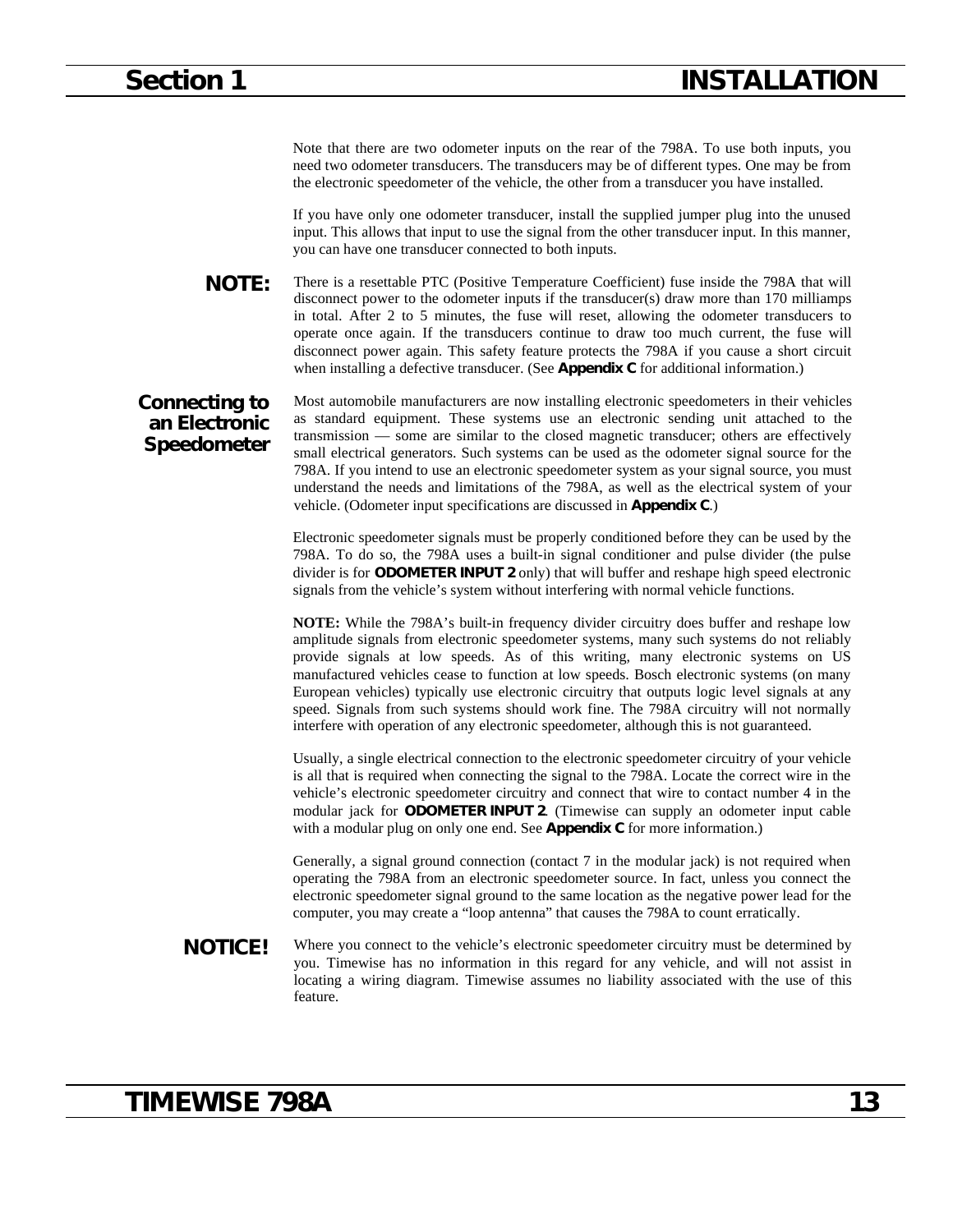Note that there are two odometer inputs on the rear of the 798A. To use both inputs, you need two odometer transducers. The transducers may be of different types. One may be from the electronic speedometer of the vehicle, the other from a transducer you have installed.

If you have only one odometer transducer, install the supplied jumper plug into the unused input. This allows that input to use the signal from the other transducer input. In this manner, you can have one transducer connected to both inputs.

**NOTE:** There is a resettable PTC (Positive Temperature Coefficient) fuse inside the 798A that will disconnect power to the odometer inputs if the transducer(s) draw more than  $170$  milliamps in total. After 2 to 5 minutes, the fuse will reset, allowing the odometer transducers to operate once again. If the transducers continue to draw too much current, the fuse will disconnect power again. This safety feature protects the 798A if you cause a short circuit when installing a defective transducer. (See **Appendix C** for additional information.)

**Connecting to an Electronic Speedometer** Most automobile manufacturers are now installing electronic speedometers in their vehicles as standard equipment. These systems use an electronic sending unit attached to the transmission — some are similar to the closed magnetic transducer; others are effectively small electrical generators. Such systems can be used as the odometer signal source for the 798A. If you intend to use an electronic speedometer system as your signal source, you must understand the needs and limitations of the 798A, as well as the electrical system of your vehicle. (Odometer input specifications are discussed in **Appendix C**.)

> Electronic speedometer signals must be properly conditioned before they can be used by the 798A. To do so, the 798A uses a built-in signal conditioner and pulse divider (the pulse divider is for **ODOMETER INPUT 2** only) that will buffer and reshape high speed electronic signals from the vehicle's system without interfering with normal vehicle functions.

> **NOTE:** While the 798A's built-in frequency divider circuitry does buffer and reshape low amplitude signals from electronic speedometer systems, many such systems do not reliably provide signals at low speeds. As of this writing, many electronic systems on US manufactured vehicles cease to function at low speeds. Bosch electronic systems (on many European vehicles) typically use electronic circuitry that outputs logic level signals at any speed. Signals from such systems should work fine. The 798A circuitry will not normally interfere with operation of any electronic speedometer, although this is not guaranteed.

> Usually, a single electrical connection to the electronic speedometer circuitry of your vehicle is all that is required when connecting the signal to the 798A. Locate the correct wire in the vehicle's electronic speedometer circuitry and connect that wire to contact number 4 in the modular jack for **ODOMETER INPUT 2**. (Timewise can supply an odometer input cable with a modular plug on only one end. See **Appendix C** for more information.)

> Generally, a signal ground connection (contact 7 in the modular jack) is not required when operating the 798A from an electronic speedometer source. In fact, unless you connect the electronic speedometer signal ground to the same location as the negative power lead for the computer, you may create a "loop antenna" that causes the 798A to count erratically.

**NOTICE!** Where you connect to the vehicle's electronic speedometer circuitry must be determined by you. Timewise has no information in this regard for any vehicle, and will not assist in locating a wiring diagram. Timewise assumes no liability associated with the use of this feature.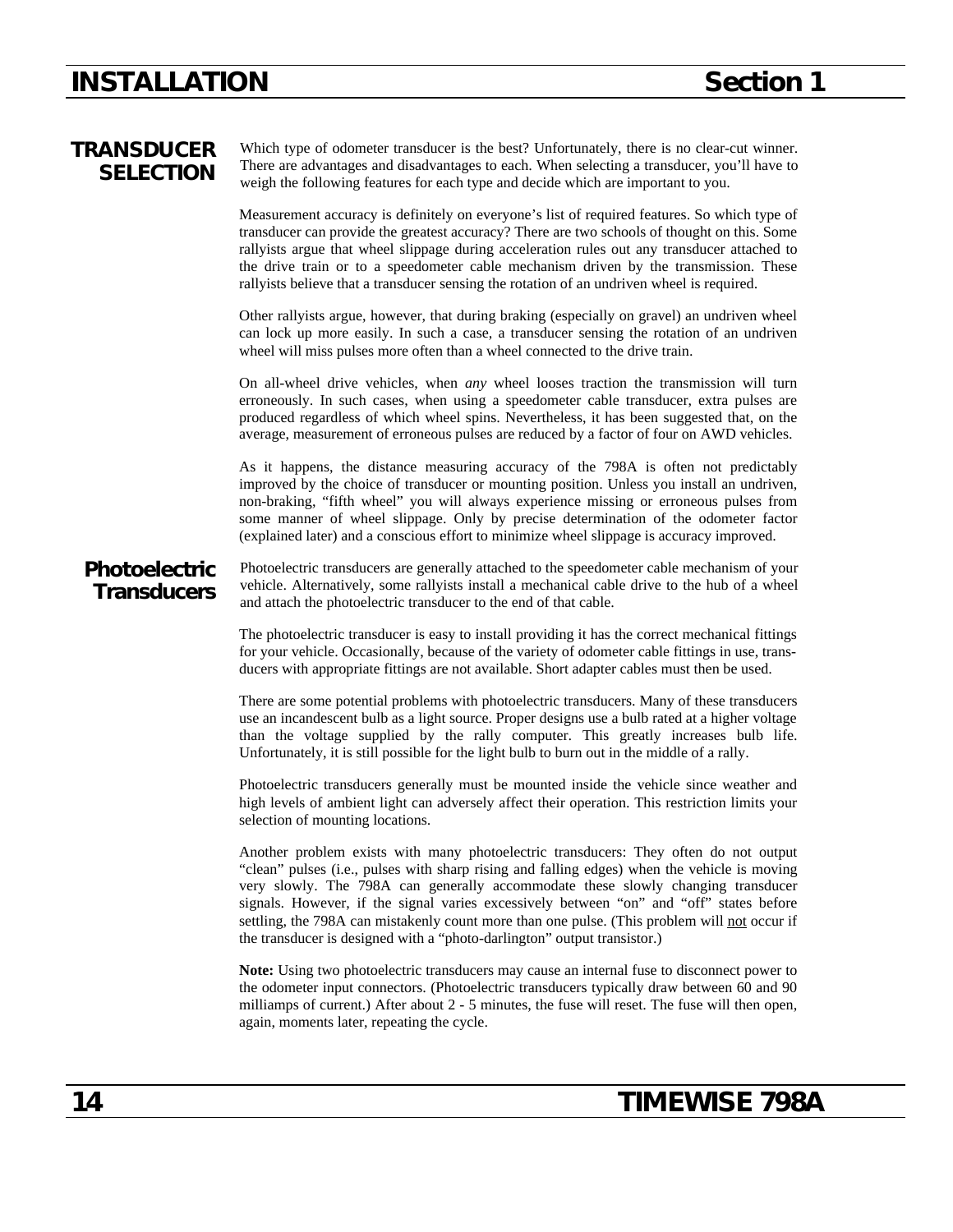#### **TRANSDUCER SELECTION**

Which type of odometer transducer is the best? Unfortunately, there is no clear-cut winner. There are advantages and disadvantages to each. When selecting a transducer, you'll have to weigh the following features for each type and decide which are important to you.

Measurement accuracy is definitely on everyone's list of required features. So which type of transducer can provide the greatest accuracy? There are two schools of thought on this. Some rallyists argue that wheel slippage during acceleration rules out any transducer attached to the drive train or to a speedometer cable mechanism driven by the transmission. These rallyists believe that a transducer sensing the rotation of an undriven wheel is required.

Other rallyists argue, however, that during braking (especially on gravel) an undriven wheel can lock up more easily. In such a case, a transducer sensing the rotation of an undriven wheel will miss pulses more often than a wheel connected to the drive train.

On all-wheel drive vehicles, when *any* wheel looses traction the transmission will turn erroneously. In such cases, when using a speedometer cable transducer, extra pulses are produced regardless of which wheel spins. Nevertheless, it has been suggested that, on the average, measurement of erroneous pulses are reduced by a factor of four on AWD vehicles.

As it happens, the distance measuring accuracy of the 798A is often not predictably improved by the choice of transducer or mounting position. Unless you install an undriven, non-braking, "fifth wheel" you will always experience missing or erroneous pulses from some manner of wheel slippage. Only by precise determination of the odometer factor (explained later) and a conscious effort to minimize wheel slippage is accuracy improved.

### **Photoelectric Transducers**

Photoelectric transducers are generally attached to the speedometer cable mechanism of your vehicle. Alternatively, some rallyists install a mechanical cable drive to the hub of a wheel and attach the photoelectric transducer to the end of that cable.

The photoelectric transducer is easy to install providing it has the correct mechanical fittings for your vehicle. Occasionally, because of the variety of odometer cable fittings in use, transducers with appropriate fittings are not available. Short adapter cables must then be used.

There are some potential problems with photoelectric transducers. Many of these transducers use an incandescent bulb as a light source. Proper designs use a bulb rated at a higher voltage than the voltage supplied by the rally computer. This greatly increases bulb life. Unfortunately, it is still possible for the light bulb to burn out in the middle of a rally.

Photoelectric transducers generally must be mounted inside the vehicle since weather and high levels of ambient light can adversely affect their operation. This restriction limits your selection of mounting locations.

Another problem exists with many photoelectric transducers: They often do not output "clean" pulses (i.e., pulses with sharp rising and falling edges) when the vehicle is moving very slowly. The 798A can generally accommodate these slowly changing transducer signals. However, if the signal varies excessively between "on" and "off" states before settling, the 798A can mistakenly count more than one pulse. (This problem will not occur if the transducer is designed with a "photo-darlington" output transistor.)

**Note:** Using two photoelectric transducers may cause an internal fuse to disconnect power to the odometer input connectors. (Photoelectric transducers typically draw between 60 and 90 milliamps of current.) After about 2 - 5 minutes, the fuse will reset. The fuse will then open, again, moments later, repeating the cycle.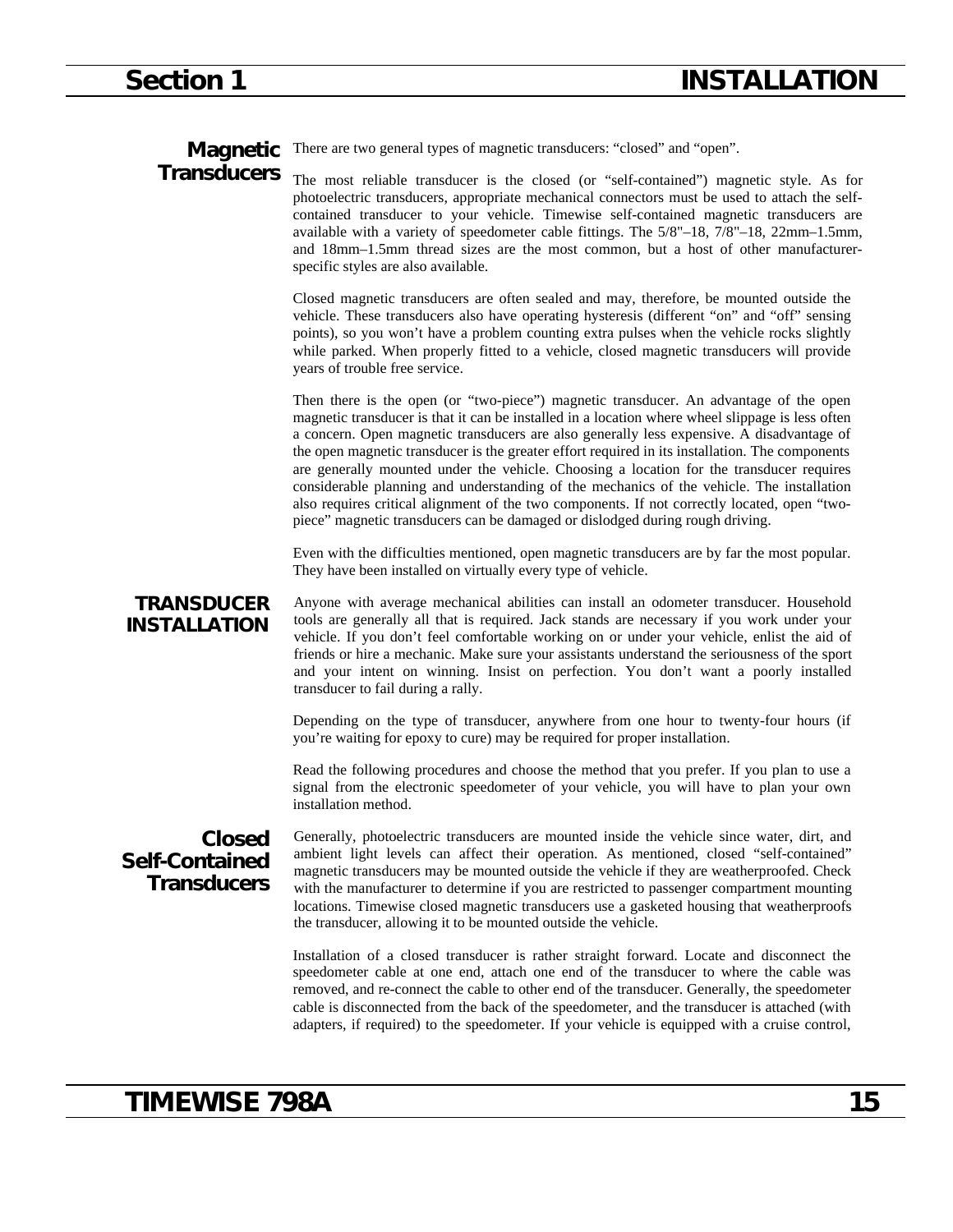#### **Magnetic Transducers**

There are two general types of magnetic transducers: "closed" and "open".

The most reliable transducer is the closed (or "self-contained") magnetic style. As for photoelectric transducers, appropriate mechanical connectors must be used to attach the selfcontained transducer to your vehicle. Timewise self-contained magnetic transducers are available with a variety of speedometer cable fittings. The 5/8"–18, 7/8"–18, 22mm–1.5mm, and 18mm–1.5mm thread sizes are the most common, but a host of other manufacturerspecific styles are also available.

Closed magnetic transducers are often sealed and may, therefore, be mounted outside the vehicle. These transducers also have operating hysteresis (different "on" and "off" sensing points), so you won't have a problem counting extra pulses when the vehicle rocks slightly while parked. When properly fitted to a vehicle, closed magnetic transducers will provide years of trouble free service.

Then there is the open (or "two-piece") magnetic transducer. An advantage of the open magnetic transducer is that it can be installed in a location where wheel slippage is less often a concern. Open magnetic transducers are also generally less expensive. A disadvantage of the open magnetic transducer is the greater effort required in its installation. The components are generally mounted under the vehicle. Choosing a location for the transducer requires considerable planning and understanding of the mechanics of the vehicle. The installation also requires critical alignment of the two components. If not correctly located, open "twopiece" magnetic transducers can be damaged or dislodged during rough driving.

Even with the difficulties mentioned, open magnetic transducers are by far the most popular. They have been installed on virtually every type of vehicle.

#### **TRANSDUCER INSTALLATION**

Anyone with average mechanical abilities can install an odometer transducer. Household tools are generally all that is required. Jack stands are necessary if you work under your vehicle. If you don't feel comfortable working on or under your vehicle, enlist the aid of friends or hire a mechanic. Make sure your assistants understand the seriousness of the sport and your intent on winning. Insist on perfection. You don't want a poorly installed transducer to fail during a rally.

Depending on the type of transducer, anywhere from one hour to twenty-four hours (if you're waiting for epoxy to cure) may be required for proper installation.

Read the following procedures and choose the method that you prefer. If you plan to use a signal from the electronic speedometer of your vehicle, you will have to plan your own installation method.

### **Closed Self-Contained Transducers**

Generally, photoelectric transducers are mounted inside the vehicle since water, dirt, and ambient light levels can affect their operation. As mentioned, closed "self-contained" magnetic transducers may be mounted outside the vehicle if they are weatherproofed. Check with the manufacturer to determine if you are restricted to passenger compartment mounting locations. Timewise closed magnetic transducers use a gasketed housing that weatherproofs the transducer, allowing it to be mounted outside the vehicle.

Installation of a closed transducer is rather straight forward. Locate and disconnect the speedometer cable at one end, attach one end of the transducer to where the cable was removed, and re-connect the cable to other end of the transducer. Generally, the speedometer cable is disconnected from the back of the speedometer, and the transducer is attached (with adapters, if required) to the speedometer. If your vehicle is equipped with a cruise control,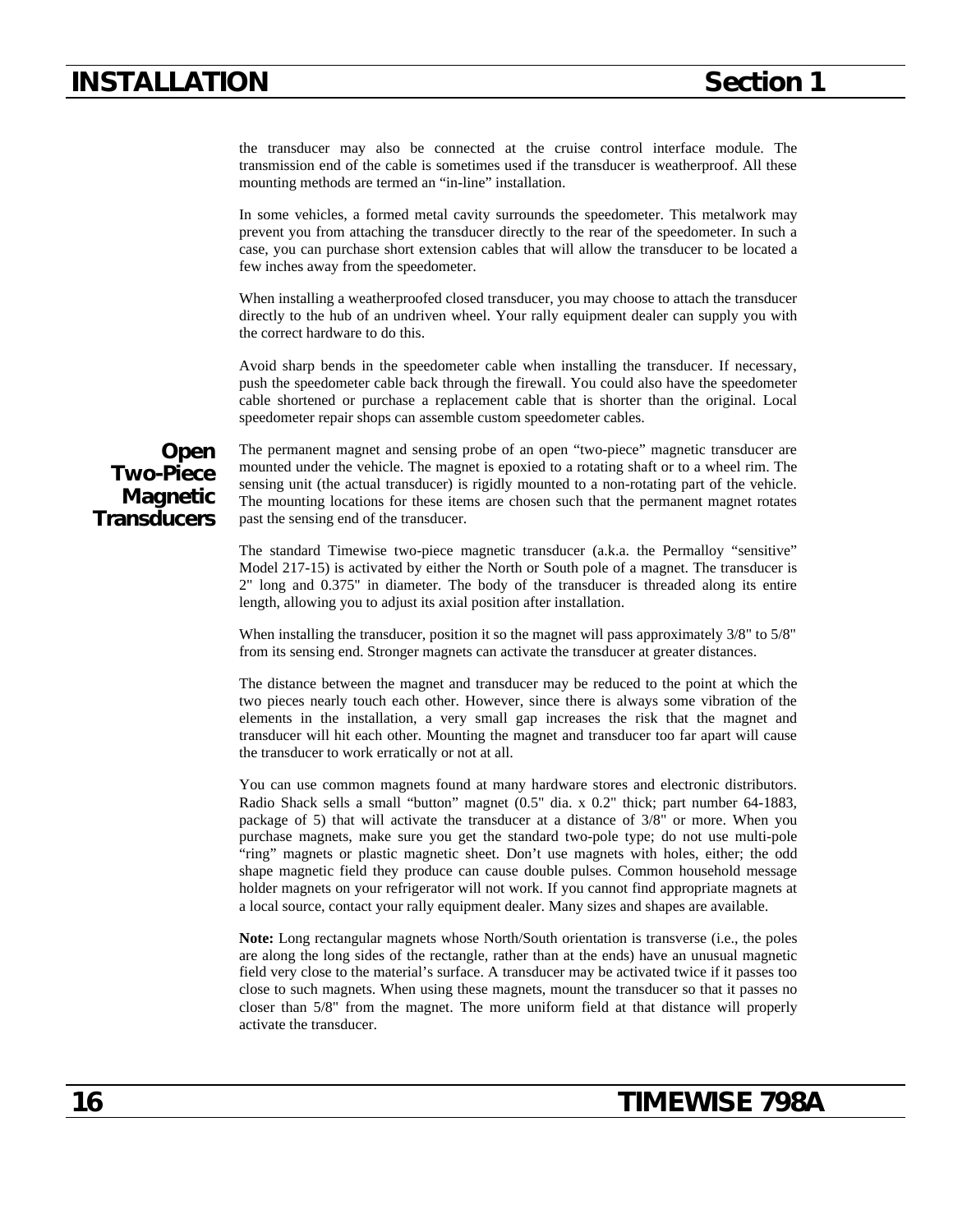the transducer may also be connected at the cruise control interface module. The transmission end of the cable is sometimes used if the transducer is weatherproof. All these mounting methods are termed an "in-line" installation.

In some vehicles, a formed metal cavity surrounds the speedometer. This metalwork may prevent you from attaching the transducer directly to the rear of the speedometer. In such a case, you can purchase short extension cables that will allow the transducer to be located a few inches away from the speedometer.

When installing a weatherproofed closed transducer, you may choose to attach the transducer directly to the hub of an undriven wheel. Your rally equipment dealer can supply you with the correct hardware to do this.

Avoid sharp bends in the speedometer cable when installing the transducer. If necessary, push the speedometer cable back through the firewall. You could also have the speedometer cable shortened or purchase a replacement cable that is shorter than the original. Local speedometer repair shops can assemble custom speedometer cables.

#### **Open Two-Piece Magnetic Transducers**

The permanent magnet and sensing probe of an open "two-piece" magnetic transducer are mounted under the vehicle. The magnet is epoxied to a rotating shaft or to a wheel rim. The sensing unit (the actual transducer) is rigidly mounted to a non-rotating part of the vehicle. The mounting locations for these items are chosen such that the permanent magnet rotates past the sensing end of the transducer.

The standard Timewise two-piece magnetic transducer (a.k.a. the Permalloy "sensitive" Model 217-15) is activated by either the North or South pole of a magnet. The transducer is 2" long and 0.375" in diameter. The body of the transducer is threaded along its entire length, allowing you to adjust its axial position after installation.

When installing the transducer, position it so the magnet will pass approximately 3/8" to 5/8" from its sensing end. Stronger magnets can activate the transducer at greater distances.

The distance between the magnet and transducer may be reduced to the point at which the two pieces nearly touch each other. However, since there is always some vibration of the elements in the installation, a very small gap increases the risk that the magnet and transducer will hit each other. Mounting the magnet and transducer too far apart will cause the transducer to work erratically or not at all.

You can use common magnets found at many hardware stores and electronic distributors. Radio Shack sells a small "button" magnet (0.5" dia. x 0.2" thick; part number 64-1883, package of 5) that will activate the transducer at a distance of 3/8" or more. When you purchase magnets, make sure you get the standard two-pole type; do not use multi-pole "ring" magnets or plastic magnetic sheet. Don't use magnets with holes, either; the odd shape magnetic field they produce can cause double pulses. Common household message holder magnets on your refrigerator will not work. If you cannot find appropriate magnets at a local source, contact your rally equipment dealer. Many sizes and shapes are available.

**Note:** Long rectangular magnets whose North/South orientation is transverse (i.e., the poles are along the long sides of the rectangle, rather than at the ends) have an unusual magnetic field very close to the material's surface. A transducer may be activated twice if it passes too close to such magnets. When using these magnets, mount the transducer so that it passes no closer than 5/8" from the magnet. The more uniform field at that distance will properly activate the transducer.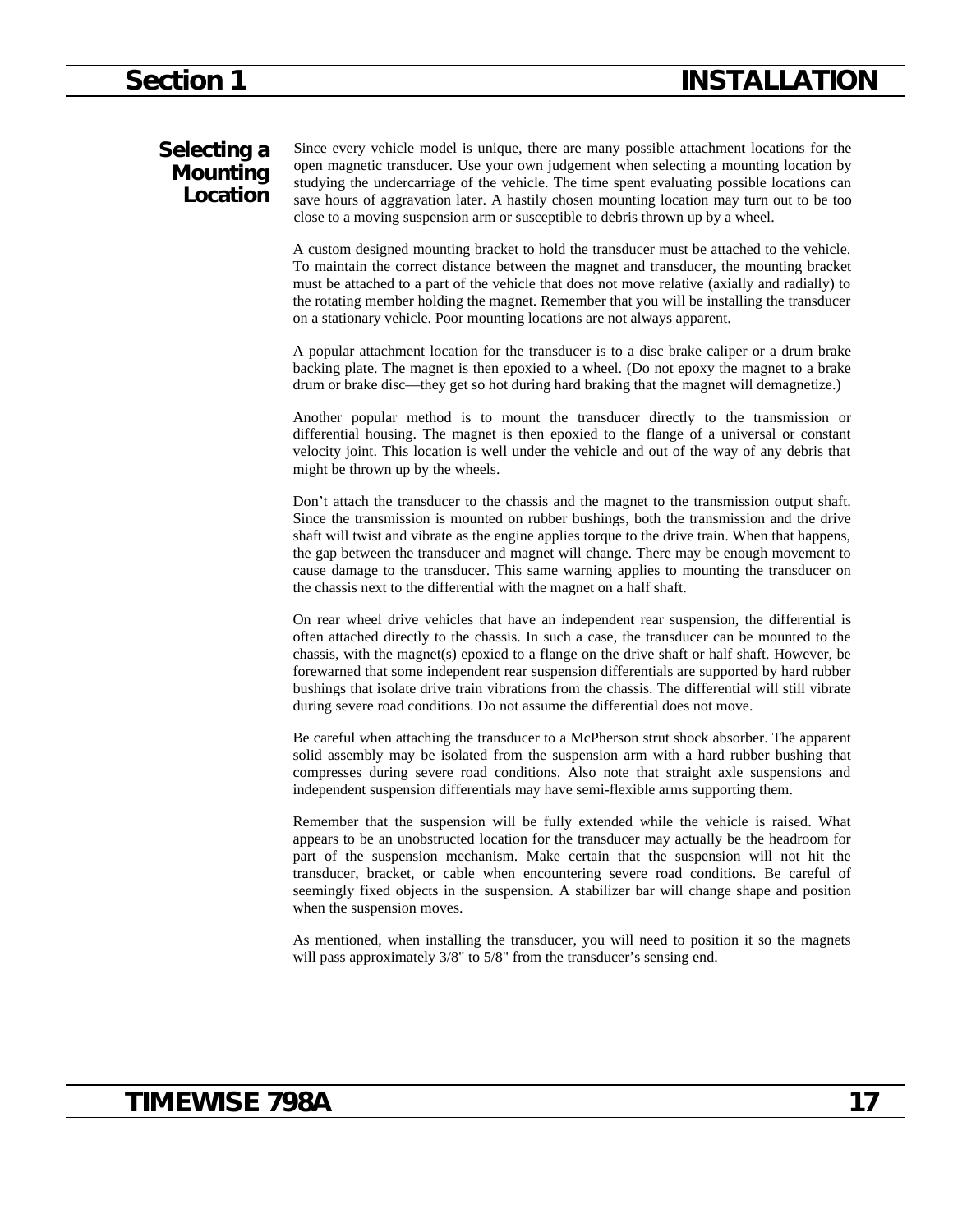### **Selecting a Mounting Location**

Since every vehicle model is unique, there are many possible attachment locations for the open magnetic transducer. Use your own judgement when selecting a mounting location by studying the undercarriage of the vehicle. The time spent evaluating possible locations can save hours of aggravation later. A hastily chosen mounting location may turn out to be too close to a moving suspension arm or susceptible to debris thrown up by a wheel.

A custom designed mounting bracket to hold the transducer must be attached to the vehicle. To maintain the correct distance between the magnet and transducer, the mounting bracket must be attached to a part of the vehicle that does not move relative (axially and radially) to the rotating member holding the magnet. Remember that you will be installing the transducer on a stationary vehicle. Poor mounting locations are not always apparent.

A popular attachment location for the transducer is to a disc brake caliper or a drum brake backing plate. The magnet is then epoxied to a wheel. (Do not epoxy the magnet to a brake drum or brake disc—they get so hot during hard braking that the magnet will demagnetize.)

Another popular method is to mount the transducer directly to the transmission or differential housing. The magnet is then epoxied to the flange of a universal or constant velocity joint. This location is well under the vehicle and out of the way of any debris that might be thrown up by the wheels.

Don't attach the transducer to the chassis and the magnet to the transmission output shaft. Since the transmission is mounted on rubber bushings, both the transmission and the drive shaft will twist and vibrate as the engine applies torque to the drive train. When that happens, the gap between the transducer and magnet will change. There may be enough movement to cause damage to the transducer. This same warning applies to mounting the transducer on the chassis next to the differential with the magnet on a half shaft.

On rear wheel drive vehicles that have an independent rear suspension, the differential is often attached directly to the chassis. In such a case, the transducer can be mounted to the chassis, with the magnet(s) epoxied to a flange on the drive shaft or half shaft. However, be forewarned that some independent rear suspension differentials are supported by hard rubber bushings that isolate drive train vibrations from the chassis. The differential will still vibrate during severe road conditions. Do not assume the differential does not move.

Be careful when attaching the transducer to a McPherson strut shock absorber. The apparent solid assembly may be isolated from the suspension arm with a hard rubber bushing that compresses during severe road conditions. Also note that straight axle suspensions and independent suspension differentials may have semi-flexible arms supporting them.

Remember that the suspension will be fully extended while the vehicle is raised. What appears to be an unobstructed location for the transducer may actually be the headroom for part of the suspension mechanism. Make certain that the suspension will not hit the transducer, bracket, or cable when encountering severe road conditions. Be careful of seemingly fixed objects in the suspension. A stabilizer bar will change shape and position when the suspension moves.

As mentioned, when installing the transducer, you will need to position it so the magnets will pass approximately 3/8" to 5/8" from the transducer's sensing end.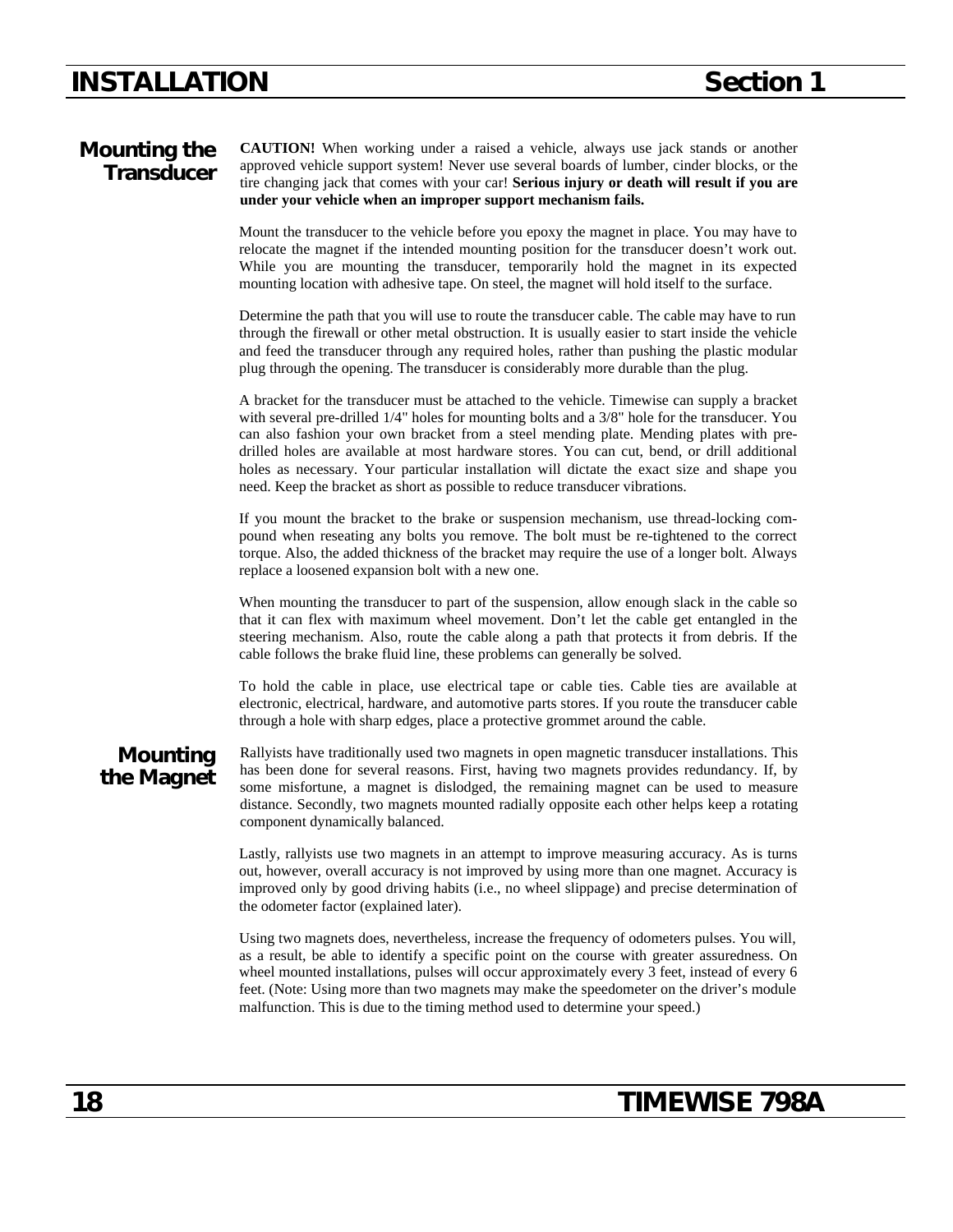#### **Mounting the Transducer CAUTION!** When working under a raised a vehicle, always use jack stands or another approved vehicle support system! Never use several boards of lumber, cinder blocks, or the tire changing jack that comes with your car! **Serious injury or death will result if you are under your vehicle when an improper support mechanism fails.**

Mount the transducer to the vehicle before you epoxy the magnet in place. You may have to relocate the magnet if the intended mounting position for the transducer doesn't work out. While you are mounting the transducer, temporarily hold the magnet in its expected mounting location with adhesive tape. On steel, the magnet will hold itself to the surface.

Determine the path that you will use to route the transducer cable. The cable may have to run through the firewall or other metal obstruction. It is usually easier to start inside the vehicle and feed the transducer through any required holes, rather than pushing the plastic modular plug through the opening. The transducer is considerably more durable than the plug.

A bracket for the transducer must be attached to the vehicle. Timewise can supply a bracket with several pre-drilled 1/4" holes for mounting bolts and a 3/8" hole for the transducer. You can also fashion your own bracket from a steel mending plate. Mending plates with predrilled holes are available at most hardware stores. You can cut, bend, or drill additional holes as necessary. Your particular installation will dictate the exact size and shape you need. Keep the bracket as short as possible to reduce transducer vibrations.

If you mount the bracket to the brake or suspension mechanism, use thread-locking compound when reseating any bolts you remove. The bolt must be re-tightened to the correct torque. Also, the added thickness of the bracket may require the use of a longer bolt. Always replace a loosened expansion bolt with a new one.

When mounting the transducer to part of the suspension, allow enough slack in the cable so that it can flex with maximum wheel movement. Don't let the cable get entangled in the steering mechanism. Also, route the cable along a path that protects it from debris. If the cable follows the brake fluid line, these problems can generally be solved.

To hold the cable in place, use electrical tape or cable ties. Cable ties are available at electronic, electrical, hardware, and automotive parts stores. If you route the transducer cable through a hole with sharp edges, place a protective grommet around the cable.

#### **Mounting the Magnet**

Rallyists have traditionally used two magnets in open magnetic transducer installations. This has been done for several reasons. First, having two magnets provides redundancy. If, by some misfortune, a magnet is dislodged, the remaining magnet can be used to measure distance. Secondly, two magnets mounted radially opposite each other helps keep a rotating component dynamically balanced.

Lastly, rallyists use two magnets in an attempt to improve measuring accuracy. As is turns out, however, overall accuracy is not improved by using more than one magnet. Accuracy is improved only by good driving habits (i.e., no wheel slippage) and precise determination of the odometer factor (explained later).

Using two magnets does, nevertheless, increase the frequency of odometers pulses. You will, as a result, be able to identify a specific point on the course with greater assuredness. On wheel mounted installations, pulses will occur approximately every 3 feet, instead of every 6 feet. (Note: Using more than two magnets may make the speedometer on the driver's module malfunction. This is due to the timing method used to determine your speed.)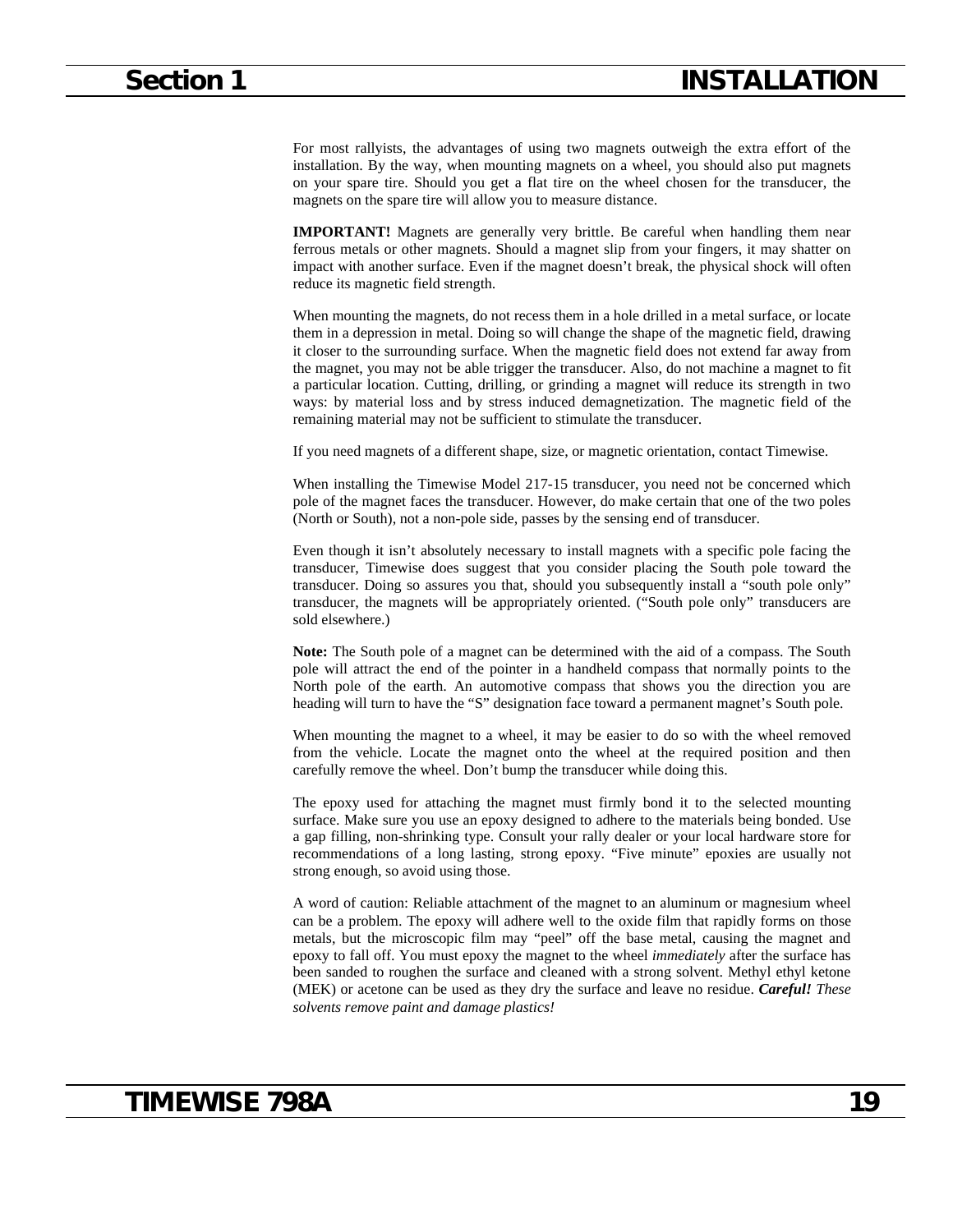For most rallyists, the advantages of using two magnets outweigh the extra effort of the installation. By the way, when mounting magnets on a wheel, you should also put magnets on your spare tire. Should you get a flat tire on the wheel chosen for the transducer, the magnets on the spare tire will allow you to measure distance.

**IMPORTANT!** Magnets are generally very brittle. Be careful when handling them near ferrous metals or other magnets. Should a magnet slip from your fingers, it may shatter on impact with another surface. Even if the magnet doesn't break, the physical shock will often reduce its magnetic field strength.

When mounting the magnets, do not recess them in a hole drilled in a metal surface, or locate them in a depression in metal. Doing so will change the shape of the magnetic field, drawing it closer to the surrounding surface. When the magnetic field does not extend far away from the magnet, you may not be able trigger the transducer. Also, do not machine a magnet to fit a particular location. Cutting, drilling, or grinding a magnet will reduce its strength in two ways: by material loss and by stress induced demagnetization. The magnetic field of the remaining material may not be sufficient to stimulate the transducer.

If you need magnets of a different shape, size, or magnetic orientation, contact Timewise.

When installing the Timewise Model 217-15 transducer, you need not be concerned which pole of the magnet faces the transducer. However, do make certain that one of the two poles (North or South), not a non-pole side, passes by the sensing end of transducer.

Even though it isn't absolutely necessary to install magnets with a specific pole facing the transducer, Timewise does suggest that you consider placing the South pole toward the transducer. Doing so assures you that, should you subsequently install a "south pole only" transducer, the magnets will be appropriately oriented. ("South pole only" transducers are sold elsewhere.)

**Note:** The South pole of a magnet can be determined with the aid of a compass. The South pole will attract the end of the pointer in a handheld compass that normally points to the North pole of the earth. An automotive compass that shows you the direction you are heading will turn to have the "S" designation face toward a permanent magnet's South pole.

When mounting the magnet to a wheel, it may be easier to do so with the wheel removed from the vehicle. Locate the magnet onto the wheel at the required position and then carefully remove the wheel. Don't bump the transducer while doing this.

The epoxy used for attaching the magnet must firmly bond it to the selected mounting surface. Make sure you use an epoxy designed to adhere to the materials being bonded. Use a gap filling, non-shrinking type. Consult your rally dealer or your local hardware store for recommendations of a long lasting, strong epoxy. "Five minute" epoxies are usually not strong enough, so avoid using those.

A word of caution: Reliable attachment of the magnet to an aluminum or magnesium wheel can be a problem. The epoxy will adhere well to the oxide film that rapidly forms on those metals, but the microscopic film may "peel" off the base metal, causing the magnet and epoxy to fall off. You must epoxy the magnet to the wheel *immediately* after the surface has been sanded to roughen the surface and cleaned with a strong solvent. Methyl ethyl ketone (MEK) or acetone can be used as they dry the surface and leave no residue. *Careful! These solvents remove paint and damage plastics!*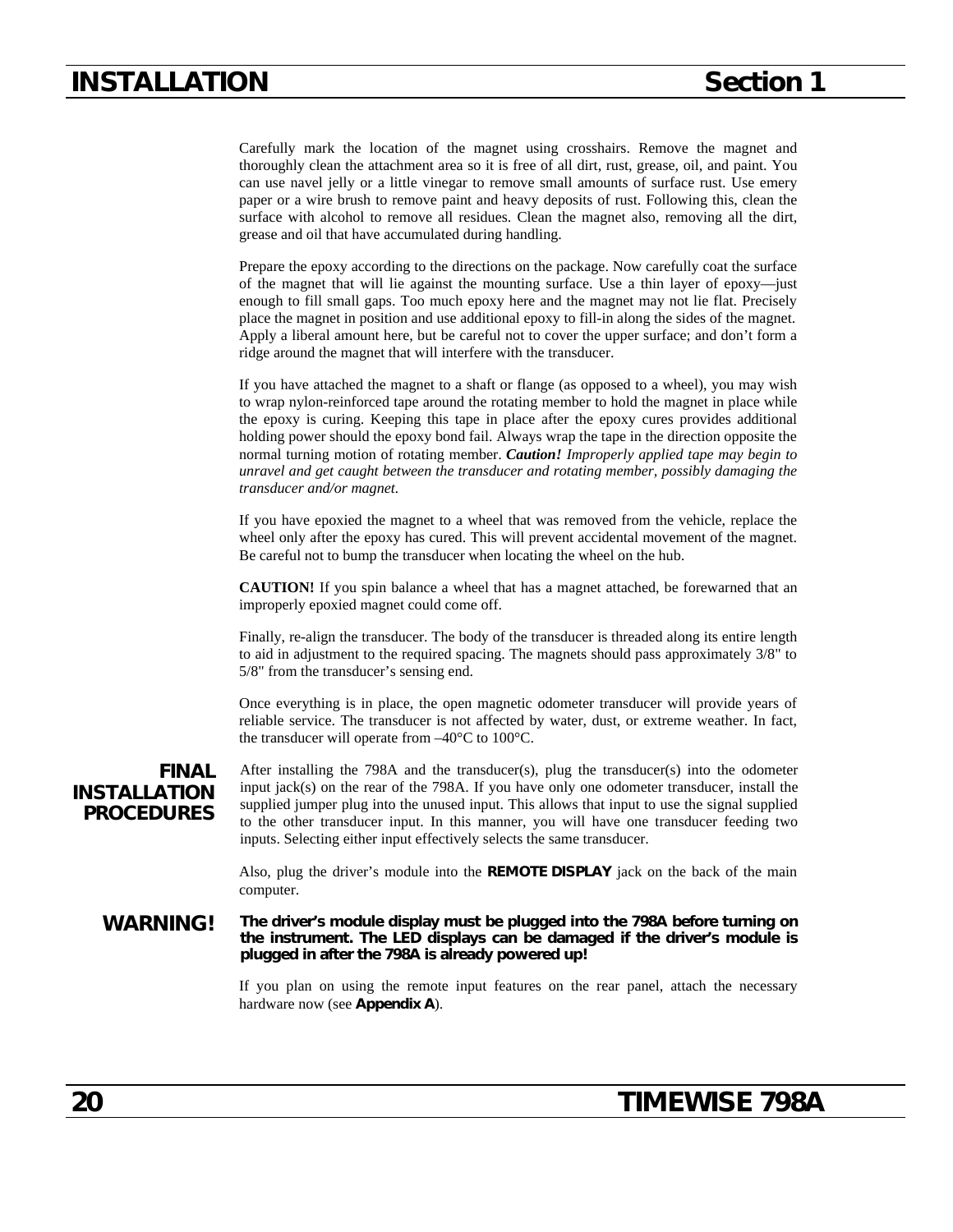Carefully mark the location of the magnet using crosshairs. Remove the magnet and thoroughly clean the attachment area so it is free of all dirt, rust, grease, oil, and paint. You can use navel jelly or a little vinegar to remove small amounts of surface rust. Use emery paper or a wire brush to remove paint and heavy deposits of rust. Following this, clean the surface with alcohol to remove all residues. Clean the magnet also, removing all the dirt, grease and oil that have accumulated during handling.

Prepare the epoxy according to the directions on the package. Now carefully coat the surface of the magnet that will lie against the mounting surface. Use a thin layer of epoxy—just enough to fill small gaps. Too much epoxy here and the magnet may not lie flat. Precisely place the magnet in position and use additional epoxy to fill-in along the sides of the magnet. Apply a liberal amount here, but be careful not to cover the upper surface; and don't form a ridge around the magnet that will interfere with the transducer.

If you have attached the magnet to a shaft or flange (as opposed to a wheel), you may wish to wrap nylon-reinforced tape around the rotating member to hold the magnet in place while the epoxy is curing. Keeping this tape in place after the epoxy cures provides additional holding power should the epoxy bond fail. Always wrap the tape in the direction opposite the normal turning motion of rotating member. *Caution! Improperly applied tape may begin to unravel and get caught between the transducer and rotating member, possibly damaging the transducer and/or magnet.*

If you have epoxied the magnet to a wheel that was removed from the vehicle, replace the wheel only after the epoxy has cured. This will prevent accidental movement of the magnet. Be careful not to bump the transducer when locating the wheel on the hub.

**CAUTION!** If you spin balance a wheel that has a magnet attached, be forewarned that an improperly epoxied magnet could come off.

Finally, re-align the transducer. The body of the transducer is threaded along its entire length to aid in adjustment to the required spacing. The magnets should pass approximately 3/8" to 5/8" from the transducer's sensing end.

Once everything is in place, the open magnetic odometer transducer will provide years of reliable service. The transducer is not affected by water, dust, or extreme weather. In fact, the transducer will operate from –40°C to 100°C.

**FINAL INSTALLATION PROCEDURES**

After installing the 798A and the transducer(s), plug the transducer(s) into the odometer input jack(s) on the rear of the 798A. If you have only one odometer transducer, install the supplied jumper plug into the unused input. This allows that input to use the signal supplied to the other transducer input. In this manner, you will have one transducer feeding two inputs. Selecting either input effectively selects the same transducer.

Also, plug the driver's module into the REMOTE DISPLAY jack on the back of the main computer.

#### **WARNING! The driver's module display must be plugged into the 798A before turning on the instrument. The LED displays can be damaged if the driver's module is plugged in after the 798A is already powered up!**

If you plan on using the remote input features on the rear panel, attach the necessary hardware now (see **Appendix A**).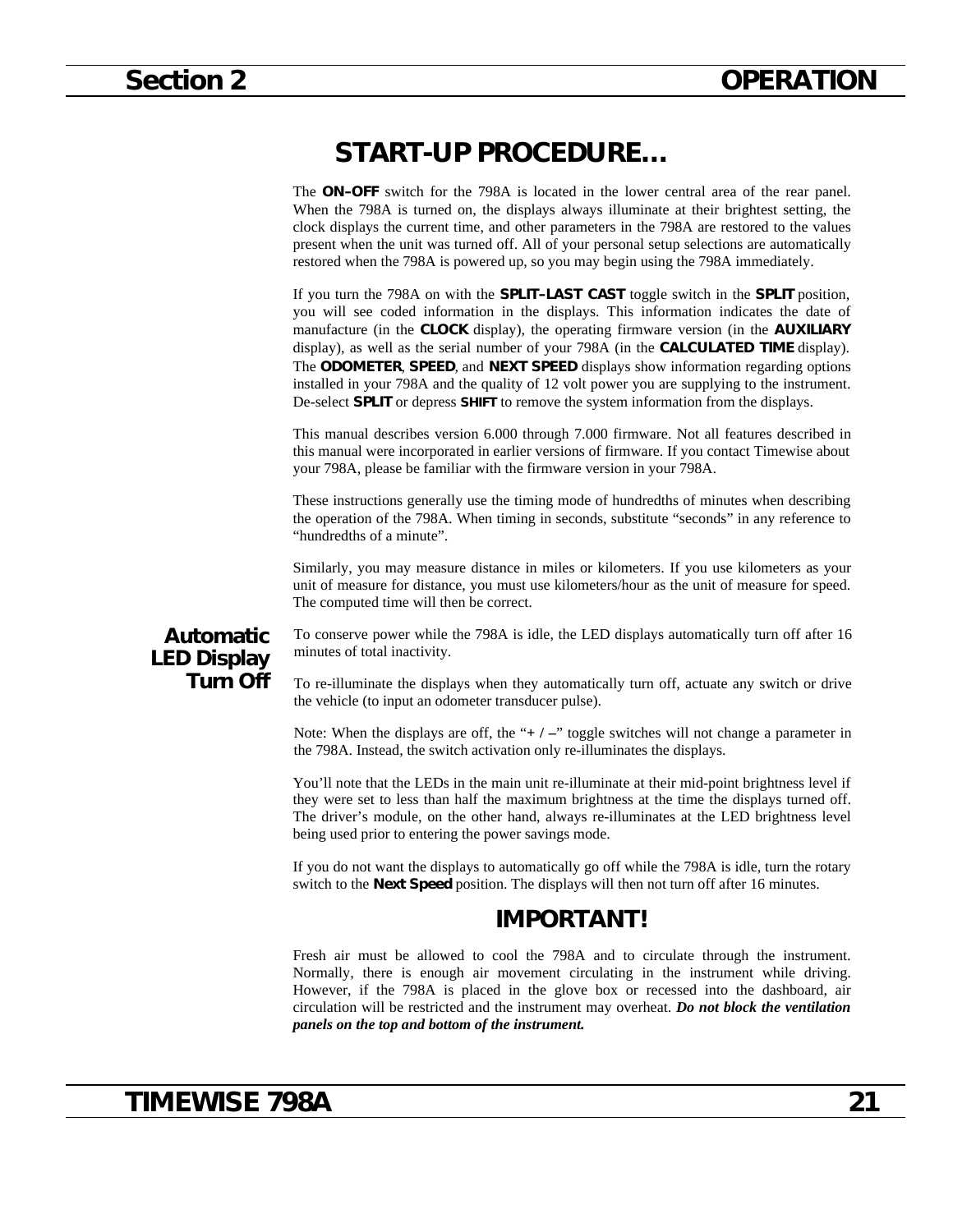# **START-UP PROCEDURE…**

The **ON-OFF** switch for the 798A is located in the lower central area of the rear panel. When the 798A is turned on, the displays always illuminate at their brightest setting, the clock displays the current time, and other parameters in the 798A are restored to the values present when the unit was turned off. All of your personal setup selections are automatically restored when the 798A is powered up, so you may begin using the 798A immediately.

If you turn the 798A on with the **SPLIT-LAST CAST** toggle switch in the **SPLIT** position, you will see coded information in the displays. This information indicates the date of manufacture (in the **CL O CK** display), the operating firmware version (in the **AUXILIARY** display), as well as the serial number of your 798A (in the **CALCULATED TIME** display). The **ODOMETER**, **SPEED**, and **NEXT SPEED** displays show information regarding options installed in your 798A and the quality of 12 volt power you are supplying to the instrument. De-select **SPLIT** or depress **SHIFT** to remove the system information from the displays.

This manual describes version 6.000 through 7.000 firmware. Not all features described in this manual were incorporated in earlier versions of firmware. If you contact Timewise about your 798A, please be familiar with the firmware version in your 798A.

These instructions generally use the timing mode of hundredths of minutes when describing the operation of the 798A. When timing in seconds, substitute "seconds" in any reference to "hundredths of a minute".

Similarly, you may measure distance in miles or kilometers. If you use kilometers as your unit of measure for distance, you must use kilometers/hour as the unit of measure for speed. The computed time will then be correct.

#### **Automatic LED Display Turn Off**

To conserve power while the 798A is idle, the LED displays automatically turn off after 16 minutes of total inactivity.

To re-illuminate the displays when they automatically turn off, actuate any switch or drive the vehicle (to input an odometer transducer pulse).

Note: When the displays are off, the "**+ / –**" toggle switches will not change a parameter in the 798A. Instead, the switch activation only re-illuminates the displays.

You'll note that the LEDs in the main unit re-illuminate at their mid-point brightness level if they were set to less than half the maximum brightness at the time the displays turned off. The driver's module, on the other hand, always re-illuminates at the LED brightness level being used prior to entering the power savings mode.

If you do not want the displays to automatically go off while the 798A is idle, turn the rotary switch to the **Next Speed** position. The displays will then not turn off after 16 minutes.

### **IMPORTANT!**

Fresh air must be allowed to cool the 798A and to circulate through the instrument. Normally, there is enough air movement circulating in the instrument while driving. However, if the 798A is placed in the glove box or recessed into the dashboard, air circulation will be restricted and the instrument may overheat. *Do not block the ventilation panels on the top and bottom of the instrument.*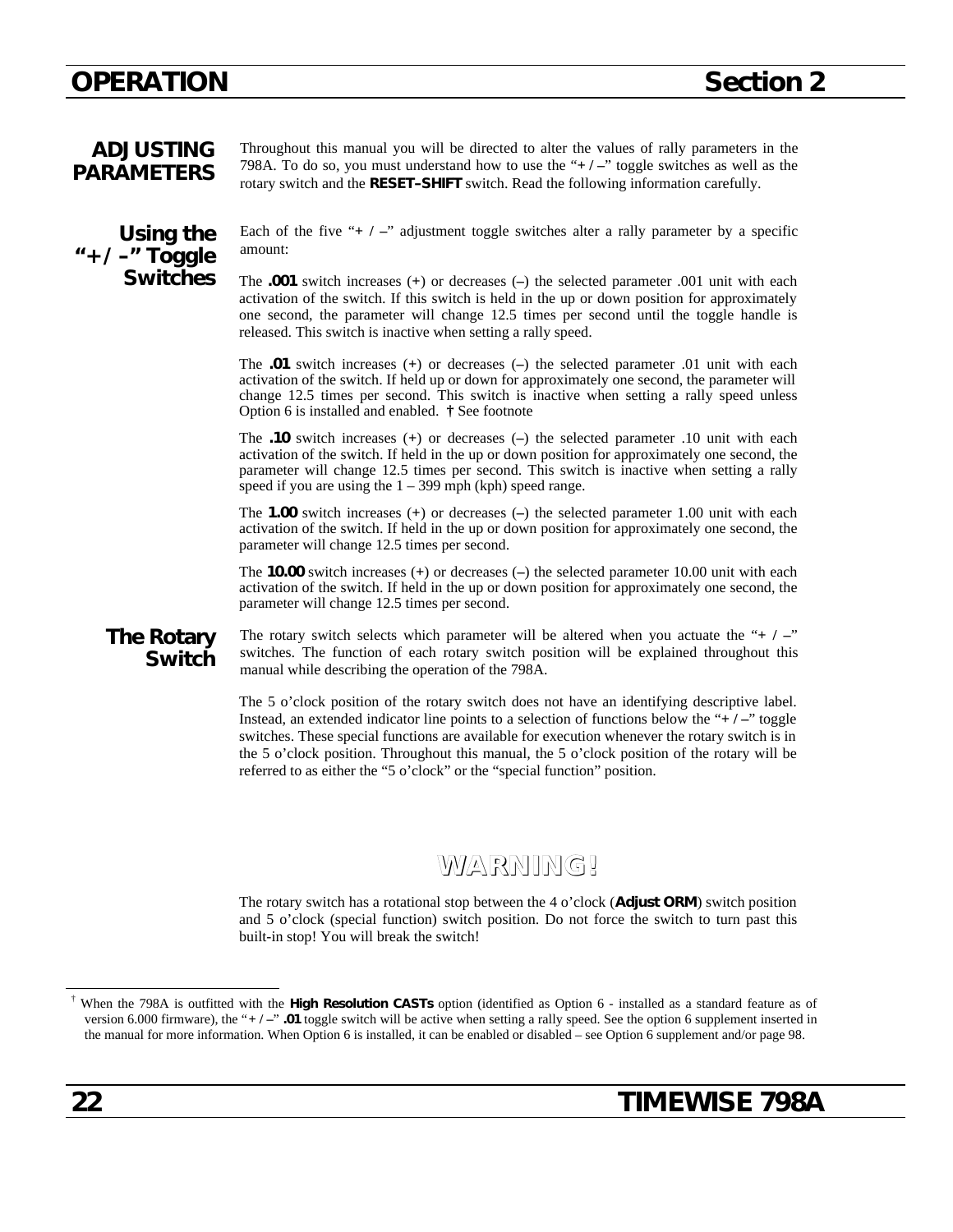#### **ADJUSTING PARAMETERS**

**Using the "+ / –" Toggle Switches** Throughout this manual you will be directed to alter the values of rally parameters in the 798A. To do so, you must understand how to use the "**+ / –**" toggle switches as well as the rotary switch and the **RESET–SHIFT** switch. Read the following information carefully.

Each of the five "**+ / –**" adjustment toggle switches alter a rally parameter by a specific amount:

The **.001** switch increases (**+**) or decreases (**–**) the selected parameter .001 unit with each activation of the switch. If this switch is held in the up or down position for approximately one second, the parameter will change 12.5 times per second until the toggle handle is released. This switch is inactive when setting a rally speed.

The **.01** switch increases (**+**) or decreases (**–**) the selected parameter .01 unit with each activation of the switch. If held up or down for approximately one second, the parameter will change 12.5 times per second. This switch is inactive when setting a rally speed unless Option 6 is installed and enabled. **†** See footnote

The **.10** switch increases (**+**) or decreases (**–**) the selected parameter .10 unit with each activation of the switch. If held in the up or down position for approximately one second, the parameter will change 12.5 times per second. This switch is inactive when setting a rally speed if you are using the  $1 - 399$  mph (kph) speed range.

The **1.00** switch increases (**+**) or decreases (**–**) the selected parameter 1.00 unit with each activation of the switch. If held in the up or down position for approximately one second, the parameter will change 12.5 times per second.

The **10.00** switch increases (**+**) or decreases (**–**) the selected parameter 10.00 unit with each activation of the switch. If held in the up or down position for approximately one second, the parameter will change 12.5 times per second.

**The Rotary Switch** The rotary switch selects which parameter will be altered when you actuate the "**+ / –**" switches. The function of each rotary switch position will be explained throughout this manual while describing the operation of the 798A.

> The 5 o'clock position of the rotary switch does not have an identifying descriptive label. Instead, an extended indicator line points to a selection of functions below the "**+ / –**" toggle switches. These special functions are available for execution whenever the rotary switch is in the 5 o'clock position. Throughout this manual, the 5 o'clock position of the rotary will be referred to as either the "5 o'clock" or the "special function" position.

# **WARNING!**

The rotary switch has a rotational stop between the 4 o'clock (**Adjust ORM**) switch position and 5 o'clock (special function) switch position. Do not force the switch to turn past this built-in stop! You will break the switch!

**22 TIMEWISE 798A**

1

<sup>†</sup> When the 798A is outfitted with the **High Resolution CASTs** option (identified as Option 6 - installed as a standard feature as of version 6.000 firmware), the "**+ / –**" **.01** toggle switch will be active when setting a rally speed. See the option 6 supplement inserted in the manual for more information. When Option 6 is installed, it can be enabled or disabled – see Option 6 supplement and/or page 98.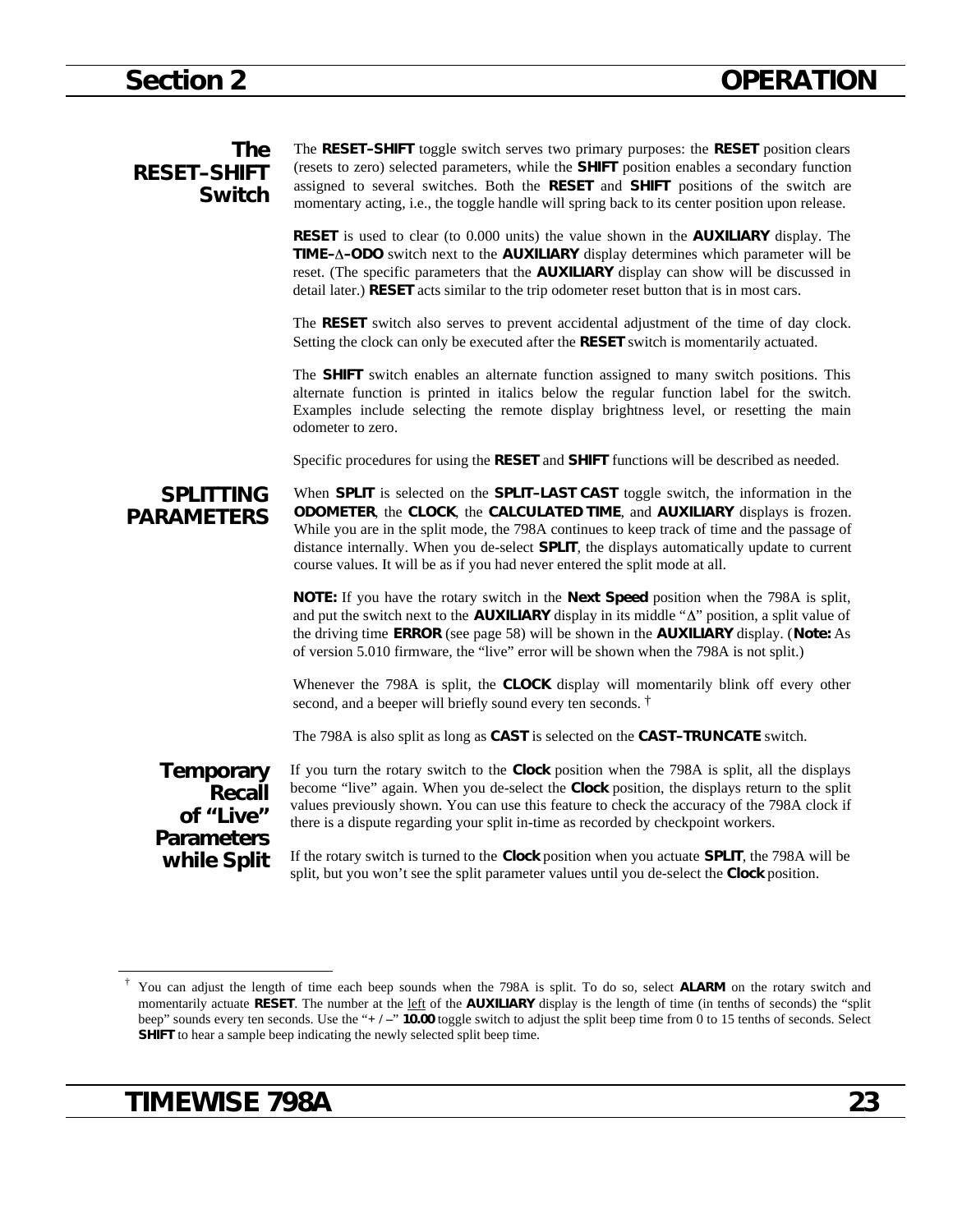#### **The RESET–SHIFT Switch** The **RESET–SHIFT** toggle switch serves two primary purposes: the **RESET** position clears (resets to zero) selected parameters, while the **SHIFT** position enables a secondary function assigned to several switches. Both the **RESET** and **SHIFT** positions of the switch are momentary acting, i.e., the toggle handle will spring back to its center position upon release.

**RESET** is used to clear (to 0.000 units) the value shown in the **AUXILIARY** display. The **TIME– –ODO** switch next to the **AUXILIARY** display determines which parameter will be reset. (The specific parameters that the **AUXILIARY** display can show will be discussed in detail later.) **RESET** acts similar to the trip odometer reset button that is in most cars.

The **RESET** switch also serves to prevent accidental adjustment of the time of day clock. Setting the clock can only be executed after the **RESET** switch is momentarily actuated.

The **SHIFT** switch enables an alternate function assigned to many switch positions. This alternate function is printed in italics below the regular function label for the switch. Examples include selecting the remote display brightness level, or resetting the main odometer to zero.

Specific procedures for using the **RESET** and **SHIFT** functions will be described as needed.

### **SPLITTING PARAMETERS**

When **SPLIT** is selected on the **SPLIT–LAST CAST** toggle switch, the information in the **ODOMETER**, the **CLOCK**, the **CALCULATED TIME**, and **AUXILIARY** displays is frozen. While you are in the split mode, the 798A continues to keep track of time and the passage of distance internally. When you de-select **SPLIT**, the displays automatically update to current course values. It will be as if you had never entered the split mode at all.

**NOTE:** If you have the rotary switch in the **Next Speed** position when the 798A is split, and put the switch next to the **AUXILIARY** display in its middle " $\Delta$ " position, a split value of the driving time **ERROR** (see page 58) will be shown in the **AUXILIARY** display. (**Note:** As of version 5.010 firmware, the "live" error will be shown when the 798A is not split.)

Whenever the 798A is split, the **CLOCK** display will momentarily blink off every other second, and a beeper will briefly sound every ten seconds. †

The 798A is also split as long as **CAST** is selected on the **CAST-TRUNCATE** switch.

### **Temporary Recall of "Live" Parameters while Split**

 $\overline{a}$ 

If you turn the rotary switch to the **Clock** position when the 798A is split, all the displays become "live" again. When you de-select the **Clock** position, the displays return to the split values previously shown. You can use this feature to check the accuracy of the 798A clock if there is a dispute regarding your split in-time as recorded by checkpoint workers.

If the rotary switch is turned to the **Clock** position when you actuate **SPLIT**, the 798A will be split, but you won't see the split parameter values until you de-select the **Clock** position.

<sup>†</sup> You can adjust the length of time each beep sounds when the 798A is split. To do so, select **ALARM** on the rotary switch and momentarily actuate **RESET**. The number at the left of the **AUXILIARY** display is the length of time (in tenths of seconds) the "split beep" sounds every ten seconds. Use the "**+ / –**" **10.00** toggle switch to adjust the split beep time from 0 to 15 tenths of seconds. Select **SHIFT** to hear a sample beep indicating the newly selected split beep time.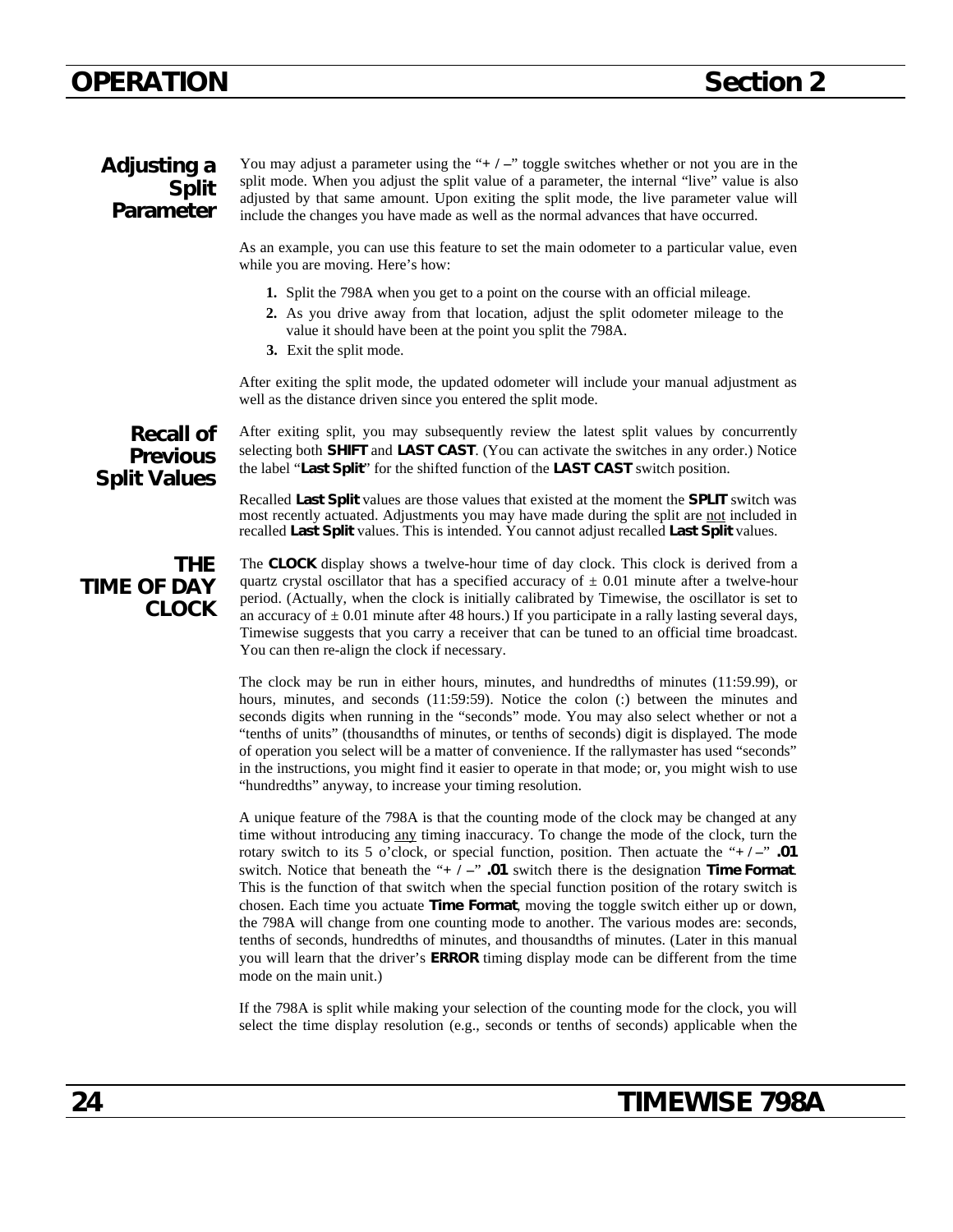#### **Adjusting a Split Parameter**

You may adjust a parameter using the "**+** / –" toggle switches whether or not you are in the split mode. When you adjust the split value of a parameter, the internal "live" value is also adjusted by that same amount. Upon exiting the split mode, the live parameter value will include the changes you have made as well as the normal advances that have occurred.

As an example, you can use this feature to set the main odometer to a particular value, even while you are moving. Here's how:

- **1.** Split the 798A when you get to a point on the course with an official mileage.
- **2.** As you drive away from that location, adjust the split odometer mileage to the value it should have been at the point you split the 798A.
- **3.** Exit the split mode.

After exiting the split mode, the updated odometer will include your manual adjustment as well as the distance driven since you entered the split mode.

**Recall of Previous Split Values**

After exiting split, you may subsequently review the latest split values by concurrently selecting both **SHIFT** and **LAST CAST**. (You can activate the switches in any order.) Notice the label "**Last Split**" for the shifted function of the **L A ST CA ST** switch position.

Recalled **Last Split** values are those values that existed at the moment the **SPLIT** switch was most recently actuated. Adjustments you may have made during the split are not included in recalled **Last Split** values. This is intended. You cannot adjust recalled **Last Split** values.

**THE TIME OF DAY CLOCK** The **CLOCK** display shows a twelve-hour time of day clock. This clock is derived from a quartz crystal oscillator that has a specified accuracy of  $\pm$  0.01 minute after a twelve-hour period. (Actually, when the clock is initially calibrated by Timewise, the oscillator is set to an accuracy of  $\pm$  0.01 minute after 48 hours.) If you participate in a rally lasting several days, Timewise suggests that you carry a receiver that can be tuned to an official time broadcast. You can then re-align the clock if necessary.

The clock may be run in either hours, minutes, and hundredths of minutes (11:59.99), or hours, minutes, and seconds (11:59:59). Notice the colon (:) between the minutes and seconds digits when running in the "seconds" mode. You may also select whether or not a "tenths of units" (thousandths of minutes, or tenths of seconds) digit is displayed. The mode of operation you select will be a matter of convenience. If the rallymaster has used "seconds" in the instructions, you might find it easier to operate in that mode; or, you might wish to use "hundredths" anyway, to increase your timing resolution.

A unique feature of the 798A is that the counting mode of the clock may be changed at any time without introducing any timing inaccuracy. To change the mode of the clock, turn the rotary switch to its 5 o'clock, or special function, position. Then actuate the "**+ / –**" **.01** switch. Notice that beneath the "**+ / –**" **.01** switch there is the designation **Time Format**. This is the function of that switch when the special function position of the rotary switch is chosen. Each time you actuate **Time Format**, moving the toggle switch either up or down, the 798A will change from one counting mode to another. The various modes are: seconds, tenths of seconds, hundredths of minutes, and thousandths of minutes. (Later in this manual you will learn that the driver's **ERROR** timing display mode can be different from the time mode on the main unit.)

If the 798A is split while making your selection of the counting mode for the clock, you will select the time display resolution (e.g., seconds or tenths of seconds) applicable when the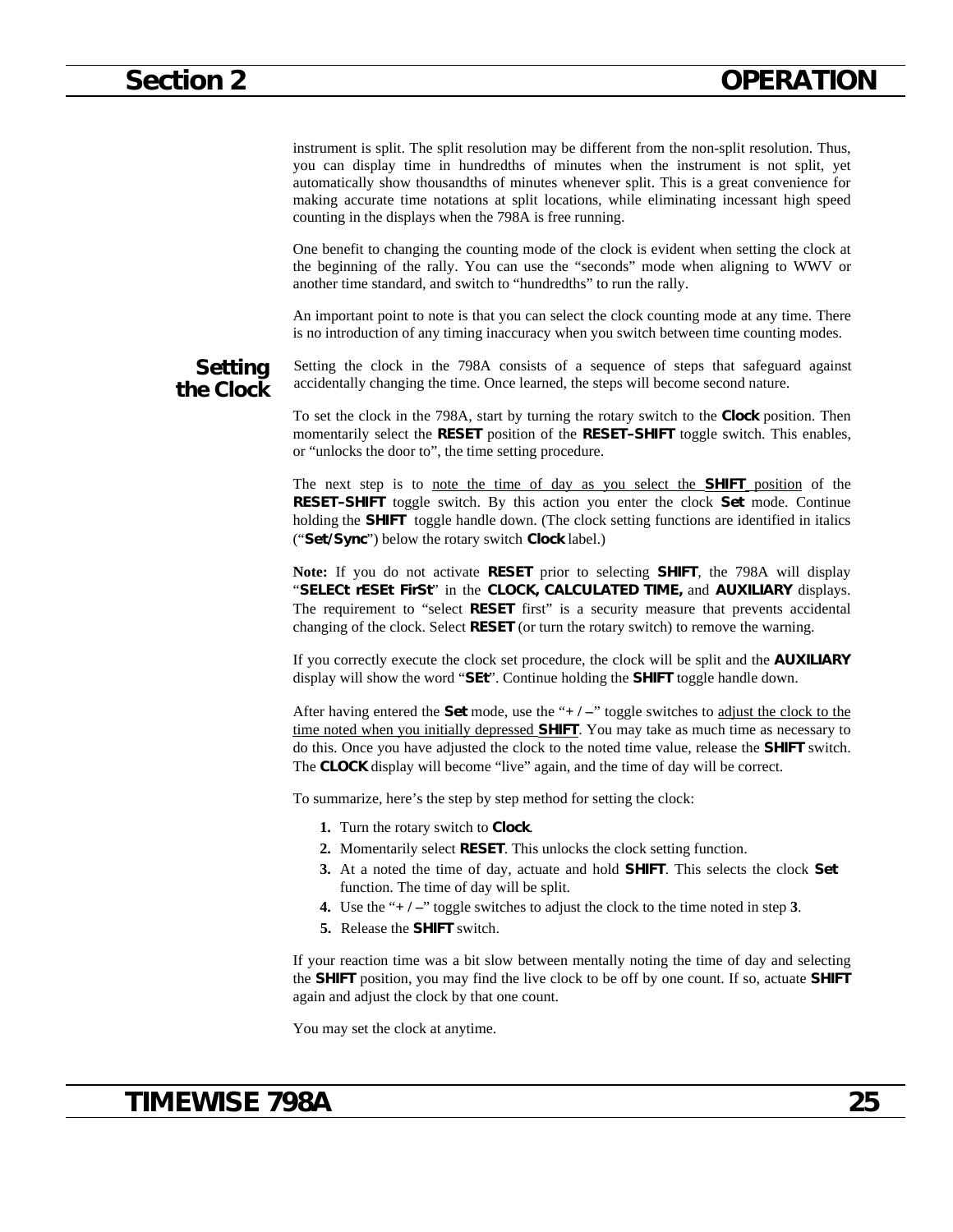instrument is split. The split resolution may be different from the non-split resolution. Thus, you can display time in hundredths of minutes when the instrument is not split, yet automatically show thousandths of minutes whenever split. This is a great convenience for making accurate time notations at split locations, while eliminating incessant high speed counting in the displays when the 798A is free running.

One benefit to changing the counting mode of the clock is evident when setting the clock at the beginning of the rally. You can use the "seconds" mode when aligning to WWV or another time standard, and switch to "hundredths" to run the rally.

An important point to note is that you can select the clock counting mode at any time. There is no introduction of any timing inaccuracy when you switch between time counting modes.

**Setting the Clock** Setting the clock in the 798A consists of a sequence of steps that safeguard against accidentally changing the time. Once learned, the steps will become second nature.

To set the clock in the 798A, start by turning the rotary switch to the **Clock** position. Then momentarily select the **RESET** position of the **RESET-SHIFT** toggle switch. This enables, or "unlocks the door to", the time setting procedure.

The next step is to note the time of day as you select the **S HIFT** position of the **RESET-SHIFT** toggle switch. By this action you enter the clock Set mode. Continue holding the **SHIFT** toggle handle down. (The clock setting functions are identified in italics ("**Set/Sync**") below the rotary switch **Clock** label.)

Note: If you do not activate RESET prior to selecting SHIFT, the 798A will display "**SELECt rESEt FirSt**" in the **CLOCK, CALCULATED TIME,** and **AUXILIARY** displays. The requirement to "select RESET first" is a security measure that prevents accidental changing of the clock. Select **RESET** (or turn the rotary switch) to remove the warning.

If you correctly execute the clock set procedure, the clock will be split and the **AUXILIARY** display will show the word "**SEt**". Continue holding the **SHIFT** toggle handle down.

After having entered the **Set** mode, use the "**+ / –**" toggle switches to adjust the clock to the time noted when you initially depressed **SHIFT** . You may take as much time as necessary to do this. Once you have adjusted the clock to the noted time value, release the **SHIFT** switch. The **CLOCK** display will become "live" again, and the time of day will be correct.

To summarize, here's the step by step method for setting the clock:

- **1.** Turn the rotary switch to **Clock**.
- **2.** Momentarily select **RESET**. This unlocks the clock setting function.
- **3.** At a noted the time of day, actuate and hold **SHIFT**. This selects the clock **Set** function. The time of day will be split.
- **4.** Use the "**+ / –**" toggle switches to adjust the clock to the time noted in step **3**.
- **5.** Release the **SHIFT** switch.

If your reaction time was a bit slow between mentally noting the time of day and selecting the **SHIFT** position, you may find the live clock to be off by one count. If so, actuate **SHIFT** again and adjust the clock by that one count.

You may set the clock at anytime.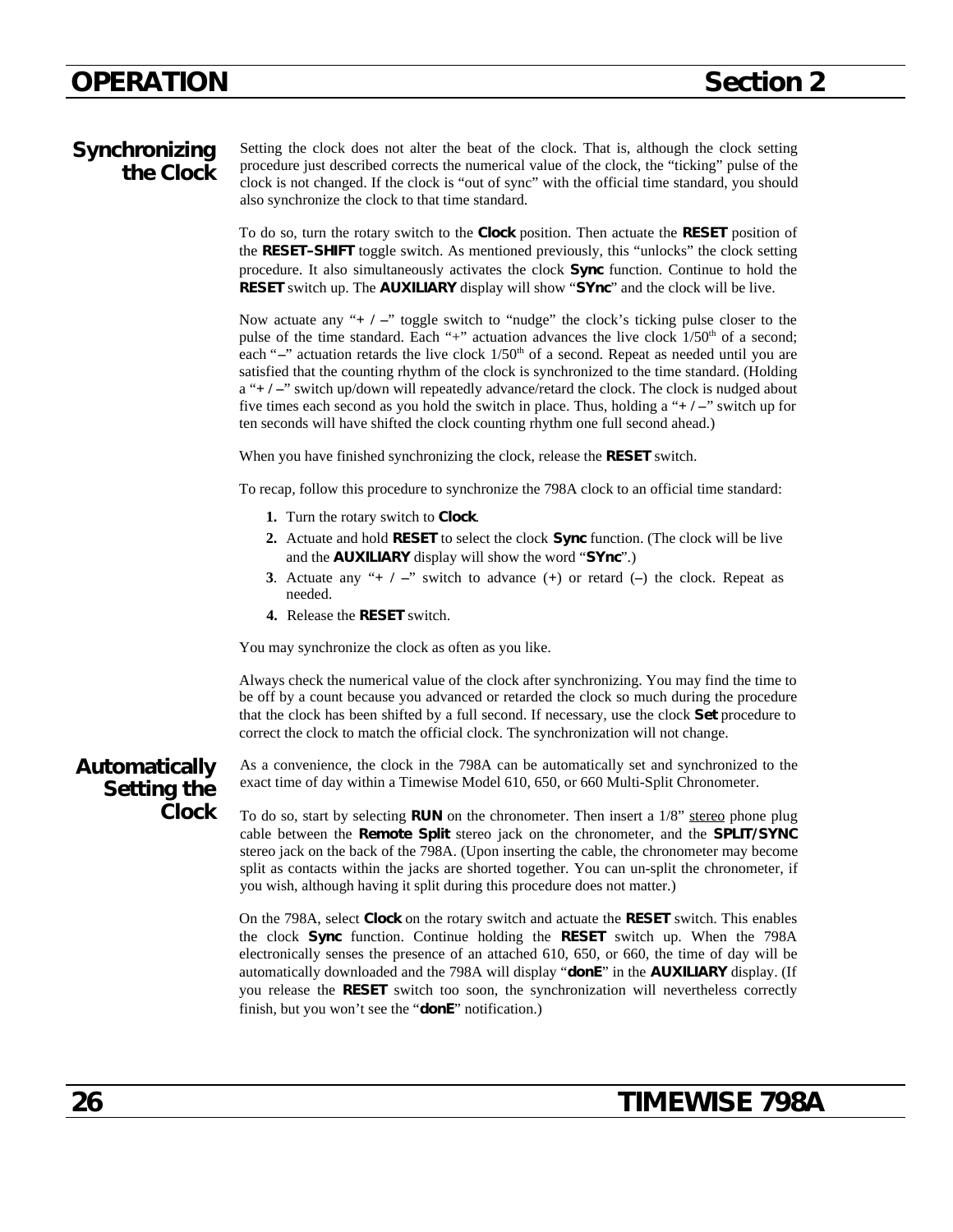### **Synchronizing the Clock**

Setting the clock does not alter the beat of the clock. That is, although the clock setting procedure just described corrects the numerical value of the clock, the "ticking" pulse of the clock is not changed. If the clock is "out of sync" with the official time standard, you should also synchronize the clock to that time standard.

To do so, turn the rotary switch to the **Clock** position. Then actuate the **RESET** position of the **RESET-SHIFT** toggle switch. As mentioned previously, this "unlocks" the clock setting procedure. It also simultaneously activates the clock **Sync** function. Continue to hold the **RESET** switch up. The **AUXILIARY** display will show "**SYnc**" and the clock will be live.

Now actuate any "+ / -" toggle switch to "nudge" the clock's ticking pulse closer to the pulse of the time standard. Each "+" actuation advances the live clock  $1/50<sup>th</sup>$  of a second; each "–" actuation retards the live clock 1/50<sup>th</sup> of a second. Repeat as needed until you are satisfied that the counting rhythm of the clock is synchronized to the time standard. (Holding a "**+ / –**" switch up/down will repeatedly advance/retard the clock. The clock is nudged about five times each second as you hold the switch in place. Thus, holding a "**+ / –**" switch up for ten seconds will have shifted the clock counting rhythm one full second ahead.)

When you have finished synchronizing the clock, release the **RESET** switch.

To recap, follow this procedure to synchronize the 798A clock to an official time standard:

- **1.** Turn the rotary switch to **Clock**.
- **2.** Actuate and hold **RESET** to select the clock **Sync** function. (The clock will be live and the **AUXILIARY** display will show the word "**SYnc**".)
- **3**. Actuate any "**+ / –**" switch to advance (**+**) or retard (**–**) the clock. Repeat as needed.
- **4.** Release the **RESET** switch.

You may synchronize the clock as often as you like.

Always check the numerical value of the clock after synchronizing. You may find the time to be off by a count because you advanced or retarded the clock so much during the procedure that the clock has been shifted by a full second. If necessary, use the clock **Set** procedure to correct the clock to match the official clock. The synchronization will not change.

### **Automatically Setting the Clock**

As a convenience, the clock in the 798A can be automatically set and synchronized to the exact time of day within a Timewise Model 610, 650, or 660 Multi-Split Chronometer.

To do so, start by selecting **RUN** on the chronometer. Then insert a 1/8" stereo phone plug cable between the **Remote Split** stereo jack on the chronometer, and the **SPLIT/SYNC** stereo jack on the back of the 798A. (Upon inserting the cable, the chronometer may become split as contacts within the jacks are shorted together. You can un-split the chronometer, if you wish, although having it split during this procedure does not matter.)

On the 798A, select **Clock** on the rotary switch and actuate the **RESET** switch. This enables the clock **Sync** function. Continue holding the **RESET** switch up. When the 798A electronically senses the presence of an attached 610, 650, or 660, the time of day will be automatically downloaded and the 798A will display "**donE**" in the **AUXILIARY** display. (If you release the RESET switch too soon, the synchronization will nevertheless correctly finish, but you won't see the "**donE**" notification.)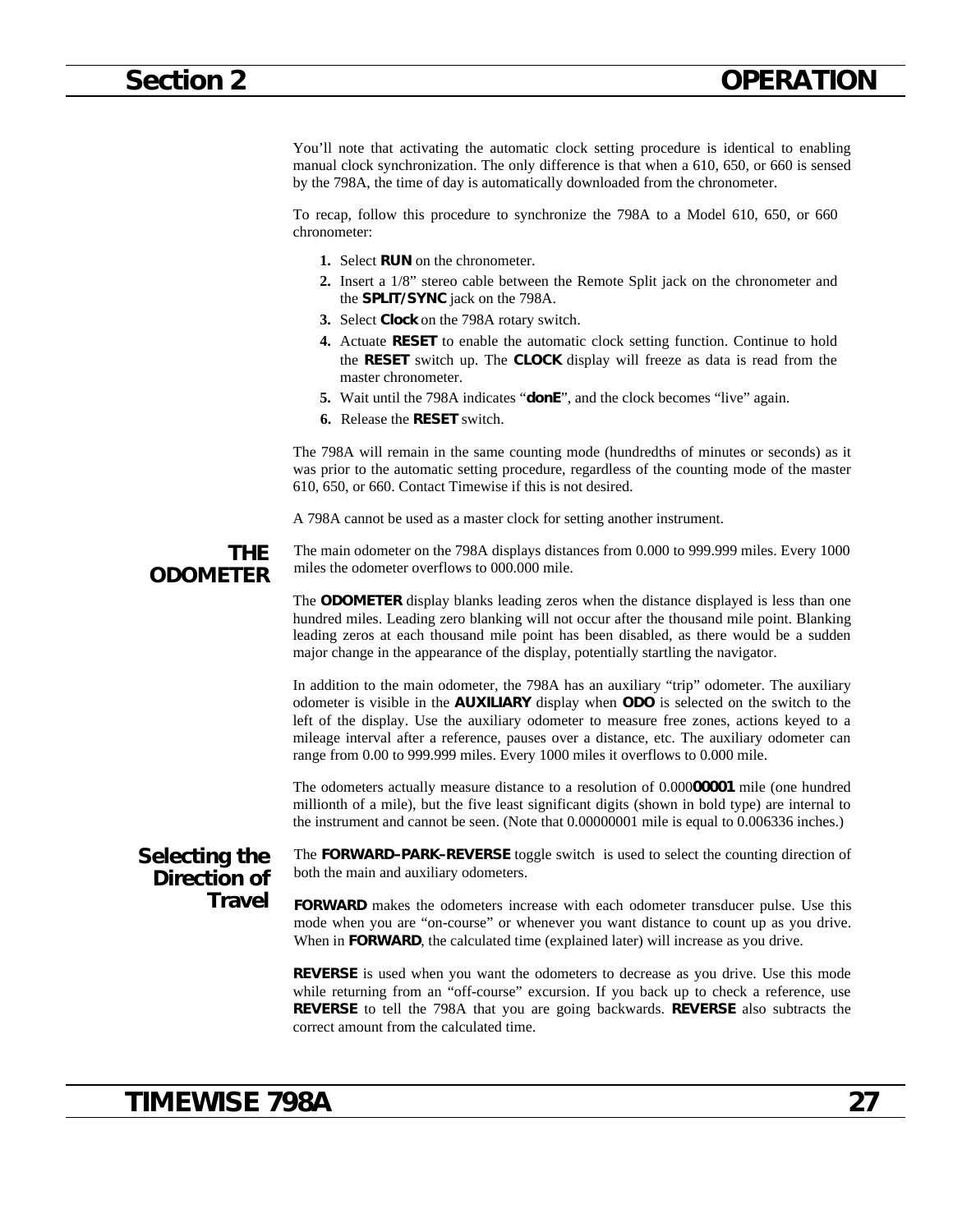You'll note that activating the automatic clock setting procedure is identical to enabling manual clock synchronization. The only difference is that when a 610, 650, or 660 is sensed by the 798A, the time of day is automatically downloaded from the chronometer.

To recap, follow this procedure to synchronize the 798A to a Model 610, 650, or 660 chronometer:

- **1.** Select **RUN** on the chronometer.
- **2.** Insert a 1/8" stereo cable between the Remote Split jack on the chronometer and the **SPLIT/SYNC** jack on the 798A.
- **3.** Select **Clock** on the 798A rotary switch.
- **4.** Actuate **RESET** to enable the automatic clock setting function. Continue to hold the **RESET** switch up. The **CLOCK** display will freeze as data is read from the master chronometer.
- **5.** Wait until the 798A indicates "**donE**", and the clock becomes "live" again.
- **6.** Release the **RESET** switch.

The 798A will remain in the same counting mode (hundredths of minutes or seconds) as it was prior to the automatic setting procedure, regardless of the counting mode of the master 610, 650, or 660. Contact Timewise if this is not desired.

A 798A cannot be used as a master clock for setting another instrument.

### **THE ODOMETER**

The main odometer on the 798A displays distances from 0.000 to 999.999 miles. Every 1000 miles the odometer overflows to 000.000 mile.

The **ODOMETER** display blanks leading zeros when the distance displayed is less than one hundred miles. Leading zero blanking will not occur after the thousand mile point. Blanking leading zeros at each thousand mile point has been disabled, as there would be a sudden major change in the appearance of the display, potentially startling the navigator.

In addition to the main odometer, the 798A has an auxiliary "trip" odometer. The auxiliary odometer is visible in the **AUXILIARY** display when **ODO** is selected on the switch to the left of the display. Use the auxiliary odometer to measure free zones, actions keyed to a mileage interval after a reference, pauses over a distance, etc. The auxiliary odometer can range from 0.00 to 999.999 miles. Every 1000 miles it overflows to 0.000 mile.

The odometers actually measure distance to a resolution of 0.000**00001** mile (one hundred millionth of a mile), but the five least significant digits (shown in bold type) are internal to the instrument and cannot be seen. (Note that 0.00000001 mile is equal to 0.006336 inches.)

### **Selecting the Direction of Travel**

The **FORWARD–PARK–REVERSE** toggle switch is used to select the counting direction of both the main and auxiliary odometers.

**FORWARD** makes the odometers increase with each odometer transducer pulse. Use this mode when you are "on-course" or whenever you want distance to count up as you drive. When in **FORWARD**, the calculated time (explained later) will increase as you drive.

**REVERSE** is used when you want the odometers to decrease as you drive. Use this mode while returning from an "off-course" excursion. If you back up to check a reference, use **REVERSE** to tell the 798A that you are going backwards. **REVERSE** also subtracts the correct amount from the calculated time.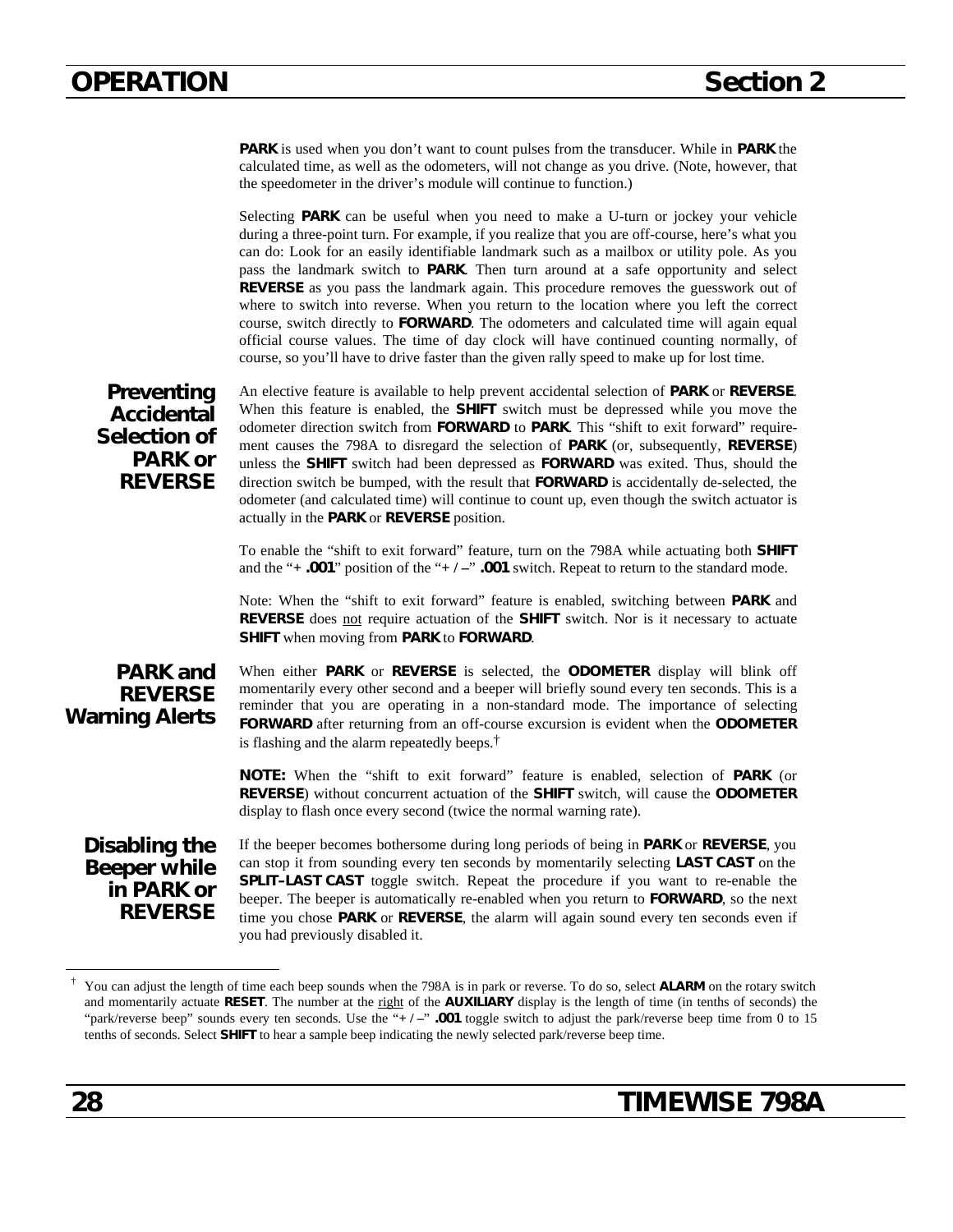**PARK** is used when you don't want to count pulses from the transducer. While in **PARK** the calculated time, as well as the odometers, will not change as you drive. (Note, however, that the speedometer in the driver's module will continue to function.)

Selecting **PARK** can be useful when you need to make a U-turn or jockey your vehicle during a three-point turn. For example, if you realize that you are off-course, here's what you can do: Look for an easily identifiable landmark such as a mailbox or utility pole. As you pass the landmark switch to **PARK**. Then turn around at a safe opportunity and select **REVERSE** as you pass the landmark again. This procedure removes the guesswork out of where to switch into reverse. When you return to the location where you left the correct course, switch directly to **FORWARD**. The odometers and calculated time will again equal official course values. The time of day clock will have continued counting normally, of course, so you'll have to drive faster than the given rally speed to make up for lost time.

**Preventing Accidental Selection of PARK or REVERSE**

An elective feature is available to help prevent accidental selection of **PARK** or **REVERSE**. When this feature is enabled, the **SHIFT** switch must be depressed while you move the odometer direction switch from **FORWARD** to **PARK**. This "shift to exit forward" requirement causes the 798A to disregard the selection of **PARK** (or, subsequently, **REVERSE**) unless the **SHIFT** switch had been depressed as **FORWARD** was exited. Thus, should the direction switch be bumped, with the result that **FORWARD** is accidentally de-selected, the odometer (and calculated time) will continue to count up, even though the switch actuator is actually in the **PARK** or **REVERSE** position.

To enable the "shift to exit forward" feature, turn on the 798A while actuating both **SHIFT** and the "**+ .001**" position of the "**+ / –**" **.001** switch. Repeat to return to the standard mode.

Note: When the "shift to exit forward" feature is enabled, switching between **PARK** and **REVERSE** does not require actuation of the **SHIFT** switch. Nor is it necessary to actuate **SHIFT** when moving from **PARK** to **FORWARD**.

### **PARK and REVERSE Warning Alerts**

When either PARK or REVERSE is selected, the **ODOMETER** display will blink off momentarily every other second and a beeper will briefly sound every ten seconds. This is a reminder that you are operating in a non-standard mode. The importance of selecting FORWARD after returning from an off-course excursion is evident when the ODOMETER is flashing and the alarm repeatedly beeps.†

**NOTE:** When the "shift to exit forward" feature is enabled, selection of **PARK** (or **REVERSE**) without concurrent actuation of the **SHIFT** switch, will cause the **ODOMETER** display to flash once every second (twice the normal warning rate).

### **Disabling the Beeper while in PARK or REVERSE**

If the beeper becomes bothersome during long periods of being in **PARK** or **REVERSE**, you can stop it from sounding every ten seconds by momentarily selecting **LAST CAST** on the **SPLIT-LAST CAST** toggle switch. Repeat the procedure if you want to re-enable the beeper. The beeper is automatically re-enabled when you return to **FORWARD**, so the next time you chose **PARK** or **REVERSE**, the alarm will again sound every ten seconds even if you had previously disabled it.

<u>.</u>

<sup>†</sup> You can adjust the length of time each beep sounds when the 798A is in park or reverse. To do so, select **ALARM** on the rotary switch and momentarily actuate **RESET**. The number at the right of the **AUXILIARY** display is the length of time (in tenths of seconds) the "park/reverse beep" sounds every ten seconds. Use the "**+ / –**" **.001** toggle switch to adjust the park/reverse beep time from 0 to 15 tenths of seconds. Select **SHIFT** to hear a sample beep indicating the newly selected park/reverse beep time.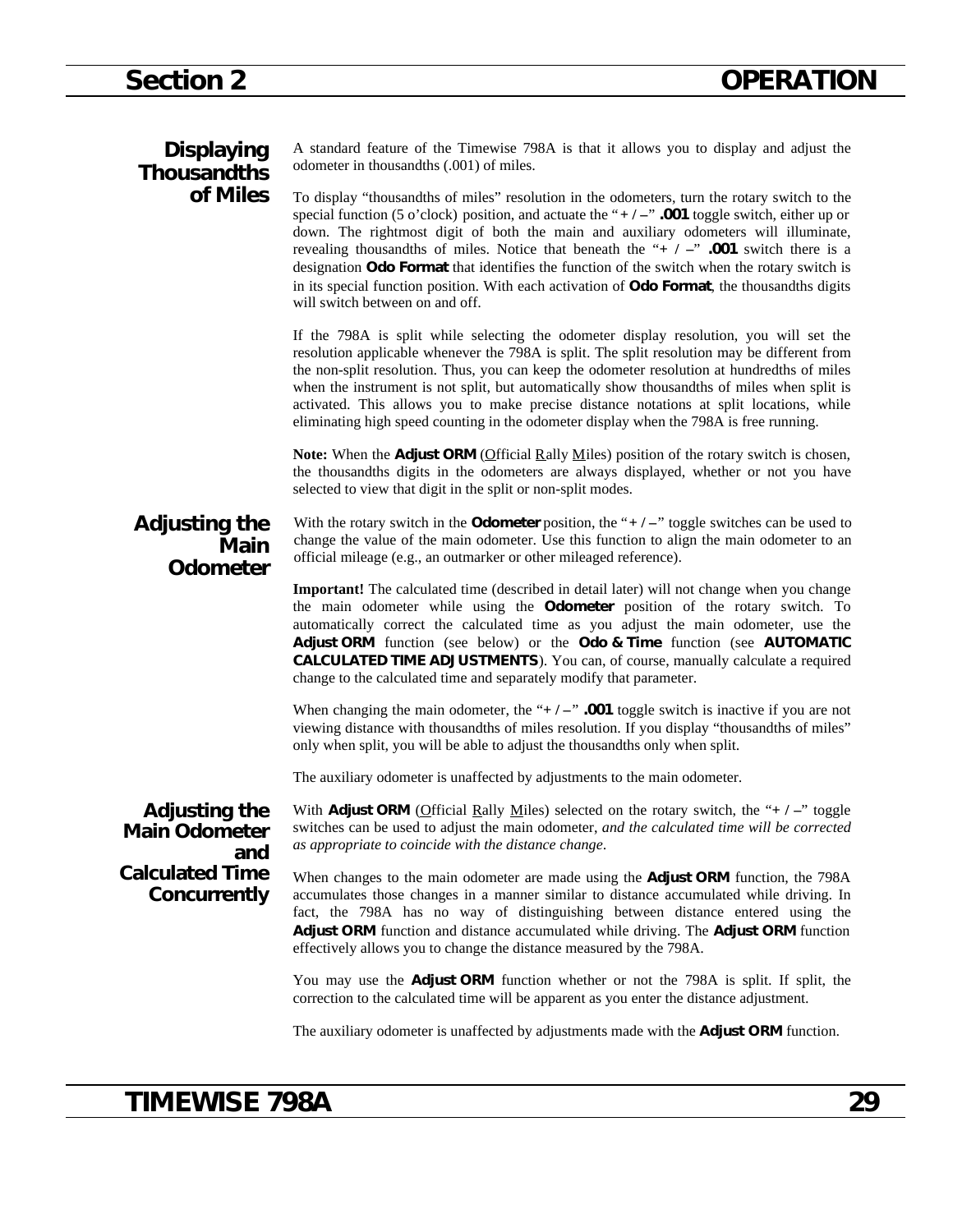#### **Displaying Thousandths of Miles**

A standard feature of the Timewise 798A is that it allows you to display and adjust the odometer in thousandths (.001) of miles.

To display "thousandths of miles" resolution in the odometers, turn the rotary switch to the special function (5 o'clock) position, and actuate the "**+ / –**" **.001** toggle switch, either up or down. The rightmost digit of both the main and auxiliary odometers will illuminate, revealing thousandths of miles. Notice that beneath the "**+ / –**" **.001** switch there is a designation **Odo Format** that identifies the function of the switch when the rotary switch is in its special function position. With each activation of **Odo Format**, the thousandths digits will switch between on and off.

If the 798A is split while selecting the odometer display resolution, you will set the resolution applicable whenever the 798A is split. The split resolution may be different from the non-split resolution. Thus, you can keep the odometer resolution at hundredths of miles when the instrument is not split, but automatically show thousandths of miles when split is activated. This allows you to make precise distance notations at split locations, while eliminating high speed counting in the odometer display when the 798A is free running.

**Note:** When the **Adjust ORM** (Official Rally Miles) position of the rotary switch is chosen, the thousandths digits in the odometers are always displayed, whether or not you have selected to view that digit in the split or non-split modes.

### **Adjusting the Main Odometer**

With the rotary switch in the **Odometer** position, the "**+** / -" toggle switches can be used to change the value of the main odometer. Use this function to align the main odometer to an official mileage (e.g., an outmarker or other mileaged reference).

**Important!** The calculated time (described in detail later) will not change when you change the main odometer while using the **Odometer** position of the rotary switch. To automatically correct the calculated time as you adjust the main odometer, use the Adjust ORM function (see below) or the Odo & Time function (see AUTOMATIC **CALCULATED TIME ADJUSTMENTS**). You can, of course, manually calculate a required change to the calculated time and separately modify that parameter.

When changing the main odometer, the "**+** / -" .001 toggle switch is inactive if you are not viewing distance with thousandths of miles resolution. If you display "thousandths of miles" only when split, you will be able to adjust the thousandths only when split.

The auxiliary odometer is unaffected by adjustments to the main odometer.

**Adjusting the Main Odometer and Calculated Time Concurrently**

With **Adjust ORM** (Official Rally Miles) selected on the rotary switch, the "**+** / -" toggle switches can be used to adjust the main odometer, *and the calculated time will be corrected as appropriate to coincide with the distance change*.

When changes to the main odometer are made using the **Adjust ORM** function, the 798A accumulates those changes in a manner similar to distance accumulated while driving. In fact, the 798A has no way of distinguishing between distance entered using the Adjust ORM function and distance accumulated while driving. The Adjust ORM function effectively allows you to change the distance measured by the 798A.

You may use the **Adjust ORM** function whether or not the 798A is split. If split, the correction to the calculated time will be apparent as you enter the distance adjustment.

The auxiliary odometer is unaffected by adjustments made with the **Adjust ORM** function.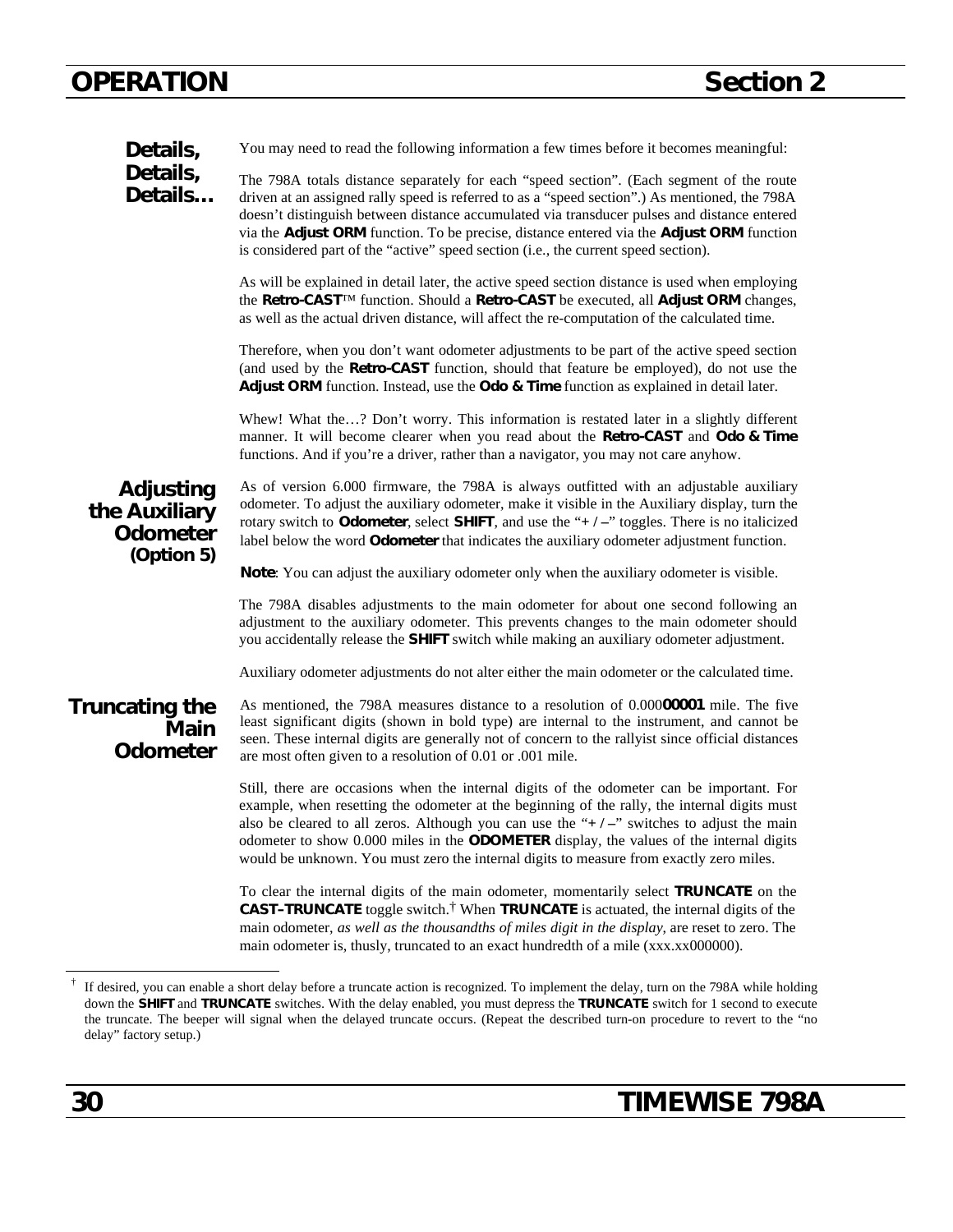| Details,<br>Details,<br>Details                             | You may need to read the following information a few times before it becomes meaningful:                                                                                                                                                                                                                                                                                                                                                                                               |
|-------------------------------------------------------------|----------------------------------------------------------------------------------------------------------------------------------------------------------------------------------------------------------------------------------------------------------------------------------------------------------------------------------------------------------------------------------------------------------------------------------------------------------------------------------------|
|                                                             | The 798A totals distance separately for each "speed section". (Each segment of the route<br>driven at an assigned rally speed is referred to as a "speed section".) As mentioned, the 798A<br>doesn't distinguish between distance accumulated via transducer pulses and distance entered<br>via the Adjust ORM function. To be precise, distance entered via the Adjust ORM function<br>is considered part of the "active" speed section (i.e., the current speed section).           |
|                                                             | As will be explained in detail later, the active speed section distance is used when employing<br>the Retro-CAST <sup>™</sup> function. Should a Retro-CAST be executed, all Adjust ORM changes,<br>as well as the actual driven distance, will affect the re-computation of the calculated time.                                                                                                                                                                                      |
|                                                             | Therefore, when you don't want odometer adjustments to be part of the active speed section<br>(and used by the Retro-CAST function, should that feature be employed), do not use the<br>Adjust ORM function. Instead, use the Odo & Time function as explained in detail later.                                                                                                                                                                                                        |
|                                                             | Whew! What the? Don't worry. This information is restated later in a slightly different<br>manner. It will become clearer when you read about the Retro-CAST and Odo & Time<br>functions. And if you're a driver, rather than a navigator, you may not care anyhow.                                                                                                                                                                                                                    |
| Adjusting<br>the Auxiliary<br><b>Odometer</b><br>(Option 5) | As of version 6.000 firmware, the 798A is always outfitted with an adjustable auxiliary<br>odometer. To adjust the auxiliary odometer, make it visible in the Auxiliary display, turn the<br>rotary switch to Odometer, select SHIFT, and use the " $+/-$ " toggles. There is no italicized<br>label below the word Odometer that indicates the auxiliary odometer adjustment function.                                                                                                |
|                                                             | <b>Note:</b> You can adjust the auxiliary odometer only when the auxiliary odometer is visible.                                                                                                                                                                                                                                                                                                                                                                                        |
|                                                             | The 798A disables adjustments to the main odometer for about one second following an<br>adjustment to the auxiliary odometer. This prevents changes to the main odometer should<br>you accidentally release the SHIFT switch while making an auxiliary odometer adjustment.                                                                                                                                                                                                            |
|                                                             | Auxiliary odometer adjustments do not alter either the main odometer or the calculated time.                                                                                                                                                                                                                                                                                                                                                                                           |
| <b>Truncating the</b><br><b>Main</b><br><b>Odometer</b>     | As mentioned, the 798A measures distance to a resolution of 0.00000001 mile. The five<br>least significant digits (shown in bold type) are internal to the instrument, and cannot be<br>seen. These internal digits are generally not of concern to the rallyist since official distances<br>are most often given to a resolution of 0.01 or .001 mile.                                                                                                                                |
|                                                             | Still, there are occasions when the internal digits of the odometer can be important. For<br>example, when resetting the odometer at the beginning of the rally, the internal digits must<br>also be cleared to all zeros. Although you can use the " $+/-$ " switches to adjust the main<br>odometer to show 0.000 miles in the <b>ODOMETER</b> display, the values of the internal digits<br>would be unknown. You must zero the internal digits to measure from exactly zero miles. |
|                                                             | To clear the internal digits of the main odometer, momentarily select TRUNCATE on the<br><b>CAST-TRUNCATE</b> toggle switch. <sup>†</sup> When <b>TRUNCATE</b> is actuated, the internal digits of the<br>main odometer, as well as the thousandths of miles digit in the display, are reset to zero. The                                                                                                                                                                              |

main odometer is, thusly, truncated to an exact hundredth of a mile (xxx.xx000000).

<u>.</u>

<sup>†</sup> If desired, you can enable a short delay before a truncate action is recognized. To implement the delay, turn on the 798A while holding down the **SHIFT** and **TRUNCATE** switches. With the delay enabled, you must depress the **TRUNCATE** switch for 1 second to execute the truncate. The beeper will signal when the delayed truncate occurs. (Repeat the described turn-on procedure to revert to the "no delay" factory setup.)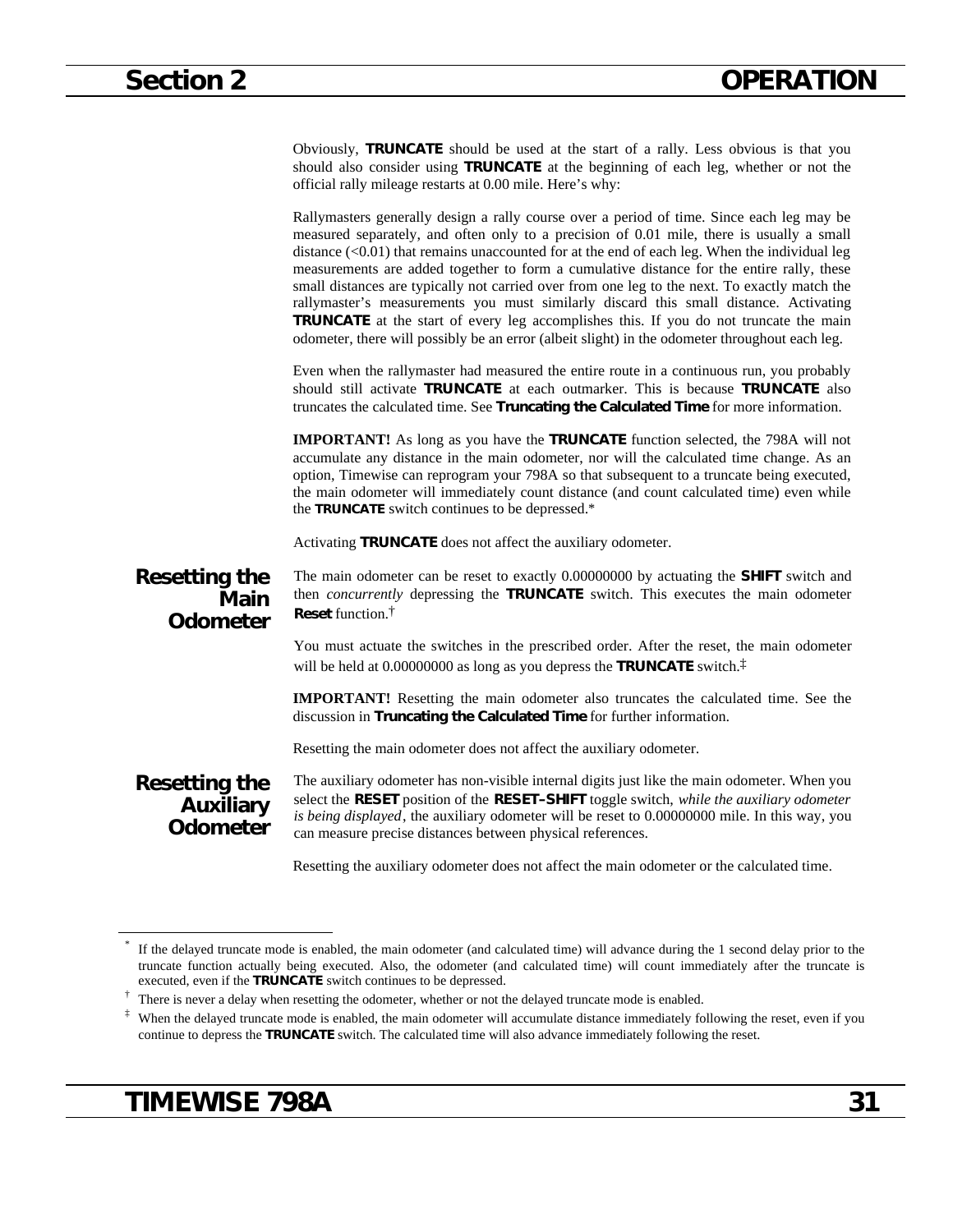Obviously, **TRUNCATE** should be used at the start of a rally. Less obvious is that you should also consider using **TRUNCATE** at the beginning of each leg, whether or not the official rally mileage restarts at 0.00 mile. Here's why:

Rallymasters generally design a rally course over a period of time. Since each leg may be measured separately, and often only to a precision of 0.01 mile, there is usually a small distance  $(<0.01$ ) that remains unaccounted for at the end of each leg. When the individual leg measurements are added together to form a cumulative distance for the entire rally, these small distances are typically not carried over from one leg to the next. To exactly match the rallymaster's measurements you must similarly discard this small distance. Activating **TRUNCATE** at the start of every leg accomplishes this. If you do not truncate the main odometer, there will possibly be an error (albeit slight) in the odometer throughout each leg.

Even when the rallymaster had measured the entire route in a continuous run, you probably should still activate **TRUNCATE** at each outmarker. This is because **TRUNCATE** also truncates the calculated time. See **Truncating the Calculated Time** for more information.

**IMPORTANT!** As long as you have the **TRUNCATE** function selected, the 798A will not accumulate any distance in the main odometer, nor will the calculated time change. As an option, Timewise can reprogram your 798A so that subsequent to a truncate being executed, the main odometer will immediately count distance (and count calculated time) even while the **TRUNCATE** switch continues to be depressed.\*

Activating **TRUNCATE** does not affect the auxiliary odometer.

**Resetting the Main Odometer** The main odometer can be reset to exactly 0.00000000 by actuating the **SHIFT** switch and then *concurrently* depressing the **TRUNCATE** switch. This executes the main odometer **Reset** function.†

> You must actuate the switches in the prescribed order. After the reset, the main odometer will be held at 0.00000000 as long as you depress the **TRUNCATE** switch.‡

> **IMPORTANT!** Resetting the main odometer also truncates the calculated time. See the discussion in **Truncating the Calculated Time** for further information.

Resetting the main odometer does not affect the auxiliary odometer.

### **Resetting the Auxiliary Odometer**

j

The auxiliary odometer has non-visible internal digits just like the main odometer. When you select the **RESET** position of the **RESET-SHIFT** toggle switch, *while the auxiliary odometer is being displayed*, the auxiliary odometer will be reset to 0.00000000 mile. In this way, you can measure precise distances between physical references.

Resetting the auxiliary odometer does not affect the main odometer or the calculated time.

<sup>\*</sup> If the delayed truncate mode is enabled, the main odometer (and calculated time) will advance during the 1 second delay prior to the truncate function actually being executed. Also, the odometer (and calculated time) will count immediately after the truncate is executed, even if the **TRUNCATE** switch continues to be depressed.

<sup>†</sup> There is never a delay when resetting the odometer, whether or not the delayed truncate mode is enabled.

When the delayed truncate mode is enabled, the main odometer will accumulate distance immediately following the reset, even if you continue to depress the **TRUNCATE** switch. The calculated time will also advance immediately following the reset.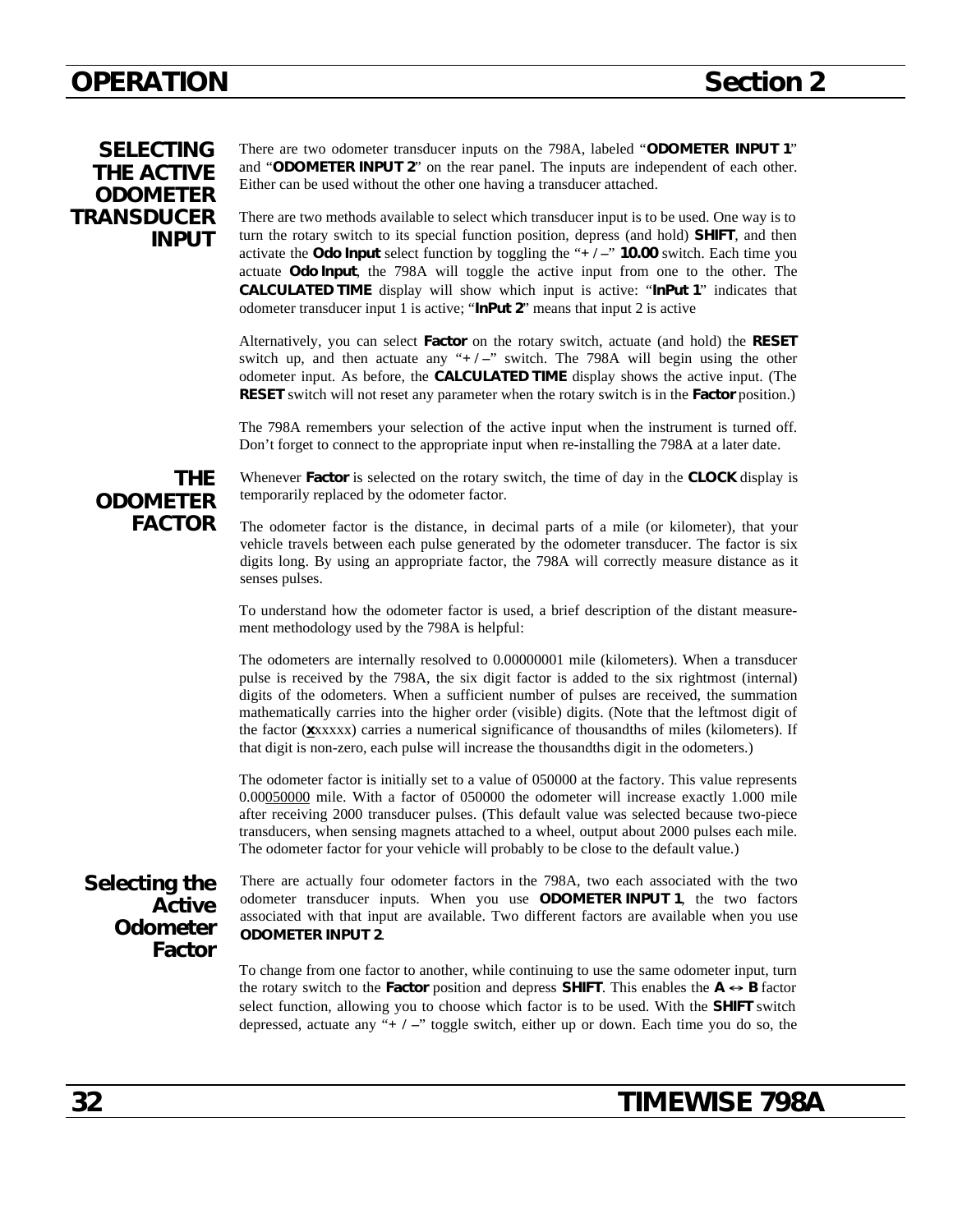#### **SELECTING THE ACTIVE ODOMETER TRANSDUCER INPUT**

There are two odometer transducer inputs on the 798A, labeled "ODOMETER INPUT 1" and "**ODOMETER INPUT 2**" on the rear panel. The inputs are independent of each other. Either can be used without the other one having a transducer attached.

There are two methods available to select which transducer input is to be used. One way is to turn the rotary switch to its special function position, depress (and hold) **SHIFT**, and then activate the **Odo Input** select function by toggling the "**+ / –**" **10.00** switch. Each time you actuate **Odo Input**, the 798A will toggle the active input from one to the other. The **CALCULATED TIME** display will show which input is active: "InPut 1" indicates that odometer transducer input 1 is active; "**InPut 2**" means that input 2 is active

Alternatively, you can select **Factor** on the rotary switch, actuate (and hold) the **RESET** switch up, and then actuate any "**+ / –**" switch. The 798A will begin using the other odometer input. As before, the **CALCULATED TIME** display shows the active input. (The **RESET** switch will not reset any parameter when the rotary switch is in the **Factor** position.)

The 798A remembers your selection of the active input when the instrument is turned off. Don't forget to connect to the appropriate input when re-installing the 798A at a later date.

**THE ODOMETER FACTOR**

Whenever **Factor** is selected on the rotary switch, the time of day in the **CLOCK** display is temporarily replaced by the odometer factor.

The odometer factor is the distance, in decimal parts of a mile (or kilometer), that your vehicle travels between each pulse generated by the odometer transducer. The factor is six digits long. By using an appropriate factor, the 798A will correctly measure distance as it senses pulses.

To understand how the odometer factor is used, a brief description of the distant measurement methodology used by the 798A is helpful:

The odometers are internally resolved to 0.00000001 mile (kilometers). When a transducer pulse is received by the 798A, the six digit factor is added to the six rightmost (internal) digits of the odometers. When a sufficient number of pulses are received, the summation mathematically carries into the higher order (visible) digits. (Note that the leftmost digit of the factor ( **x** xxxxx) carries a numerical significance of thousandths of miles (kilometers). If that digit is non-zero, each pulse will increase the thousandths digit in the odometers.)

The odometer factor is initially set to a value of 050000 at the factory. This value represents 0.00050000 mile. With a factor of 050000 the odometer will increase exactly 1.000 mile after receiving 2000 transducer pulses. (This default value was selected because two-piece transducers, when sensing magnets attached to a wheel, output about 2000 pulses each mile. The odometer factor for your vehicle will probably to be close to the default value.)

### **Selecting the Active Odometer Factor**

There are actually four odometer factors in the 798A, two each associated with the two odometer transducer inputs. When you use **ODOMETER INPUT 1**, the two factors associated with that input are available. Two different factors are available when you use **ODOMETER INPUT 2.** 

To change from one factor to another, while continuing to use the same odometer input, turn the rotary switch to the **Factor** position and depress **SHIFT**. This enables the  $A \leftrightarrow B$  factor select function, allowing you to choose which factor is to be used. With the **SHIFT** switch depressed, actuate any "**+ / –**" toggle switch, either up or down. Each time you do so, the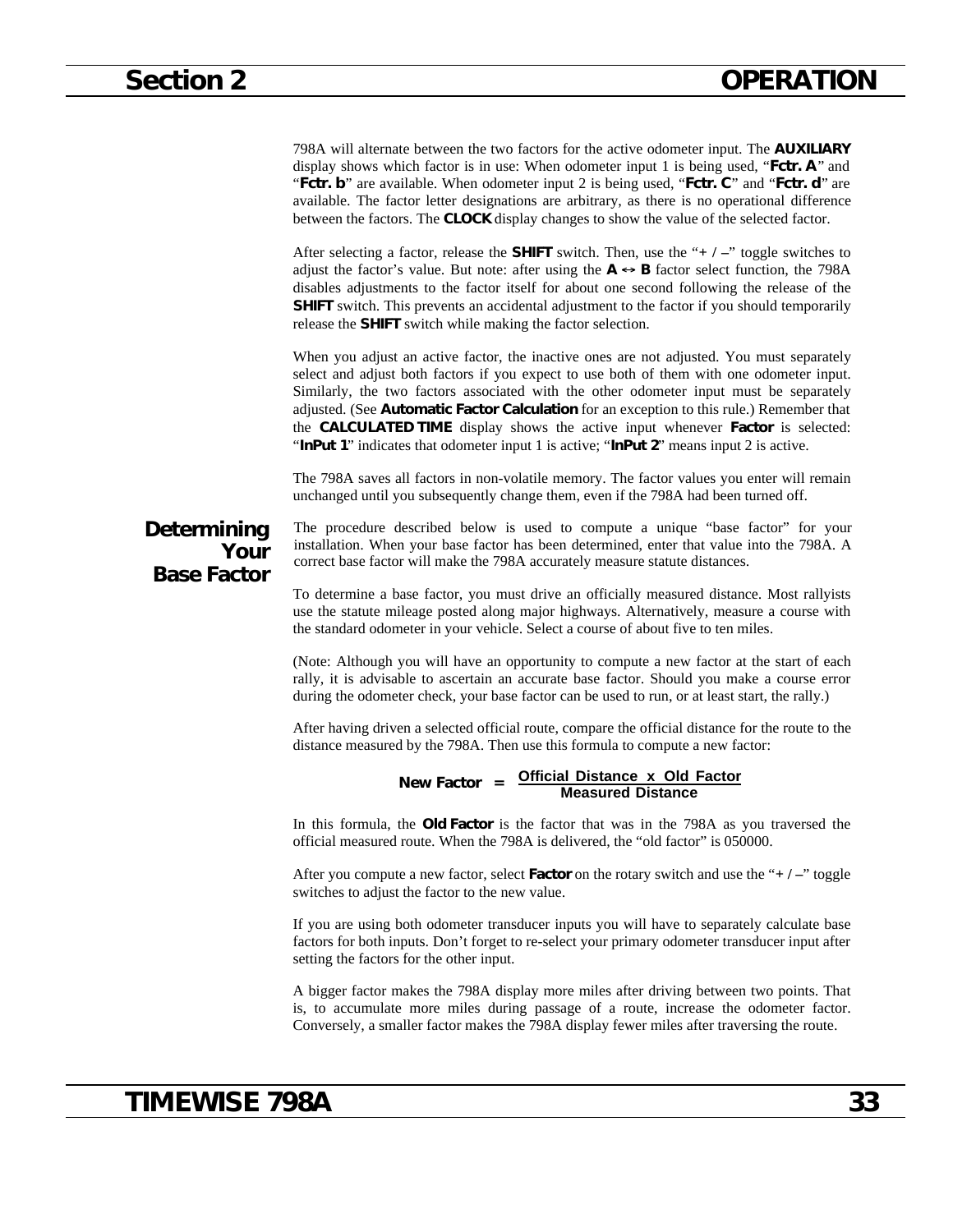798A will alternate between the two factors for the active odometer input. The **AUXILIARY** display shows which factor is in use: When odometer input 1 is being used, "**Fctr. A**" and "**Fctr. b**" are available. When odometer input 2 is being used, "**Fctr. C**" and "**Fctr. d**" are available. The factor letter designations are arbitrary, as there is no operational difference between the factors. The **CLOCK** display changes to show the value of the selected factor.

After selecting a factor, release the **SHIFT** switch. Then, use the "**+ / –**" toggle switches to adjust the factor's value. But note: after using the  $A \leftrightarrow B$  factor select function, the 798A disables adjustments to the factor itself for about one second following the release of the **SHIFT** switch. This prevents an accidental adjustment to the factor if you should temporarily release the **SHIFT** switch while making the factor selection.

When you adjust an active factor, the inactive ones are not adjusted. You must separately select and adjust both factors if you expect to use both of them with one odometer input. Similarly, the two factors associated with the other odometer input must be separately adjusted. (See **Automatic Factor Calculation** for an exception to this rule.) Remember that the **CALCULATED TIME** display shows the active input whenever **Factor** is selected: "InPut 1" indicates that odometer input 1 is active; "InPut 2" means input 2 is active.

The 798A saves all factors in non-volatile memory. The factor values you enter will remain unchanged until you subsequently change them, even if the 798A had been turned off.

### **Determining Your Base Factor**

The procedure described below is used to compute a unique "base factor" for your installation. When your base factor has been determined, enter that value into the 798A. A correct base factor will make the 798A accurately measure statute distances.

To determine a base factor, you must drive an officially measured distance. Most rallyists use the statute mileage posted along major highways. Alternatively, measure a course with the standard odometer in your vehicle. Select a course of about five to ten miles.

(Note: Although you will have an opportunity to compute a new factor at the start of each rally, it is advisable to ascertain an accurate base factor. Should you make a course error during the odometer check, your base factor can be used to run, or at least start, the rally.)

After having driven a selected official route, compare the official distance for the route to the distance measured by the 798A. Then use this formula to compute a new factor:

#### **New Factor = Official Distance <sup>x</sup> Old Factor Measured Distance**

In this formula, the **Old Factor** is the factor that was in the 798A as you traversed the official measured route. When the 798A is delivered, the "old factor" is 050000.

After you compute a new factor, select **Factor** on the rotary switch and use the "**+ / –**" toggle switches to adjust the factor to the new value.

If you are using both odometer transducer inputs you will have to separately calculate base factors for both inputs. Don't forget to re-select your primary odometer transducer input after setting the factors for the other input.

A bigger factor makes the 798A display more miles after driving between two points. That is, to accumulate more miles during passage of a route, increase the odometer factor. Conversely, a smaller factor makes the 798A display fewer miles after traversing the route.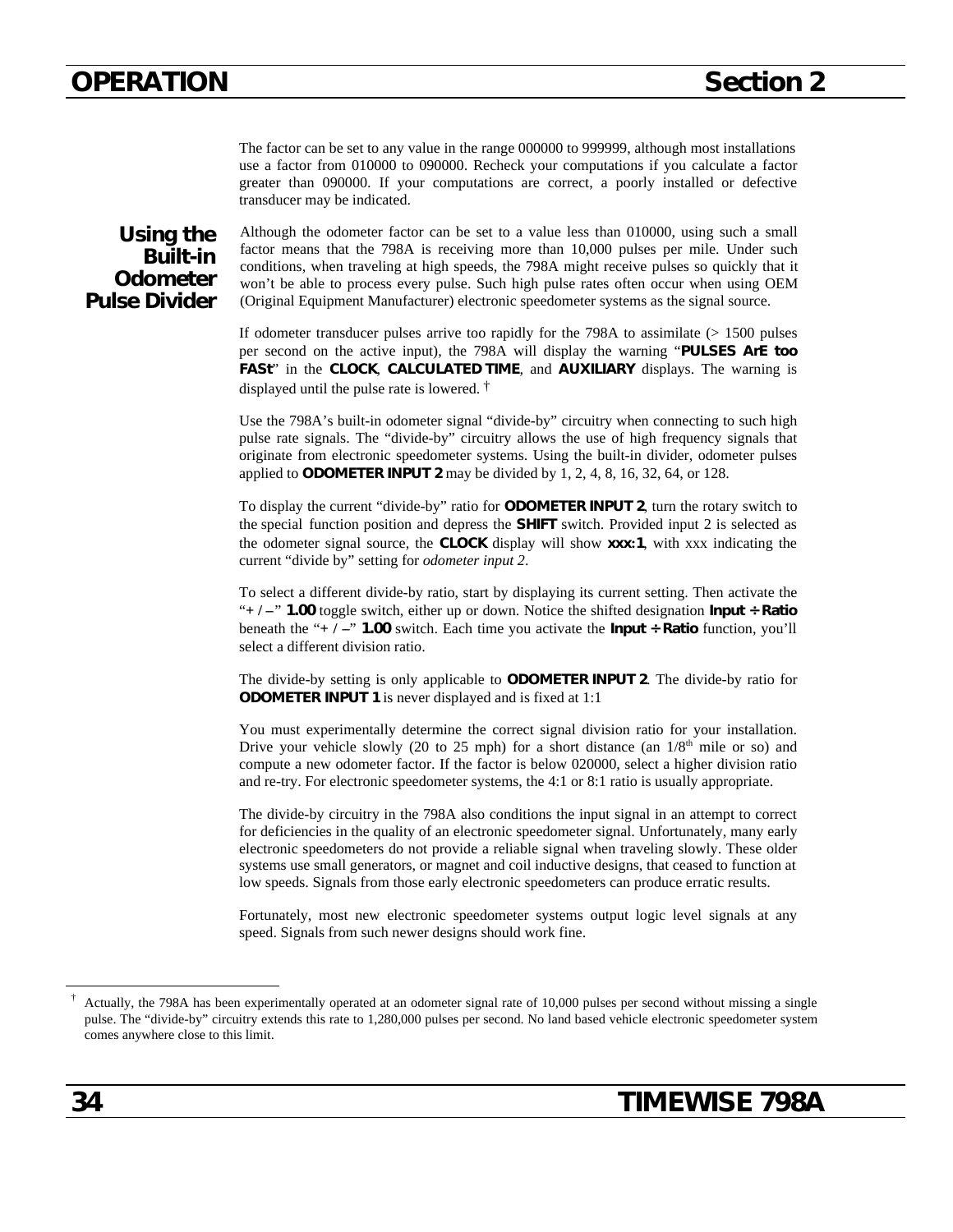The factor can be set to any value in the range 000000 to 999999, although most installations use a factor from 010000 to 090000. Recheck your computations if you calculate a factor greater than 090000. If your computations are correct, a poorly installed or defective transducer may be indicated.

#### **Using the Built-in Odometer Pulse Divider**

Although the odometer factor can be set to a value less than 010000, using such a small factor means that the 798A is receiving more than 10,000 pulses per mile. Under such conditions, when traveling at high speeds, the 798A might receive pulses so quickly that it won't be able to process every pulse. Such high pulse rates often occur when using OEM (Original Equipment Manufacturer) electronic speedometer systems as the signal source.

If odometer transducer pulses arrive too rapidly for the 798A to assimilate (> 1500 pulses per second on the active input), the 798A will display the warning "**PULSES ArE too FASt**" in the **CLOCK**, **CALCULATED TIME**, and **AUXILIARY** displays. The warning is displayed until the pulse rate is lowered. †

Use the 798A's built-in odometer signal "divide-by" circuitry when connecting to such high pulse rate signals. The "divide-by" circuitry allows the use of high frequency signals that originate from electronic speedometer systems. Using the built-in divider, odometer pulses applied to **ODOMETER INPUT 2** may be divided by 1, 2, 4, 8, 16, 32, 64, or 128.

To display the current "divide-by" ratio for **ODOMETER INPUT 2**, turn the rotary switch to the special function position and depress the **SHIFT** switch. Provided input 2 is selected as the odometer signal source, the **CLOCK** display will show **xxx:1**, with xxx indicating the current "divide by" setting for *odometer input 2*.

To select a different divide-by ratio, start by displaying its current setting. Then activate the "**+ / –**" **1.00** toggle switch, either up or down. Notice the shifted designation **Input ÷ Ratio** beneath the "**+ / –**" **1.00** switch. Each time you activate the **Input ÷ Ratio** function, you'll select a different division ratio.

The divide-by setting is only applicable to **ODOMETER INPUT 2**. The divide-by ratio for **ODOMETER INPUT 1** is never displayed and is fixed at 1:1

You must experimentally determine the correct signal division ratio for your installation. Drive your vehicle slowly (20 to 25 mph) for a short distance (an  $1/8<sup>th</sup>$  mile or so) and compute a new odometer factor. If the factor is below 020000, select a higher division ratio and re-try. For electronic speedometer systems, the 4:1 or 8:1 ratio is usually appropriate.

The divide-by circuitry in the 798A also conditions the input signal in an attempt to correct for deficiencies in the quality of an electronic speedometer signal. Unfortunately, many early electronic speedometers do not provide a reliable signal when traveling slowly. These older systems use small generators, or magnet and coil inductive designs, that ceased to function at low speeds. Signals from those early electronic speedometers can produce erratic results.

Fortunately, most new electronic speedometer systems output logic level signals at any speed. Signals from such newer designs should work fine.

1

<sup>†</sup> Actually, the 798A has been experimentally operated at an odometer signal rate of 10,000 pulses per second without missing a single pulse. The "divide-by" circuitry extends this rate to 1,280,000 pulses per second. No land based vehicle electronic speedometer system comes anywhere close to this limit.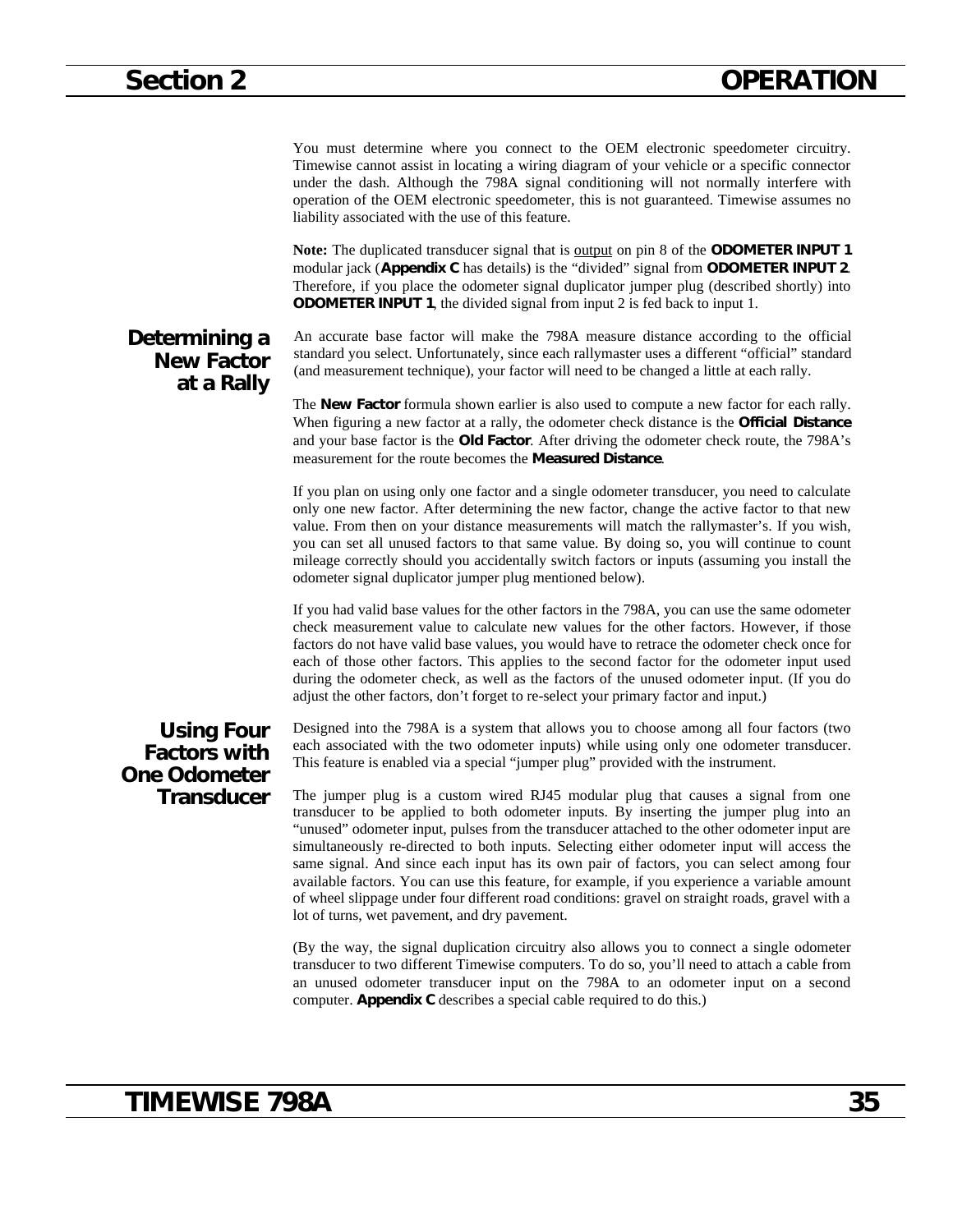You must determine where you connect to the OEM electronic speedometer circuitry. Timewise cannot assist in locating a wiring diagram of your vehicle or a specific connector under the dash. Although the 798A signal conditioning will not normally interfere with operation of the OEM electronic speedometer, this is not guaranteed. Timewise assumes no liability associated with the use of this feature.

Note: The duplicated transducer signal that is **output** on pin 8 of the **ODOMETER INPUT 1** modular jack (**Appendix C** has details) is the "divided" signal from **ODOMETER INPUT 2**. Therefore, if you place the odometer signal duplicator jumper plug (described shortly) into **ODOMETER INPUT 1**, the divided signal from input 2 is fed back to input 1.

### **Determining a New Factor at a Rally**

An accurate base factor will make the 798A measure distance according to the official standard you select. Unfortunately, since each rallymaster uses a different "official" standard (and measurement technique), your factor will need to be changed a little at each rally.

The **New Factor** formula shown earlier is also used to compute a new factor for each rally. When figuring a new factor at a rally, the odometer check distance is the **Official Distance** and your base factor is the **Old Factor**. After driving the odometer check route, the 798A's measurement for the route becomes the **Measured Distance**.

If you plan on using only one factor and a single odometer transducer, you need to calculate only one new factor. After determining the new factor, change the active factor to that new value. From then on your distance measurements will match the rallymaster's. If you wish, you can set all unused factors to that same value. By doing so, you will continue to count mileage correctly should you accidentally switch factors or inputs (assuming you install the odometer signal duplicator jumper plug mentioned below).

If you had valid base values for the other factors in the 798A, you can use the same odometer check measurement value to calculate new values for the other factors. However, if those factors do not have valid base values, you would have to retrace the odometer check once for each of those other factors. This applies to the second factor for the odometer input used during the odometer check, as well as the factors of the unused odometer input. (If you do adjust the other factors, don't forget to re-select your primary factor and input.)

#### **Using Four Factors with One Odometer Transducer**

Designed into the 798A is a system that allows you to choose among all four factors (two each associated with the two odometer inputs) while using only one odometer transducer. This feature is enabled via a special "jumper plug" provided with the instrument.

The jumper plug is a custom wired RJ45 modular plug that causes a signal from one transducer to be applied to both odometer inputs. By inserting the jumper plug into an "unused" odometer input, pulses from the transducer attached to the other odometer input are simultaneously re-directed to both inputs. Selecting either odometer input will access the same signal. And since each input has its own pair of factors, you can select among four available factors. You can use this feature, for example, if you experience a variable amount of wheel slippage under four different road conditions: gravel on straight roads, gravel with a lot of turns, wet pavement, and dry pavement.

(By the way, the signal duplication circuitry also allows you to connect a single odometer transducer to two different Timewise computers. To do so, you'll need to attach a cable from an unused odometer transducer input on the 798A to an odometer input on a second computer. **Appendix C** describes a special cable required to do this.)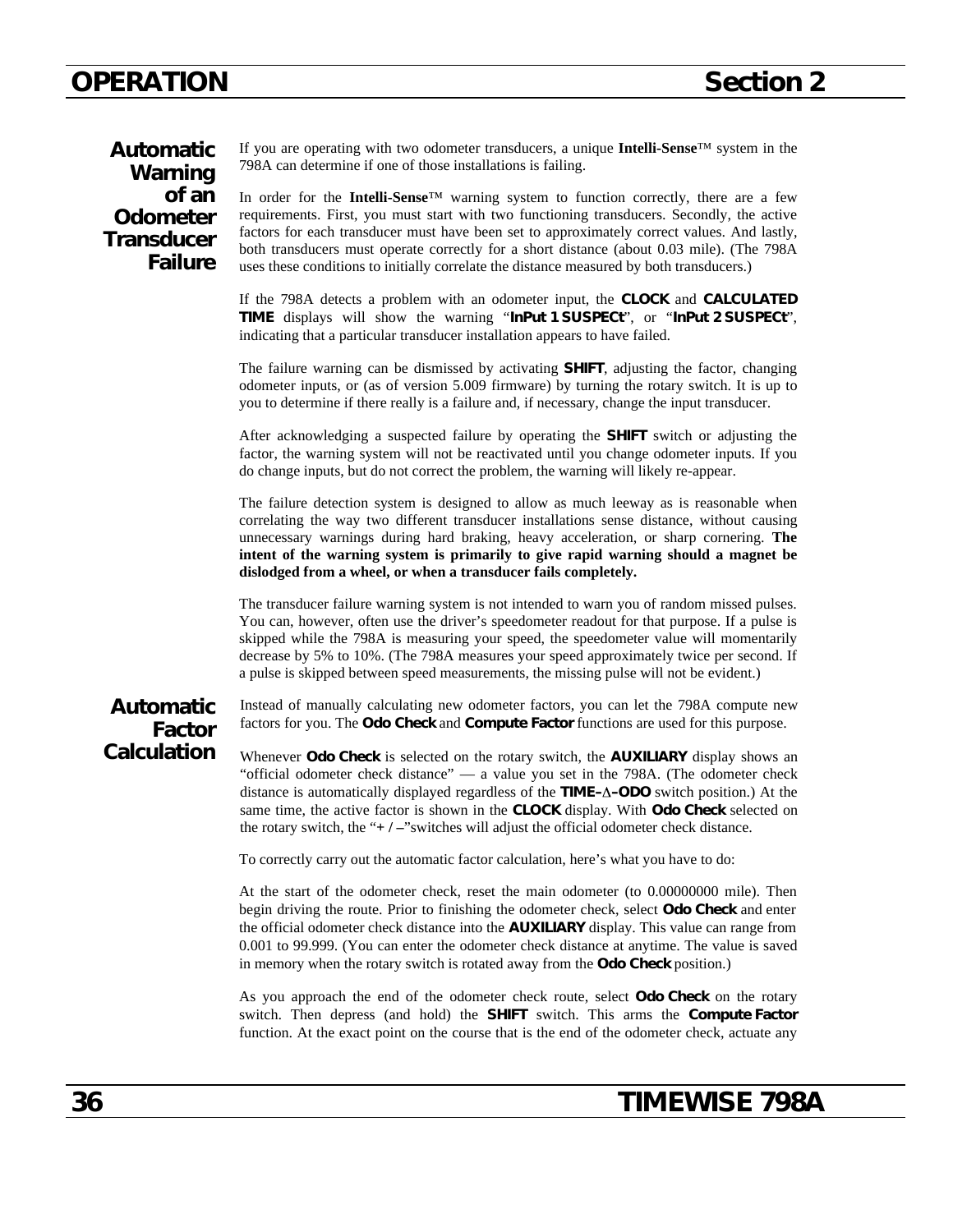#### **Automatic Warning of an Odometer Transducer Failure**

If you are operating with two odometer transducers, a unique **Intelli-Sense**™ system in the 798A can determine if one of those installations is failing.

In order for the **Intelli-Sense**™ warning system to function correctly, there are a few requirements. First, you must start with two functioning transducers. Secondly, the active factors for each transducer must have been set to approximately correct values. And lastly, both transducers must operate correctly for a short distance (about 0.03 mile). (The 798A uses these conditions to initially correlate the distance measured by both transducers.)

If the 798A detects a problem with an odometer input, the **CLOCK** and **CALCULATED** TIME displays will show the warning "InPut 1 SUSPECt", or "InPut 2 SUSPECt", indicating that a particular transducer installation appears to have failed.

The failure warning can be dismissed by activating **SHIFT**, adjusting the factor, changing odometer inputs, or (as of version 5.009 firmware) by turning the rotary switch. It is up to you to determine if there really is a failure and, if necessary, change the input transducer.

After acknowledging a suspected failure by operating the **SHIFT** switch or adjusting the factor, the warning system will not be reactivated until you change odometer inputs. If you do change inputs, but do not correct the problem, the warning will likely re-appear.

The failure detection system is designed to allow as much leeway as is reasonable when correlating the way two different transducer installations sense distance, without causing unnecessary warnings during hard braking, heavy acceleration, or sharp cornering. **The intent of the warning system is primarily to give rapid warning should a magnet be dislodged from a wheel, or when a transducer fails completely.**

The transducer failure warning system is not intended to warn you of random missed pulses. You can, however, often use the driver's speedometer readout for that purpose. If a pulse is skipped while the 798A is measuring your speed, the speedometer value will momentarily decrease by 5% to 10%. (The 798A measures your speed approximately twice per second. If a pulse is skipped between speed measurements, the missing pulse will not be evident.)

### **Automatic Factor Calculation**

Instead of manually calculating new odometer factors, you can let the 798A compute new factors for you. The **Odo Check** and **Compute Factor** functions are used for this purpose.

Whenever **Odo Check** is selected on the rotary switch, the **AUXILIARY** display shows an "official odometer check distance" — a value you set in the 798A. (The odometer check distance is automatically displayed regardless of the **TIME– –ODO** switch position.) At the same time, the active factor is shown in the **CLOCK** display. With **Odo Check** selected on the rotary switch, the "**+ / –**"switches will adjust the official odometer check distance.

To correctly carry out the automatic factor calculation, here's what you have to do:

At the start of the odometer check, reset the main odometer (to 0.00000000 mile). Then begin driving the route. Prior to finishing the odometer check, select **Odo Check** and enter the official odometer check distance into the **AUXILIARY** display. This value can range from 0.001 to 99.999. (You can enter the odometer check distance at anytime. The value is saved in memory when the rotary switch is rotated away from the **Odo Check** position.)

As you approach the end of the odometer check route, select **Odo Check** on the rotary switch. Then depress (and hold) the **SHIFT** switch. This arms the **Compute Factor** function. At the exact point on the course that is the end of the odometer check, actuate any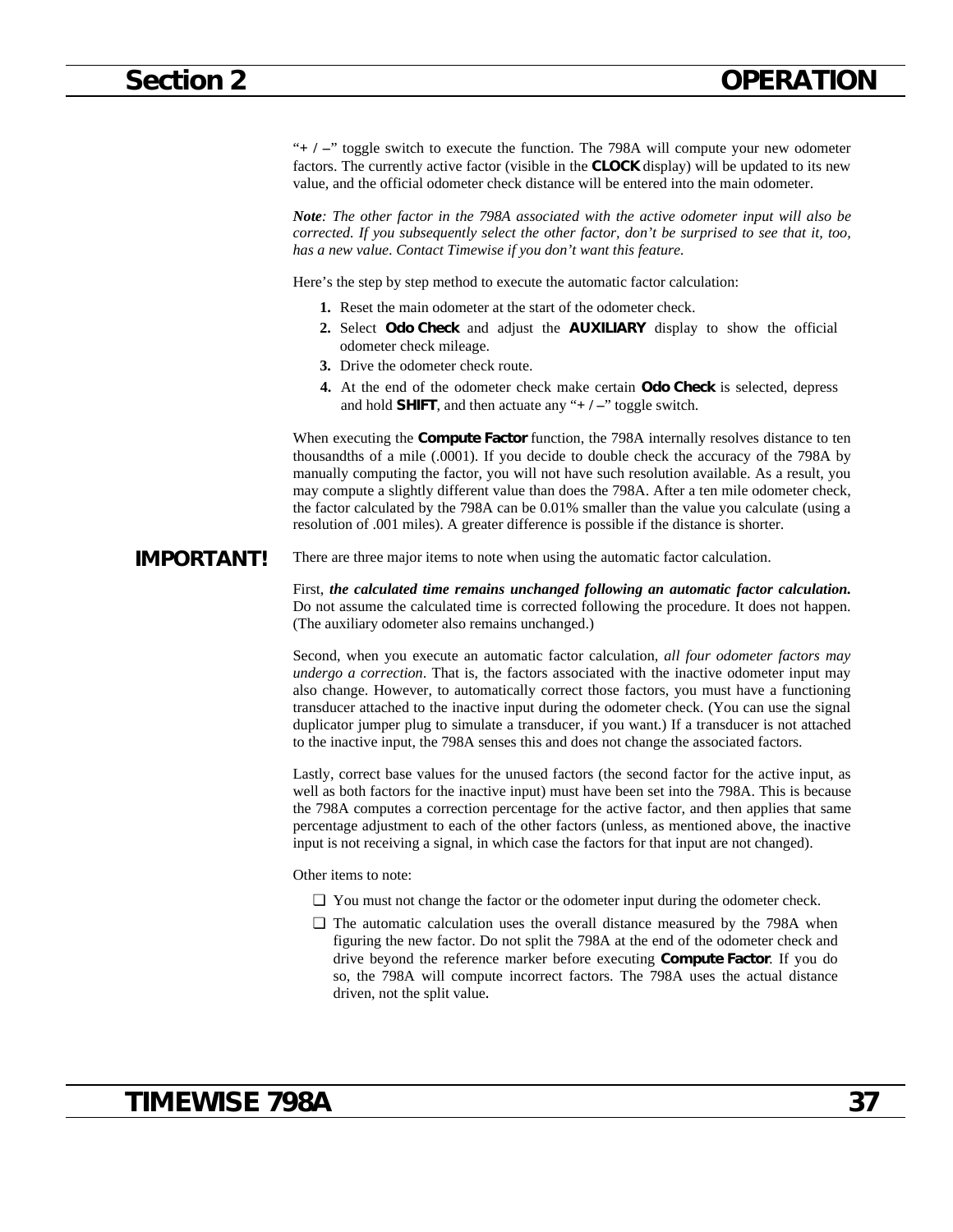"**+ / –**" toggle switch to execute the function. The 798A will compute your new odometer factors. The currently active factor (visible in the **CLOCK** display) will be updated to its new value, and the official odometer check distance will be entered into the main odometer.

*Note: The other factor in the 798A associated with the active odometer input will also be corrected. If you subsequently select the other factor, don't be surprised to see that it, too, has a new value*. *Contact Timewise if you don't want this feature.*

Here's the step by step method to execute the automatic factor calculation:

- **1.** Reset the main odometer at the start of the odometer check.
- **2.** Select **Odo Check** and adjust the **AUXILIARY** display to show the official odometer check mileage.
- **3.** Drive the odometer check route.
- **4.** At the end of the odometer check make certain **Odo Check** is selected, depress and hold **SHIFT**, and then actuate any "**+ / –**" toggle switch.

When executing the **Compute Factor** function, the 798A internally resolves distance to ten thousandths of a mile (.0001). If you decide to double check the accuracy of the 798A by manually computing the factor, you will not have such resolution available. As a result, you may compute a slightly different value than does the 798A. After a ten mile odometer check, the factor calculated by the 798A can be 0.01% smaller than the value you calculate (using a resolution of .001 miles). A greater difference is possible if the distance is shorter.

**IMPORTANT!** There are three major items to note when using the automatic factor calculation.

First, *the calculated time remains unchanged following an automatic factor calculation.* Do not assume the calculated time is corrected following the procedure. It does not happen. (The auxiliary odometer also remains unchanged.)

Second, when you execute an automatic factor calculation, *all four odometer factors may undergo a correction*. That is, the factors associated with the inactive odometer input may also change. However, to automatically correct those factors, you must have a functioning transducer attached to the inactive input during the odometer check. (You can use the signal duplicator jumper plug to simulate a transducer, if you want.) If a transducer is not attached to the inactive input, the 798A senses this and does not change the associated factors.

Lastly, correct base values for the unused factors (the second factor for the active input, as well as both factors for the inactive input) must have been set into the 798A. This is because the 798A computes a correction percentage for the active factor, and then applies that same percentage adjustment to each of the other factors (unless, as mentioned above, the inactive input is not receiving a signal, in which case the factors for that input are not changed).

Other items to note:

- ❏ You must not change the factor or the odometer input during the odometer check.
- ❏ The automatic calculation uses the overall distance measured by the 798A when figuring the new factor. Do not split the 798A at the end of the odometer check and drive beyond the reference marker before executing **Compute Factor***.* If you do so, the 798A will compute incorrect factors. The 798A uses the actual distance driven, not the split value**.**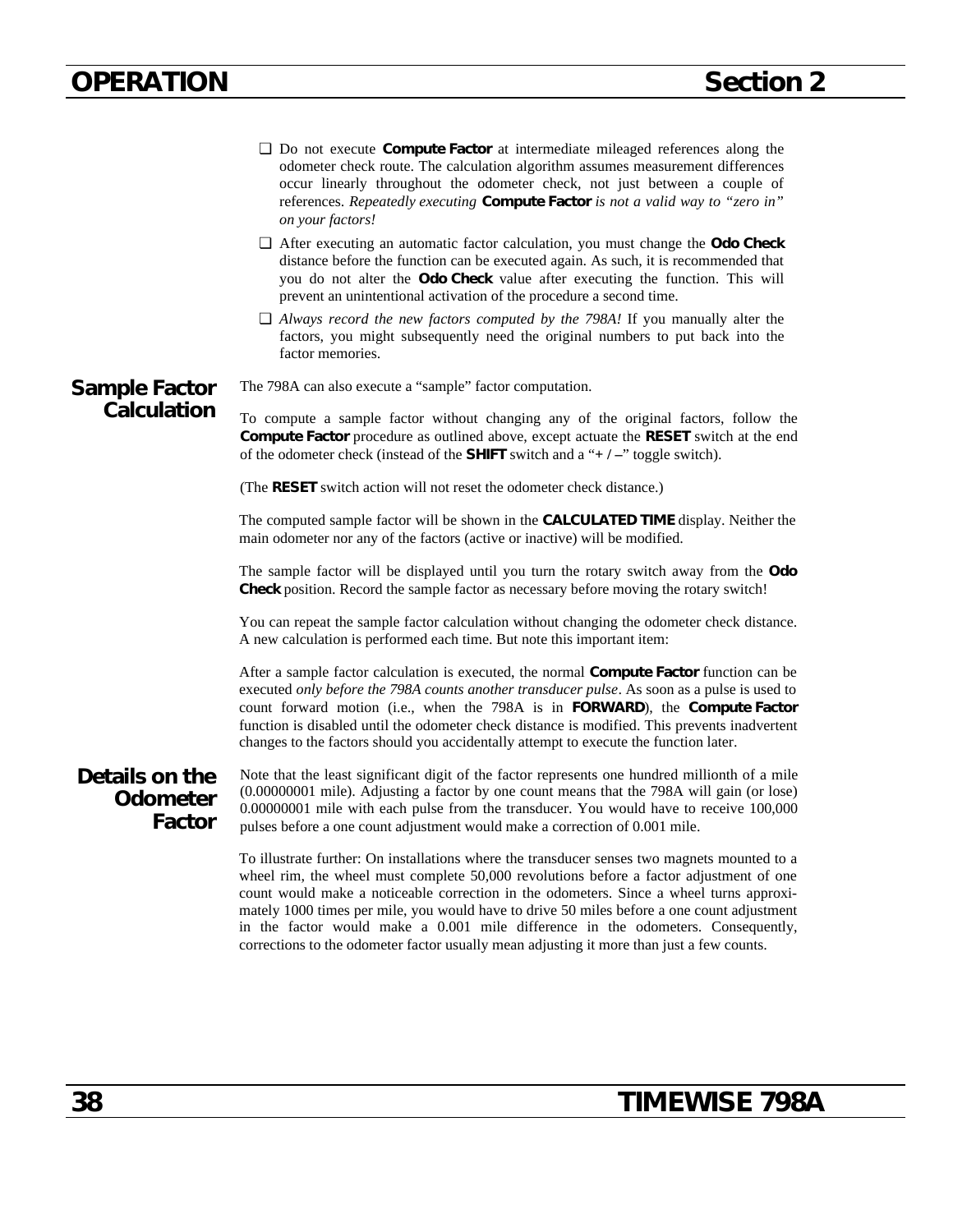|                                             | $\Box$ Do not execute <b>Compute Factor</b> at intermediate mileaged references along the<br>odometer check route. The calculation algorithm assumes measurement differences<br>occur linearly throughout the odometer check, not just between a couple of<br>references. Repeatedly executing Compute Factor is not a valid way to "zero in"<br>on your factors!                                                                                                         |
|---------------------------------------------|---------------------------------------------------------------------------------------------------------------------------------------------------------------------------------------------------------------------------------------------------------------------------------------------------------------------------------------------------------------------------------------------------------------------------------------------------------------------------|
|                                             | The After executing an automatic factor calculation, you must change the Odo Check<br>distance before the function can be executed again. As such, it is recommended that<br>you do not alter the Odo Check value after executing the function. This will<br>prevent an unintentional activation of the procedure a second time.                                                                                                                                          |
|                                             | $\Box$ Always record the new factors computed by the 798A! If you manually alter the<br>factors, you might subsequently need the original numbers to put back into the<br>factor memories.                                                                                                                                                                                                                                                                                |
| <b>Sample Factor</b><br><b>Calculation</b>  | The 798A can also execute a "sample" factor computation.                                                                                                                                                                                                                                                                                                                                                                                                                  |
|                                             | To compute a sample factor without changing any of the original factors, follow the<br>Compute Factor procedure as outlined above, except actuate the RESET switch at the end<br>of the odometer check (instead of the SHIFT switch and $a''+/-$ " toggle switch).                                                                                                                                                                                                        |
|                                             | (The <b>RESET</b> switch action will not reset the odometer check distance.)                                                                                                                                                                                                                                                                                                                                                                                              |
|                                             | The computed sample factor will be shown in the CALCULATED TIME display. Neither the<br>main odometer nor any of the factors (active or inactive) will be modified.                                                                                                                                                                                                                                                                                                       |
|                                             | The sample factor will be displayed until you turn the rotary switch away from the Odo<br>Check position. Record the sample factor as necessary before moving the rotary switch!                                                                                                                                                                                                                                                                                          |
|                                             | You can repeat the sample factor calculation without changing the odometer check distance.<br>A new calculation is performed each time. But note this important item:                                                                                                                                                                                                                                                                                                     |
|                                             | After a sample factor calculation is executed, the normal <b>Compute Factor</b> function can be<br>executed only before the 798A counts another transducer pulse. As soon as a pulse is used to<br>count forward motion (i.e., when the 798A is in FORWARD), the Compute Factor<br>function is disabled until the odometer check distance is modified. This prevents inadvertent<br>changes to the factors should you accidentally attempt to execute the function later. |
| Details on the<br><b>Odometer</b><br>Factor | Note that the least significant digit of the factor represents one hundred millionth of a mile<br>(0.00000001 mile). Adjusting a factor by one count means that the 798A will gain (or lose)<br>0.00000001 mile with each pulse from the transducer. You would have to receive 100,000<br>pulses before a one count adjustment would make a correction of 0.001 mile.                                                                                                     |
|                                             | To illustrate further: On installations where the transducer senses two magnets mounted to a<br>wheel rim, the wheel must complete 50,000 revolutions before a factor adjustment of one<br>count would make a noticeable correction in the odometers. Since a wheel turns approxi-<br>mately 1000 times per mile, you would have to drive 50 miles before a one count adjustment<br>in the factor would make a 0.001 mile difference in the odometers. Consequently,      |

corrections to the odometer factor usually mean adjusting it more than just a few counts.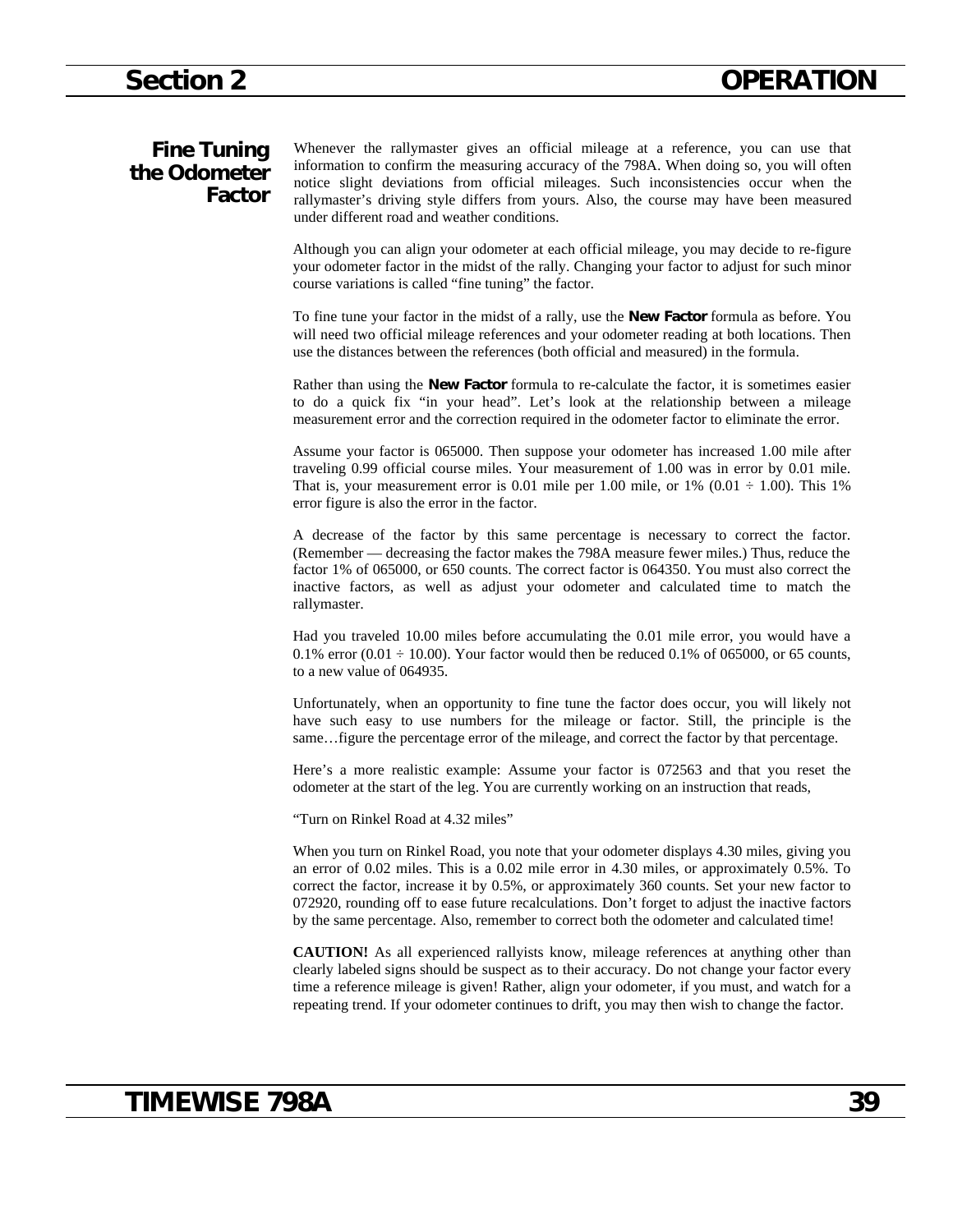#### **Fine Tuning the Odometer Factor**

Whenever the rallymaster gives an official mileage at a reference, you can use that information to confirm the measuring accuracy of the 798A. When doing so, you will often notice slight deviations from official mileages. Such inconsistencies occur when the rallymaster's driving style differs from yours. Also, the course may have been measured under different road and weather conditions.

Although you can align your odometer at each official mileage, you may decide to re-figure your odometer factor in the midst of the rally. Changing your factor to adjust for such minor course variations is called "fine tuning" the factor.

To fine tune your factor in the midst of a rally, use the **New Factor** formula as before. You will need two official mileage references and your odometer reading at both locations. Then use the distances between the references (both official and measured) in the formula.

Rather than using the **New Factor** formula to re-calculate the factor, it is sometimes easier to do a quick fix "in your head". Let's look at the relationship between a mileage measurement error and the correction required in the odometer factor to eliminate the error.

Assume your factor is 065000. Then suppose your odometer has increased 1.00 mile after traveling 0.99 official course miles. Your measurement of 1.00 was in error by 0.01 mile. That is, your measurement error is 0.01 mile per 1.00 mile, or 1% (0.01  $\div$  1.00). This 1% error figure is also the error in the factor.

A decrease of the factor by this same percentage is necessary to correct the factor. (Remember — decreasing the factor makes the 798A measure fewer miles.) Thus, reduce the factor 1% of 065000, or 650 counts. The correct factor is 064350. You must also correct the inactive factors, as well as adjust your odometer and calculated time to match the rallymaster.

Had you traveled 10.00 miles before accumulating the 0.01 mile error, you would have a 0.1% error (0.01  $\div$  10.00). Your factor would then be reduced 0.1% of 065000, or 65 counts, to a new value of 064935.

Unfortunately, when an opportunity to fine tune the factor does occur, you will likely not have such easy to use numbers for the mileage or factor. Still, the principle is the same...figure the percentage error of the mileage, and correct the factor by that percentage.

Here's a more realistic example: Assume your factor is 072563 and that you reset the odometer at the start of the leg. You are currently working on an instruction that reads,

"Turn on Rinkel Road at 4.32 miles"

When you turn on Rinkel Road, you note that your odometer displays 4.30 miles, giving you an error of 0.02 miles. This is a 0.02 mile error in 4.30 miles, or approximately 0.5%. To correct the factor, increase it by 0.5%, or approximately 360 counts. Set your new factor to 072920, rounding off to ease future recalculations. Don't forget to adjust the inactive factors by the same percentage. Also, remember to correct both the odometer and calculated time!

**CAUTION!** As all experienced rallyists know, mileage references at anything other than clearly labeled signs should be suspect as to their accuracy. Do not change your factor every time a reference mileage is given! Rather, align your odometer, if you must, and watch for a repeating trend. If your odometer continues to drift, you may then wish to change the factor.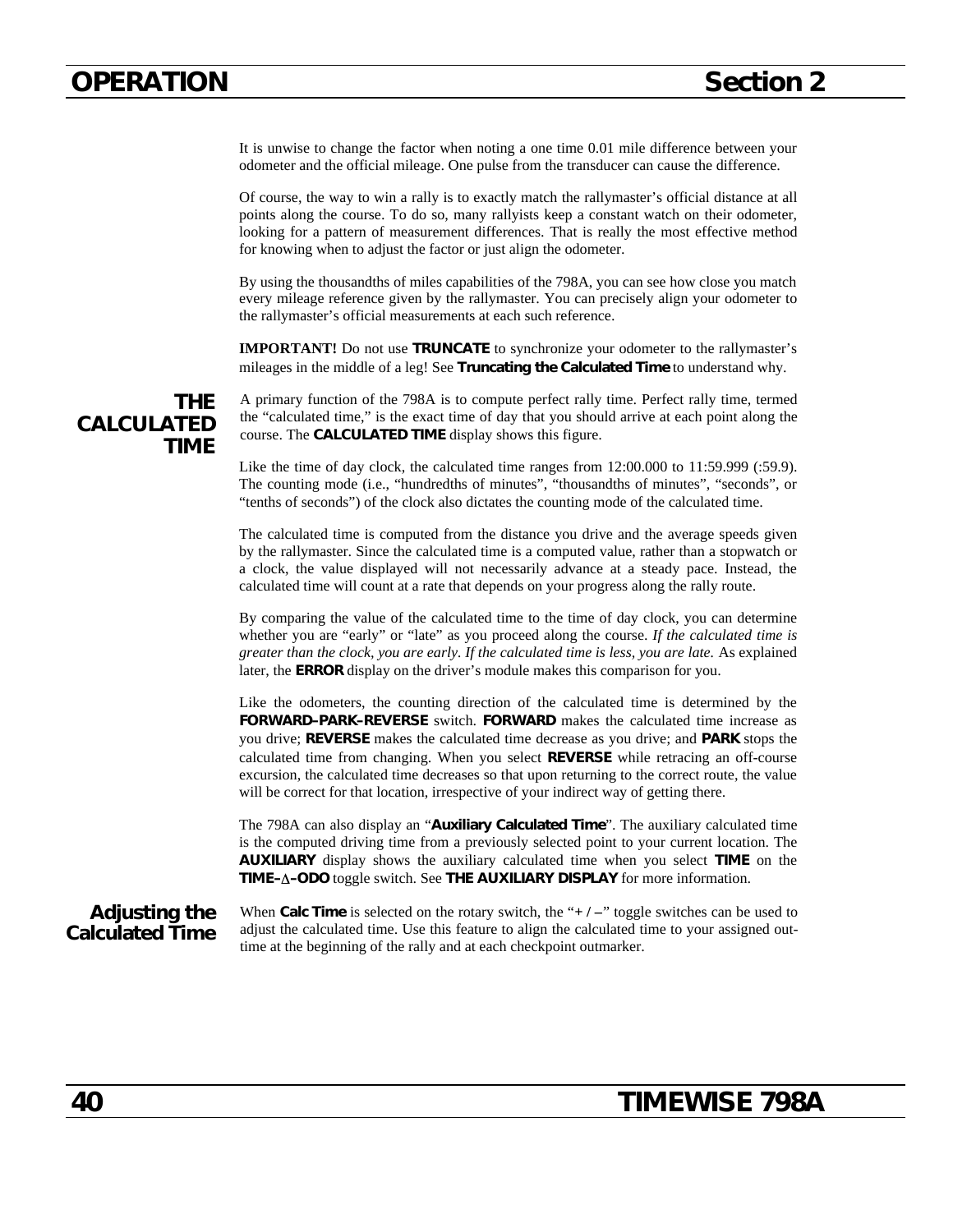**THE**

**TIME**

**CALCULATED**

It is unwise to change the factor when noting a one time 0.01 mile difference between your odometer and the official mileage. One pulse from the transducer can cause the difference.

Of course, the way to win a rally is to exactly match the rallymaster's official distance at all points along the course. To do so, many rallyists keep a constant watch on their odometer, looking for a pattern of measurement differences. That is really the most effective method for knowing when to adjust the factor or just align the odometer.

By using the thousandths of miles capabilities of the 798A, you can see how close you match every mileage reference given by the rallymaster. You can precisely align your odometer to the rallymaster's official measurements at each such reference.

**IMPORTANT!** Do not use **TRUNCATE** to synchronize your odometer to the rallymaster's mileages in the middle of a leg! See **Truncating the Calculated Time** to understand why.

A primary function of the 798A is to compute perfect rally time. Perfect rally time, termed the "calculated time," is the exact time of day that you should arrive at each point along the course. The **CALCULATED TIME** display shows this figure.

Like the time of day clock, the calculated time ranges from 12:00.000 to 11:59.999 (:59.9). The counting mode (i.e., "hundredths of minutes", "thousandths of minutes", "seconds", or "tenths of seconds") of the clock also dictates the counting mode of the calculated time.

The calculated time is computed from the distance you drive and the average speeds given by the rallymaster. Since the calculated time is a computed value, rather than a stopwatch or a clock, the value displayed will not necessarily advance at a steady pace. Instead, the calculated time will count at a rate that depends on your progress along the rally route.

By comparing the value of the calculated time to the time of day clock, you can determine whether you are "early" or "late" as you proceed along the course. *If the calculated time is greater than the clock, you are early. If the calculated time is less, you are late.* As explained later, the **ERROR** display on the driver's module makes this comparison for you.

Like the odometers, the counting direction of the calculated time is determined by the **FORWARD-PARK-REVERSE** switch. **FORWARD** makes the calculated time increase as you drive; **REVERSE** makes the calculated time decrease as you drive; and **PARK** stops the calculated time from changing. When you select **REVERSE** while retracing an off-course excursion, the calculated time decreases so that upon returning to the correct route, the value will be correct for that location, irrespective of your indirect way of getting there.

The 798A can also display an "**Auxiliary Calculated Time**". The auxiliary calculated time is the computed driving time from a previously selected point to your current location. The **AUXILIARY** display shows the auxiliary calculated time when you select **TIME** on the **TIME– –ODO** toggle switch. See **THE AUXILIARY DISPLAY** for more information.

**Adjusting the Calculated Time**

When **Calc Time** is selected on the rotary switch, the "**+ / –**" toggle switches can be used to adjust the calculated time. Use this feature to align the calculated time to your assigned outtime at the beginning of the rally and at each checkpoint outmarker.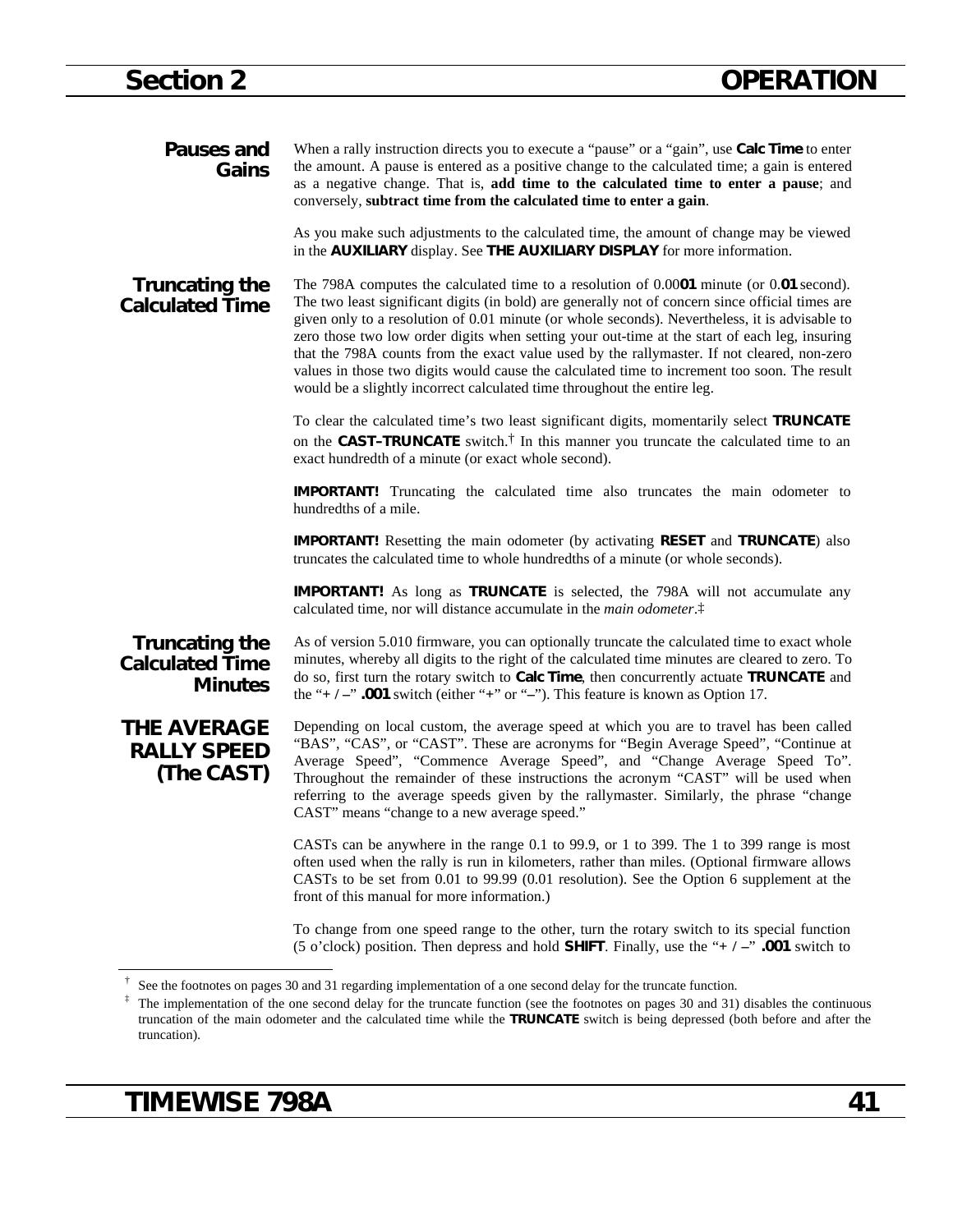| <b>Pauses and</b><br>Gains                                        | When a rally instruction directs you to execute a "pause" or a "gain", use Calc Time to enter<br>the amount. A pause is entered as a positive change to the calculated time; a gain is entered<br>as a negative change. That is, add time to the calculated time to enter a pause; and<br>conversely, subtract time from the calculated time to enter a gain.                                                                                                                                                                                                                                                                                                                  |
|-------------------------------------------------------------------|--------------------------------------------------------------------------------------------------------------------------------------------------------------------------------------------------------------------------------------------------------------------------------------------------------------------------------------------------------------------------------------------------------------------------------------------------------------------------------------------------------------------------------------------------------------------------------------------------------------------------------------------------------------------------------|
|                                                                   | As you make such adjustments to the calculated time, the amount of change may be viewed<br>in the AUXILIARY display. See THE AUXILIARY DISPLAY for more information.                                                                                                                                                                                                                                                                                                                                                                                                                                                                                                           |
| <b>Truncating the</b><br><b>Calculated Time</b>                   | The 798A computes the calculated time to a resolution of $0.0001$ minute (or $0.01$ second).<br>The two least significant digits (in bold) are generally not of concern since official times are<br>given only to a resolution of 0.01 minute (or whole seconds). Nevertheless, it is advisable to<br>zero those two low order digits when setting your out-time at the start of each leg, insuring<br>that the 798A counts from the exact value used by the rallymaster. If not cleared, non-zero<br>values in those two digits would cause the calculated time to increment too soon. The result<br>would be a slightly incorrect calculated time throughout the entire leg. |
|                                                                   | To clear the calculated time's two least significant digits, momentarily select TRUNCATE<br>on the CAST-TRUNCATE switch. <sup>†</sup> In this manner you truncate the calculated time to an<br>exact hundredth of a minute (or exact whole second).                                                                                                                                                                                                                                                                                                                                                                                                                            |
|                                                                   | <b>IMPORTANT!</b> Truncating the calculated time also truncates the main odometer to<br>hundredths of a mile.                                                                                                                                                                                                                                                                                                                                                                                                                                                                                                                                                                  |
|                                                                   | <b>IMPORTANT!</b> Resetting the main odometer (by activating RESET and TRUNCATE) also<br>truncates the calculated time to whole hundredths of a minute (or whole seconds).                                                                                                                                                                                                                                                                                                                                                                                                                                                                                                     |
|                                                                   | IMPORTANT! As long as TRUNCATE is selected, the 798A will not accumulate any<br>calculated time, nor will distance accumulate in the <i>main odometer</i> . <sup>‡</sup>                                                                                                                                                                                                                                                                                                                                                                                                                                                                                                       |
| <b>Truncating the</b><br><b>Calculated Time</b><br><b>Minutes</b> | As of version 5.010 firmware, you can optionally truncate the calculated time to exact whole<br>minutes, whereby all digits to the right of the calculated time minutes are cleared to zero. To<br>do so, first turn the rotary switch to Calc Time, then concurrently actuate TRUNCATE and<br>the "+ $/$ -".001 switch (either "+" or "-"). This feature is known as Option 17.                                                                                                                                                                                                                                                                                               |
| <b>THE AVERAGE</b><br><b>RALLY SPEED</b><br>(The CAST)            | Depending on local custom, the average speed at which you are to travel has been called<br>"BAS", "CAS", or "CAST". These are acronyms for "Begin Average Speed", "Continue at<br>Average Speed", "Commence Average Speed", and "Change Average Speed To".<br>Throughout the remainder of these instructions the acronym "CAST" will be used when<br>referring to the average speeds given by the rallymaster. Similarly, the phrase "change<br>CAST" means "change to a new average speed."                                                                                                                                                                                   |
|                                                                   | CASTs can be anywhere in the range 0.1 to 99.9, or 1 to 399. The 1 to 399 range is most<br>often used when the rally is run in kilometers, rather than miles. (Optional firmware allows<br>CASTs to be set from 0.01 to 99.99 (0.01 resolution). See the Option 6 supplement at the<br>front of this manual for more information.)                                                                                                                                                                                                                                                                                                                                             |
|                                                                   | To change from one speed range to the other, turn the rotary switch to its special function<br>(5 o'clock) position. Then depress and hold <b>SHIFT</b> . Finally, use the "+ $/ -$ " .001 switch to                                                                                                                                                                                                                                                                                                                                                                                                                                                                           |

j

<sup>&</sup>lt;sup>†</sup> See the footnotes on pages 30 and 31 regarding implementation of a one second delay for the truncate function.

<sup>&</sup>lt;sup>‡</sup> The implementation of the one second delay for the truncate function (see the footnotes on pages 30 and 31) disables the continuous truncation of the main odometer and the calculated time while the **TRUNCATE** switch is being depressed (both before and after the truncation).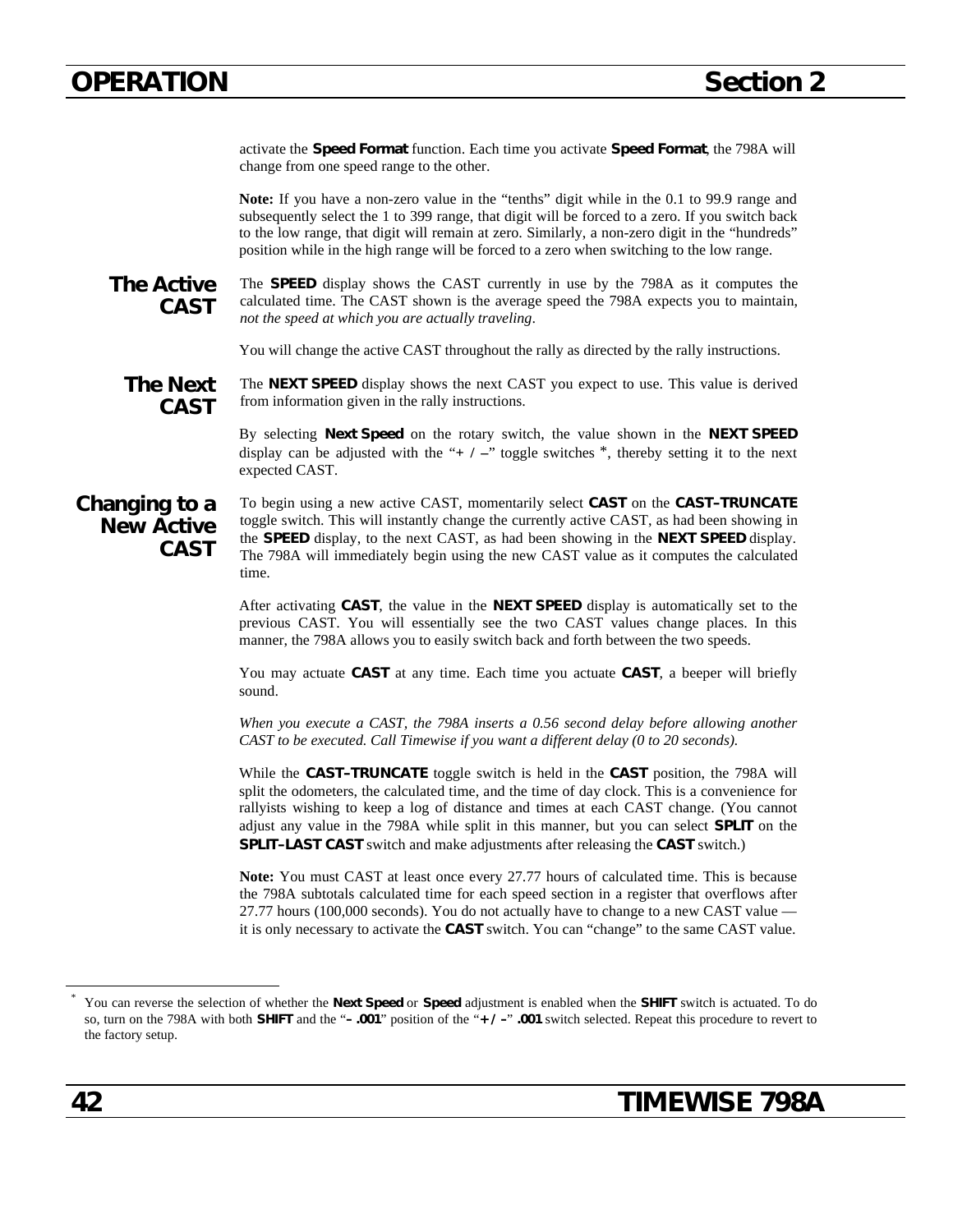activate the **Speed Format** function. Each time you activate **Speed Format**, the 798A will change from one speed range to the other.

**Note:** If you have a non-zero value in the "tenths" digit while in the 0.1 to 99.9 range and subsequently select the 1 to 399 range, that digit will be forced to a zero. If you switch back to the low range, that digit will remain at zero. Similarly, a non-zero digit in the "hundreds" position while in the high range will be forced to a zero when switching to the low range.

**The Active CAST** The **SPEED** display shows the CAST currently in use by the 798A as it computes the calculated time. The CAST shown is the average speed the 798A expects you to maintain, *not the speed at which you are actually traveling*.

You will change the active CAST throughout the rally as directed by the rally instructions.

**The Next CAST** The **NEXT SPEED** display shows the next CAST you expect to use. This value is derived from information given in the rally instructions.

> By selecting **Next Speed** on the rotary switch, the value shown in the **NEXT SPEED** display can be adjusted with the "**+ / –**" toggle switches \*, thereby setting it to the next expected CAST.

#### **Changing to a New Active CAST**

To begin using a new active CAST, momentarily select CAST on the CAST-TRUNCATE toggle switch. This will instantly change the currently active CAST, as had been showing in the **SPEED** display, to the next CAST, as had been showing in the **NEXT SPEED** display. The 798A will immediately begin using the new CAST value as it computes the calculated time.

After activating **CAST**, the value in the **NEXT SPEED** display is automatically set to the previous CAST. You will essentially see the two CAST values change places. In this manner, the 798A allows you to easily switch back and forth between the two speeds.

You may actuate **CAST** at any time. Each time you actuate **CAST**, a beeper will briefly sound.

*When you execute a CAST, the 798A inserts a 0.56 second delay before allowing another CAST to be executed. Call Timewise if you want a different delay (0 to 20 seconds).*

While the **CAST–TRUNCATE** toggle switch is held in the **CAST** position, the 798A will split the odometers, the calculated time, and the time of day clock. This is a convenience for rallyists wishing to keep a log of distance and times at each CAST change. (You cannot adjust any value in the 798A while split in this manner, but you can select **SPLIT** on the **SPLIT–LAST CAST** switch and make adjustments after releasing the **CAST** switch.)

**Note:** You must CAST at least once every 27.77 hours of calculated time. This is because the 798A subtotals calculated time for each speed section in a register that overflows after 27.77 hours (100,000 seconds). You do not actually have to change to a new CAST value it is only necessary to activate the **CAST** switch. You can "change" to the same CAST value.

1

<sup>\*</sup> You can reverse the selection of whether the **Next Speed** or **Speed** adjustment is enabled when the **SHIFT** switch is actuated. To do so, turn on the 798A with both **SHIFT** and the "**– .001**" position of the "**+ / –**" **.001** switch selected. Repeat this procedure to revert to the factory setup.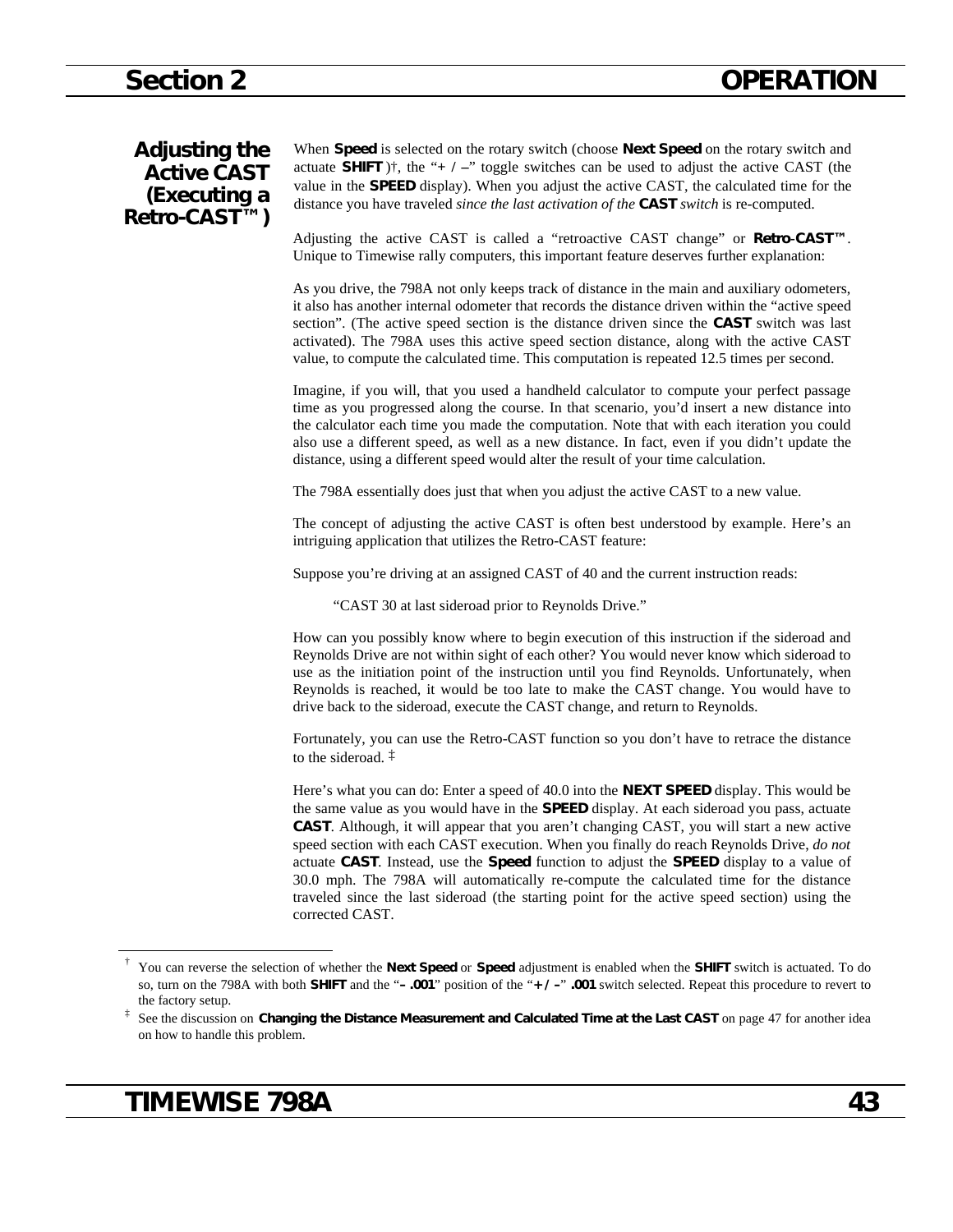### **Adjusting the Active CAST (Executing a Retro-CAST™)**

When **Speed** is selected on the rotary switch (choose **Next Speed** on the rotary switch and actuate **SHIFT** )†, the "**+ / –**" toggle switches can be used to adjust the active CAST (the value in the **SPEED** display). When you adjust the active CAST, the calculated time for the distance you have traveled *since the last activation of the* **CAST** *switch* is re-computed.

Adjusting the active CAST is called a "retroactive CAST change" or **Retro-CAST™**. Unique to Timewise rally computers, this important feature deserves further explanation:

As you drive, the 798A not only keeps track of distance in the main and auxiliary odometers, it also has another internal odometer that records the distance driven within the "active speed section". (The active speed section is the distance driven since the **CAST** switch was last activated). The 798A uses this active speed section distance, along with the active CAST value, to compute the calculated time. This computation is repeated 12.5 times per second.

Imagine, if you will, that you used a handheld calculator to compute your perfect passage time as you progressed along the course. In that scenario, you'd insert a new distance into the calculator each time you made the computation. Note that with each iteration you could also use a different speed, as well as a new distance. In fact, even if you didn't update the distance, using a different speed would alter the result of your time calculation.

The 798A essentially does just that when you adjust the active CAST to a new value.

The concept of adjusting the active CAST is often best understood by example. Here's an intriguing application that utilizes the Retro-CAST feature:

Suppose you're driving at an assigned CAST of 40 and the current instruction reads:

"CAST 30 at last sideroad prior to Reynolds Drive."

How can you possibly know where to begin execution of this instruction if the sideroad and Reynolds Drive are not within sight of each other? You would never know which sideroad to use as the initiation point of the instruction until you find Reynolds. Unfortunately, when Reynolds is reached, it would be too late to make the CAST change. You would have to drive back to the sideroad, execute the CAST change, and return to Reynolds.

Fortunately, you can use the Retro-CAST function so you don't have to retrace the distance to the sideroad. ‡

Here's what you can do: Enter a speed of 40.0 into the **NEXT SPEED** display. This would be the same value as you would have in the **SPEED** display. At each sideroad you pass, actuate **CAST**. Although, it will appear that you aren't changing CAST, you will start a new active speed section with each CAST execution. When you finally do reach Reynolds Drive, *do not* actuate **CAST**. Instead, use the **Speed** function to adjust the **SPEED** display to a value of 30.0 mph. The 798A will automatically re-compute the calculated time for the distance traveled since the last sideroad (the starting point for the active speed section) using the corrected CAST.

j

<sup>†</sup> You can reverse the selection of whether the **Next Speed** or **Speed** adjustment is enabled when the **SHIFT** switch is actuated. To do so, turn on the 798A with both **SHIFT** and the "**– .001**" position of the "**+ / –**" **.001** switch selected. Repeat this procedure to revert to the factory setup.

<sup>‡</sup> See the discussion on **Changing the Distance Measurement and Calculated Time at the Last CAST** on page 47 for another idea on how to handle this problem.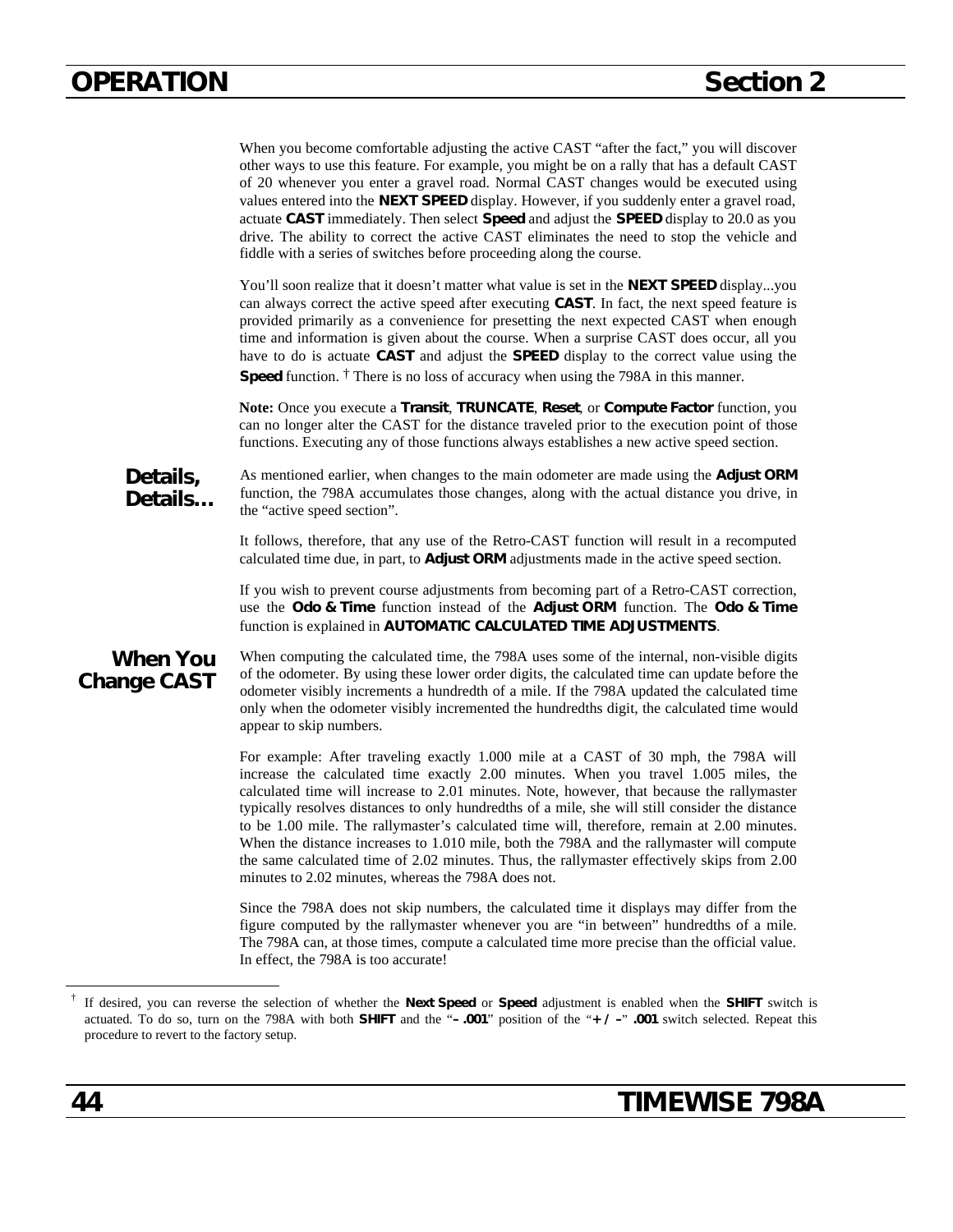When you become comfortable adjusting the active CAST "after the fact," you will discover other ways to use this feature. For example, you might be on a rally that has a default CAST of 20 whenever you enter a gravel road. Normal CAST changes would be executed using values entered into the **NEXT SPEED** display. However, if you suddenly enter a gravel road, actuate **CAST** immediately. Then select **Speed** and adjust the **SPEED** display to 20.0 as you drive. The ability to correct the active CAST eliminates the need to stop the vehicle and fiddle with a series of switches before proceeding along the course.

You'll soon realize that it doesn't matter what value is set in the **NEXT SPEED** display...you can always correct the active speed after executing **CAST**. In fact, the next speed feature is provided primarily as a convenience for presetting the next expected CAST when enough time and information is given about the course. When a surprise CAST does occur, all you have to do is actuate **CAST** and adjust the **SPEED** display to the correct value using the **Speed** function. † There is no loss of accuracy when using the 798A in this manner.

**Note:** Once you execute a **Transit**, **TRUNCATE**, **Reset**, or **Compute Factor** function, you can no longer alter the CAST for the distance traveled prior to the execution point of those functions. Executing any of those functions always establishes a new active speed section.

**Details, Details…** As mentioned earlier, when changes to the main odometer are made using the **Adjust ORM** function, the 798A accumulates those changes, along with the actual distance you drive, in the "active speed section".

> It follows, therefore, that any use of the Retro-CAST function will result in a recomputed calculated time due, in part, to **Adjust ORM** adjustments made in the active speed section.

> If you wish to prevent course adjustments from becoming part of a Retro-CAST correction, use the **Odo & Time** function instead of the **Adjust ORM** function. The **Odo & Time** function is explained in **AUTOMATIC CALCULATED TIME ADJUSTMENTS**.

**When You Change CAST** When computing the calculated time, the 798A uses some of the internal, non-visible digits of the odometer. By using these lower order digits, the calculated time can update before the odometer visibly increments a hundredth of a mile. If the 798A updated the calculated time only when the odometer visibly incremented the hundredths digit, the calculated time would appear to skip numbers.

> For example: After traveling exactly 1.000 mile at a CAST of 30 mph, the 798A will increase the calculated time exactly 2.00 minutes. When you travel 1.005 miles, the calculated time will increase to 2.01 minutes. Note, however, that because the rallymaster typically resolves distances to only hundredths of a mile, she will still consider the distance to be 1.00 mile. The rallymaster's calculated time will, therefore, remain at 2.00 minutes. When the distance increases to 1.010 mile, both the 798A and the rallymaster will compute the same calculated time of 2.02 minutes. Thus, the rallymaster effectively skips from 2.00 minutes to 2.02 minutes, whereas the 798A does not.

> Since the 798A does not skip numbers, the calculated time it displays may differ from the figure computed by the rallymaster whenever you are "in between" hundredths of a mile. The 798A can, at those times, compute a calculated time more precise than the official value. In effect, the 798A is too accurate!

1

<sup>†</sup> If desired, you can reverse the selection of whether the **Next Speed** or **Speed** adjustment is enabled when the **SHIFT** switch is actuated. To do so, turn on the 798A with both **SHIFT** and the "**– .001**" position of the "**+ / –**" **.001** switch selected. Repeat this procedure to revert to the factory setup.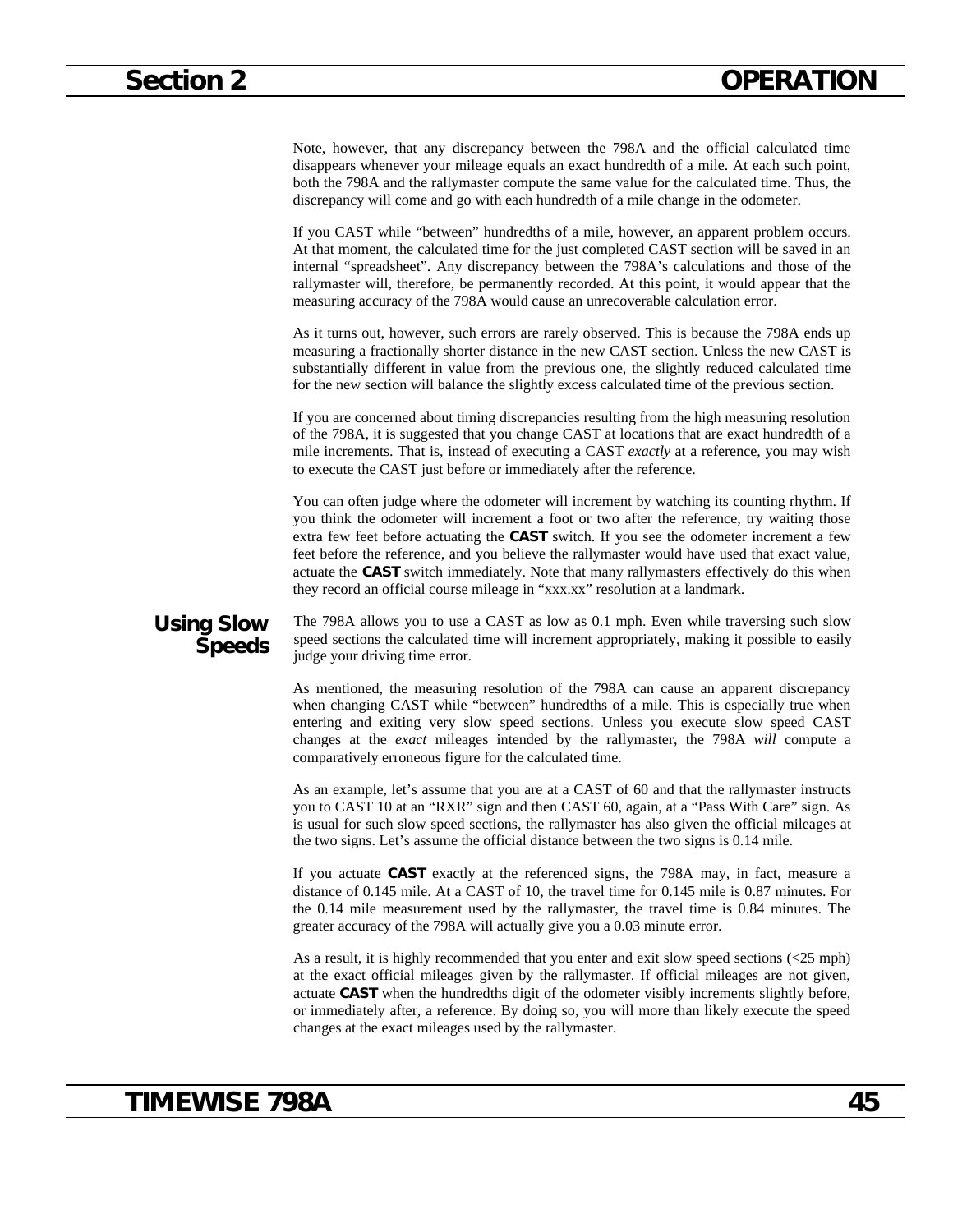Note, however, that any discrepancy between the 798A and the official calculated time disappears whenever your mileage equals an exact hundredth of a mile. At each such point, both the 798A and the rallymaster compute the same value for the calculated time. Thus, the discrepancy will come and go with each hundredth of a mile change in the odometer.

If you CAST while "between" hundredths of a mile, however, an apparent problem occurs. At that moment, the calculated time for the just completed CAST section will be saved in an internal "spreadsheet". Any discrepancy between the 798A's calculations and those of the rallymaster will, therefore, be permanently recorded. At this point, it would appear that the measuring accuracy of the 798A would cause an unrecoverable calculation error.

As it turns out, however, such errors are rarely observed. This is because the 798A ends up measuring a fractionally shorter distance in the new CAST section. Unless the new CAST is substantially different in value from the previous one, the slightly reduced calculated time for the new section will balance the slightly excess calculated time of the previous section.

If you are concerned about timing discrepancies resulting from the high measuring resolution of the 798A, it is suggested that you change CAST at locations that are exact hundredth of a mile increments. That is, instead of executing a CAST *exactly* at a reference, you may wish to execute the CAST just before or immediately after the reference.

You can often judge where the odometer will increment by watching its counting rhythm. If you think the odometer will increment a foot or two after the reference, try waiting those extra few feet before actuating the **CAST** switch. If you see the odometer increment a few feet before the reference, and you believe the rallymaster would have used that exact value, actuate the **CAST** switch immediately. Note that many rallymasters effectively do this when they record an official course mileage in "xxx.xx" resolution at a landmark.

### **Using Slow Speeds**

The 798A allows you to use a CAST as low as 0.1 mph. Even while traversing such slow speed sections the calculated time will increment appropriately, making it possible to easily judge your driving time error.

As mentioned, the measuring resolution of the 798A can cause an apparent discrepancy when changing CAST while "between" hundredths of a mile. This is especially true when entering and exiting very slow speed sections. Unless you execute slow speed CAST changes at the *exact* mileages intended by the rallymaster, the 798A *will* compute a comparatively erroneous figure for the calculated time.

As an example, let's assume that you are at a CAST of 60 and that the rallymaster instructs you to CAST 10 at an "RXR" sign and then CAST 60, again, at a "Pass With Care" sign. As is usual for such slow speed sections, the rallymaster has also given the official mileages at the two signs. Let's assume the official distance between the two signs is 0.14 mile.

If you actuate **CAST** exactly at the referenced signs, the 798A may, in fact, measure a distance of 0.145 mile. At a CAST of 10, the travel time for 0.145 mile is 0.87 minutes. For the 0.14 mile measurement used by the rallymaster, the travel time is 0.84 minutes. The greater accuracy of the 798A will actually give you a 0.03 minute error.

As a result, it is highly recommended that you enter and exit slow speed sections (<25 mph) at the exact official mileages given by the rallymaster. If official mileages are not given, actuate **CAST** when the hundredths digit of the odometer visibly increments slightly before, or immediately after, a reference. By doing so, you will more than likely execute the speed changes at the exact mileages used by the rallymaster.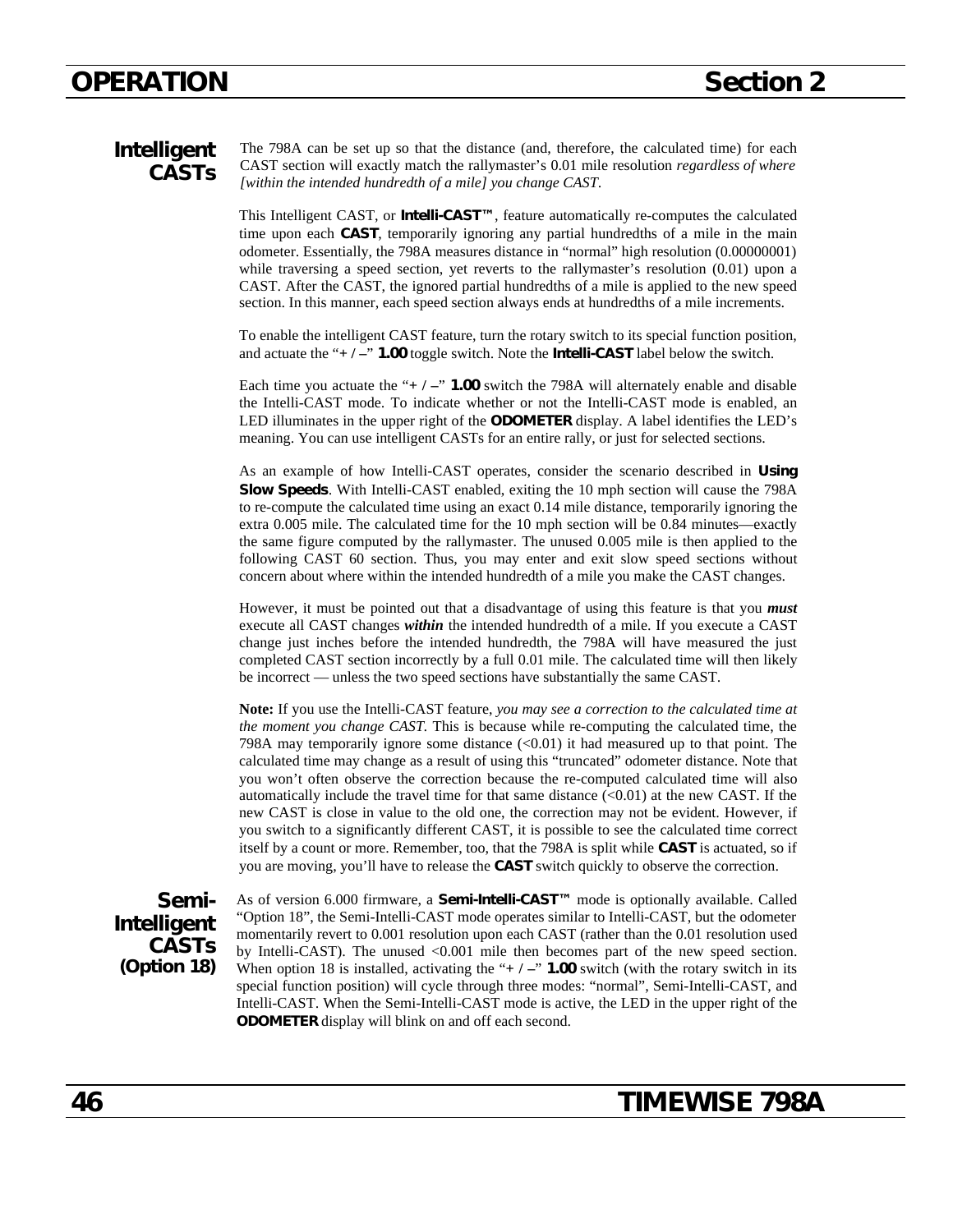### **Intelligent CASTs**

The 798A can be set up so that the distance (and, therefore, the calculated time) for each CAST section will exactly match the rallymaster's 0.01 mile resolution *regardless of where [within the intended hundredth of a mile] you change CAST*.

This Intelligent CAST, or **Intelli-CAST™**, feature automatically re-computes the calculated time upon each **CAST**, temporarily ignoring any partial hundredths of a mile in the main odometer. Essentially, the 798A measures distance in "normal" high resolution (0.00000001) while traversing a speed section, yet reverts to the rallymaster's resolution (0.01) upon a CAST. After the CAST, the ignored partial hundredths of a mile is applied to the new speed section. In this manner, each speed section always ends at hundredths of a mile increments.

To enable the intelligent CAST feature, turn the rotary switch to its special function position, and actuate the "**+ / –**" **1.00** toggle switch. Note the **Intelli-CAST** label below the switch.

Each time you actuate the "**+ / –**" **1.00** switch the 798A will alternately enable and disable the Intelli-CAST mode. To indicate whether or not the Intelli-CAST mode is enabled, an LED illuminates in the upper right of the **ODOMETER** display. A label identifies the LED's meaning. You can use intelligent CASTs for an entire rally, or just for selected sections.

As an example of how Intelli-CAST operates, consider the scenario described in **Using Slow Speeds**. With Intelli-CAST enabled, exiting the 10 mph section will cause the 798A to re-compute the calculated time using an exact 0.14 mile distance, temporarily ignoring the extra 0.005 mile. The calculated time for the 10 mph section will be 0.84 minutes—exactly the same figure computed by the rallymaster. The unused 0.005 mile is then applied to the following CAST 60 section. Thus, you may enter and exit slow speed sections without concern about where within the intended hundredth of a mile you make the CAST changes.

However, it must be pointed out that a disadvantage of using this feature is that you *must* execute all CAST changes *within* the intended hundredth of a mile. If you execute a CAST change just inches before the intended hundredth, the 798A will have measured the just completed CAST section incorrectly by a full 0.01 mile. The calculated time will then likely be incorrect — unless the two speed sections have substantially the same CAST.

**Note:** If you use the Intelli-CAST feature, *you may see a correction to the calculated time at the moment you change CAST.* This is because while re-computing the calculated time, the 798A may temporarily ignore some distance  $(<0.01$ ) it had measured up to that point. The calculated time may change as a result of using this "truncated" odometer distance. Note that you won't often observe the correction because the re-computed calculated time will also automatically include the travel time for that same distance  $(<0.01$ ) at the new CAST. If the new CAST is close in value to the old one, the correction may not be evident. However, if you switch to a significantly different CAST, it is possible to see the calculated time correct itself by a count or more. Remember, too, that the 798A is split while **CAST** is actuated, so if you are moving, you'll have to release the **CAST** switch quickly to observe the correction.

**Semi-Intelligent CASTs (Option 18)**

As of version 6.000 firmware, a **Semi-Intelli-CAST™** mode is optionally available. Called "Option 18", the Semi-Intelli-CAST mode operates similar to Intelli-CAST, but the odometer momentarily revert to 0.001 resolution upon each CAST (rather than the 0.01 resolution used by Intelli-CAST). The unused <0.001 mile then becomes part of the new speed section. When option 18 is installed, activating the " $+$  /  $-$ " **1.00** switch (with the rotary switch in its special function position) will cycle through three modes: "normal", Semi-Intelli-CAST, and Intelli-CAST. When the Semi-Intelli-CAST mode is active, the LED in the upper right of the **ODOMETER** display will blink on and off each second.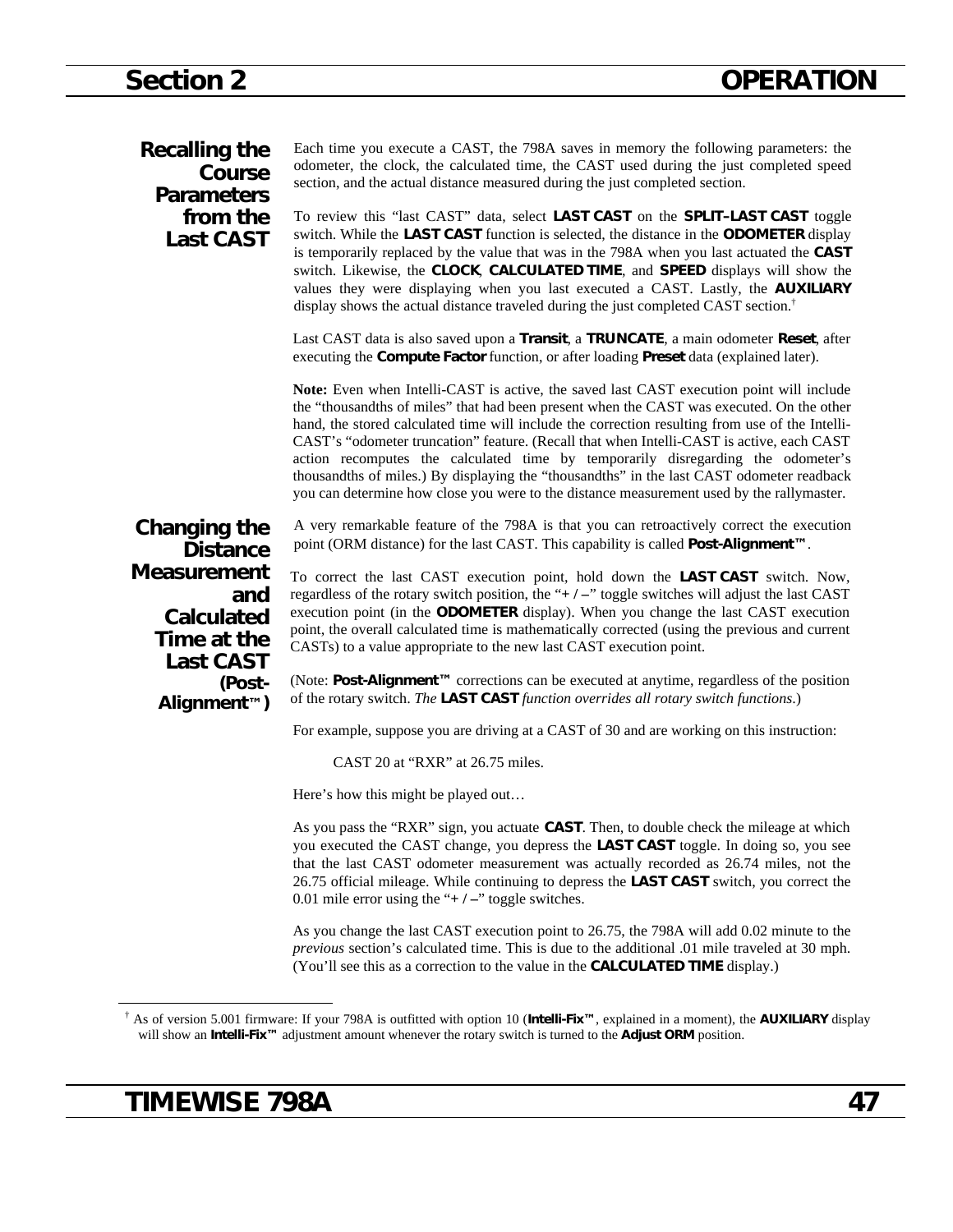| <b>Recalling the</b><br>Course<br><b>Parameters</b><br>from the<br><b>Last CAST</b>                                                                        | Each time you execute a CAST, the 798A saves in memory the following parameters: the<br>odometer, the clock, the calculated time, the CAST used during the just completed speed<br>section, and the actual distance measured during the just completed section.<br>To review this "last CAST" data, select LAST CAST on the SPLIT-LAST CAST toggle<br>switch. While the LAST CAST function is selected, the distance in the ODOMETER display<br>is temporarily replaced by the value that was in the 798A when you last actuated the CAST<br>switch. Likewise, the CLOCK, CALCULATED TIME, and SPEED displays will show the<br>values they were displaying when you last executed a CAST. Lastly, the AUXILIARY<br>display shows the actual distance traveled during the just completed CAST section. <sup>†</sup> |
|------------------------------------------------------------------------------------------------------------------------------------------------------------|--------------------------------------------------------------------------------------------------------------------------------------------------------------------------------------------------------------------------------------------------------------------------------------------------------------------------------------------------------------------------------------------------------------------------------------------------------------------------------------------------------------------------------------------------------------------------------------------------------------------------------------------------------------------------------------------------------------------------------------------------------------------------------------------------------------------|
|                                                                                                                                                            | Last CAST data is also saved upon a Transit, a TRUNCATE, a main odometer Reset, after<br>executing the Compute Factor function, or after loading Preset data (explained later).                                                                                                                                                                                                                                                                                                                                                                                                                                                                                                                                                                                                                                    |
|                                                                                                                                                            | Note: Even when Intelli-CAST is active, the saved last CAST execution point will include<br>the "thousandths of miles" that had been present when the CAST was executed. On the other<br>hand, the stored calculated time will include the correction resulting from use of the Intelli-<br>CAST's "odometer truncation" feature. (Recall that when Intelli-CAST is active, each CAST<br>action recomputes the calculated time by temporarily disregarding the odometer's<br>thousandths of miles.) By displaying the "thousandths" in the last CAST odometer readback<br>you can determine how close you were to the distance measurement used by the rallymaster.                                                                                                                                                |
| Changing the<br><b>Distance</b><br><b>Measurement</b><br>and<br><b>Calculated</b><br>Time at the<br><b>Last CAST</b><br>(Post-<br>Alignment <sup>™</sup> ) | A very remarkable feature of the 798A is that you can retroactively correct the execution<br>point (ORM distance) for the last CAST. This capability is called Post-Alignment™.                                                                                                                                                                                                                                                                                                                                                                                                                                                                                                                                                                                                                                    |
|                                                                                                                                                            | To correct the last CAST execution point, hold down the LAST CAST switch. Now,<br>regardless of the rotary switch position, the " $+/-$ " toggle switches will adjust the last CAST<br>execution point (in the ODOMETER display). When you change the last CAST execution<br>point, the overall calculated time is mathematically corrected (using the previous and current<br>CASTs) to a value appropriate to the new last CAST execution point.                                                                                                                                                                                                                                                                                                                                                                 |
|                                                                                                                                                            | (Note: Post-Alignment™ corrections can be executed at anytime, regardless of the position<br>of the rotary switch. The LAST CAST function overrides all rotary switch functions.)                                                                                                                                                                                                                                                                                                                                                                                                                                                                                                                                                                                                                                  |
|                                                                                                                                                            | For example, suppose you are driving at a CAST of 30 and are working on this instruction:                                                                                                                                                                                                                                                                                                                                                                                                                                                                                                                                                                                                                                                                                                                          |
|                                                                                                                                                            | CAST 20 at "RXR" at 26.75 miles.                                                                                                                                                                                                                                                                                                                                                                                                                                                                                                                                                                                                                                                                                                                                                                                   |
|                                                                                                                                                            | Here's how this might be played out                                                                                                                                                                                                                                                                                                                                                                                                                                                                                                                                                                                                                                                                                                                                                                                |

As you pass the "RXR" sign, you actuate **CAST**. Then, to double check the mileage at which you executed the CAST change, you depress the LAST CAST toggle. In doing so, you see that the last CAST odometer measurement was actually recorded as 26.74 miles, not the 26.75 official mileage. While continuing to depress the LAST CAST switch, you correct the 0.01 mile error using the "**+ / –**" toggle switches.

As you change the last CAST execution point to 26.75, the 798A will add 0.02 minute to the *previous* section's calculated time. This is due to the additional .01 mile traveled at 30 mph. (You'll see this as a correction to the value in the **CALCULATED TIME** display.)

j

<sup>†</sup> As of version 5.001 firmware: If your 798A is outfitted with option 10 (**Intelli-Fix™**, explained in a moment), the **AUXILIARY** display will show an **Intelli-Fix™** adjustment amount whenever the rotary switch is turned to the **Adjust ORM** position.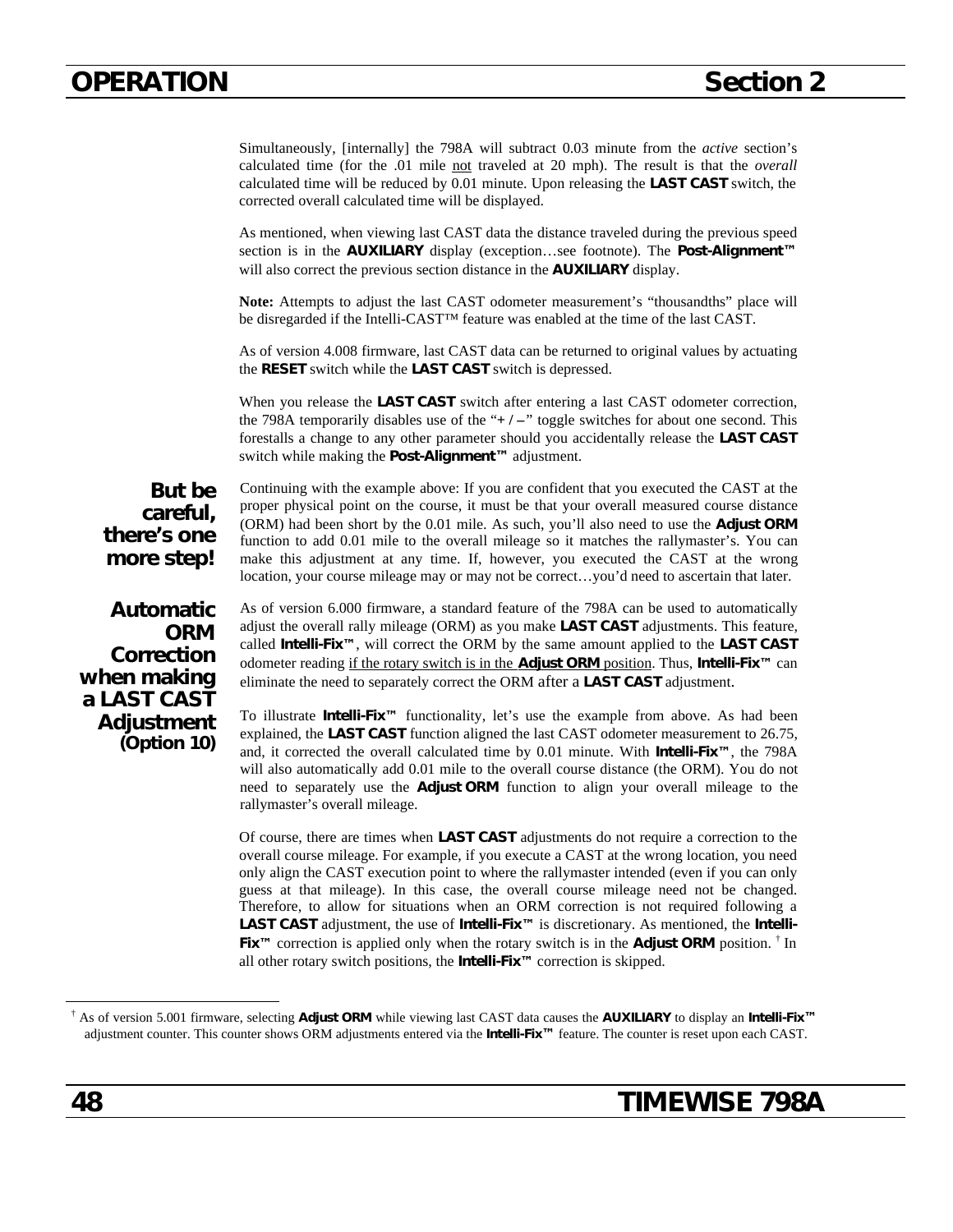Simultaneously, [internally] the 798A will subtract 0.03 minute from the *active* section's calculated time (for the .01 mile not traveled at 20 mph). The result is that the *overall* calculated time will be reduced by 0.01 minute. Upon releasing the **LAST CAST** switch, the corrected overall calculated time will be displayed.

As mentioned, when viewing last CAST data the distance traveled during the previous speed section is in the **AUXILIARY** display (exception…see footnote). The **Post-Alignment™** will also correct the previous section distance in the **AUXILIARY** display.

**Note:** Attempts to adjust the last CAST odometer measurement's "thousandths" place will be disregarded if the Intelli-CAST™ feature was enabled at the time of the last CAST.

As of version 4.008 firmware, last CAST data can be returned to original values by actuating the **RESET** switch while the **LAST CAST** switch is depressed.

When you release the **LAST CAST** switch after entering a last CAST odometer correction, the 798A temporarily disables use of the "**+ / –**" toggle switches for about one second. This forestalls a change to any other parameter should you accidentally release the **LAST CAST** switch while making the **Post-Alignment™** adjustment.

**But be careful, there's one more step!**

**Automatic ORM Correction when making a LAST CAST Adjustment (Option 10)**

Continuing with the example above: If you are confident that you executed the CAST at the proper physical point on the course, it must be that your overall measured course distance (ORM) had been short by the 0.01 mile. As such, you'll also need to use the **Adjust ORM** function to add 0.01 mile to the overall mileage so it matches the rallymaster's. You can make this adjustment at any time. If, however, you executed the CAST at the wrong location, your course mileage may or may not be correct…you'd need to ascertain that later.

As of version 6.000 firmware, a standard feature of the 798A can be used to automatically adjust the overall rally mileage (ORM) as you make **LAST CAST** adjustments. This feature, called **Intelli-Fix<sup>™</sup>**, will correct the ORM by the same amount applied to the **LAST CAST** odometer reading if the rotary switch is in the **Adjust ORM** position. Thus, **Intelli-Fix™** can eliminate the need to separately correct the ORM after a **LAST CAST** adjustment.

To illustrate **Intelli-Fix™** functionality, let's use the example from above. As had been explained, the LAST CAST function aligned the last CAST odometer measurement to 26.75, and, it corrected the overall calculated time by 0.01 minute. With **Intelli-Fix™**, the 798A will also automatically add 0.01 mile to the overall course distance (the ORM). You do not need to separately use the **Adjust ORM** function to align your overall mileage to the rallymaster's overall mileage.

Of course, there are times when **LAST CAST** adjustments do not require a correction to the overall course mileage. For example, if you execute a CAST at the wrong location, you need only align the CAST execution point to where the rallymaster intended (even if you can only guess at that mileage). In this case, the overall course mileage need not be changed. Therefore, to allow for situations when an ORM correction is not required following a **L A S T CA S T** adjustment, the use of **Intelli-Fix™** is discretionary. As mentioned, the **Intelli-Fix<sup>™</sup>** correction is applied only when the rotary switch is in the **Adjust ORM** position. <sup>†</sup> In all other rotary switch positions, the **Intelli-Fix™** correction is skipped.

1

<sup>†</sup> As of version 5.001 firmware, selecting **Adjust ORM** while viewing last CAST data causes the **AUXILIARY** to display an **Intelli-Fix™** adjustment counter. This counter shows ORM adjustments entered via the **Intelli-Fix™** feature. The counter is reset upon each CAST.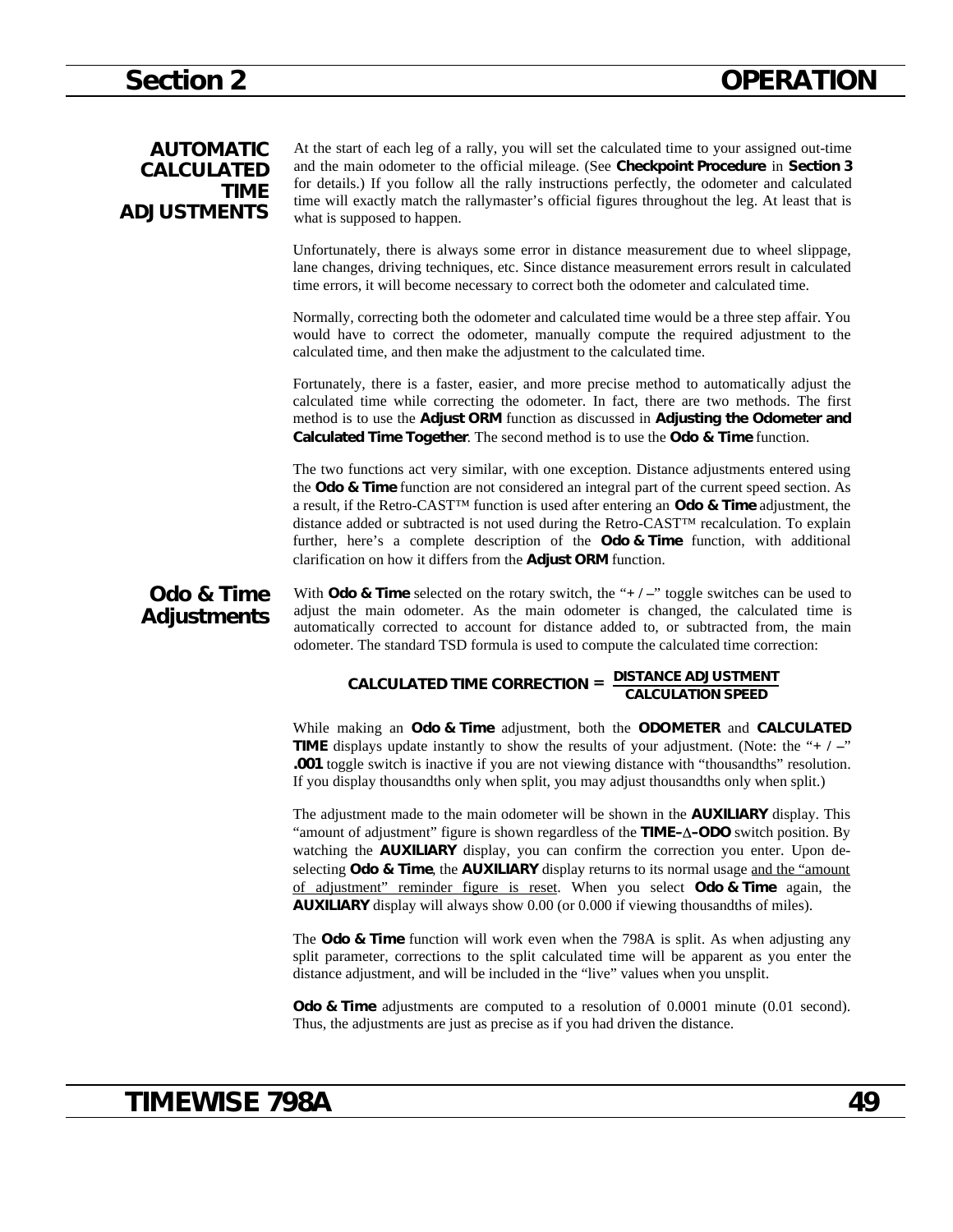#### **AUTOMATIC CALCULATED TIME ADJUSTMENTS**

At the start of each leg of a rally, you will set the calculated time to your assigned out-time and the main odometer to the official mileage. (See **Checkpoint Procedure** in **Section 3** for details.) If you follow all the rally instructions perfectly, the odometer and calculated time will exactly match the rallymaster's official figures throughout the leg. At least that is what is supposed to happen.

Unfortunately, there is always some error in distance measurement due to wheel slippage, lane changes, driving techniques, etc. Since distance measurement errors result in calculated time errors, it will become necessary to correct both the odometer and calculated time.

Normally, correcting both the odometer and calculated time would be a three step affair. You would have to correct the odometer, manually compute the required adjustment to the calculated time, and then make the adjustment to the calculated time.

Fortunately, there is a faster, easier, and more precise method to automatically adjust the calculated time while correcting the odometer. In fact, there are two methods. The first method is to use the **Adjust ORM** function as discussed in **Adjusting the Odometer and Calculated Time Together**. The second method is to use the Odo & Time function.

The two functions act very similar, with one exception. Distance adjustments entered using the **Odo & Time** function are not considered an integral part of the current speed section. As a result, if the Retro-CAST™ function is used after entering an **Odo & Time** adjustment, the distance added or subtracted is not used during the Retro-CAST™ recalculation. To explain further, here's a complete description of the **Odo & Time** function, with additional clarification on how it differs from the **Adjust ORM** function.

### **Odo & Time Adjustments**

With **Odo & Time** selected on the rotary switch, the "**+** / -" toggle switches can be used to adjust the main odometer. As the main odometer is changed, the calculated time is automatically corrected to account for distance added to, or subtracted from, the main odometer. The standard TSD formula is used to compute the calculated time correction:

#### **CALCULATED TIME CORRECTION = DISTANCE ADJUSTMENT CALCULATION SPEED**

While making an **Odo & Time** adjustment, both the **ODOMETER** and **CALCULATED TIME** displays update instantly to show the results of your adjustment. (Note: the "**+ / –**" **.001** toggle switch is inactive if you are not viewing distance with "thousandths" resolution. If you display thousandths only when split, you may adjust thousandths only when split.)

The adjustment made to the main odometer will be shown in the **AUXILIARY** display. This "amount of adjustment" figure is shown regardless of the **TIME– –ODO** switch position. By watching the **AUXILIARY** display, you can confirm the correction you enter. Upon deselecting Odo & Time, the AUXILIARY display returns to its normal usage and the "amount of adjustment" reminder figure is reset. When you select **Odo & Time** again, the **AUXILIARY** display will always show 0.00 (or 0.000 if viewing thousandths of miles).

The **Odo & Time** function will work even when the 798A is split. As when adjusting any split parameter, corrections to the split calculated time will be apparent as you enter the distance adjustment, and will be included in the "live" values when you unsplit.

**Odo & Time** adjustments are computed to a resolution of 0.0001 minute (0.01 second). Thus, the adjustments are just as precise as if you had driven the distance.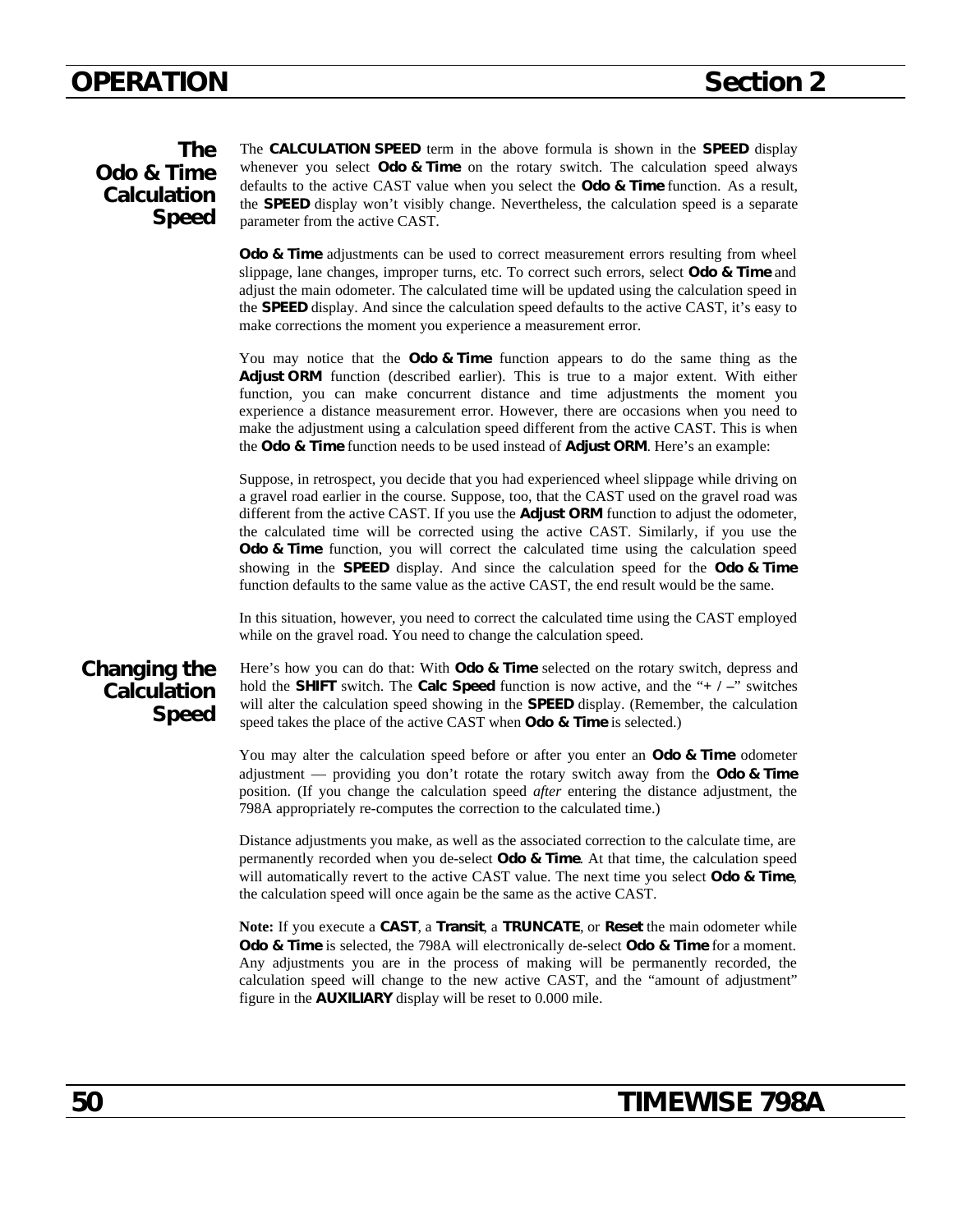#### **The Odo & Time Calculation Speed**

The **CALCULATION SPEED** term in the above formula is shown in the **SPEED** display whenever you select **Odo & Time** on the rotary switch. The calculation speed always defaults to the active CAST value when you select the **Odo & Time** function. As a result, the **SPEED** display won't visibly change. Nevertheless, the calculation speed is a separate parameter from the active CAST.

**Odo & Time** adjustments can be used to correct measurement errors resulting from wheel slippage, lane changes, improper turns, etc. To correct such errors, select Odo & Time and adjust the main odometer. The calculated time will be updated using the calculation speed in the **SPEED** display. And since the calculation speed defaults to the active CAST, it's easy to make corrections the moment you experience a measurement error.

You may notice that the **Odo & Time** function appears to do the same thing as the Adjust ORM function (described earlier). This is true to a major extent. With either function, you can make concurrent distance and time adjustments the moment you experience a distance measurement error. However, there are occasions when you need to make the adjustment using a calculation speed different from the active CAST. This is when the **Odo & Time** function needs to be used instead of **Adjust ORM**. Here's an example:

Suppose, in retrospect, you decide that you had experienced wheel slippage while driving on a gravel road earlier in the course. Suppose, too, that the CAST used on the gravel road was different from the active CAST. If you use the **Adjust ORM** function to adjust the odometer, the calculated time will be corrected using the active CAST. Similarly, if you use the **Odo & Time** function, you will correct the calculated time using the calculation speed showing in the **SPEED** display. And since the calculation speed for the **Odo & Time** function defaults to the same value as the active CAST, the end result would be the same.

In this situation, however, you need to correct the calculated time using the CAST employed while on the gravel road. You need to change the calculation speed.

### **Changing the Calculation Speed**

Here's how you can do that: With **Odo & Time** selected on the rotary switch, depress and hold the **SHIFT** switch. The **Calc Speed** function is now active, and the "**+** / –" switches will alter the calculation speed showing in the **SPEED** display. (Remember, the calculation speed takes the place of the active CAST when **Odo & Time** is selected.)

You may alter the calculation speed before or after you enter an **Odo & Time** odometer adjustment — providing you don't rotate the rotary switch away from the **Odo & Time** position. (If you change the calculation speed *after* entering the distance adjustment, the 798A appropriately re-computes the correction to the calculated time.)

Distance adjustments you make, as well as the associated correction to the calculate time, are permanently recorded when you de-select **Odo & Time**. At that time, the calculation speed will automatically revert to the active CAST value. The next time you select **Odo & Time**, the calculation speed will once again be the same as the active CAST.

**Note:** If you execute a **CAST**, a **Transit**, a **TRUNCATE**, or **Reset** the main odometer while **O do & Time** is selected, the 798A will electronically de-select **O do & Time** for a moment. Any adjustments you are in the process of making will be permanently recorded, the calculation speed will change to the new active CAST, and the "amount of adjustment" figure in the **AUXILIARY** display will be reset to 0.000 mile.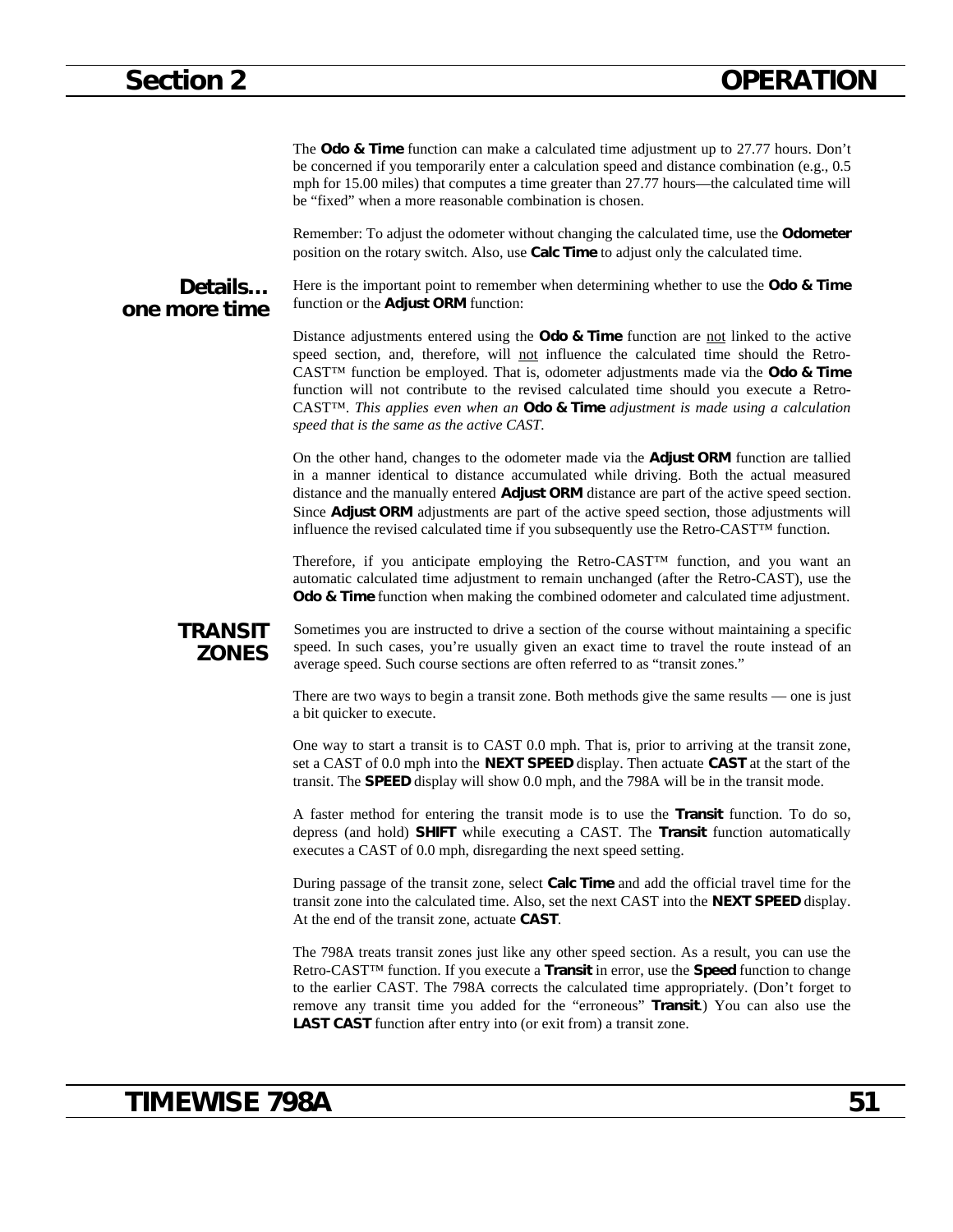The **Odo & Time** function can make a calculated time adjustment up to 27.77 hours. Don't be concerned if you temporarily enter a calculation speed and distance combination (e.g., 0.5 mph for 15.00 miles) that computes a time greater than 27.77 hours—the calculated time will be "fixed" when a more reasonable combination is chosen.

Remember: To adjust the odometer without changing the calculated time, use the **Odometer** position on the rotary switch. Also, use **Calc Time** to adjust only the calculated time.

**Details… one more time**

Here is the important point to remember when determining whether to use the **Odo & Time** function or the **Adjust ORM** function:

Distance adjustments entered using the **Odo & Time** function are not linked to the active speed section, and, therefore, will not influence the calculated time should the Retro-CAST<sup>™</sup> function be employed. That is, odometer adjustments made via the **Odo & Time** function will not contribute to the revised calculated time should you execute a Retro-CAST™. *This applies even when an* **Odo & Time** *adjustment is made using a calculation speed that is the same as the active CAST.*

On the other hand, changes to the odometer made via the **Adjust ORM** function are tallied in a manner identical to distance accumulated while driving. Both the actual measured distance and the manually entered **Adjust ORM** distance are part of the active speed section. Since **Adjust ORM** adjustments are part of the active speed section, those adjustments will influence the revised calculated time if you subsequently use the Retro-CAST™ function.

Therefore, if you anticipate employing the Retro-CAST™ function, and you want an automatic calculated time adjustment to remain unchanged (after the Retro-CAST), use the **Odo & Time** function when making the combined odometer and calculated time adjustment.

### **TRANSIT ZONES**

Sometimes you are instructed to drive a section of the course without maintaining a specific speed. In such cases, you're usually given an exact time to travel the route instead of an average speed. Such course sections are often referred to as "transit zones."

There are two ways to begin a transit zone. Both methods give the same results — one is just a bit quicker to execute.

One way to start a transit is to CAST 0.0 mph. That is, prior to arriving at the transit zone, set a CAST of 0.0 mph into the **NEXT SPEED** display. Then actuate **CAST** at the start of the transit. The **SPEED** display will show 0.0 mph, and the 798A will be in the transit mode.

A faster method for entering the transit mode is to use the **Transit** function. To do so, depress (and hold) **SHIFT** while executing a CAST. The **Transit** function automatically executes a CAST of 0.0 mph, disregarding the next speed setting.

During passage of the transit zone, select **Calc Time** and add the official travel time for the transit zone into the calculated time. Also, set the next CAST into the **NEXT SPEED** display. At the end of the transit zone, actuate **CAST**.

The 798A treats transit zones just like any other speed section. As a result, you can use the Retro-CAST<sup>™</sup> function. If you execute a **Transit** in error, use the **Speed** function to change to the earlier CAST. The 798A corrects the calculated time appropriately. (Don't forget to remove any transit time you added for the "erroneous" **Transit**.) You can also use the **LAST CAST** function after entry into (or exit from) a transit zone.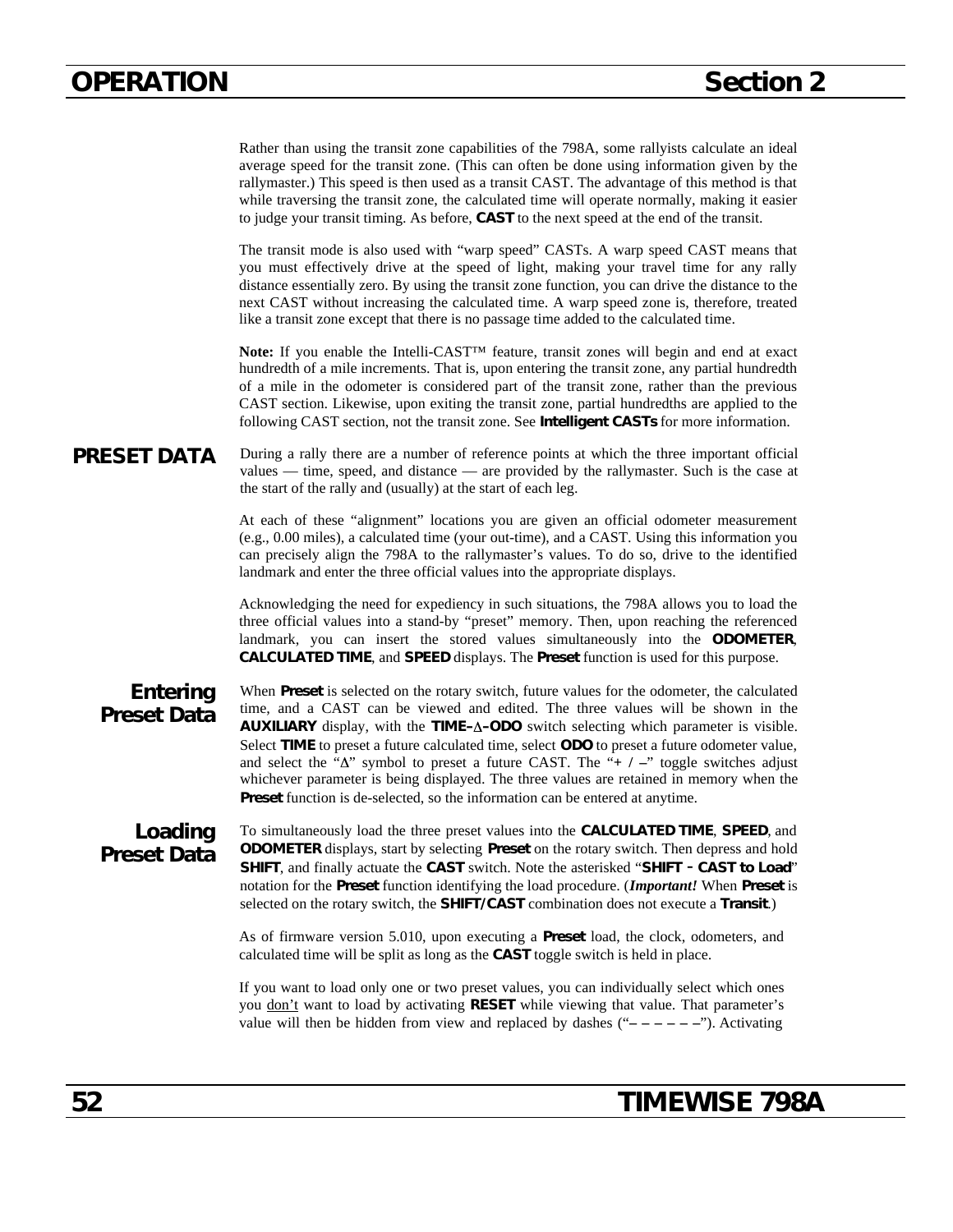Rather than using the transit zone capabilities of the 798A, some rallyists calculate an ideal average speed for the transit zone. (This can often be done using information given by the rallymaster.) This speed is then used as a transit CAST. The advantage of this method is that while traversing the transit zone, the calculated time will operate normally, making it easier to judge your transit timing. As before, **CAST** to the next speed at the end of the transit.

The transit mode is also used with "warp speed" CASTs. A warp speed CAST means that you must effectively drive at the speed of light, making your travel time for any rally distance essentially zero. By using the transit zone function, you can drive the distance to the next CAST without increasing the calculated time. A warp speed zone is, therefore, treated like a transit zone except that there is no passage time added to the calculated time.

**Note:** If you enable the Intelli-CAST™ feature, transit zones will begin and end at exact hundredth of a mile increments. That is, upon entering the transit zone, any partial hundredth of a mile in the odometer is considered part of the transit zone, rather than the previous CAST section. Likewise, upon exiting the transit zone, partial hundredths are applied to the following CAST section, not the transit zone. See **Intelligent CASTs** for more information.

#### **PRESET DATA** During a rally there are a number of reference points at which the three important official values — time, speed, and distance — are provided by the rallymaster. Such is the case at the start of the rally and (usually) at the start of each leg.

At each of these "alignment" locations you are given an official odometer measurement (e.g., 0.00 miles), a calculated time (your out-time), and a CAST. Using this information you can precisely align the 798A to the rallymaster's values. To do so, drive to the identified landmark and enter the three official values into the appropriate displays.

Acknowledging the need for expediency in such situations, the 798A allows you to load the three official values into a stand-by "preset" memory. Then, upon reaching the referenced landmark, you can insert the stored values simultaneously into the **ODOMETER**, **CALCULATED TIME**, and **SPEED** displays. The **Preset** function is used for this purpose.

**Entering Preset Data** When **Preset** is selected on the rotary switch, future values for the odometer, the calculated time, and a CAST can be viewed and edited. The three values will be shown in the **AUXILIARY** display, with the **TIME-** $\Delta$ -ODO switch selecting which parameter is visible. Select **TIME** to preset a future calculated time, select **ODO** to preset a future odometer value, and select the " $\Delta$ " symbol to preset a future CAST. The " $+$  /  $-$ " toggle switches adjust whichever parameter is being displayed. The three values are retained in memory when the **Preset** function is de-selected, so the information can be entered at anytime.

**Loading Preset Data** To simultaneously load the three preset values into the **CALCULATED TIME**, **SPEED**, and **ODOMETER** displays, start by selecting **Preset** on the rotary switch. Then depress and hold **SHIFT**, and finally actuate the **CAST** switch. Note the asterisked "**SHIFT – CAST to Load**" notation for the **Preset** function identifying the load procedure. (*Important!* When **Preset** is selected on the rotary switch, the **SHIFT/CAST** combination does not execute a **Transit**.)

> As of firmware version 5.010, upon executing a **Preset** load, the clock, odometers, and calculated time will be split as long as the **CAST** toggle switch is held in place.

> If you want to load only one or two preset values, you can individually select which ones you don't want to load by activating **RESET** while viewing that value. That parameter's value will then be hidden from view and replaced by dashes  $($ " $-$ "). Activating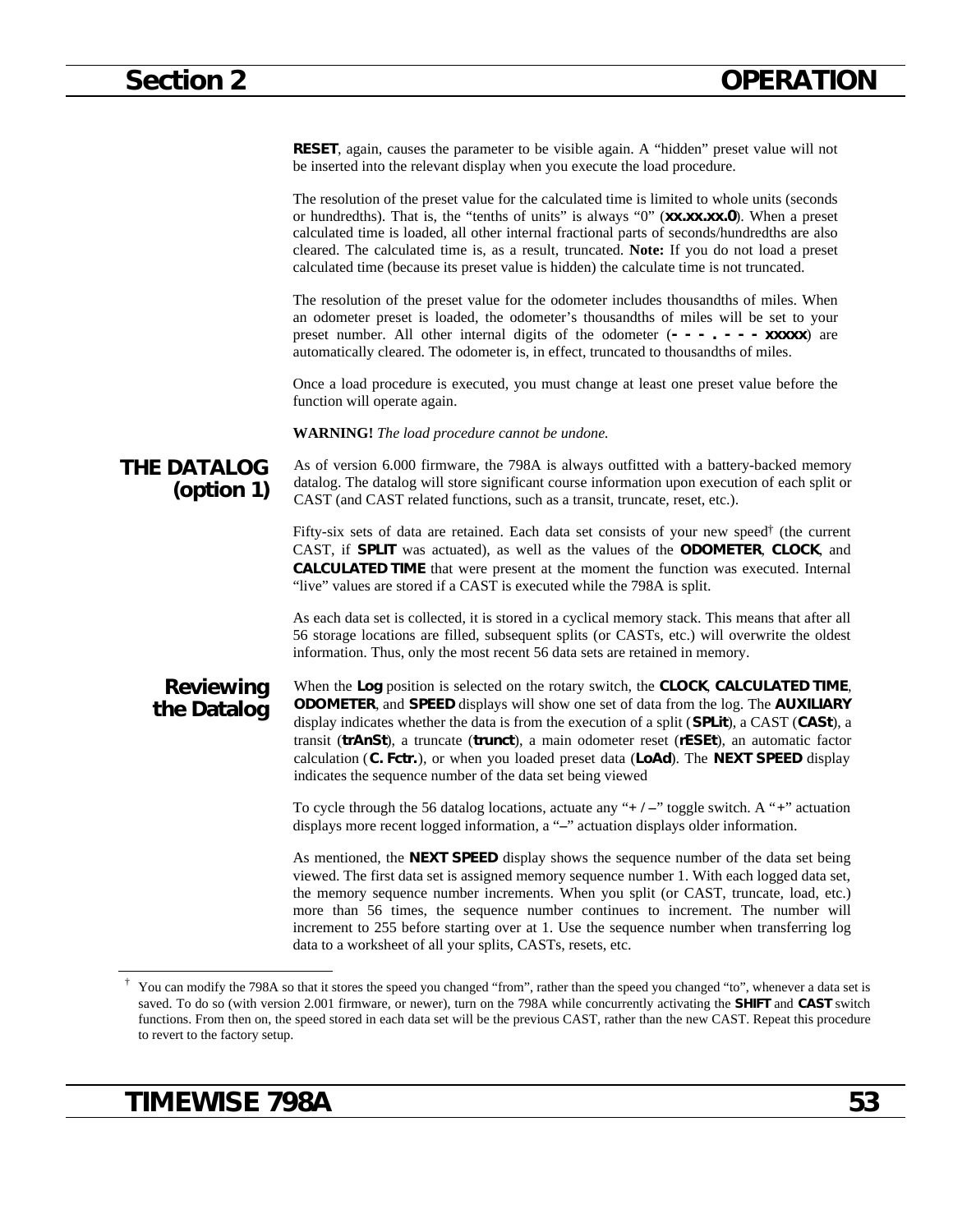**RESET**, again, causes the parameter to be visible again. A "hidden" preset value will not be inserted into the relevant display when you execute the load procedure.

The resolution of the preset value for the calculated time is limited to whole units (seconds or hundredths). That is, the "tenths of units" is always "0" (**xx.xx.xx.0**). When a preset calculated time is loaded, all other internal fractional parts of seconds/hundredths are also cleared. The calculated time is, as a result, truncated. **Note:** If you do not load a preset calculated time (because its preset value is hidden) the calculate time is not truncated.

The resolution of the preset value for the odometer includes thousandths of miles. When an odometer preset is loaded, the odometer's thousandths of miles will be set to your preset number. All other internal digits of the odometer (**- - - . - - - xxxxx**) are automatically cleared. The odometer is, in effect, truncated to thousandths of miles.

Once a load procedure is executed, you must change at least one preset value before the function will operate again.

**WARNING!** *The load procedure cannot be undone.*

### **THE DATALOG (option 1)**

As of version 6.000 firmware, the 798A is always outfitted with a battery-backed memory datalog. The datalog will store significant course information upon execution of each split or CAST (and CAST related functions, such as a transit, truncate, reset, etc.).

Fifty-six sets of data are retained. Each data set consists of your new speed† (the current CAST, if **SPLIT** was actuated), as well as the values of the **ODOMETER**, **CLOCK**, and **CALCULATED TIME** that were present at the moment the function was executed. Internal "live" values are stored if a CAST is executed while the 798A is split.

As each data set is collected, it is stored in a cyclical memory stack. This means that after all 56 storage locations are filled, subsequent splits (or CASTs, etc.) will overwrite the oldest information. Thus, only the most recent 56 data sets are retained in memory.

### **Reviewing the Datalog**

When the **Log** position is selected on the rotary switch, the **CLOCK**, **CALCULATED TIME**, **ODOMETER, and SPEED** displays will show one set of data from the log. The **AUXILIARY** display indicates whether the data is from the execution of a split (**SPLit**), a CAST (**CASt**), a transit (**trAnSt**), a truncate (**trunct**), a main odometer reset (**rESEt**), an automatic factor calculation (**C. Fctr.**), or when you loaded preset data (**LoAd**). The **NEXT SPEED** display indicates the sequence number of the data set being viewed

To cycle through the 56 datalog locations, actuate any "**+ / –**" toggle switch. A "**+**" actuation displays more recent logged information, a "**–**" actuation displays older information.

As mentioned, the **NEXT SPEED** display shows the sequence number of the data set being viewed. The first data set is assigned memory sequence number 1. With each logged data set, the memory sequence number increments. When you split (or CAST, truncate, load, etc.) more than 56 times, the sequence number continues to increment. The number will increment to 255 before starting over at 1. Use the sequence number when transferring log data to a worksheet of all your splits, CASTs, resets, etc.

 $\overline{a}$ 

<sup>†</sup> You can modify the 798A so that it stores the speed you changed "from", rather than the speed you changed "to", whenever a data set is saved. To do so (with version 2.001 firmware, or newer), turn on the 798A while concurrently activating the **SHIFT** and **CAST** switch functions. From then on, the speed stored in each data set will be the previous CAST, rather than the new CAST. Repeat this procedure to revert to the factory setup.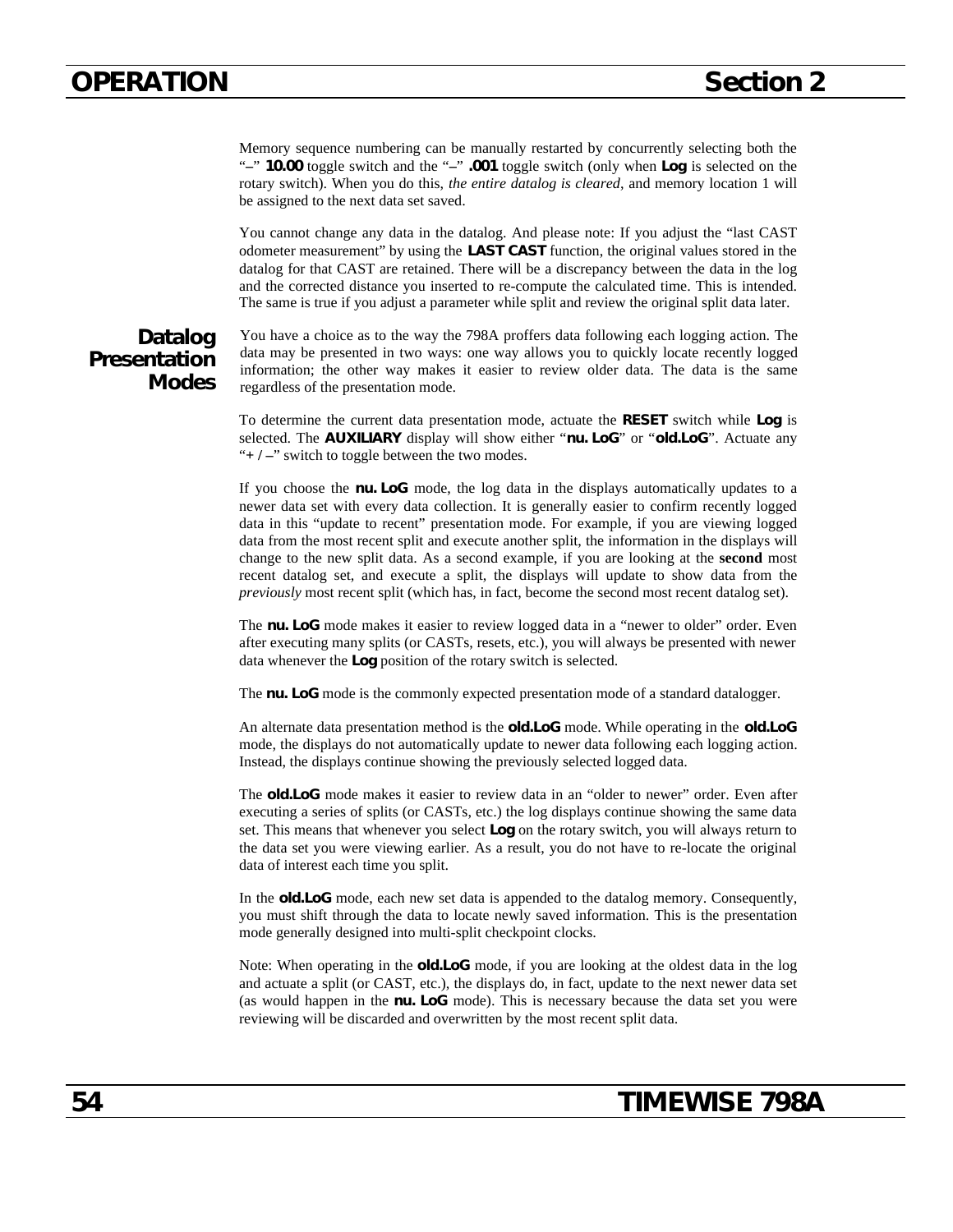Memory sequence numbering can be manually restarted by concurrently selecting both the "-" **10.00** toggle switch and the "-" **.001** toggle switch (only when **Log** is selected on the rotary switch). When you do this, *the entire datalog is cleared*, and memory location 1 will be assigned to the next data set saved.

You cannot change any data in the datalog. And please note: If you adjust the "last CAST odometer measurement" by using the **LAST CAST** function, the original values stored in the datalog for that CAST are retained. There will be a discrepancy between the data in the log and the corrected distance you inserted to re-compute the calculated time. This is intended. The same is true if you adjust a parameter while split and review the original split data later.

### **Datalog Presentation Modes**

You have a choice as to the way the 798A proffers data following each logging action. The data may be presented in two ways: one way allows you to quickly locate recently logged information; the other way makes it easier to review older data. The data is the same regardless of the presentation mode.

To determine the current data presentation mode, actuate the **RESET** switch while **Log** is selected. The **AUXILIARY** display will show either "**nu. LoG**" or "**old.LoG**". Actuate any "**+ / –**" switch to toggle between the two modes.

If you choose the **nu. LoG** mode, the log data in the displays automatically updates to a newer data set with every data collection. It is generally easier to confirm recently logged data in this "update to recent" presentation mode. For example, if you are viewing logged data from the most recent split and execute another split, the information in the displays will change to the new split data. As a second example, if you are looking at the **second** most recent datalog set, and execute a split, the displays will update to show data from the *previously* most recent split (which has, in fact, become the second most recent datalog set).

The **nu. LoG** mode makes it easier to review logged data in a "newer to older" order. Even after executing many splits (or CASTs, resets, etc.), you will always be presented with newer data whenever the **Log** position of the rotary switch is selected.

The **nu. LoG** mode is the commonly expected presentation mode of a standard datalogger.

An alternate data presentation method is the **old.LoG** mode. While operating in the **old.LoG** mode, the displays do not automatically update to newer data following each logging action. Instead, the displays continue showing the previously selected logged data.

The **old.LoG** mode makes it easier to review data in an "older to newer" order. Even after executing a series of splits (or CASTs, etc.) the log displays continue showing the same data set. This means that whenever you select **Log** on the rotary switch, you will always return to the data set you were viewing earlier. As a result, you do not have to re-locate the original data of interest each time you split.

In the **old.LoG** mode, each new set data is appended to the datalog memory. Consequently, you must shift through the data to locate newly saved information. This is the presentation mode generally designed into multi-split checkpoint clocks.

Note: When operating in the **old.LoG** mode, if you are looking at the oldest data in the log and actuate a split (or CAST, etc.), the displays do, in fact, update to the next newer data set (as would happen in the **nu. LoG** mode). This is necessary because the data set you were reviewing will be discarded and overwritten by the most recent split data.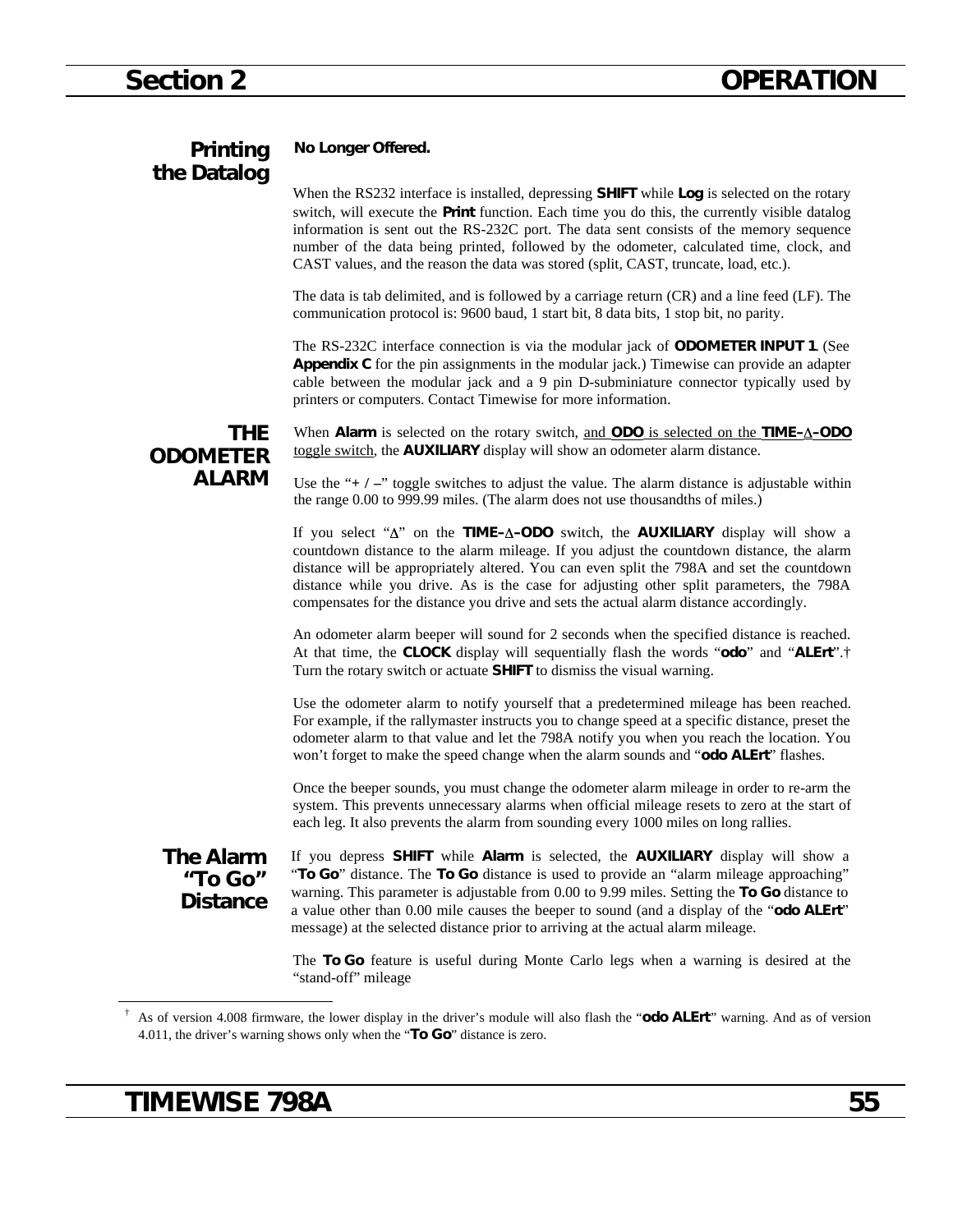# **Printing the Datalog**

### **No Longer Offered.**

When the RS232 interface is installed, depressing **SHIFT** while **Log** is selected on the rotary switch, will execute the **Print** function. Each time you do this, the currently visible datalog information is sent out the RS-232C port. The data sent consists of the memory sequence number of the data being printed, followed by the odometer, calculated time, clock, and CAST values, and the reason the data was stored (split, CAST, truncate, load, etc.).

The data is tab delimited, and is followed by a carriage return (CR) and a line feed (LF). The communication protocol is: 9600 baud, 1 start bit, 8 data bits, 1 stop bit, no parity.

The RS-232C interface connection is via the modular jack of **ODOMETER INPUT 1**. (See **Appendix C** for the pin assignments in the modular jack.) Timewise can provide an adapter cable between the modular jack and a 9 pin D-subminiature connector typically used by printers or computers. Contact Timewise for more information.



When **Alarm** is selected on the rotary switch, and **ODO** is selected on the **TIME–** $\Delta$ **–ODO** toggle switch, the **AUXILIARY** display will show an odometer alarm distance.

Use the "**+ / –**" toggle switches to adjust the value. The alarm distance is adjustable within the range 0.00 to 999.99 miles. (The alarm does not use thousandths of miles.)

If you select " $\Delta$ " on the **TIME–** $\Delta$ **–ODO** switch, the **AUXILIARY** display will show a countdown distance to the alarm mileage. If you adjust the countdown distance, the alarm distance will be appropriately altered. You can even split the 798A and set the countdown distance while you drive. As is the case for adjusting other split parameters, the 798A compensates for the distance you drive and sets the actual alarm distance accordingly.

An odometer alarm beeper will sound for 2 seconds when the specified distance is reached. At that time, the **CLOCK** display will sequentially flash the words "**odo**" and "**ALErt**".<sup>†</sup> Turn the rotary switch or actuate **SHIFT** to dismiss the visual warning.

Use the odometer alarm to notify yourself that a predetermined mileage has been reached. For example, if the rallymaster instructs you to change speed at a specific distance, preset the odometer alarm to that value and let the 798A notify you when you reach the location. You won't forget to make the speed change when the alarm sounds and "**odo ALErt**" flashes.

Once the beeper sounds, you must change the odometer alarm mileage in order to re-arm the system. This prevents unnecessary alarms when official mileage resets to zero at the start of each leg. It also prevents the alarm from sounding every 1000 miles on long rallies.

# **The Alarm "To Go" Distance**

j

If you depress **SHIFT** while **Alarm** is selected, the **AUXILIARY** display will show a "**To Go**" distance. The **To Go** distance is used to provide an "alarm mileage approaching" warning. This parameter is adjustable from 0.00 to 9.99 miles. Setting the **To Go** distance to a value other than 0.00 mile causes the beeper to sound (and a display of the "**odo ALErt**" message) at the selected distance prior to arriving at the actual alarm mileage.

The **To Go** feature is useful during Monte Carlo legs when a warning is desired at the "stand-off" mileage

<sup>†</sup> As of version 4.008 firmware, the lower display in the driver's module will also flash the "**odo ALErt**" warning. And as of version 4.011, the driver's warning shows only when the "**To Go**" distance is zero.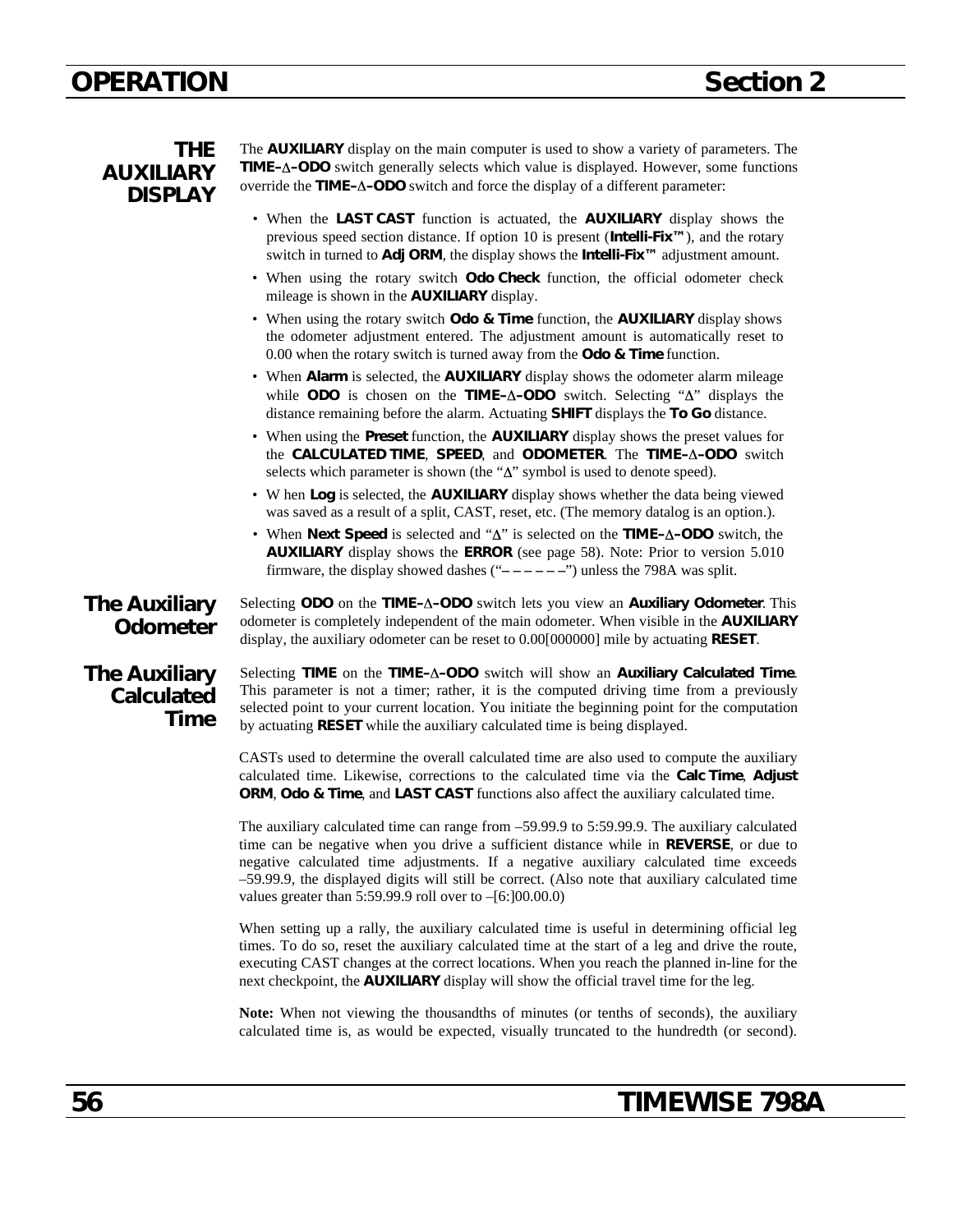# **OPERATION Section 2**

| <b>THE</b><br><b>AUXILIARY</b><br><b>DISPLAY</b>         | The <b>AUXILIARY</b> display on the main computer is used to show a variety of parameters. The<br>TIME- $\Delta$ -ODO switch generally selects which value is displayed. However, some functions<br>override the TIME- $\Delta$ -ODO switch and force the display of a different parameter:                                                                                                                                                     |
|----------------------------------------------------------|-------------------------------------------------------------------------------------------------------------------------------------------------------------------------------------------------------------------------------------------------------------------------------------------------------------------------------------------------------------------------------------------------------------------------------------------------|
|                                                          | • When the LAST CAST function is actuated, the AUXILIARY display shows the<br>previous speed section distance. If option 10 is present (Intelli-Fix™), and the rotary<br>switch in turned to Adj ORM, the display shows the Intelli-Fix <sup>™</sup> adjustment amount.<br>• When using the rotary switch Odo Check function, the official odometer check<br>mileage is shown in the <b>AUXILIARY</b> display.                                  |
|                                                          | • When using the rotary switch Odo & Time function, the AUXILIARY display shows<br>the odometer adjustment entered. The adjustment amount is automatically reset to<br>0.00 when the rotary switch is turned away from the Odo & Time function.                                                                                                                                                                                                 |
|                                                          | • When Alarm is selected, the AUXILIARY display shows the odometer alarm mileage<br>while <b>ODO</b> is chosen on the <b>TIME-<math>\Delta</math>-ODO</b> switch. Selecting " $\Delta$ " displays the<br>distance remaining before the alarm. Actuating SHIFT displays the To Go distance.                                                                                                                                                      |
|                                                          | • When using the Preset function, the AUXILIARY display shows the preset values for<br>the CALCULATED TIME, SPEED, and ODOMETER. The TIME-A-ODO switch<br>selects which parameter is shown (the " $\Delta$ " symbol is used to denote speed).                                                                                                                                                                                                   |
|                                                          | • W hen Log is selected, the AUXILIARY display shows whether the data being viewed<br>was saved as a result of a split, CAST, reset, etc. (The memory datalog is an option.).                                                                                                                                                                                                                                                                   |
|                                                          | • When Next Speed is selected and " $\Delta$ " is selected on the TIME- $\Delta$ -ODO switch, the<br><b>AUXILIARY</b> display shows the <b>ERROR</b> (see page 58). Note: Prior to version 5.010<br>firmware, the display showed dashes $(*-----"$ ) unless the 798A was split.                                                                                                                                                                 |
| <b>The Auxiliary</b><br><b>Odometer</b>                  | Selecting ODO on the TIME-A-ODO switch lets you view an Auxiliary Odometer. This<br>odometer is completely independent of the main odometer. When visible in the AUXILIARY<br>display, the auxiliary odometer can be reset to 0.00[000000] mile by actuating RESET.                                                                                                                                                                             |
| <b>The Auxiliary</b><br><b>Calculated</b><br><b>Time</b> | Selecting TIME on the TIME-A-ODO switch will show an Auxiliary Calculated Time.<br>This parameter is not a timer; rather, it is the computed driving time from a previously<br>selected point to your current location. You initiate the beginning point for the computation<br>by actuating <b>RESET</b> while the auxiliary calculated time is being displayed.                                                                               |
|                                                          | CASTs used to determine the overall calculated time are also used to compute the auxiliary<br>calculated time. Likewise, corrections to the calculated time via the Calc Time, Adjust<br>ORM, Odo & Time, and LAST CAST functions also affect the auxiliary calculated time.                                                                                                                                                                    |
|                                                          | The auxiliary calculated time can range from -59.99.9 to 5:59.99.9. The auxiliary calculated<br>time can be negative when you drive a sufficient distance while in REVERSE, or due to<br>negative calculated time adjustments. If a negative auxiliary calculated time exceeds<br>-59.99.9, the displayed digits will still be correct. (Also note that auxiliary calculated time<br>values greater than 5:59.99.9 roll over to $-[6:]00.00.0)$ |
|                                                          | When setting up a rally, the auxiliary calculated time is useful in determining official leg<br>times. To do so, reset the auxiliary calculated time at the start of a leg and drive the route,<br>executing CAST changes at the correct locations. When you reach the planned in-line for the<br>next checkpoint, the AUXILIARY display will show the official travel time for the leg.                                                        |
|                                                          | Note: When not viewing the thousandths of minutes (or tenths of seconds), the auxiliary<br>calculated time is, as would be expected, visually truncated to the hundredth (or second).                                                                                                                                                                                                                                                           |
|                                                          |                                                                                                                                                                                                                                                                                                                                                                                                                                                 |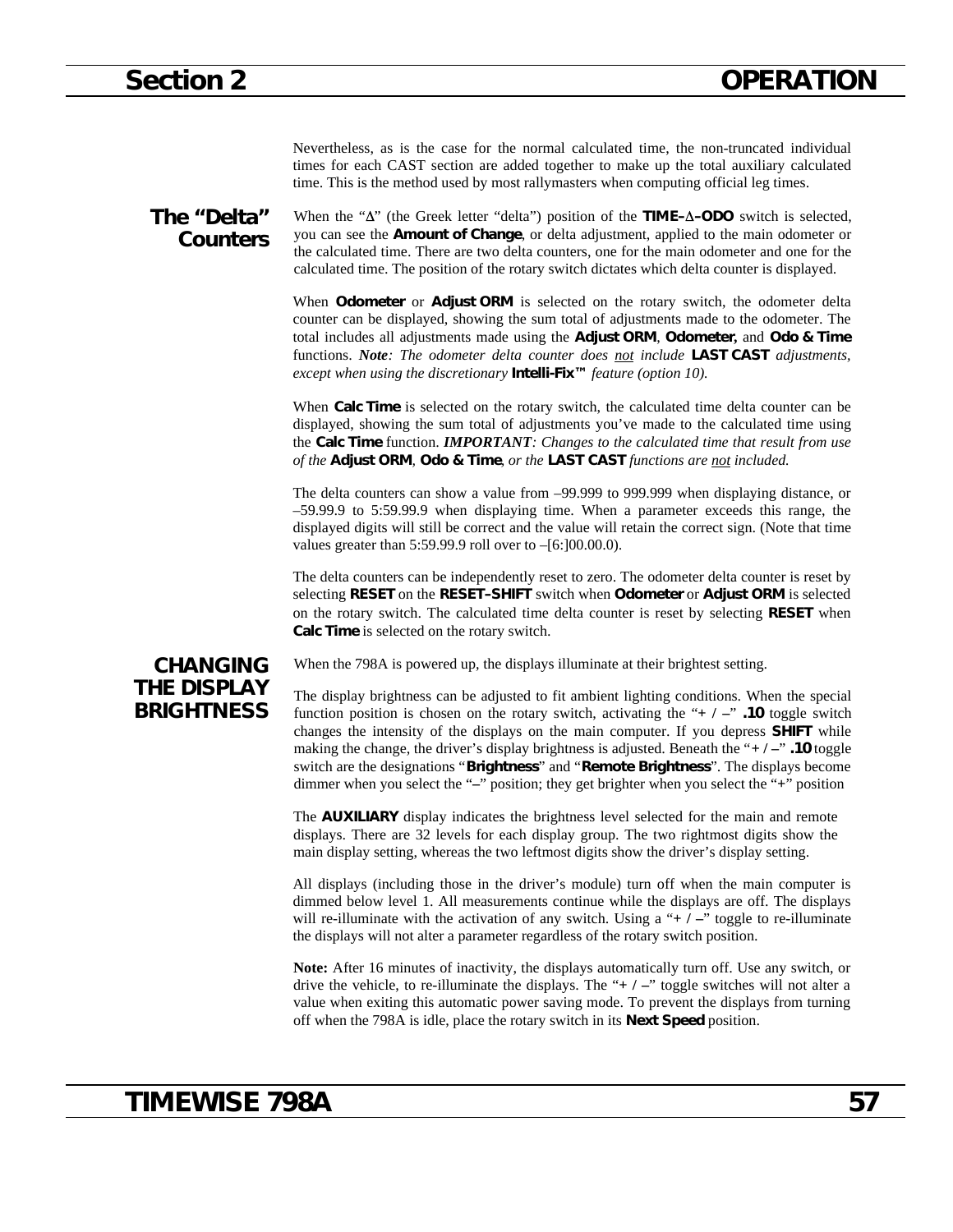Nevertheless, as is the case for the normal calculated time, the non-truncated individual times for each CAST section are added together to make up the total auxiliary calculated time. This is the method used by most rallymasters when computing official leg times.

### **The "Delta" Counters**

When the " $\Delta$ " (the Greek letter "delta") position of the **TIME-** $\Delta$ **-ODO** switch is selected, you can see the **Amount of Change**, or delta adjustment, applied to the main odometer or the calculated time. There are two delta counters, one for the main odometer and one for the calculated time. The position of the rotary switch dictates which delta counter is displayed.

When **Odometer** or **Adjust ORM** is selected on the rotary switch, the odometer delta counter can be displayed, showing the sum total of adjustments made to the odometer. The total includes all adjustments made using the **Adjust ORM**, **Odometer,** and **Odo & Time** functions. *Note: The odometer delta counter does not include* **LAST CAST** *adjustments, except when using the discretionary* **Intelli-Fix™** *feature (option 10).*

When **Calc Time** is selected on the rotary switch, the calculated time delta counter can be displayed, showing the sum total of adjustments you've made to the calculated time using the **Calc Time** function. *IMPORTANT: Changes to the calculated time that result from use of the* **Adjust ORM***,* **Odo & Time***, or the* **LAST CAST** *functions are not included.*

The delta counters can show a value from –99.999 to 999.999 when displaying distance, or –59.99.9 to 5:59.99.9 when displaying time. When a parameter exceeds this range, the displayed digits will still be correct and the value will retain the correct sign. (Note that time values greater than 5:59.99.9 roll over to –[6:]00.00.0).

The delta counters can be independently reset to zero. The odometer delta counter is reset by selecting **RESET** on the **RESET–SHIFT** switch when **Odometer** or **Adjust ORM** is selected on the rotary switch. The calculated time delta counter is reset by selecting **RESET** when **Calc Time** is selected on the rotary switch.

When the 798A is powered up, the displays illuminate at their brightest setting.

### **CHANGING THE DISPLAY BRIGHTNESS**

The display brightness can be adjusted to fit ambient lighting conditions. When the special function position is chosen on the rotary switch, activating the "**+ / –**" **.10** toggle switch changes the intensity of the displays on the main computer. If you depress **SHIFT** while making the change, the driver's display brightness is adjusted. Beneath the "**+ / –**" **.10** toggle switch are the designations "**Brightness**" and "**Remote Brightness**". The displays become dimmer when you select the "**–**" position; they get brighter when you select the "**+**" position

The **AUXILIARY** display indicates the brightness level selected for the main and remote displays. There are 32 levels for each display group. The two rightmost digits show the main display setting, whereas the two leftmost digits show the driver's display setting.

All displays (including those in the driver's module) turn off when the main computer is dimmed below level 1. All measurements continue while the displays are off. The displays will re-illuminate with the activation of any switch. Using a "+  $\overline{l}$  -" toggle to re-illuminate the displays will not alter a parameter regardless of the rotary switch position.

**Note:** After 16 minutes of inactivity, the displays automatically turn off. Use any switch, or drive the vehicle, to re-illuminate the displays. The "**+ / –**" toggle switches will not alter a value when exiting this automatic power saving mode. To prevent the displays from turning off when the 798A is idle, place the rotary switch in its **Next Speed** position.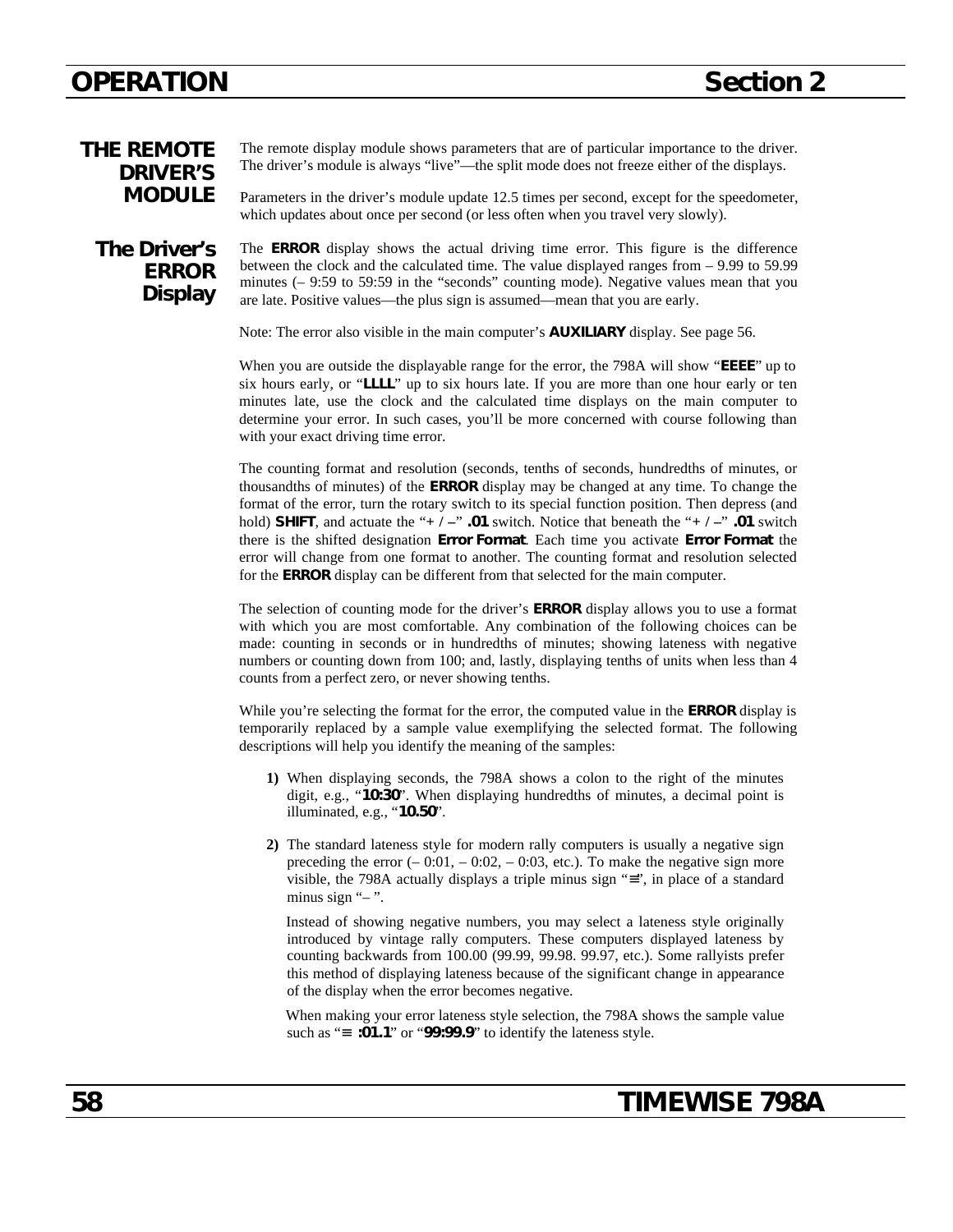# **OPERATION Section 2**

# **THE REMOTE DRIVER'S MODULE**

**The Driver's ERROR Display** The remote display module shows parameters that are of particular importance to the driver. The driver's module is always "live"—the split mode does not freeze either of the displays.

Parameters in the driver's module update 12.5 times per second, except for the speedometer, which updates about once per second (or less often when you travel very slowly).

The **ERROR** display shows the actual driving time error. This figure is the difference between the clock and the calculated time. The value displayed ranges from – 9.99 to 59.99 minutes (– 9:59 to 59:59 in the "seconds" counting mode). Negative values mean that you are late. Positive values—the plus sign is assumed—mean that you are early.

Note: The error also visible in the main computer's **AUXILIARY** display. See page 56.

When you are outside the displayable range for the error, the 798A will show "**EEEE**" up to six hours early, or "**LLLL**" up to six hours late. If you are more than one hour early or ten minutes late, use the clock and the calculated time displays on the main computer to determine your error. In such cases, you'll be more concerned with course following than with your exact driving time error.

The counting format and resolution (seconds, tenths of seconds, hundredths of minutes, or thousandths of minutes) of the **ERROR** display may be changed at any time. To change the format of the error, turn the rotary switch to its special function position. Then depress (and hold) **SHIFT**, and actuate the "**+ / –**" **.01** switch. Notice that beneath the "**+ / –**" **.01** switch there is the shifted designation **Error Format**. Each time you activate **Error Format** the error will change from one format to another. The counting format and resolution selected for the **ERROR** display can be different from that selected for the main computer.

The selection of counting mode for the driver's **ERROR** display allows you to use a format with which you are most comfortable. Any combination of the following choices can be made: counting in seconds or in hundredths of minutes; showing lateness with negative numbers or counting down from 100; and, lastly, displaying tenths of units when less than 4 counts from a perfect zero, or never showing tenths.

While you're selecting the format for the error, the computed value in the **ERROR** display is temporarily replaced by a sample value exemplifying the selected format. The following descriptions will help you identify the meaning of the samples:

- **1)** When displaying seconds, the 798A shows a colon to the right of the minutes digit, e.g., "**10:30**". When displaying hundredths of minutes, a decimal point is illuminated, e.g., "**10.50**".
- **2)** The standard lateness style for modern rally computers is usually a negative sign preceding the error  $(-0.01, -0.02, -0.03, \text{ etc.})$ . To make the negative sign more visible, the 798A actually displays a triple minus sign " ", in place of a standard minus sign "– ".

Instead of showing negative numbers, you may select a lateness style originally introduced by vintage rally computers. These computers displayed lateness by counting backwards from 100.00 (99.99, 99.98. 99.97, etc.). Some rallyists prefer this method of displaying lateness because of the significant change in appearance of the display when the error becomes negative.

When making your error lateness style selection, the 798A shows the sample value such as " **:01.1**" or "**99:99.9**" to identify the lateness style.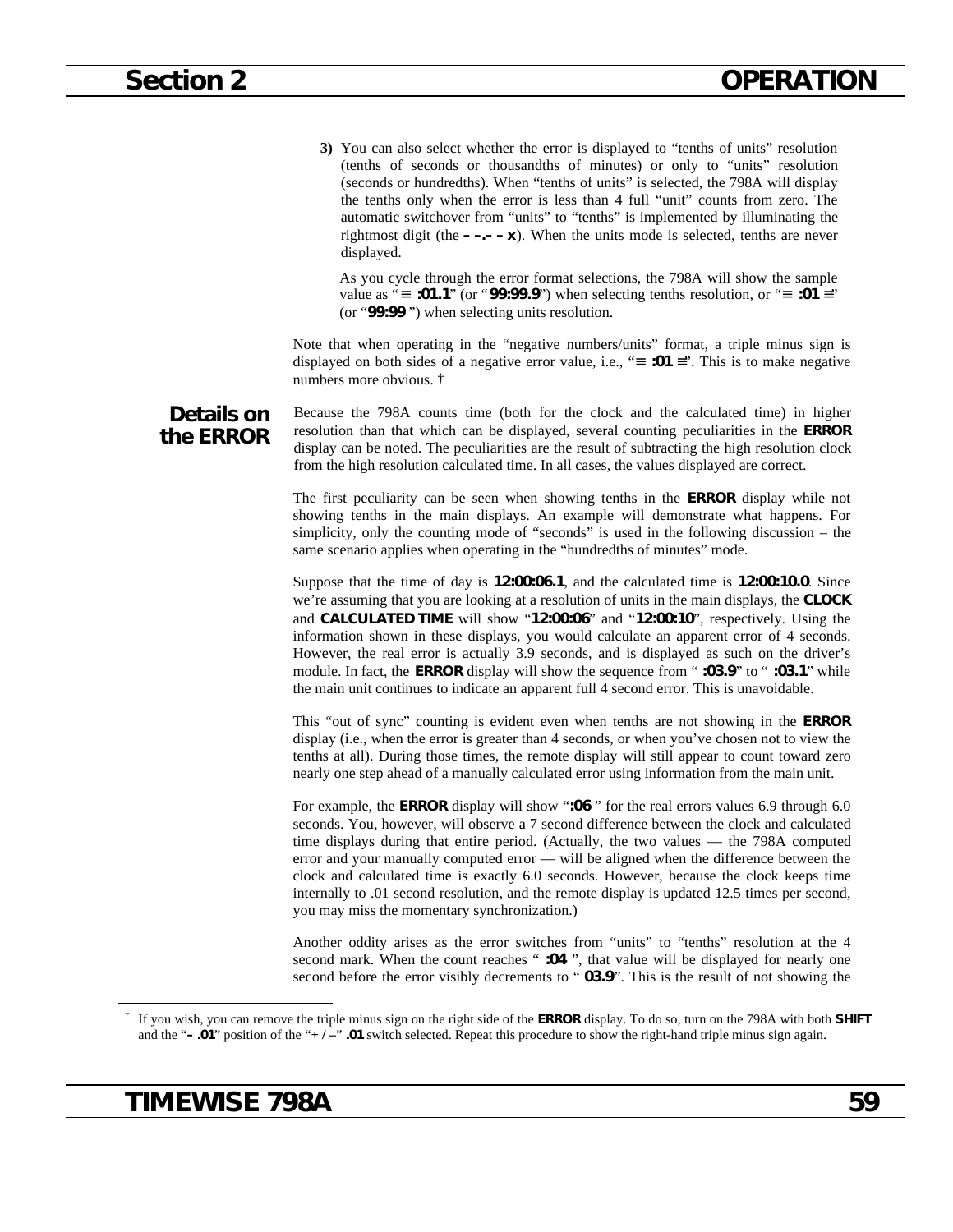**3)** You can also select whether the error is displayed to "tenths of units" resolution (tenths of seconds or thousandths of minutes) or only to "units" resolution (seconds or hundredths). When "tenths of units" is selected, the 798A will display the tenths only when the error is less than 4 full "unit" counts from zero. The automatic switchover from "units" to "tenths" is implemented by illuminating the rightmost digit (the **– –.– – x**). When the units mode is selected, tenths are never displayed.

As you cycle through the error format selections, the 798A will show the sample value as " **:01.1**" (or "**99:99.9**") when selecting tenths resolution, or " **:01** " (or "**99:99** ") when selecting units resolution.

Note that when operating in the "negative numbers/units" format, a triple minus sign is displayed on both sides of a negative error value, i.e., " **:01** ". This is to make negative numbers more obvious. †

## **Details on the ERROR**

Because the 798A counts time (both for the clock and the calculated time) in higher resolution than that which can be displayed, several counting peculiarities in the **ERROR** display can be noted. The peculiarities are the result of subtracting the high resolution clock from the high resolution calculated time. In all cases, the values displayed are correct.

The first peculiarity can be seen when showing tenths in the **ERROR** display while not showing tenths in the main displays. An example will demonstrate what happens. For simplicity, only the counting mode of "seconds" is used in the following discussion – the same scenario applies when operating in the "hundredths of minutes" mode.

Suppose that the time of day is **12:00:06.1**, and the calculated time is **12:00:10.0**. Since we're assuming that you are looking at a resolution of units in the main displays, the **CLOCK** and **CALCULATED TIME** will show "**12:00:06**" and "**12:00:10**", respectively. Using the information shown in these displays, you would calculate an apparent error of 4 seconds. However, the real error is actually 3.9 seconds, and is displayed as such on the driver's module. In fact, the **ERROR** display will show the sequence from " **:03.9**" to " **:03.1**" while the main unit continues to indicate an apparent full 4 second error. This is unavoidable.

This "out of sync" counting is evident even when tenths are not showing in the **ERROR** display (i.e., when the error is greater than 4 seconds, or when you've chosen not to view the tenths at all). During those times, the remote display will still appear to count toward zero nearly one step ahead of a manually calculated error using information from the main unit.

For example, the **ERROR** display will show "**:06** " for the real errors values 6.9 through 6.0 seconds. You, however, will observe a 7 second difference between the clock and calculated time displays during that entire period. (Actually, the two values — the 798A computed error and your manually computed error — will be aligned when the difference between the clock and calculated time is exactly 6.0 seconds. However, because the clock keeps time internally to .01 second resolution, and the remote display is updated 12.5 times per second, you may miss the momentary synchronization.)

Another oddity arises as the error switches from "units" to "tenths" resolution at the 4 second mark. When the count reaches " **:04** ", that value will be displayed for nearly one second before the error visibly decrements to " **03.9**". This is the result of not showing the

j

<sup>†</sup> If you wish, you can remove the triple minus sign on the right side of the **ERROR** display. To do so, turn on the 798A with both **SHIFT** and the "**– .01**" position of the "**+ / –**" **.01** switch selected. Repeat this procedure to show the right-hand triple minus sign again.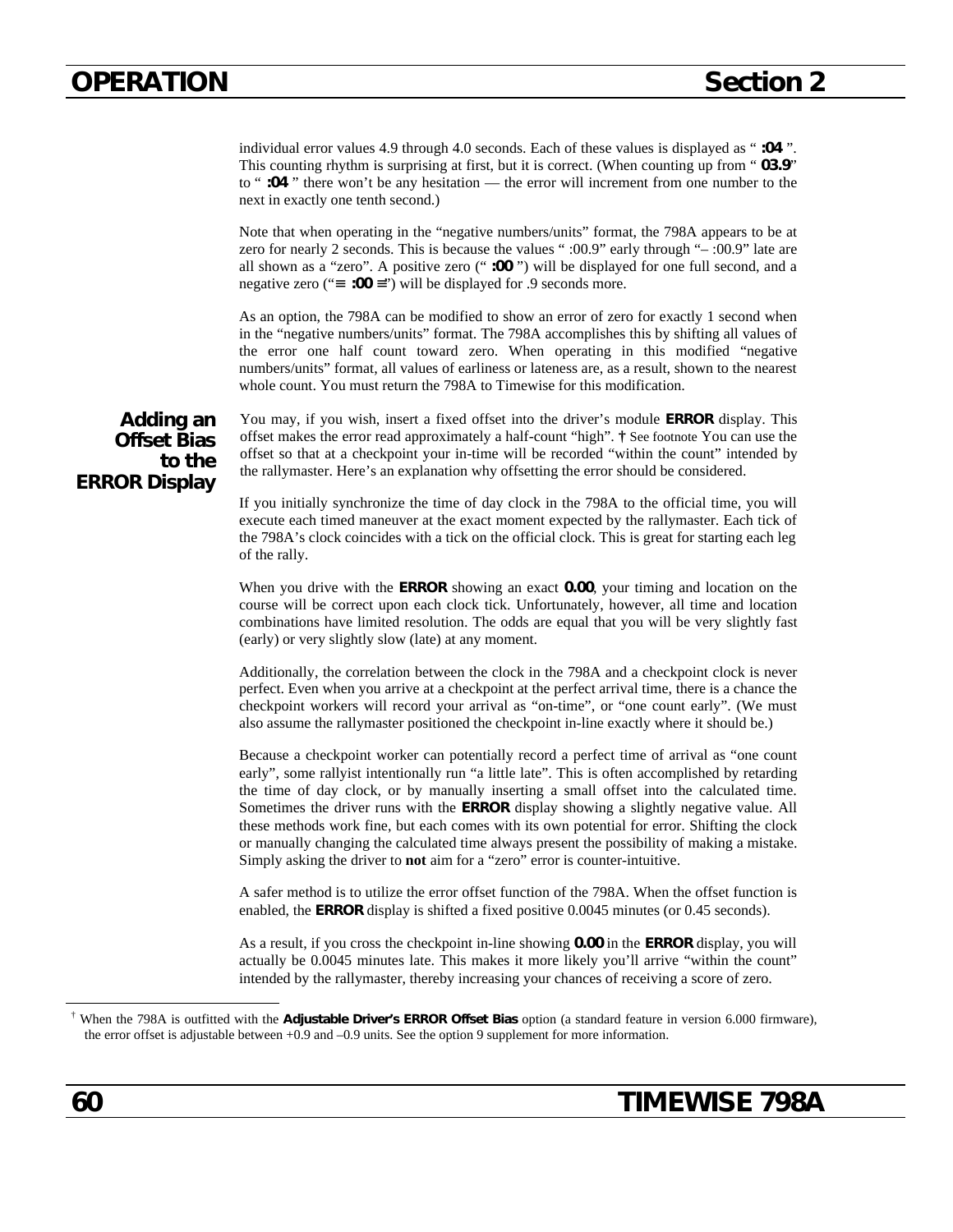individual error values 4.9 through 4.0 seconds. Each of these values is displayed as " **:04** ". This counting rhythm is surprising at first, but it is correct. (When counting up from " **03.9**" to " **:04** " there won't be any hesitation — the error will increment from one number to the next in exactly one tenth second.)

Note that when operating in the "negative numbers/units" format, the 798A appears to be at zero for nearly 2 seconds. This is because the values " :00.9" early through "– :00.9" late are all shown as a "zero". A positive zero (" **:00** ") will be displayed for one full second, and a negative zero (" **:00** ") will be displayed for .9 seconds more.

As an option, the 798A can be modified to show an error of zero for exactly 1 second when in the "negative numbers/units" format. The 798A accomplishes this by shifting all values of the error one half count toward zero. When operating in this modified "negative numbers/units" format, all values of earliness or lateness are, as a result, shown to the nearest whole count. You must return the 798A to Timewise for this modification.

**Adding an Offset Bias to the ERROR Display** You may, if you wish, insert a fixed offset into the driver's module **ERROR** display. This offset makes the error read approximately a half-count "high". **†** See footnote You can use the offset so that at a checkpoint your in-time will be recorded "within the count" intended by the rallymaster. Here's an explanation why offsetting the error should be considered.

If you initially synchronize the time of day clock in the 798A to the official time, you will execute each timed maneuver at the exact moment expected by the rallymaster. Each tick of the 798A's clock coincides with a tick on the official clock. This is great for starting each leg of the rally.

When you drive with the **ERROR** showing an exact **0.00**, your timing and location on the course will be correct upon each clock tick. Unfortunately, however, all time and location combinations have limited resolution. The odds are equal that you will be very slightly fast (early) or very slightly slow (late) at any moment.

Additionally, the correlation between the clock in the 798A and a checkpoint clock is never perfect. Even when you arrive at a checkpoint at the perfect arrival time, there is a chance the checkpoint workers will record your arrival as "on-time", or "one count early". (We must also assume the rallymaster positioned the checkpoint in-line exactly where it should be.)

Because a checkpoint worker can potentially record a perfect time of arrival as "one count early", some rallyist intentionally run "a little late". This is often accomplished by retarding the time of day clock, or by manually inserting a small offset into the calculated time. Sometimes the driver runs with the **ERROR** display showing a slightly negative value. All these methods work fine, but each comes with its own potential for error. Shifting the clock or manually changing the calculated time always present the possibility of making a mistake. Simply asking the driver to **not** aim for a "zero" error is counter-intuitive.

A safer method is to utilize the error offset function of the 798A. When the offset function is enabled, the **ERROR** display is shifted a fixed positive 0.0045 minutes (or 0.45 seconds).

As a result, if you cross the checkpoint in-line showing **0.00** in the **ERROR** display, you will actually be 0.0045 minutes late. This makes it more likely you'll arrive "within the count" intended by the rallymaster, thereby increasing your chances of receiving a score of zero.

1

<sup>†</sup> When the 798A is outfitted with the **Adjustable Driver's ERROR Offset Bias** option (a standard feature in version 6.000 firmware), the error offset is adjustable between +0.9 and –0.9 units. See the option 9 supplement for more information.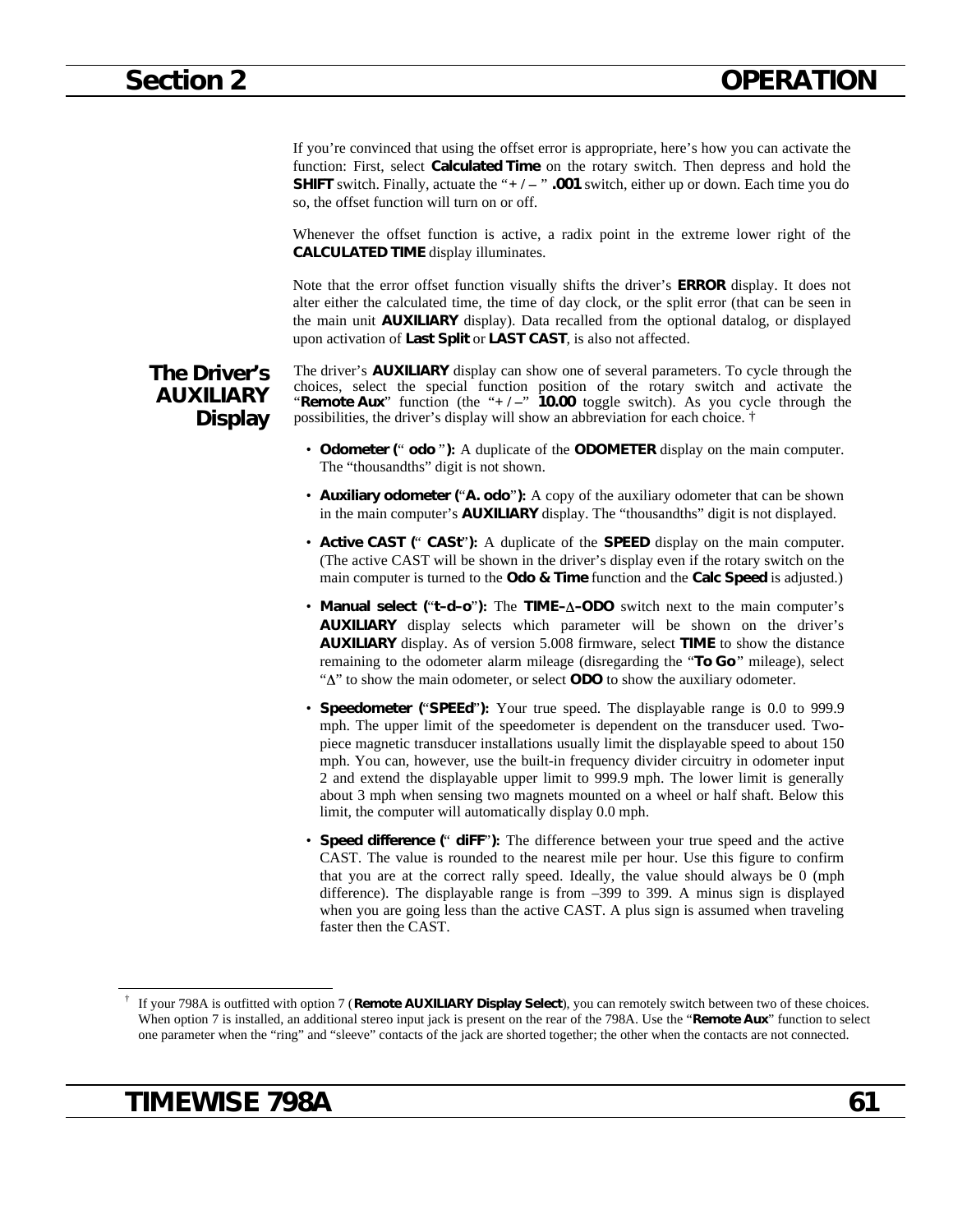If you're convinced that using the offset error is appropriate, here's how you can activate the function: First, select **Calculated Time** on the rotary switch. Then depress and hold the **SHIFT** switch. Finally, actuate the " $+/-$ " **.001** switch, either up or down. Each time you do so, the offset function will turn on or off.

Whenever the offset function is active, a radix point in the extreme lower right of the **CALCULATED TIME** display illuminates.

Note that the error offset function visually shifts the driver's **ERROR** display. It does not alter either the calculated time, the time of day clock, or the split error (that can be seen in the main unit **AUXILIARY** display). Data recalled from the optional datalog, or displayed upon activation of **Last Split** or **LAST CAST**, is also not affected.

**The Driver's AUXILIARY Display** The driver's **AUXILIARY** display can show one of several parameters. To cycle through the choices, select the special function position of the rotary switch and activate the "Remote Aux" function (the "+/-" 10.00 toggle switch). As you cycle through the possibilities, the driver's display will show an abbreviation for each choice. †

- **Odometer (**" **odo** "**):** A duplicate of the **ODOMETER** display on the main computer. The "thousandths" digit is not shown.
- **Auxiliary odometer (**"**A. odo**"**):** A copy of the auxiliary odometer that can be shown in the main computer's **AUXILIARY** display. The "thousandths" digit is not displayed.
- **Active CAST (**" **CASt**"**):** A duplicate of the **SPEED** display on the main computer. (The active CAST will be shown in the driver's display even if the rotary switch on the main computer is turned to the **Odo & Time** function and the **Calc Speed** is adjusted.)
- Manual select ("t-d-o"): The TIME- $\Delta$ -ODO switch next to the main computer's **AUXILIARY** display selects which parameter will be shown on the driver's **AUXILIARY** display. As of version 5.008 firmware, select **TIME** to show the distance remaining to the odometer alarm mileage (disregarding the "**To Go**" mileage), select " $\Delta$ " to show the main odometer, or select **ODO** to show the auxiliary odometer.
- **Speedometer (**"**SPEEd**"**):** Your true speed. The displayable range is 0.0 to 999.9 mph. The upper limit of the speedometer is dependent on the transducer used. Twopiece magnetic transducer installations usually limit the displayable speed to about 150 mph. You can, however, use the built-in frequency divider circuitry in odometer input 2 and extend the displayable upper limit to 999.9 mph. The lower limit is generally about 3 mph when sensing two magnets mounted on a wheel or half shaft. Below this limit, the computer will automatically display 0.0 mph.
- **Speed difference (**" **diFF**"**):** The difference between your true speed and the active CAST. The value is rounded to the nearest mile per hour. Use this figure to confirm that you are at the correct rally speed. Ideally, the value should always be 0 (mph difference). The displayable range is from –399 to 399. A minus sign is displayed when you are going less than the active CAST. A plus sign is assumed when traveling faster then the CAST.

j

<sup>†</sup> If your 798A is outfitted with option 7 (**Remote AUXILIARY Display Select**), you can remotely switch between two of these choices. When option 7 is installed, an additional stereo input jack is present on the rear of the 798A. Use the "**Remote Aux**" function to select one parameter when the "ring" and "sleeve" contacts of the jack are shorted together; the other when the contacts are not connected.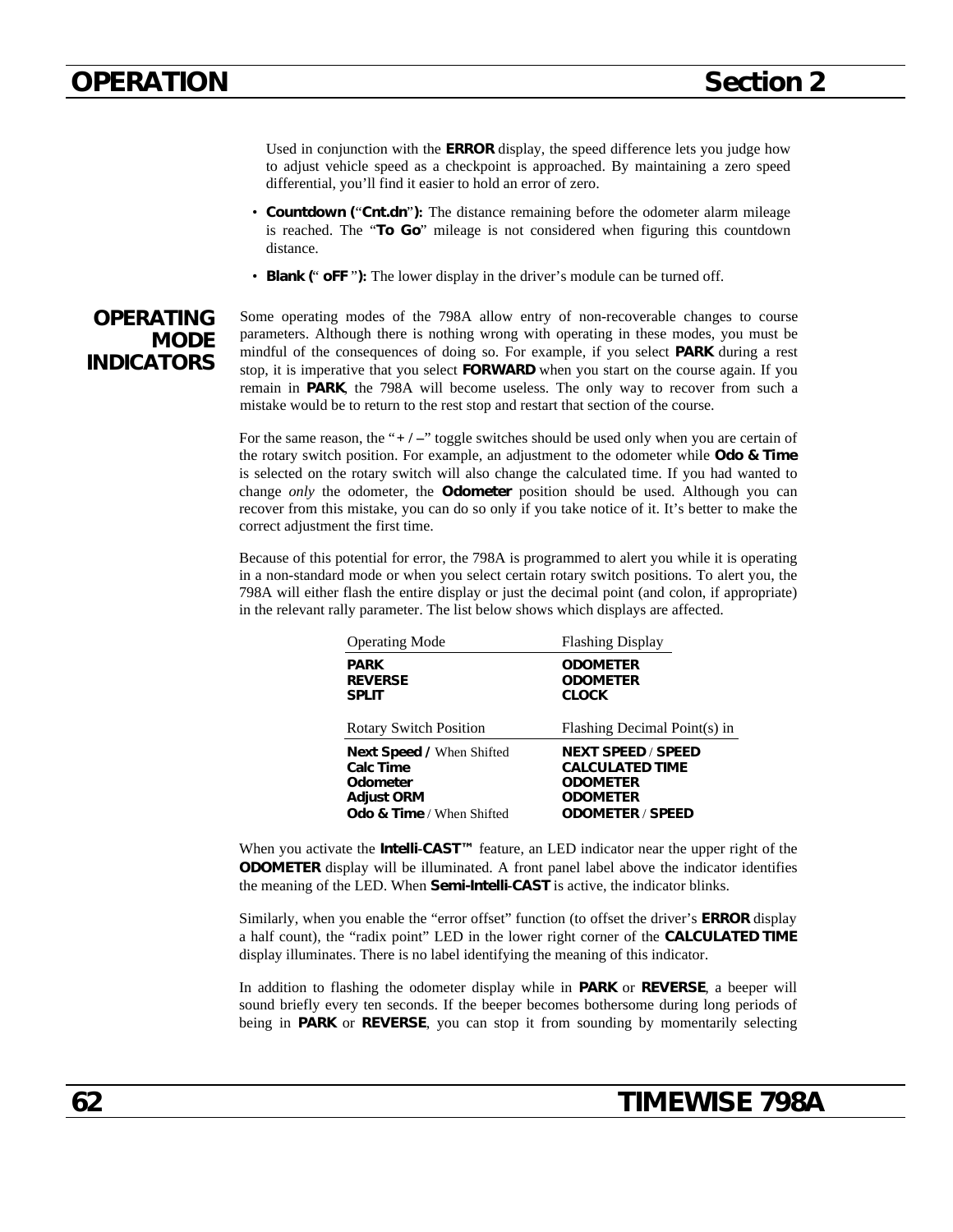Used in conjunction with the **ERROR** display, the speed difference lets you judge how to adjust vehicle speed as a checkpoint is approached. By maintaining a zero speed differential, you'll find it easier to hold an error of zero.

- **Countdown (**"**Cnt.dn**"**):** The distance remaining before the odometer alarm mileage is reached. The "**To Go**" mileage is not considered when figuring this countdown distance.
- **Blank (**" **oFF** "**):** The lower display in the driver's module can be turned off.

# **OPERATING MODE INDICATORS**

Some operating modes of the 798A allow entry of non-recoverable changes to course parameters. Although there is nothing wrong with operating in these modes, you must be mindful of the consequences of doing so. For example, if you select **PARK** during a rest stop, it is imperative that you select **FORWARD** when you start on the course again. If you remain in **PARK**, the 798A will become useless. The only way to recover from such a mistake would be to return to the rest stop and restart that section of the course.

For the same reason, the "**+ / –**" toggle switches should be used only when you are certain of the rotary switch position. For example, an adjustment to the odometer while **Odo & Time** is selected on the rotary switch will also change the calculated time. If you had wanted to change *only* the odometer, the **Odometer** position should be used. Although you can recover from this mistake, you can do so only if you take notice of it. It's better to make the correct adjustment the first time.

Because of this potential for error, the 798A is programmed to alert you while it is operating in a non-standard mode or when you select certain rotary switch positions. To alert you, the 798A will either flash the entire display or just the decimal point (and colon, if appropriate) in the relevant rally parameter. The list below shows which displays are affected.

| <b>Operating Mode</b>                | <b>Flashing Display</b>      |
|--------------------------------------|------------------------------|
| <b>PARK</b>                          | <b>ODOMETER</b>              |
| <b>REVERSE</b>                       | <b>ODOMETER</b>              |
| <b>SPLIT</b>                         | <b>CLOCK</b>                 |
| <b>Rotary Switch Position</b>        | Flashing Decimal Point(s) in |
| <b>Next Speed / When Shifted</b>     | <b>NEXT SPEED / SPEED</b>    |
| Calc Time                            | <b>CALCULATED TIME</b>       |
| Odometer                             | <b>ODOMETER</b>              |
| <b>Adjust ORM</b>                    | <b>ODOMETER</b>              |
| <b>Odo &amp; Time</b> / When Shifted | <b>ODOMETER / SPEED</b>      |

When you activate the **Intelli-CAST™** feature, an LED indicator near the upper right of the **ODOMETER** display will be illuminated. A front panel label above the indicator identifies the meaning of the LED. When **Semi-Intelli-CAST** is active, the indicator blinks.

Similarly, when you enable the "error offset" function (to offset the driver's **ERROR** display a half count), the "radix point" LED in the lower right corner of the **CALCULATED TIME** display illuminates. There is no label identifying the meaning of this indicator.

In addition to flashing the odometer display while in **PARK** or **REVERSE**, a beeper will sound briefly every ten seconds. If the beeper becomes bothersome during long periods of being in **PARK** or **REVERSE**, you can stop it from sounding by momentarily selecting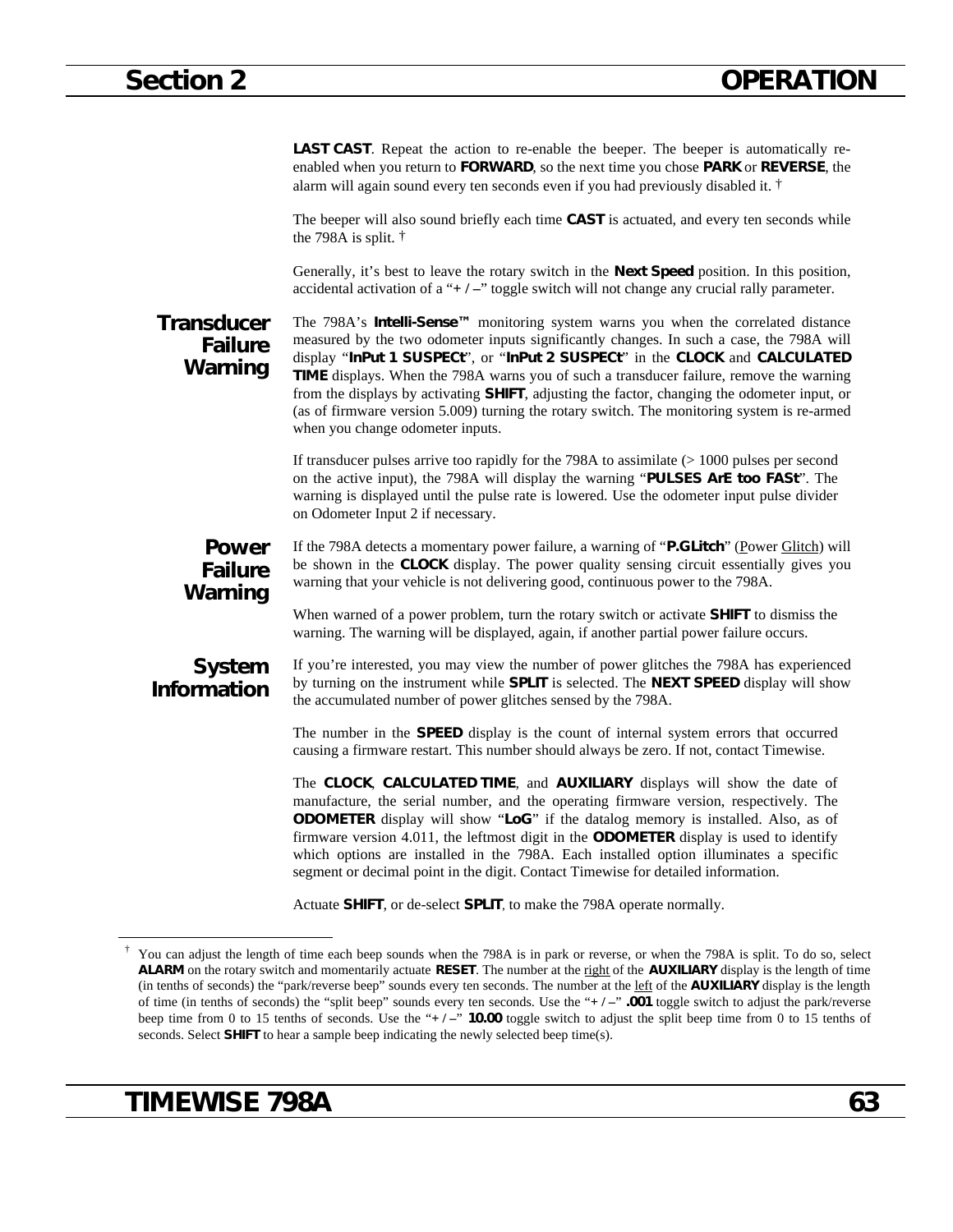**LAST CAST.** Repeat the action to re-enable the beeper. The beeper is automatically reenabled when you return to **FORWARD**, so the next time you chose **PARK** or **REVERSE**, the alarm will again sound every ten seconds even if you had previously disabled it. †

The beeper will also sound briefly each time **CAST** is actuated, and every ten seconds while the 798A is split. †

Generally, it's best to leave the rotary switch in the **Next Speed** position. In this position, accidental activation of a "**+ / –**" toggle switch will not change any crucial rally parameter.

### **Transducer Failure Warning**

The 798A's **Intelli-Sense™** monitoring system warns you when the correlated distance measured by the two odometer inputs significantly changes. In such a case, the 798A will display "InPut 1 SUSPECt", or "InPut 2 SUSPECt" in the CLOCK and CALCULATED **TIME** displays. When the 798A warns you of such a transducer failure, remove the warning from the displays by activating **SHIFT**, adjusting the factor, changing the odometer input, or (as of firmware version 5.009) turning the rotary switch. The monitoring system is re-armed when you change odometer inputs.

If transducer pulses arrive too rapidly for the 798A to assimilate (> 1000 pulses per second on the active input), the 798A will display the warning "**PULSES ArE too FASt**". The warning is displayed until the pulse rate is lowered. Use the odometer input pulse divider on Odometer Input 2 if necessary.

# **Power Failure Warning**

If the 798A detects a momentary power failure, a warning of "P.GLitch" (Power Glitch) will be shown in the **CLOCK** display. The power quality sensing circuit essentially gives you warning that your vehicle is not delivering good, continuous power to the 798A.

When warned of a power problem, turn the rotary switch or activate **SHIFT** to dismiss the warning. The warning will be displayed, again, if another partial power failure occurs.

**System Information** If you're interested, you may view the number of power glitches the 798A has experienced by turning on the instrument while **SPLIT** is selected. The **NEXT SPEED** display will show the accumulated number of power glitches sensed by the 798A.

> The number in the **SPEED** display is the count of internal system errors that occurred causing a firmware restart. This number should always be zero. If not, contact Timewise.

> The **CLOCK, CALCULATED TIME**, and **AUXILIARY** displays will show the date of manufacture, the serial number, and the operating firmware version, respectively. The **ODOMETER** display will show "LoG" if the datalog memory is installed. Also, as of firmware version 4.011, the leftmost digit in the **ODOMETER** display is used to identify which options are installed in the 798A. Each installed option illuminates a specific segment or decimal point in the digit. Contact Timewise for detailed information.

Actuate **SHIFT**, or de-select **SPLIT**, to make the 798A operate normally.

j

<sup>†</sup> You can adjust the length of time each beep sounds when the 798A is in park or reverse, or when the 798A is split. To do so, select **ALARM** on the rotary switch and momentarily actuate **RESET**. The number at the right of the **AUXILIARY** display is the length of time (in tenths of seconds) the "park/reverse beep" sounds every ten seconds. The number at the left of the **AUXILIARY** display is the length of time (in tenths of seconds) the "split beep" sounds every ten seconds. Use the "**+ / –**" **.001** toggle switch to adjust the park/reverse beep time from 0 to 15 tenths of seconds. Use the "**+ / –**" **10.00** toggle switch to adjust the split beep time from 0 to 15 tenths of seconds. Select **SHIFT** to hear a sample beep indicating the newly selected beep time(s).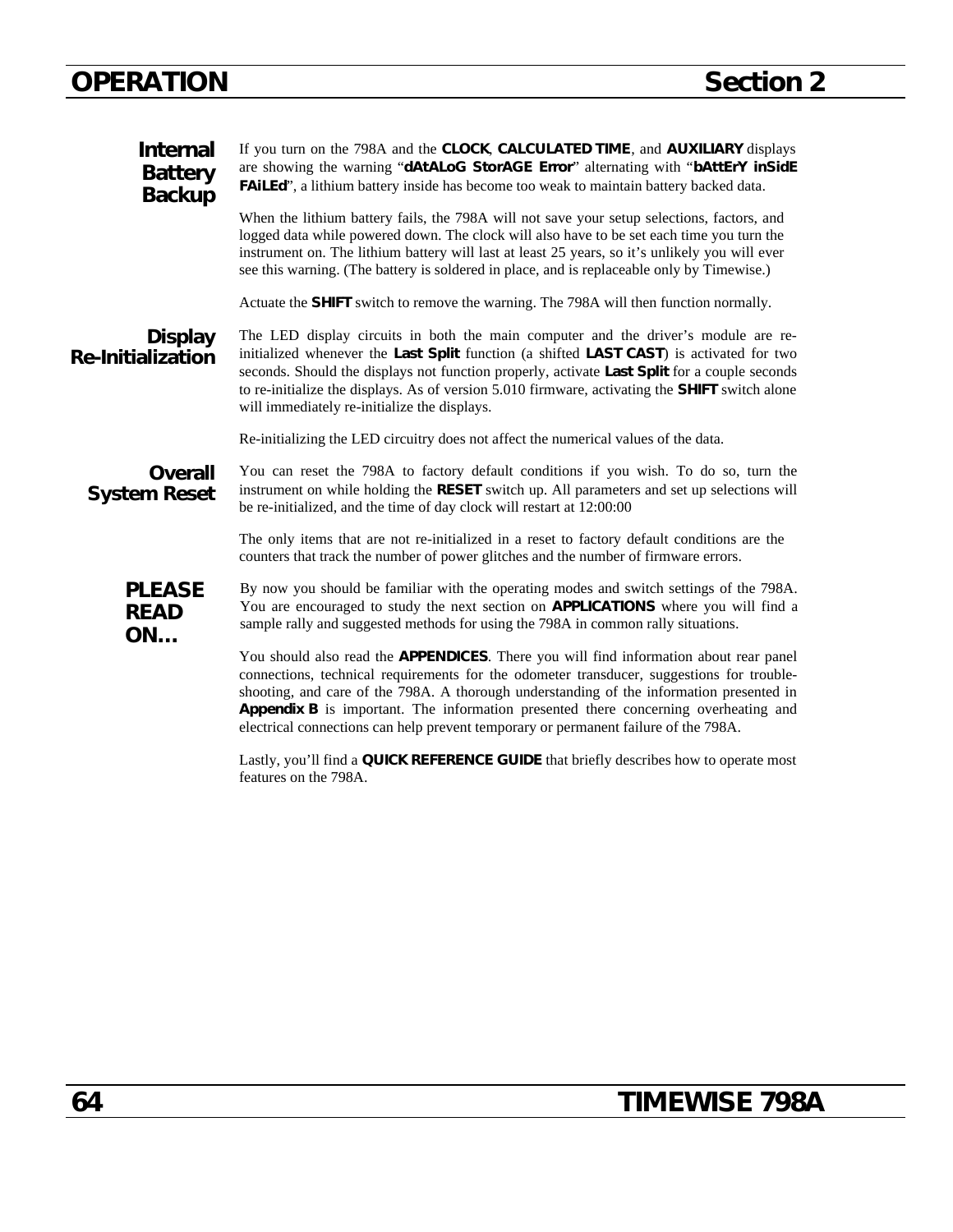# **OPERATION Section 2**

| When the lithium battery fails, the 798A will not save your setup selections, factors, and<br>logged data while powered down. The clock will also have to be set each time you turn the<br>instrument on. The lithium battery will last at least 25 years, so it's unlikely you will ever<br>see this warning. (The battery is soldered in place, and is replaceable only by Timewise.)<br>Actuate the SHIFT switch to remove the warning. The 798A will then function normally.<br><b>Display</b><br>The LED display circuits in both the main computer and the driver's module are re-<br>initialized whenever the Last Split function (a shifted LAST CAST) is activated for two<br><b>Re-Initialization</b><br>seconds. Should the displays not function properly, activate Last Split for a couple seconds<br>to re-initialize the displays. As of version 5.010 firmware, activating the SHIFT switch alone<br>will immediately re-initialize the displays.<br>Re-initializing the LED circuitry does not affect the numerical values of the data.<br>You can reset the 798A to factory default conditions if you wish. To do so, turn the<br><b>Overall</b><br>instrument on while holding the RESET switch up. All parameters and set up selections will<br><b>System Reset</b><br>be re-initialized, and the time of day clock will restart at 12:00:00<br>The only items that are not re-initialized in a reset to factory default conditions are the<br>counters that track the number of power glitches and the number of firmware errors.<br><b>PLEASE</b><br>By now you should be familiar with the operating modes and switch settings of the 798A.<br>You are encouraged to study the next section on <b>APPLICATIONS</b> where you will find a<br><b>READ</b><br>sample rally and suggested methods for using the 798A in common rally situations.<br>ON<br>You should also read the APPENDICES. There you will find information about rear panel<br>connections, technical requirements for the odometer transducer, suggestions for trouble-<br>shooting, and care of the 798A. A thorough understanding of the information presented in<br>Appendix B is important. The information presented there concerning overheating and<br>electrical connections can help prevent temporary or permanent failure of the 798A.<br>Lastly, you'll find a QUICK REFERENCE GUIDE that briefly describes how to operate most<br>features on the 798A. | <b>Internal</b><br><b>Battery</b><br><b>Backup</b> | If you turn on the 798A and the CLOCK, CALCULATED TIME, and AUXILIARY displays<br>are showing the warning "dAtALoG StorAGE Error" alternating with "bAttErY inSidE<br>FAILEd", a lithium battery inside has become too weak to maintain battery backed data. |  |  |
|--------------------------------------------------------------------------------------------------------------------------------------------------------------------------------------------------------------------------------------------------------------------------------------------------------------------------------------------------------------------------------------------------------------------------------------------------------------------------------------------------------------------------------------------------------------------------------------------------------------------------------------------------------------------------------------------------------------------------------------------------------------------------------------------------------------------------------------------------------------------------------------------------------------------------------------------------------------------------------------------------------------------------------------------------------------------------------------------------------------------------------------------------------------------------------------------------------------------------------------------------------------------------------------------------------------------------------------------------------------------------------------------------------------------------------------------------------------------------------------------------------------------------------------------------------------------------------------------------------------------------------------------------------------------------------------------------------------------------------------------------------------------------------------------------------------------------------------------------------------------------------------------------------------------------------------------------------------------------------------------------------------------------------------------------------------------------------------------------------------------------------------------------------------------------------------------------------------------------------------------------------------------------------------------------------------------------------------------------------------------------------------------------------------------------------------------------------------|----------------------------------------------------|--------------------------------------------------------------------------------------------------------------------------------------------------------------------------------------------------------------------------------------------------------------|--|--|
|                                                                                                                                                                                                                                                                                                                                                                                                                                                                                                                                                                                                                                                                                                                                                                                                                                                                                                                                                                                                                                                                                                                                                                                                                                                                                                                                                                                                                                                                                                                                                                                                                                                                                                                                                                                                                                                                                                                                                                                                                                                                                                                                                                                                                                                                                                                                                                                                                                                              |                                                    |                                                                                                                                                                                                                                                              |  |  |
|                                                                                                                                                                                                                                                                                                                                                                                                                                                                                                                                                                                                                                                                                                                                                                                                                                                                                                                                                                                                                                                                                                                                                                                                                                                                                                                                                                                                                                                                                                                                                                                                                                                                                                                                                                                                                                                                                                                                                                                                                                                                                                                                                                                                                                                                                                                                                                                                                                                              |                                                    |                                                                                                                                                                                                                                                              |  |  |
|                                                                                                                                                                                                                                                                                                                                                                                                                                                                                                                                                                                                                                                                                                                                                                                                                                                                                                                                                                                                                                                                                                                                                                                                                                                                                                                                                                                                                                                                                                                                                                                                                                                                                                                                                                                                                                                                                                                                                                                                                                                                                                                                                                                                                                                                                                                                                                                                                                                              |                                                    |                                                                                                                                                                                                                                                              |  |  |
|                                                                                                                                                                                                                                                                                                                                                                                                                                                                                                                                                                                                                                                                                                                                                                                                                                                                                                                                                                                                                                                                                                                                                                                                                                                                                                                                                                                                                                                                                                                                                                                                                                                                                                                                                                                                                                                                                                                                                                                                                                                                                                                                                                                                                                                                                                                                                                                                                                                              |                                                    |                                                                                                                                                                                                                                                              |  |  |
|                                                                                                                                                                                                                                                                                                                                                                                                                                                                                                                                                                                                                                                                                                                                                                                                                                                                                                                                                                                                                                                                                                                                                                                                                                                                                                                                                                                                                                                                                                                                                                                                                                                                                                                                                                                                                                                                                                                                                                                                                                                                                                                                                                                                                                                                                                                                                                                                                                                              |                                                    |                                                                                                                                                                                                                                                              |  |  |
|                                                                                                                                                                                                                                                                                                                                                                                                                                                                                                                                                                                                                                                                                                                                                                                                                                                                                                                                                                                                                                                                                                                                                                                                                                                                                                                                                                                                                                                                                                                                                                                                                                                                                                                                                                                                                                                                                                                                                                                                                                                                                                                                                                                                                                                                                                                                                                                                                                                              |                                                    |                                                                                                                                                                                                                                                              |  |  |
|                                                                                                                                                                                                                                                                                                                                                                                                                                                                                                                                                                                                                                                                                                                                                                                                                                                                                                                                                                                                                                                                                                                                                                                                                                                                                                                                                                                                                                                                                                                                                                                                                                                                                                                                                                                                                                                                                                                                                                                                                                                                                                                                                                                                                                                                                                                                                                                                                                                              |                                                    |                                                                                                                                                                                                                                                              |  |  |
|                                                                                                                                                                                                                                                                                                                                                                                                                                                                                                                                                                                                                                                                                                                                                                                                                                                                                                                                                                                                                                                                                                                                                                                                                                                                                                                                                                                                                                                                                                                                                                                                                                                                                                                                                                                                                                                                                                                                                                                                                                                                                                                                                                                                                                                                                                                                                                                                                                                              |                                                    |                                                                                                                                                                                                                                                              |  |  |
|                                                                                                                                                                                                                                                                                                                                                                                                                                                                                                                                                                                                                                                                                                                                                                                                                                                                                                                                                                                                                                                                                                                                                                                                                                                                                                                                                                                                                                                                                                                                                                                                                                                                                                                                                                                                                                                                                                                                                                                                                                                                                                                                                                                                                                                                                                                                                                                                                                                              |                                                    |                                                                                                                                                                                                                                                              |  |  |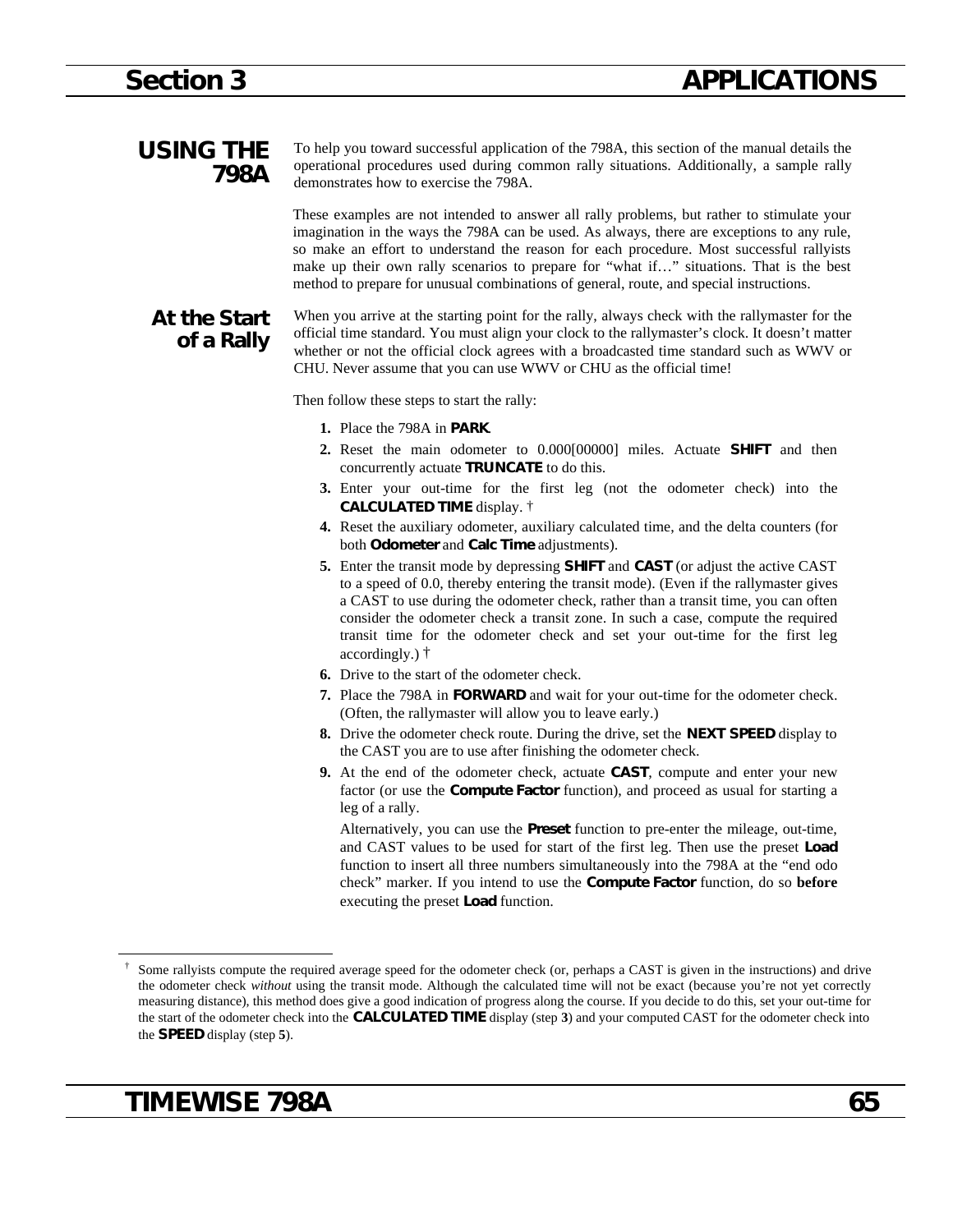# **USING THE 798A**

To help you toward successful application of the 798A, this section of the manual details the operational procedures used during common rally situations. Additionally, a sample rally demonstrates how to exercise the 798A.

These examples are not intended to answer all rally problems, but rather to stimulate your imagination in the ways the 798A can be used. As always, there are exceptions to any rule, so make an effort to understand the reason for each procedure. Most successful rallyists make up their own rally scenarios to prepare for "what if…" situations. That is the best method to prepare for unusual combinations of general, route, and special instructions.

## **At the Start of a Rally**

When you arrive at the starting point for the rally, always check with the rallymaster for the official time standard. You must align your clock to the rallymaster's clock. It doesn't matter whether or not the official clock agrees with a broadcasted time standard such as WWV or CHU. Never assume that you can use WWV or CHU as the official time!

Then follow these steps to start the rally:

- **1.** Place the 798A in **PARK**.
- 2. Reset the main odometer to 0.000[00000] miles. Actuate SHIFT and then concurrently actuate **TRUNCATE** to do this.
- **3.** Enter your out-time for the first leg (not the odometer check) into the **CALCULATED TIME** display. †
- **4.** Reset the auxiliary odometer, auxiliary calculated time, and the delta counters (for both **Odometer** and **Calc Time** adjustments).
- **5.** Enter the transit mode by depressing **SHIFT** and **CAST** (or adjust the active CAST to a speed of 0.0, thereby entering the transit mode). (Even if the rallymaster gives a CAST to use during the odometer check, rather than a transit time, you can often consider the odometer check a transit zone. In such a case, compute the required transit time for the odometer check and set your out-time for the first leg accordingly.) †
- **6.** Drive to the start of the odometer check.
- **7.** Place the 798A in **FORWARD** and wait for your out-time for the odometer check. (Often, the rallymaster will allow you to leave early.)
- **8.** Drive the odometer check route. During the drive, set the **NEXT SPEED** display to the CAST you are to use after finishing the odometer check.
- **9.** At the end of the odometer check, actuate **CAST**, compute and enter your new factor (or use the **Compute Factor** function), and proceed as usual for starting a leg of a rally.

Alternatively, you can use the **Preset** function to pre-enter the mileage, out-time, and CAST values to be used for start of the first leg. Then use the preset **Load** function to insert all three numbers simultaneously into the 798A at the "end odo check" marker. If you intend to use the **Compute Factor** function, do so **before** executing the preset **Load** function.

 $\overline{a}$ 

<sup>†</sup> Some rallyists compute the required average speed for the odometer check (or, perhaps a CAST is given in the instructions) and drive the odometer check *without* using the transit mode. Although the calculated time will not be exact (because you're not yet correctly measuring distance), this method does give a good indication of progress along the course. If you decide to do this, set your out-time for the start of the odometer check into the **CALCULATED TIME** display (step 3) and your computed CAST for the odometer check into the **SPEED** display (step **5**).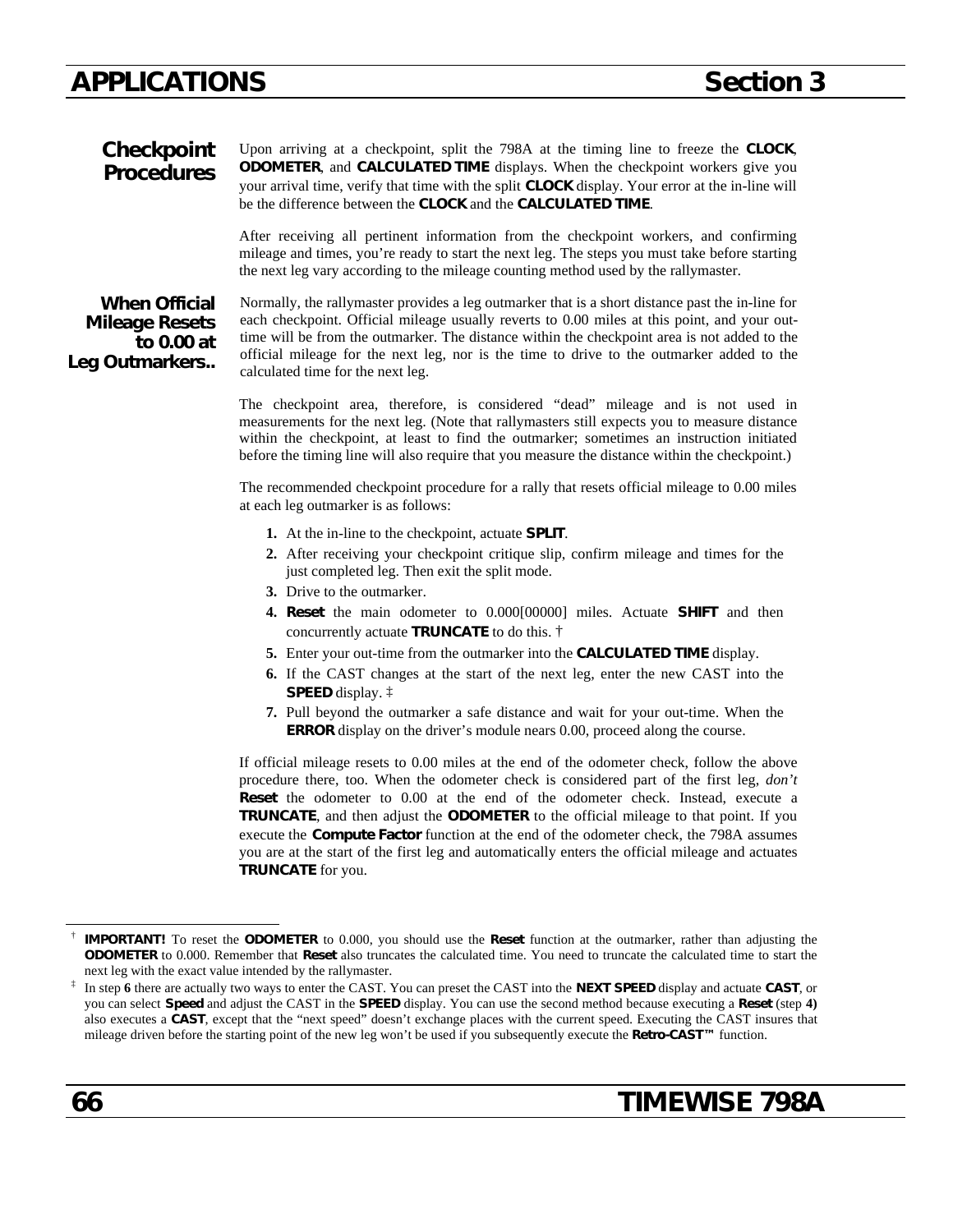# **APPLICATIONS Section 3**

**Checkpoint Procedures** Upon arriving at a checkpoint, split the 798A at the timing line to freeze the **CLOCK**, **ODOMETER**, and **CALCULATED TIME** displays. When the checkpoint workers give you your arrival time, verify that time with the split **CLOCK** display. Your error at the in-line will be the difference between the **CLOCK** and the **CALCULATED TIME**.

> After receiving all pertinent information from the checkpoint workers, and confirming mileage and times, you're ready to start the next leg. The steps you must take before starting the next leg vary according to the mileage counting method used by the rallymaster.

**When Official Mileage Resets to 0.00 at Leg Outmarkers..**

Normally, the rallymaster provides a leg outmarker that is a short distance past the in-line for each checkpoint. Official mileage usually reverts to 0.00 miles at this point, and your outtime will be from the outmarker. The distance within the checkpoint area is not added to the official mileage for the next leg, nor is the time to drive to the outmarker added to the calculated time for the next leg.

The checkpoint area, therefore, is considered "dead" mileage and is not used in measurements for the next leg. (Note that rallymasters still expects you to measure distance within the checkpoint, at least to find the outmarker; sometimes an instruction initiated before the timing line will also require that you measure the distance within the checkpoint.)

The recommended checkpoint procedure for a rally that resets official mileage to 0.00 miles at each leg outmarker is as follows:

- **1.** At the in-line to the checkpoint, actuate **SPLIT**.
- **2.** After receiving your checkpoint critique slip, confirm mileage and times for the just completed leg. Then exit the split mode.
- **3.** Drive to the outmarker.
- **4. Reset** the main odometer to 0.000[00000] miles. Actuate **SHIFT** and then concurrently actuate **TRUNCATE** to do this. †
- **5.** Enter your out-time from the outmarker into the **CALCULATED TIME** display.
- **6.** If the CAST changes at the start of the next leg, enter the new CAST into the **SPEED** display. ‡
- **7.** Pull beyond the outmarker a safe distance and wait for your out-time. When the **ERROR** display on the driver's module nears 0.00, proceed along the course.

If official mileage resets to 0.00 miles at the end of the odometer check, follow the above procedure there, too. When the odometer check is considered part of the first leg, *don't* **Reset** the odometer to 0.00 at the end of the odometer check. Instead, execute a **TRUNCATE**, and then adjust the **ODOMETER** to the official mileage to that point. If you execute the **Compute Factor** function at the end of the odometer check, the 798A assumes you are at the start of the first leg and automatically enters the official mileage and actuates **TRUNCATE** for you.

<u>.</u>

<sup>†</sup> **IMPORTANT!** To reset the **ODOMETER** to 0.000, you should use the **Reset** function at the outmarker, rather than adjusting the **ODOMETER** to 0.000. Remember that **Reset** also truncates the calculated time. You need to truncate the calculated time to start the next leg with the exact value intended by the rallymaster.

<sup>‡</sup> In step **6** there are actually two ways to enter the CAST. You can preset the CAST into the **NEXT SPEED** display and actuate **CAST**, or you can select **Speed** and adjust the CAST in the **SPEED** display. You can use the second method because executing a **Reset** (step **4)** also executes a **CAST**, except that the "next speed" doesn't exchange places with the current speed. Executing the CAST insures that mileage driven before the starting point of the new leg won't be used if you subsequently execute the **Retro-CAST™** function.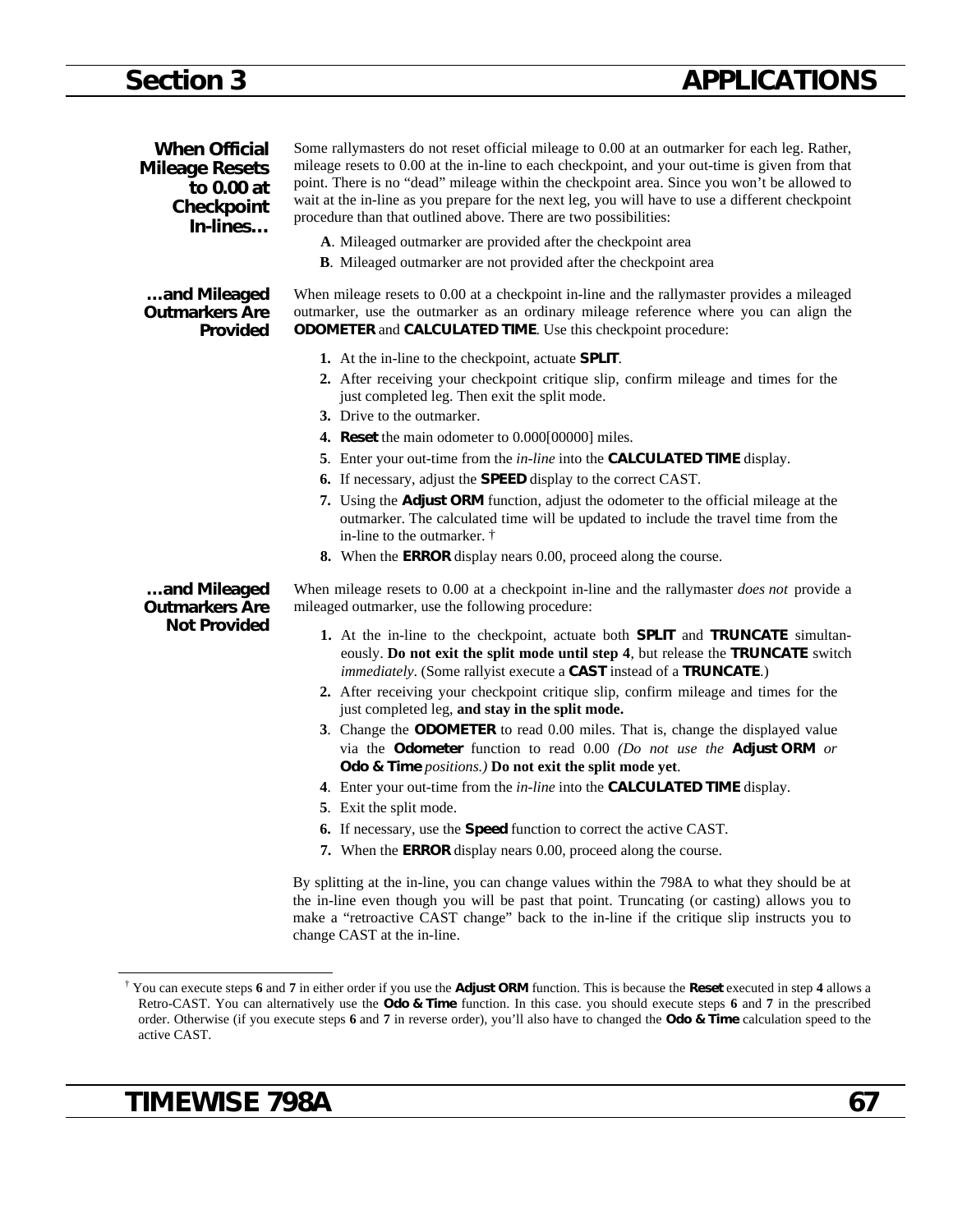# **Section 3 APPLICATIONS**

**When Official Mileage Resets to 0.00 at Checkpoint In-lines…**

Some rallymasters do not reset official mileage to 0.00 at an outmarker for each leg. Rather, mileage resets to 0.00 at the in-line to each checkpoint, and your out-time is given from that point. There is no "dead" mileage within the checkpoint area. Since you won't be allowed to wait at the in-line as you prepare for the next leg, you will have to use a different checkpoint procedure than that outlined above. There are two possibilities:

**A**. Mileaged outmarker are provided after the checkpoint area

**B**. Mileaged outmarker are not provided after the checkpoint area

**…and Mileaged Outmarkers Are Provided** When mileage resets to 0.00 at a checkpoint in-line and the rallymaster provides a mileaged outmarker, use the outmarker as an ordinary mileage reference where you can align the **ODOMETER** and **CALCULATED TIME**. Use this checkpoint procedure:

- **1.** At the in-line to the checkpoint, actuate **SPLIT**.
- **2.** After receiving your checkpoint critique slip, confirm mileage and times for the just completed leg. Then exit the split mode.
- **3.** Drive to the outmarker.
- **4. Reset** the main odometer to 0.000[00000] miles.
- **5**. Enter your out-time from the *in-line* into the **CALCULATED TIME** display.
- **6.** If necessary, adjust the **SPEED** display to the correct CAST.
- **7.** Using the **Adjust ORM** function, adjust the odometer to the official mileage at the outmarker. The calculated time will be updated to include the travel time from the in-line to the outmarker. †
- **8.** When the **ERROR** display nears 0.00, proceed along the course.

**…and Mileaged Outmarkers Are Not Provided**

When mileage resets to 0.00 at a checkpoint in-line and the rallymaster *does not* provide a mileaged outmarker, use the following procedure:

- **1.** At the in-line to the checkpoint, actuate both **SPLIT** and **TRUNCATE** simultaneously. **Do not exit the split mode until step 4**, but release the **TRUNCATE** switch *immediately.* (Some rallyist execute a **CAST** instead of a **TRUNCATE**.)
- **2.** After receiving your checkpoint critique slip, confirm mileage and times for the just completed leg, **and stay in the split mode.**
- **3**. Change the **ODOMETER** to read 0.00 miles. That is, change the displayed value via the Odometer function to read 0.00 *(Do not use the Adjust ORM or* **Odo & Time** *positions.)* **Do not exit the split mode yet**.
- **4**. Enter your out-time from the *in-line* into the **CALCULATED TIME** display.
- **5**. Exit the split mode.
- **6.** If necessary, use the **Speed** function to correct the active CAST.
- **7.** When the **ERROR** display nears 0.00, proceed along the course.

By splitting at the in-line, you can change values within the 798A to what they should be at the in-line even though you will be past that point. Truncating (or casting) allows you to make a "retroactive CAST change" back to the in-line if the critique slip instructs you to change CAST at the in-line.

j

<sup>†</sup> You can execute steps **6** and **7** in either order if you use the **Adjust ORM** function. This is because the **Reset** executed in step **4** allows a Retro-CAST. You can alternatively use the **Odo & Time** function. In this case. you should execute steps **6** and **7** in the prescribed order. Otherwise (if you execute steps 6 and 7 in reverse order), you'll also have to changed the **Odo & Time** calculation speed to the active CAST.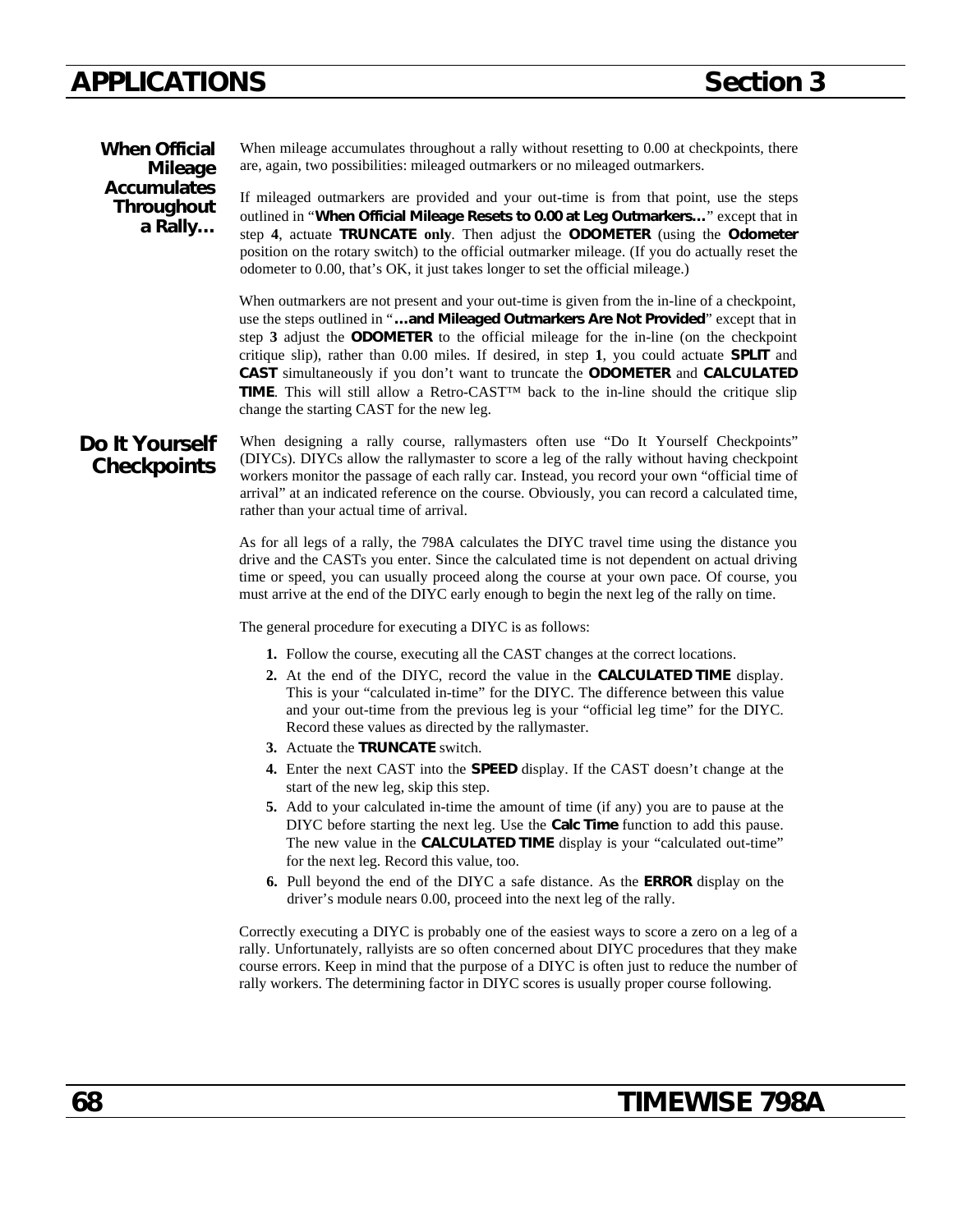# **APPLICATIONS Section 3**

**When Official Mileage Accumulates Throughout a Rally…**

When mileage accumulates throughout a rally without resetting to 0.00 at checkpoints, there are, again, two possibilities: mileaged outmarkers or no mileaged outmarkers.

If mileaged outmarkers are provided and your out-time is from that point, use the steps outlined in "**When Official Mileage Resets to 0.00 at Leg Outmarkers…**" except that in step 4, actuate **TRUNCATE** only. Then adjust the **ODOMETER** (using the **Odometer** position on the rotary switch) to the official outmarker mileage. (If you do actually reset the odometer to 0.00, that's OK, it just takes longer to set the official mileage.)

When outmarkers are not present and your out-time is given from the in-line of a checkpoint, use the steps outlined in "**…and Mileaged Outmarkers Are Not Provided**" except that in step **3** adjust the **ODOMETER** to the official mileage for the in-line (on the checkpoint critique slip), rather than 0.00 miles. If desired, in step **1**, you could actuate **SPLIT** and **CAST** simultaneously if you don't want to truncate the **ODOMETER** and **CALCULATED** TIME. This will still allow a Retro-CAST<sup>™</sup> back to the in-line should the critique slip change the starting CAST for the new leg.

## **Do It Yourself Checkpoints**

When designing a rally course, rallymasters often use "Do It Yourself Checkpoints" (DIYCs). DIYCs allow the rallymaster to score a leg of the rally without having checkpoint workers monitor the passage of each rally car. Instead, you record your own "official time of arrival" at an indicated reference on the course. Obviously, you can record a calculated time, rather than your actual time of arrival.

As for all legs of a rally, the 798A calculates the DIYC travel time using the distance you drive and the CASTs you enter. Since the calculated time is not dependent on actual driving time or speed, you can usually proceed along the course at your own pace. Of course, you must arrive at the end of the DIYC early enough to begin the next leg of the rally on time.

The general procedure for executing a DIYC is as follows:

- **1.** Follow the course, executing all the CAST changes at the correct locations.
- 2. At the end of the DIYC, record the value in the **CALCULATED TIME** display. This is your "calculated in-time" for the DIYC. The difference between this value and your out-time from the previous leg is your "official leg time" for the DIYC. Record these values as directed by the rallymaster.
- **3.** Actuate the **TRUNCATE** switch.
- **4.** Enter the next CAST into the **SPEED** display. If the CAST doesn't change at the start of the new leg, skip this step.
- **5.** Add to your calculated in-time the amount of time (if any) you are to pause at the DIYC before starting the next leg. Use the **Calc Time** function to add this pause. The new value in the **CALCULATED TIME** display is your "calculated out-time" for the next leg. Record this value, too.
- **6.** Pull beyond the end of the DIYC a safe distance. As the **ERROR** display on the driver's module nears 0.00, proceed into the next leg of the rally.

Correctly executing a DIYC is probably one of the easiest ways to score a zero on a leg of a rally. Unfortunately, rallyists are so often concerned about DIYC procedures that they make course errors. Keep in mind that the purpose of a DIYC is often just to reduce the number of rally workers. The determining factor in DIYC scores is usually proper course following.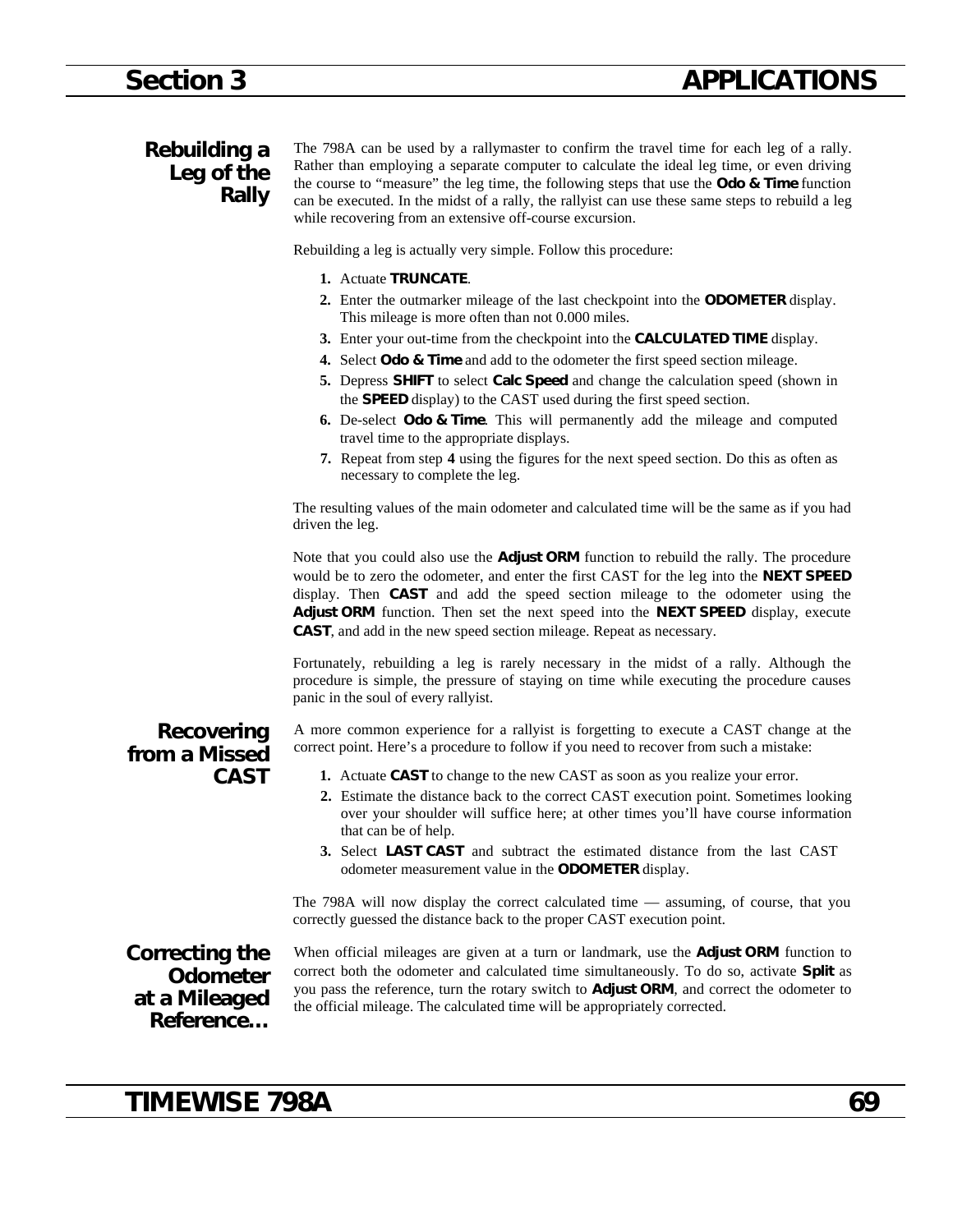### **Rebuilding a Leg of the Rally**

The 798A can be used by a rallymaster to confirm the travel time for each leg of a rally. Rather than employing a separate computer to calculate the ideal leg time, or even driving the course to "measure" the leg time, the following steps that use the **Odo & Time** function can be executed. In the midst of a rally, the rallyist can use these same steps to rebuild a leg while recovering from an extensive off-course excursion.

Rebuilding a leg is actually very simple. Follow this procedure:

- **1.** Actuate **TRUNCATE**.
- **2.** Enter the outmarker mileage of the last checkpoint into the **ODOMETER** display. This mileage is more often than not 0.000 miles.
- **3.** Enter your out-time from the checkpoint into the **CALCULATED TIME** display.
- **4.** Select **Odo & Time** and add to the odometer the first speed section mileage.
- **5.** Depress **SHIFT** to select **Calc Speed** and change the calculation speed (shown in the **SPEED** display) to the CAST used during the first speed section.
- **6.** De-select **Odo & Time**. This will permanently add the mileage and computed travel time to the appropriate displays.
- **7.** Repeat from step **4** using the figures for the next speed section. Do this as often as necessary to complete the leg.

The resulting values of the main odometer and calculated time will be the same as if you had driven the leg.

Note that you could also use the **Adjust ORM** function to rebuild the rally. The procedure would be to zero the odometer, and enter the first CAST for the leg into the **NEXT SPEED** display. Then **CAST** and add the speed section mileage to the odometer using the Adjust ORM function. Then set the next speed into the NEXT SPEED display, execute **CAST**, and add in the new speed section mileage. Repeat as necessary.

Fortunately, rebuilding a leg is rarely necessary in the midst of a rally. Although the procedure is simple, the pressure of staying on time while executing the procedure causes panic in the soul of every rallyist.

### **Recovering from a Missed CAST**

A more common experience for a rallyist is forgetting to execute a CAST change at the correct point. Here's a procedure to follow if you need to recover from such a mistake:

- **1.** Actuate **CAST** to change to the new CAST as soon as you realize your error.
- **2.** Estimate the distance back to the correct CAST execution point. Sometimes looking over your shoulder will suffice here; at other times you'll have course information that can be of help.
- **3.** Select **LAST CAST** and subtract the estimated distance from the last CAST odometer measurement value in the **ODOMETER** display.

The 798A will now display the correct calculated time — assuming, of course, that you correctly guessed the distance back to the proper CAST execution point.

**Correcting the Odometer at a Mileaged Reference…**

When official mileages are given at a turn or landmark, use the **Adjust ORM** function to correct both the odometer and calculated time simultaneously. To do so, activate **Split** as you pass the reference, turn the rotary switch to **Adjust ORM**, and correct the odometer to the official mileage. The calculated time will be appropriately corrected.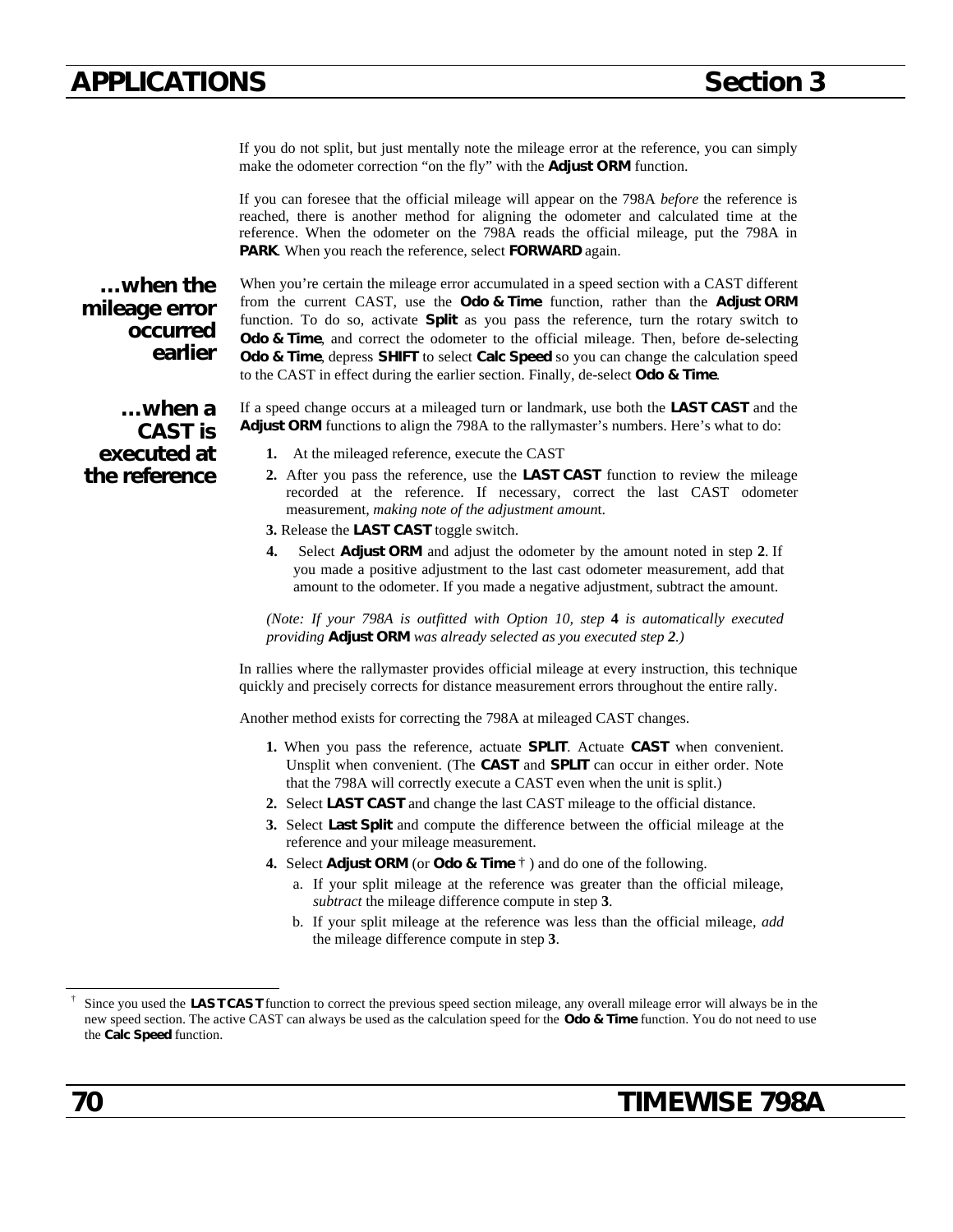# **APPLICATIONS Section 3**

If you do not split, but just mentally note the mileage error at the reference, you can simply make the odometer correction "on the fly" with the **Adjust ORM** function.

If you can foresee that the official mileage will appear on the 798A *before* the reference is reached, there is another method for aligning the odometer and calculated time at the reference. When the odometer on the 798A reads the official mileage, put the 798A in **PARK**. When you reach the reference, select **FORWARD** again.

**…when the mileage error occurred earlier**

**…when a CAST is executed at the reference** When you're certain the mileage error accumulated in a speed section with a CAST different from the current CAST, use the **Odo & Time** function, rather than the **Adjust ORM** function. To do so, activate **Split** as you pass the reference, turn the rotary switch to **Odo & Time**, and correct the odometer to the official mileage. Then, before de-selecting **Odo & Time**, depress **SHIFT** to select **Calc Speed** so you can change the calculation speed to the CAST in effect during the earlier section. Finally, de-select **Odo & Time**.

If a speed change occurs at a mileaged turn or landmark, use both the **LAST CAST** and the **Adjust ORM** functions to align the 798A to the rallymaster's numbers. Here's what to do:

- **1.** At the mileaged reference, execute the CAST
- **2.** After you pass the reference, use the **LAST CAST** function to review the mileage recorded at the reference. If necessary, correct the last CAST odometer measurement, *making note of the adjustment amoun*t.
- **3.** Release the **LAST CAST** toggle switch.
- **4.** Select **Adjust ORM** and adjust the odometer by the amount noted in step **2**. If you made a positive adjustment to the last cast odometer measurement, add that amount to the odometer. If you made a negative adjustment, subtract the amount.

*(Note: If your 798A is outfitted with Option 10, step* **4** *is automatically executed providing* **Adjust ORM** *was already selected as you executed step 2.)*

In rallies where the rallymaster provides official mileage at every instruction, this technique quickly and precisely corrects for distance measurement errors throughout the entire rally.

Another method exists for correcting the 798A at mileaged CAST changes.

- **1.** When you pass the reference, actuate **SPLIT**. Actuate **CAST** when convenient. Unsplit when convenient. (The CAST and SPLIT can occur in either order. Note that the 798A will correctly execute a CAST even when the unit is split.)
- 2. Select LAST CAST and change the last CAST mileage to the official distance.
- **3.** Select **Last Split** and compute the difference between the official mileage at the reference and your mileage measurement.
- **4.** Select **Adjust ORM** (or **Odo & Time** † ) and do one of the following.
	- a. If your split mileage at the reference was greater than the official mileage, *subtract* the mileage difference compute in step **3**.
	- b. If your split mileage at the reference was less than the official mileage, *add* the mileage difference compute in step **3**.

1

<sup>†</sup> Since you used the **LAST CAST** function to correct the previous speed section mileage, any overall mileage error will always be in the new speed section. The active CAST can always be used as the calculation speed for the **Odo & Time** function. You do not need to use the **Calc Speed** function.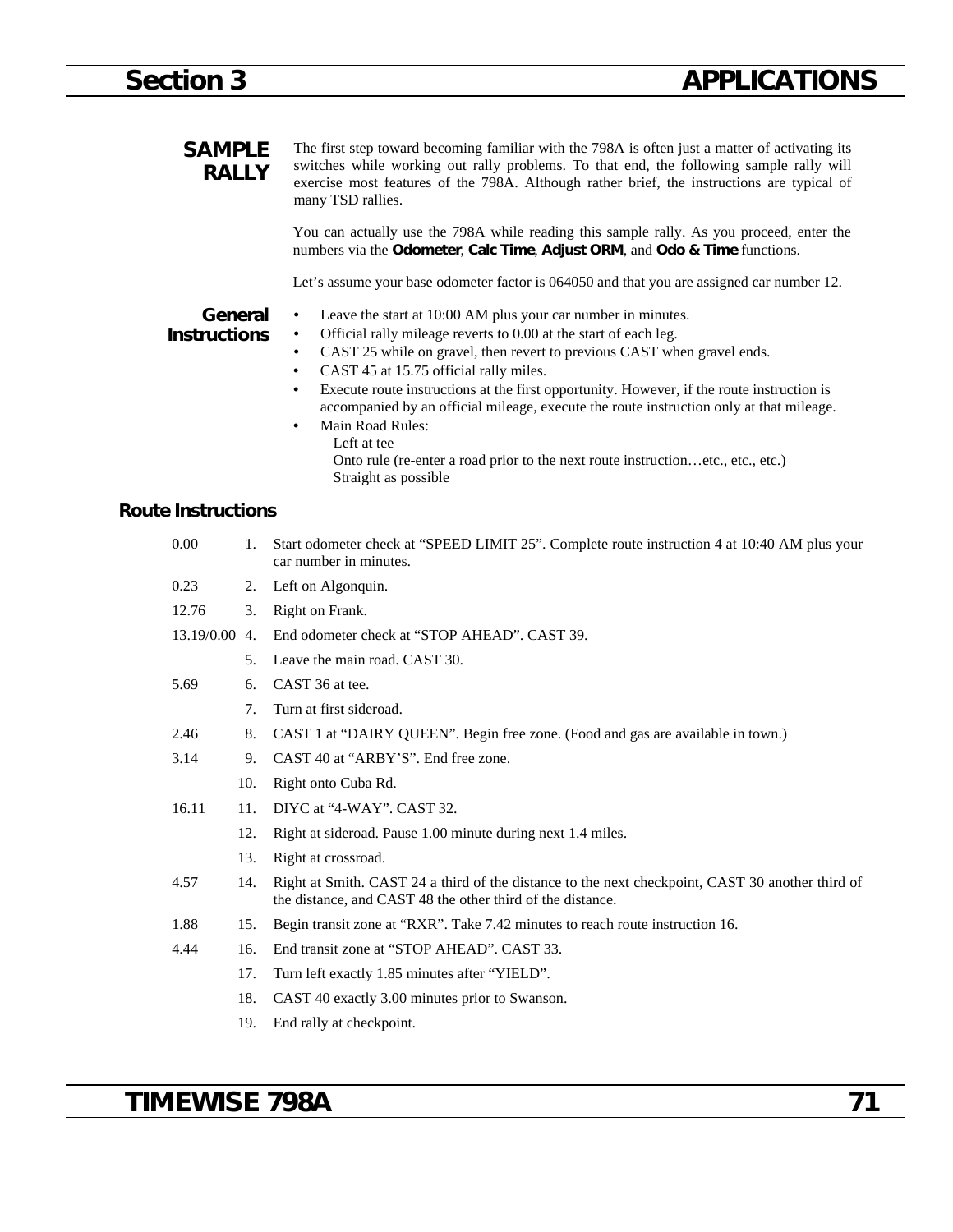**SAMPLE RALLY** The first step toward becoming familiar with the 798A is often just a matter of activating its switches while working out rally problems. To that end, the following sample rally will exercise most features of the 798A. Although rather brief, the instructions are typical of many TSD rallies.

> You can actually use the 798A while reading this sample rally. As you proceed, enter the numbers via the **Odometer**, **Calc Time**, **Adjust ORM**, and **Odo & Time** functions.

Let's assume your base odometer factor is 064050 and that you are assigned car number 12.

# **General**

## **Instructions**

- Leave the start at 10:00 AM plus your car number in minutes.
- **•** Official rally mileage reverts to 0.00 at the start of each leg.
- **•** CAST 25 while on gravel, then revert to previous CAST when gravel ends.
	- **•** CAST 45 at 15.75 official rally miles.
	- **•** Execute route instructions at the first opportunity. However, if the route instruction is accompanied by an official mileage, execute the route instruction only at that mileage.
	- **•** Main Road Rules: Left at tee
		- Onto rule (re-enter a road prior to the next route instruction…etc., etc., etc.) Straight as possible

### **Route Instructions**

| 1.                              | Start odometer check at "SPEED LIMIT 25". Complete route instruction 4 at 10:40 AM plus your<br>car number in minutes.                                         |  |  |
|---------------------------------|----------------------------------------------------------------------------------------------------------------------------------------------------------------|--|--|
| 2.                              | Left on Algonquin.                                                                                                                                             |  |  |
| 3.                              | Right on Frank.                                                                                                                                                |  |  |
|                                 | End odometer check at "STOP AHEAD". CAST 39.                                                                                                                   |  |  |
| 5.                              | Leave the main road. CAST 30.                                                                                                                                  |  |  |
| 6.                              | CAST 36 at tee.                                                                                                                                                |  |  |
| $7_{\scriptscriptstyle{\circ}}$ | Turn at first sideroad.                                                                                                                                        |  |  |
| 8.                              | CAST 1 at "DAIRY QUEEN". Begin free zone. (Food and gas are available in town.)                                                                                |  |  |
| 9.                              | CAST 40 at "ARBY'S". End free zone.                                                                                                                            |  |  |
|                                 | Right onto Cuba Rd.                                                                                                                                            |  |  |
|                                 | DIYC at "4-WAY". CAST 32.                                                                                                                                      |  |  |
|                                 | Right at sideroad. Pause 1.00 minute during next 1.4 miles.                                                                                                    |  |  |
|                                 | Right at crossroad.                                                                                                                                            |  |  |
|                                 | Right at Smith. CAST 24 a third of the distance to the next checkpoint, CAST 30 another third of<br>the distance, and CAST 48 the other third of the distance. |  |  |
|                                 | Begin transit zone at "RXR". Take 7.42 minutes to reach route instruction 16.                                                                                  |  |  |
|                                 | End transit zone at "STOP AHEAD". CAST 33.                                                                                                                     |  |  |
|                                 | Turn left exactly 1.85 minutes after "YIELD".                                                                                                                  |  |  |
|                                 | CAST 40 exactly 3.00 minutes prior to Swanson.                                                                                                                 |  |  |
|                                 | End rally at checkpoint.                                                                                                                                       |  |  |
|                                 | 4.<br>10.<br>11.<br>12.<br>13.<br>14.<br>15.<br>16.<br>17.<br>18.<br>19.                                                                                       |  |  |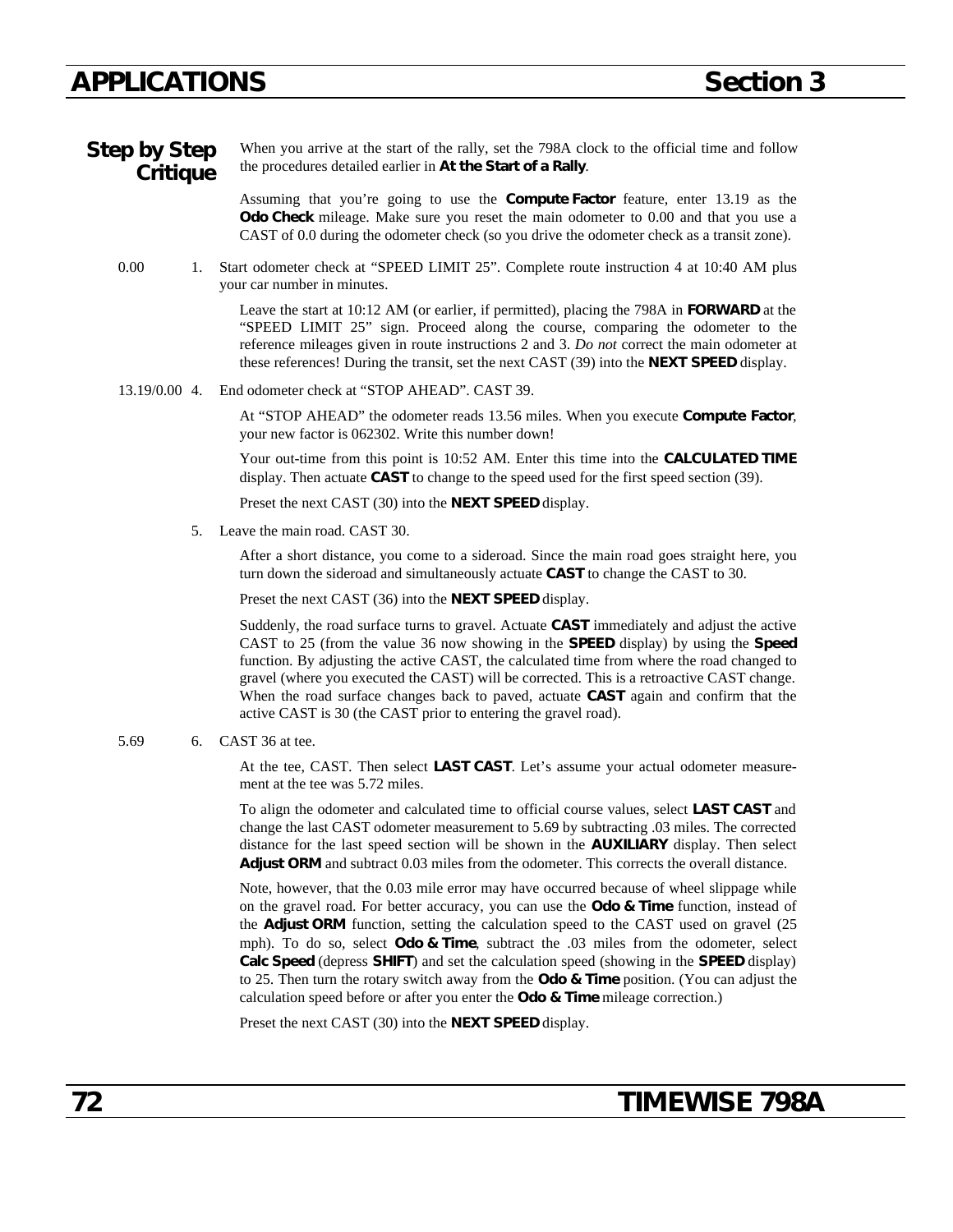# **APPLICATIONS Section 3**

### **Step by Step Critique** When you arrive at the start of the rally, set the 798A clock to the official time and follow the procedures detailed earlier in **At the Start of a Rally**.

Assuming that you're going to use the **Compute Factor** feature, enter 13.19 as the **Odo Check** mileage. Make sure you reset the main odometer to 0.00 and that you use a CAST of 0.0 during the odometer check (so you drive the odometer check as a transit zone).

0.00 1. Start odometer check at "SPEED LIMIT 25". Complete route instruction 4 at 10:40 AM plus your car number in minutes.

> Leave the start at 10:12 AM (or earlier, if permitted), placing the 798A in **FORWARD** at the "SPEED LIMIT 25" sign. Proceed along the course, comparing the odometer to the reference mileages given in route instructions 2 and 3. *Do not* correct the main odometer at these references! During the transit, set the next CAST (39) into the **NEXT SPEED** display.

13.19/0.00 4. End odometer check at "STOP AHEAD". CAST 39.

At "STOP AHEAD" the odometer reads 13.56 miles. When you execute Compute Factor, your new factor is 062302. Write this number down!

Your out-time from this point is 10:52 AM. Enter this time into the **CALCULATED TIME** display. Then actuate **CAST** to change to the speed used for the first speed section (39).

Preset the next CAST (30) into the **NEXT SPEED** display.

5. Leave the main road. CAST 30.

After a short distance, you come to a sideroad. Since the main road goes straight here, you turn down the sideroad and simultaneously actuate **CAST** to change the CAST to 30.

Preset the next CAST (36) into the **NEXT SPEED** display.

Suddenly, the road surface turns to gravel. Actuate **CAST** immediately and adjust the active CAST to 25 (from the value 36 now showing in the **SPEED** display) by using the **Speed** function. By adjusting the active CAST, the calculated time from where the road changed to gravel (where you executed the CAST) will be corrected. This is a retroactive CAST change. When the road surface changes back to paved, actuate **CAST** again and confirm that the active CAST is 30 (the CAST prior to entering the gravel road).

5.69 6. CAST 36 at tee.

At the tee, CAST. Then select **LAST CAST**. Let's assume your actual odometer measurement at the tee was 5.72 miles.

To align the odometer and calculated time to official course values, select **LAST CAST** and change the last CAST odometer measurement to 5.69 by subtracting .03 miles. The corrected distance for the last speed section will be shown in the **AUXILIARY** display. Then select **Adjust ORM** and subtract 0.03 miles from the odometer. This corrects the overall distance.

Note, however, that the 0.03 mile error may have occurred because of wheel slippage while on the gravel road. For better accuracy, you can use the **Odo & Time** function, instead of the **Adjust ORM** function, setting the calculation speed to the CAST used on gravel (25 mph). To do so, select **Odo & Time**, subtract the .03 miles from the odometer, select **Calc Speed** (depress **SHIFT**) and set the calculation speed (showing in the **SPEED** display) to 25. Then turn the rotary switch away from the **Odo & Time** position. (You can adjust the calculation speed before or after you enter the **Odo & Time** mileage correction.)

Preset the next CAST (30) into the **NEXT SPEED** display.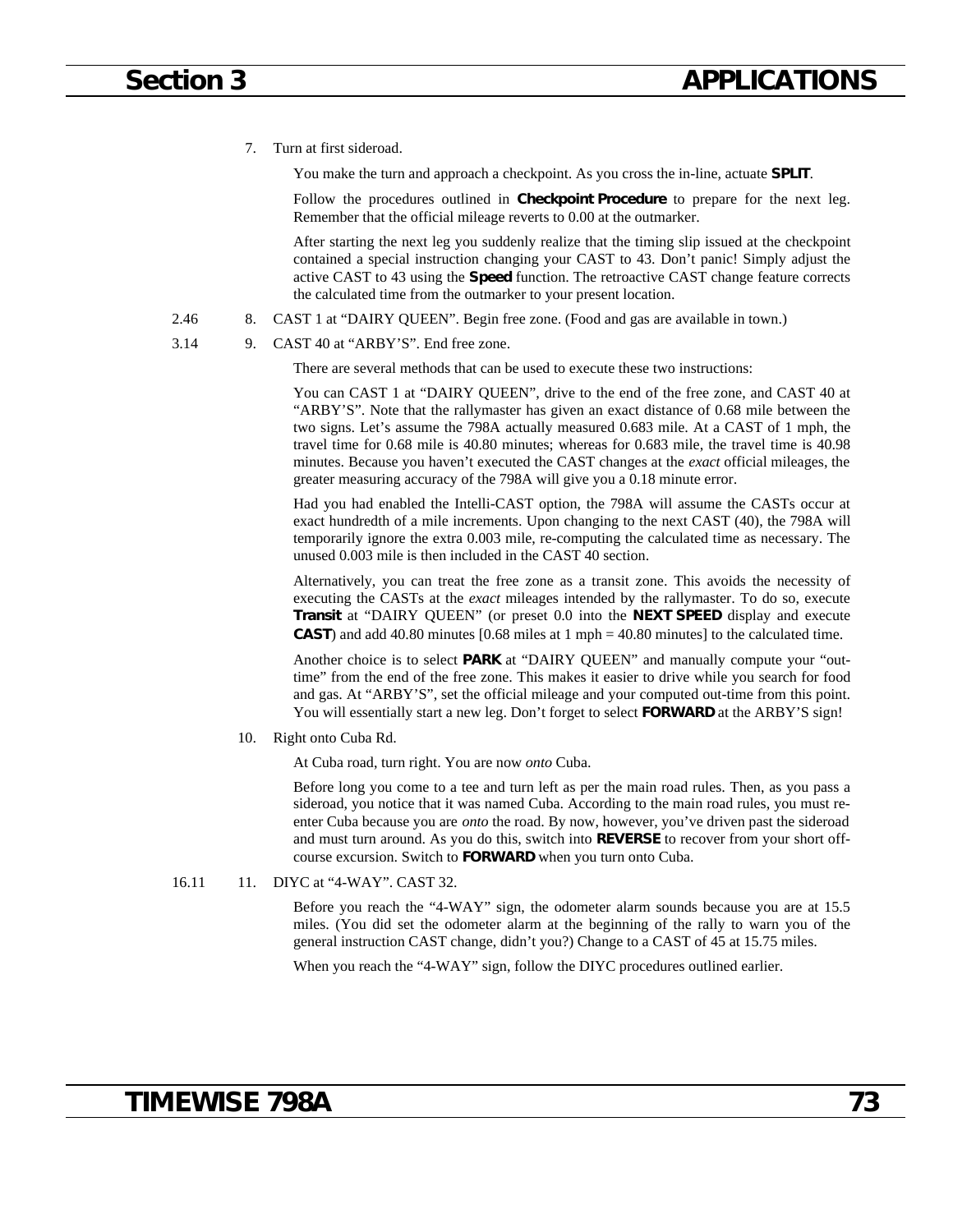7. Turn at first sideroad.

You make the turn and approach a checkpoint. As you cross the in-line, actuate **SPLIT**.

Follow the procedures outlined in **Checkpoint Procedure** to prepare for the next leg. Remember that the official mileage reverts to 0.00 at the outmarker.

After starting the next leg you suddenly realize that the timing slip issued at the checkpoint contained a special instruction changing your CAST to 43. Don't panic! Simply adjust the active CAST to 43 using the **Speed** function. The retroactive CAST change feature corrects the calculated time from the outmarker to your present location.

- 2.46 8. CAST 1 at "DAIRY QUEEN". Begin free zone. (Food and gas are available in town.)
- 
- 3.14 9. CAST 40 at "ARBY'S". End free zone.

There are several methods that can be used to execute these two instructions:

You can CAST 1 at "DAIRY QUEEN", drive to the end of the free zone, and CAST 40 at "ARBY'S". Note that the rallymaster has given an exact distance of 0.68 mile between the two signs. Let's assume the 798A actually measured 0.683 mile. At a CAST of 1 mph, the travel time for 0.68 mile is 40.80 minutes; whereas for 0.683 mile, the travel time is 40.98 minutes. Because you haven't executed the CAST changes at the *exact* official mileages, the greater measuring accuracy of the 798A will give you a 0.18 minute error.

Had you had enabled the Intelli-CAST option, the 798A will assume the CASTs occur at exact hundredth of a mile increments. Upon changing to the next CAST (40), the 798A will temporarily ignore the extra 0.003 mile, re-computing the calculated time as necessary. The unused 0.003 mile is then included in the CAST 40 section.

Alternatively, you can treat the free zone as a transit zone. This avoids the necessity of executing the CASTs at the *exact* mileages intended by the rallymaster. To do so, execute **Transit at "DAIRY QUEEN"** (or preset 0.0 into the **NEXT SPEED** display and execute **CAST**) and add 40.80 minutes [0.68 miles at 1 mph = 40.80 minutes] to the calculated time.

Another choice is to select **PARK** at "DAIRY QUEEN" and manually compute your "outtime" from the end of the free zone. This makes it easier to drive while you search for food and gas. At "ARBY'S", set the official mileage and your computed out-time from this point. You will essentially start a new leg. Don't forget to select **FORWARD** at the ARBY'S sign!

10. Right onto Cuba Rd.

At Cuba road, turn right. You are now *onto* Cuba.

Before long you come to a tee and turn left as per the main road rules. Then, as you pass a sideroad, you notice that it was named Cuba. According to the main road rules, you must reenter Cuba because you are *onto* the road. By now, however, you've driven past the sideroad and must turn around. As you do this, switch into **REVERSE** to recover from your short offcourse excursion. Switch to **FORWARD** when you turn onto Cuba.

16.11 11. DIYC at "4-WAY". CAST 32.

Before you reach the "4-WAY" sign, the odometer alarm sounds because you are at 15.5 miles. (You did set the odometer alarm at the beginning of the rally to warn you of the general instruction CAST change, didn't you?) Change to a CAST of 45 at 15.75 miles.

When you reach the "4-WAY" sign, follow the DIYC procedures outlined earlier.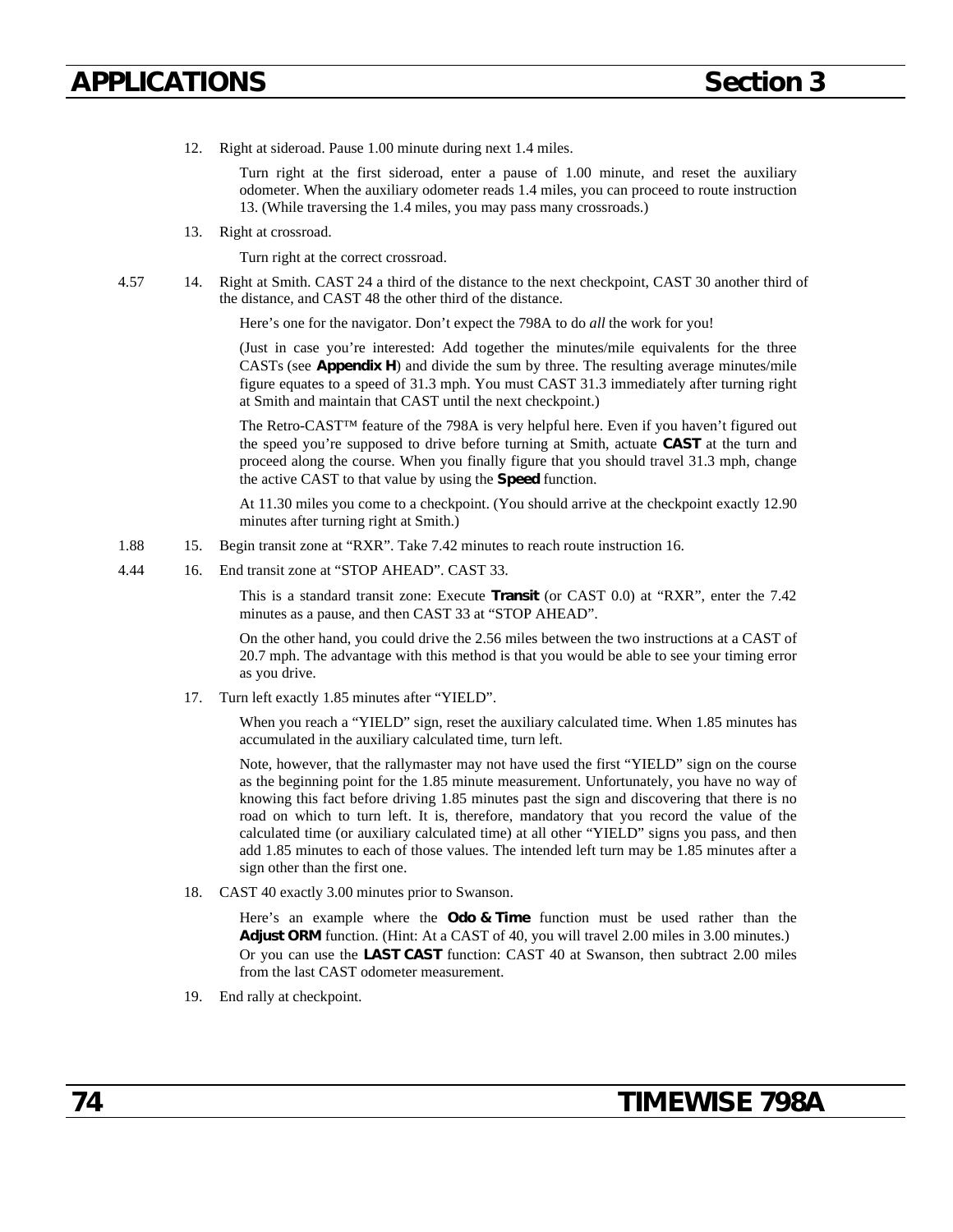# **APPLICATIONS Section 3**

12. Right at sideroad. Pause 1.00 minute during next 1.4 miles.

Turn right at the first sideroad, enter a pause of 1.00 minute, and reset the auxiliary odometer. When the auxiliary odometer reads 1.4 miles, you can proceed to route instruction 13. (While traversing the 1.4 miles, you may pass many crossroads.)

13. Right at crossroad.

Turn right at the correct crossroad.

4.57 14. Right at Smith. CAST 24 a third of the distance to the next checkpoint, CAST 30 another third of the distance, and CAST 48 the other third of the distance.

Here's one for the navigator. Don't expect the 798A to do *all* the work for you!

(Just in case you're interested: Add together the minutes/mile equivalents for the three CASTs (see **Appendix H**) and divide the sum by three. The resulting average minutes/mile figure equates to a speed of 31.3 mph. You must CAST 31.3 immediately after turning right at Smith and maintain that CAST until the next checkpoint.)

The Retro-CAST™ feature of the 798A is very helpful here. Even if you haven't figured out the speed you're supposed to drive before turning at Smith, actuate **CAST** at the turn and proceed along the course. When you finally figure that you should travel 31.3 mph, change the active CAST to that value by using the **Speed** function.

At 11.30 miles you come to a checkpoint. (You should arrive at the checkpoint exactly 12.90 minutes after turning right at Smith.)

- 1.88 15. Begin transit zone at "RXR". Take 7.42 minutes to reach route instruction 16.
- 4.44 16. End transit zone at "STOP AHEAD". CAST 33.

This is a standard transit zone: Execute **Transit** (or CAST 0.0) at "RXR", enter the 7.42 minutes as a pause, and then CAST 33 at "STOP AHEAD".

On the other hand, you could drive the 2.56 miles between the two instructions at a CAST of 20.7 mph. The advantage with this method is that you would be able to see your timing error as you drive.

17. Turn left exactly 1.85 minutes after "YIELD".

When you reach a "YIELD" sign, reset the auxiliary calculated time. When 1.85 minutes has accumulated in the auxiliary calculated time, turn left.

Note, however, that the rallymaster may not have used the first "YIELD" sign on the course as the beginning point for the 1.85 minute measurement. Unfortunately, you have no way of knowing this fact before driving 1.85 minutes past the sign and discovering that there is no road on which to turn left. It is, therefore, mandatory that you record the value of the calculated time (or auxiliary calculated time) at all other "YIELD" signs you pass, and then add 1.85 minutes to each of those values. The intended left turn may be 1.85 minutes after a sign other than the first one.

18. CAST 40 exactly 3.00 minutes prior to Swanson.

Here's an example where the **Odo & Time** function must be used rather than the **Adjust ORM** function. (Hint: At a CAST of 40, you will travel 2.00 miles in 3.00 minutes.) Or you can use the **LAST CAST** function: CAST 40 at Swanson, then subtract 2.00 miles from the last CAST odometer measurement.

19. End rally at checkpoint.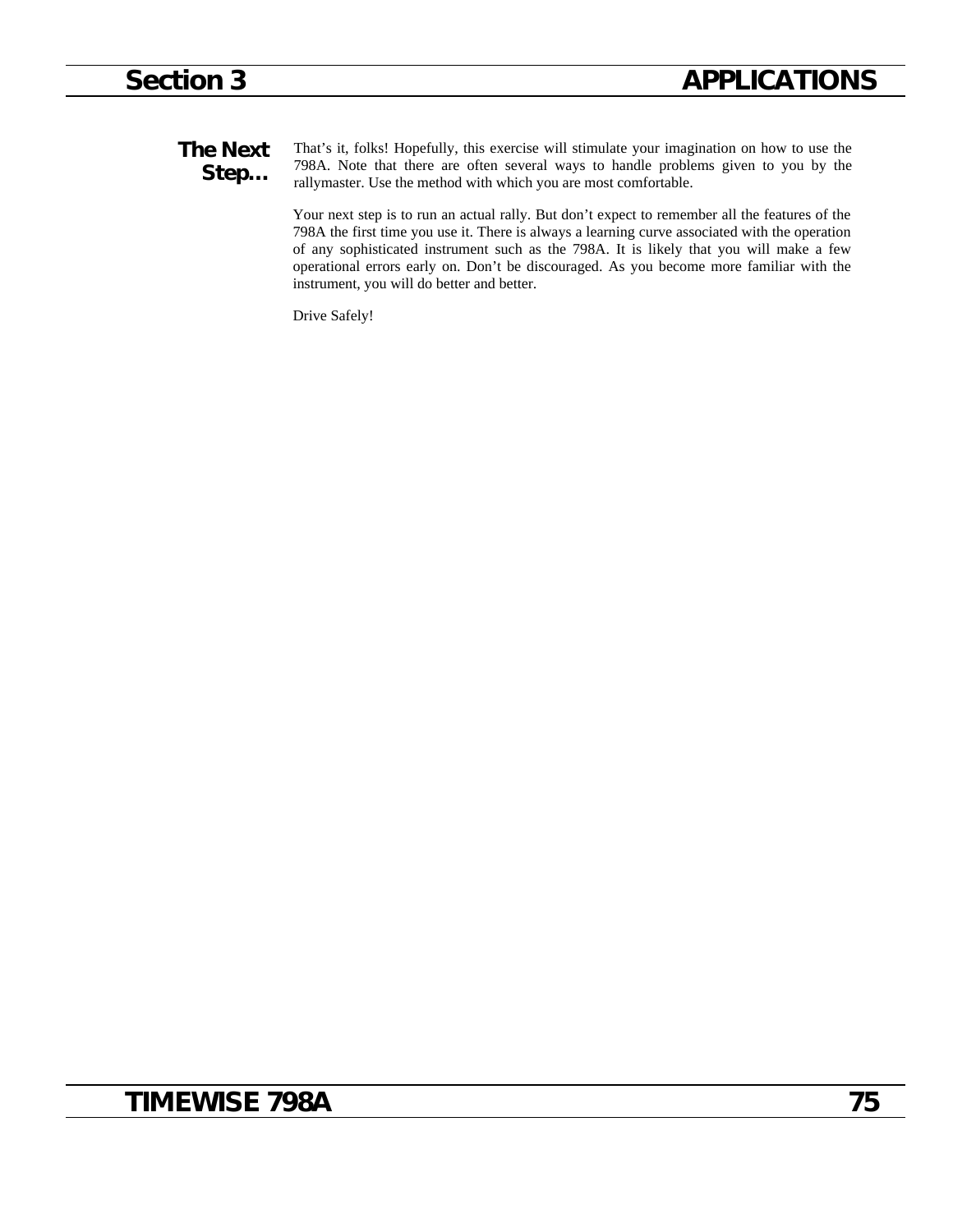### **The Next Step…** That's it, folks! Hopefully, this exercise will stimulate your imagination on how to use the 798A. Note that there are often several ways to handle problems given to you by the rallymaster. Use the method with which you are most comfortable.

Your next step is to run an actual rally. But don't expect to remember all the features of the 798A the first time you use it. There is always a learning curve associated with the operation of any sophisticated instrument such as the 798A. It is likely that you will make a few operational errors early on. Don't be discouraged. As you become more familiar with the instrument, you will do better and better.

Drive Safely!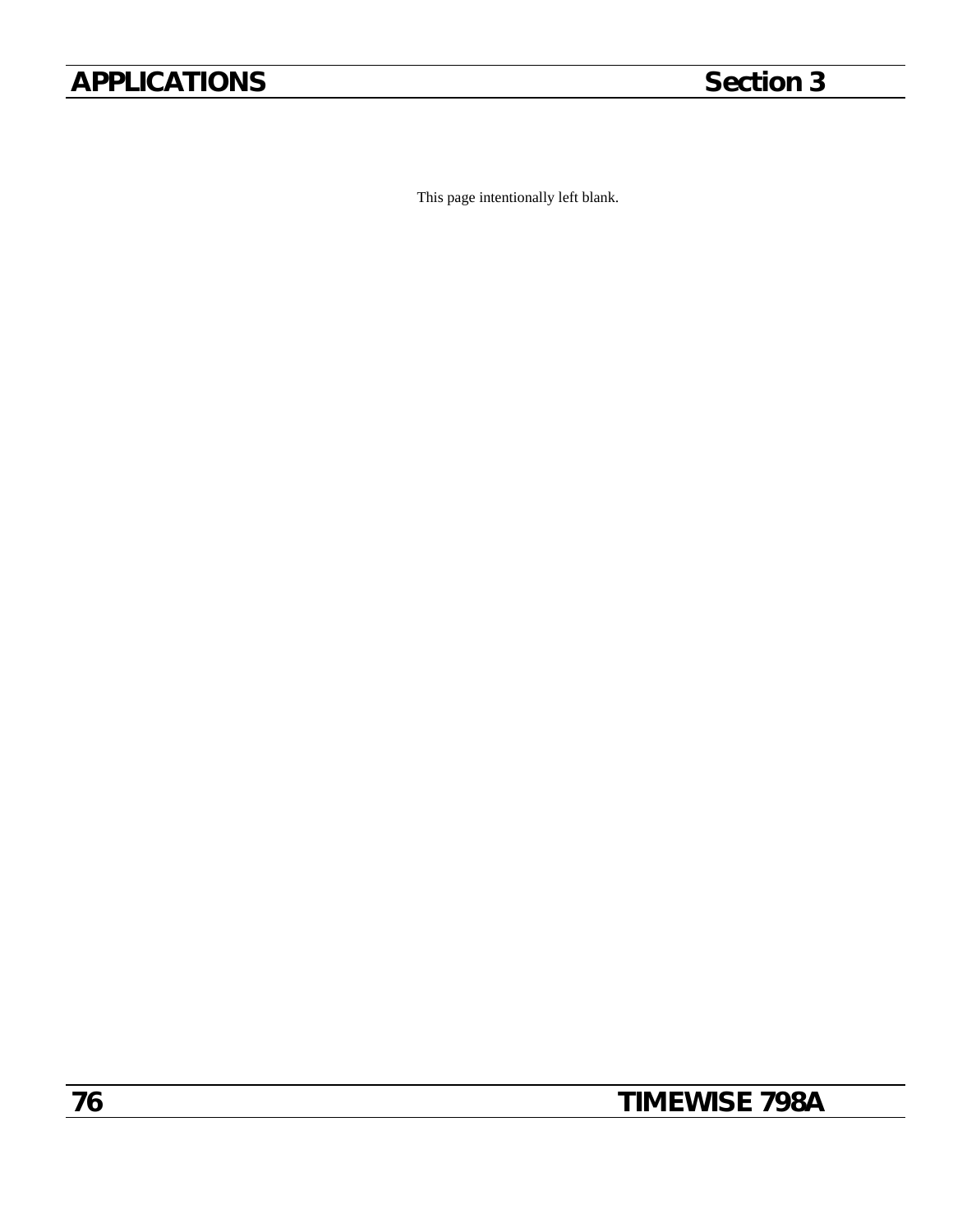This page intentionally left blank.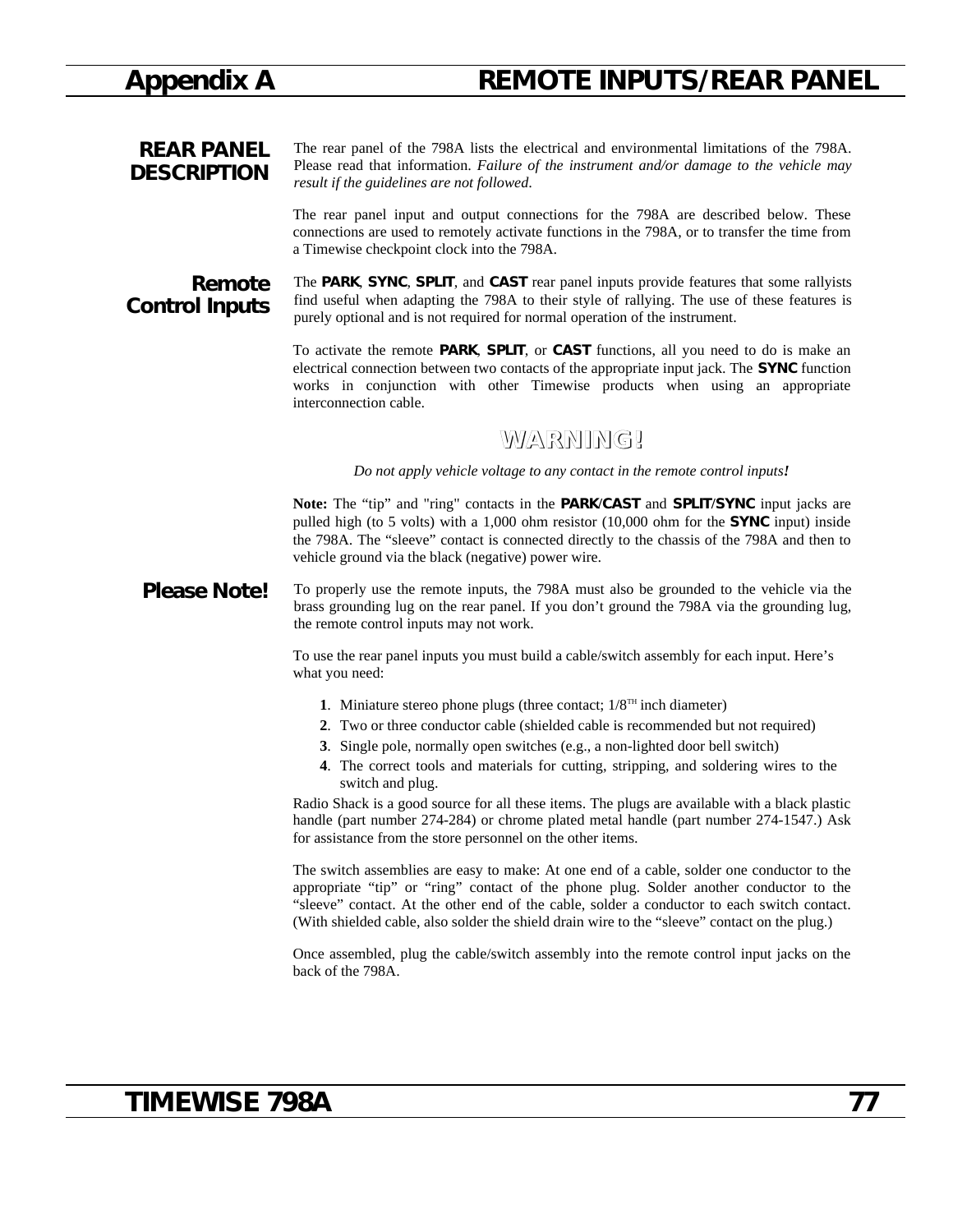# **Appendix A REMOTE INPUTS/REAR PANEL**

### **REAR PANEL DESCRIPTION** The rear panel of the 798A lists the electrical and environmental limitations of the 798A. Please read that information. *Failure of the instrument and/or damage to the vehicle may result if the guidelines are not followed*.

The rear panel input and output connections for the 798A are described below. These connections are used to remotely activate functions in the 798A, or to transfer the time from a Timewise checkpoint clock into the 798A.

## **Remote Control Inputs**

The **PARK**, **SYNC**, **SPLIT**, and **CAST** rear panel inputs provide features that some rallyists find useful when adapting the 798A to their style of rallying. The use of these features is purely optional and is not required for normal operation of the instrument.

To activate the remote **PARK**, **SPLIT**, or **CAST** functions, all you need to do is make an electrical connection between two contacts of the appropriate input jack. The **SYNC** function works in conjunction with other Timewise products when using an appropriate interconnection cable.

# **WARNING!**

*Do not apply vehicle voltage to any contact in the remote control inputs!*

**Note:** The "tip" and "ring" contacts in the **PARK/CAST** and **SPLIT/SYNC** input jacks are pulled high (to 5 volts) with a 1,000 ohm resistor (10,000 ohm for the **SYNC** input) inside the 798A. The "sleeve" contact is connected directly to the chassis of the 798A and then to vehicle ground via the black (negative) power wire.

**Please Note!** To properly use the remote inputs, the 798A must also be grounded to the vehicle via the brass grounding lug on the rear panel. If you don't ground the 798A via the grounding lug, the remote control inputs may not work.

> To use the rear panel inputs you must build a cable/switch assembly for each input. Here's what you need:

- **1**. Miniature stereo phone plugs (three contact;  $1/8<sup>TH</sup>$  inch diameter)
- **2**. Two or three conductor cable (shielded cable is recommended but not required)
- **3**. Single pole, normally open switches (e.g., a non-lighted door bell switch)
- **4**. The correct tools and materials for cutting, stripping, and soldering wires to the switch and plug.

Radio Shack is a good source for all these items. The plugs are available with a black plastic handle (part number 274-284) or chrome plated metal handle (part number 274-1547.) Ask for assistance from the store personnel on the other items.

The switch assemblies are easy to make: At one end of a cable, solder one conductor to the appropriate "tip" or "ring" contact of the phone plug. Solder another conductor to the "sleeve" contact. At the other end of the cable, solder a conductor to each switch contact. (With shielded cable, also solder the shield drain wire to the "sleeve" contact on the plug.)

Once assembled, plug the cable/switch assembly into the remote control input jacks on the back of the 798A.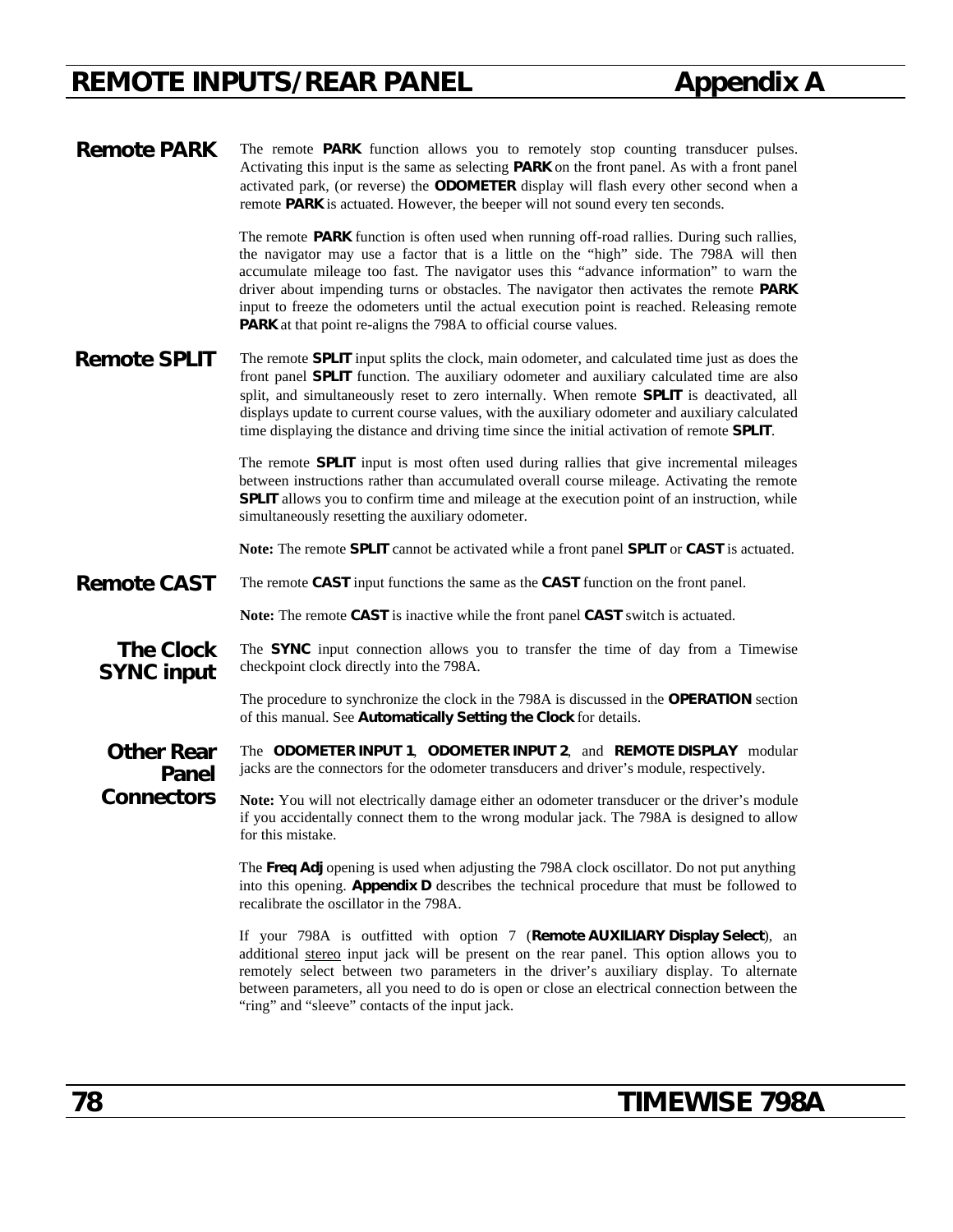| <b>Remote PARK</b>                    | The remote PARK function allows you to remotely stop counting transducer pulses.<br>Activating this input is the same as selecting <b>PARK</b> on the front panel. As with a front panel<br>activated park, (or reverse) the <b>ODOMETER</b> display will flash every other second when a<br>remote PARK is actuated. However, the beeper will not sound every ten seconds.                                                                                                                                                                                |  |  |  |
|---------------------------------------|------------------------------------------------------------------------------------------------------------------------------------------------------------------------------------------------------------------------------------------------------------------------------------------------------------------------------------------------------------------------------------------------------------------------------------------------------------------------------------------------------------------------------------------------------------|--|--|--|
|                                       | The remote <b>PARK</b> function is often used when running off-road rallies. During such rallies,<br>the navigator may use a factor that is a little on the "high" side. The 798A will then<br>accumulate mileage too fast. The navigator uses this "advance information" to warn the<br>driver about impending turns or obstacles. The navigator then activates the remote PARK<br>input to freeze the odometers until the actual execution point is reached. Releasing remote<br><b>PARK</b> at that point re-aligns the 798A to official course values. |  |  |  |
| <b>Remote SPLIT</b>                   | The remote SPLIT input splits the clock, main odometer, and calculated time just as does the<br>front panel SPLIT function. The auxiliary odometer and auxiliary calculated time are also<br>split, and simultaneously reset to zero internally. When remote <b>SPLIT</b> is deactivated, all<br>displays update to current course values, with the auxiliary odometer and auxiliary calculated<br>time displaying the distance and driving time since the initial activation of remote SPLIT.                                                             |  |  |  |
|                                       | The remote <b>SPLIT</b> input is most often used during rallies that give incremental mileages<br>between instructions rather than accumulated overall course mileage. Activating the remote<br><b>SPLIT</b> allows you to confirm time and mileage at the execution point of an instruction, while<br>simultaneously resetting the auxiliary odometer.                                                                                                                                                                                                    |  |  |  |
|                                       | Note: The remote SPLIT cannot be activated while a front panel SPLIT or CAST is actuated.                                                                                                                                                                                                                                                                                                                                                                                                                                                                  |  |  |  |
| <b>Remote CAST</b>                    | The remote CAST input functions the same as the CAST function on the front panel.                                                                                                                                                                                                                                                                                                                                                                                                                                                                          |  |  |  |
|                                       | Note: The remote CAST is inactive while the front panel CAST switch is actuated.                                                                                                                                                                                                                                                                                                                                                                                                                                                                           |  |  |  |
| <b>The Clock</b><br><b>SYNC input</b> | The SYNC input connection allows you to transfer the time of day from a Timewise<br>checkpoint clock directly into the 798A.                                                                                                                                                                                                                                                                                                                                                                                                                               |  |  |  |
|                                       | The procedure to synchronize the clock in the 798A is discussed in the OPERATION section<br>of this manual. See Automatically Setting the Clock for details.                                                                                                                                                                                                                                                                                                                                                                                               |  |  |  |
| <b>Other Rear</b><br>Panel            | The ODOMETER INPUT 1, ODOMETER INPUT 2, and REMOTE DISPLAY modular<br>jacks are the connectors for the odometer transducers and driver's module, respectively.                                                                                                                                                                                                                                                                                                                                                                                             |  |  |  |
| <b>Connectors</b>                     | Note: You will not electrically damage either an odometer transducer or the driver's module<br>if you accidentally connect them to the wrong modular jack. The 798A is designed to allow<br>for this mistake.                                                                                                                                                                                                                                                                                                                                              |  |  |  |
|                                       | The Freq Adj opening is used when adjusting the 798A clock oscillator. Do not put anything<br>into this opening. Appendix D describes the technical procedure that must be followed to<br>recalibrate the oscillator in the 798A.                                                                                                                                                                                                                                                                                                                          |  |  |  |
|                                       | If your 798A is outfitted with option 7 (Remote AUXILIARY Display Select), an<br>additional stereo input jack will be present on the rear panel. This option allows you to<br>remotely select between two parameters in the driver's auxiliary display. To alternate<br>between parameters, all you need to do is open or close an electrical connection between the<br>"ring" and "sleeve" contacts of the input jack.                                                                                                                                    |  |  |  |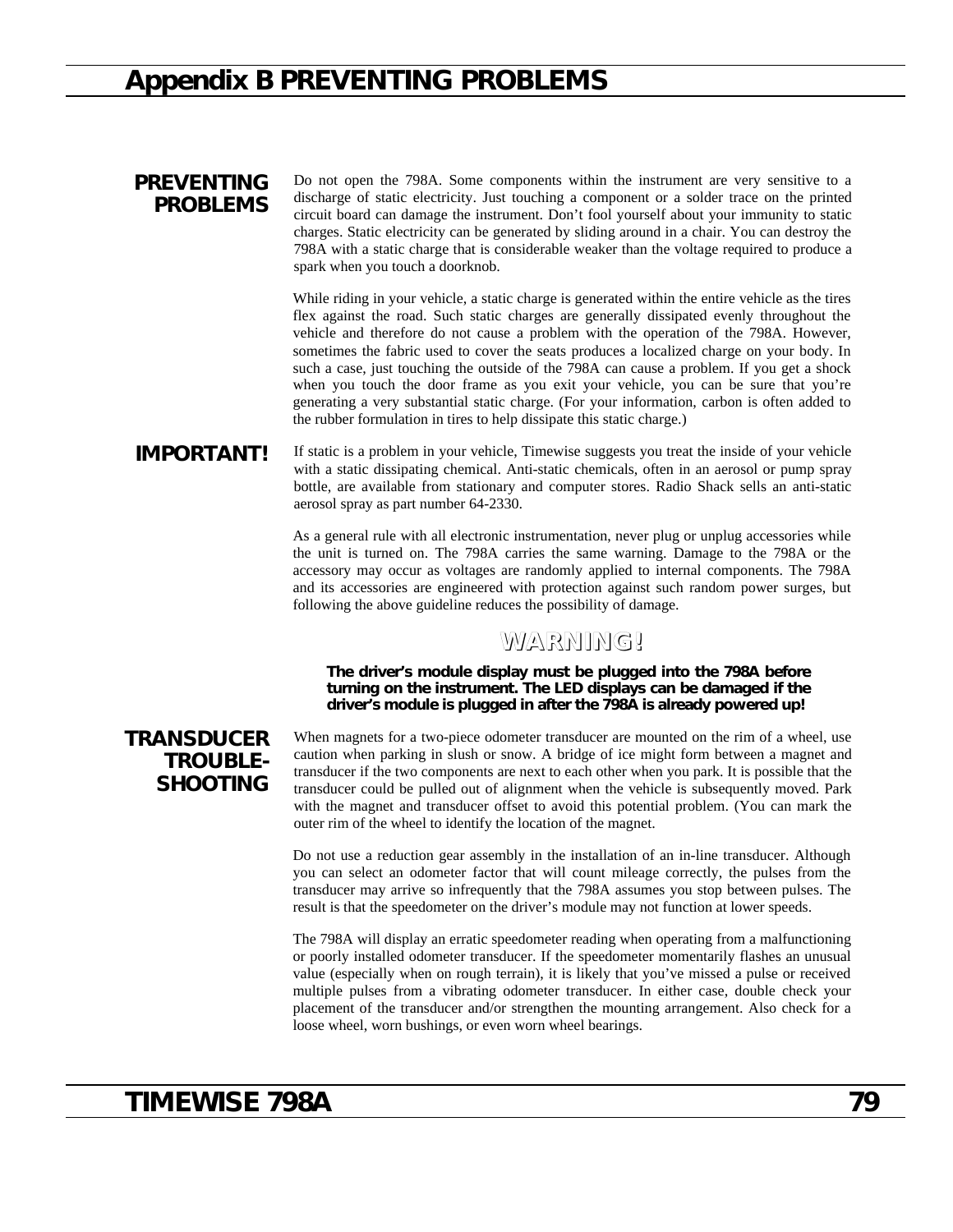# **PREVENTING PROBLEMS**

Do not open the 798A. Some components within the instrument are very sensitive to a discharge of static electricity. Just touching a component or a solder trace on the printed circuit board can damage the instrument. Don't fool yourself about your immunity to static charges. Static electricity can be generated by sliding around in a chair. You can destroy the 798A with a static charge that is considerable weaker than the voltage required to produce a spark when you touch a doorknob.

While riding in your vehicle, a static charge is generated within the entire vehicle as the tires flex against the road. Such static charges are generally dissipated evenly throughout the vehicle and therefore do not cause a problem with the operation of the 798A. However, sometimes the fabric used to cover the seats produces a localized charge on your body. In such a case, just touching the outside of the 798A can cause a problem. If you get a shock when you touch the door frame as you exit your vehicle, you can be sure that you're generating a very substantial static charge. (For your information, carbon is often added to the rubber formulation in tires to help dissipate this static charge.)

**IMPORTANT!** If static is a problem in your vehicle, Timewise suggests you treat the inside of your vehicle with a static dissipating chemical. Anti-static chemicals, often in an aerosol or pump spray bottle, are available from stationary and computer stores. Radio Shack sells an anti-static aerosol spray as part number 64-2330.

> As a general rule with all electronic instrumentation, never plug or unplug accessories while the unit is turned on. The 798A carries the same warning. Damage to the 798A or the accessory may occur as voltages are randomly applied to internal components. The 798A and its accessories are engineered with protection against such random power surges, but following the above guideline reduces the possibility of damage.

# **WARNING!**

### **The driver's module display must be plugged into the 798A before turning on the instrument. The LED displays can be damaged if the driver's module is plugged in after the 798A is already powered up!**

### **TRANSDUCER TROUBLE-SHOOTING**

When magnets for a two-piece odometer transducer are mounted on the rim of a wheel, use caution when parking in slush or snow. A bridge of ice might form between a magnet and transducer if the two components are next to each other when you park. It is possible that the transducer could be pulled out of alignment when the vehicle is subsequently moved. Park with the magnet and transducer offset to avoid this potential problem. (You can mark the outer rim of the wheel to identify the location of the magnet.

Do not use a reduction gear assembly in the installation of an in-line transducer. Although you can select an odometer factor that will count mileage correctly, the pulses from the transducer may arrive so infrequently that the 798A assumes you stop between pulses. The result is that the speedometer on the driver's module may not function at lower speeds.

The 798A will display an erratic speedometer reading when operating from a malfunctioning or poorly installed odometer transducer. If the speedometer momentarily flashes an unusual value (especially when on rough terrain), it is likely that you've missed a pulse or received multiple pulses from a vibrating odometer transducer. In either case, double check your placement of the transducer and/or strengthen the mounting arrangement. Also check for a loose wheel, worn bushings, or even worn wheel bearings.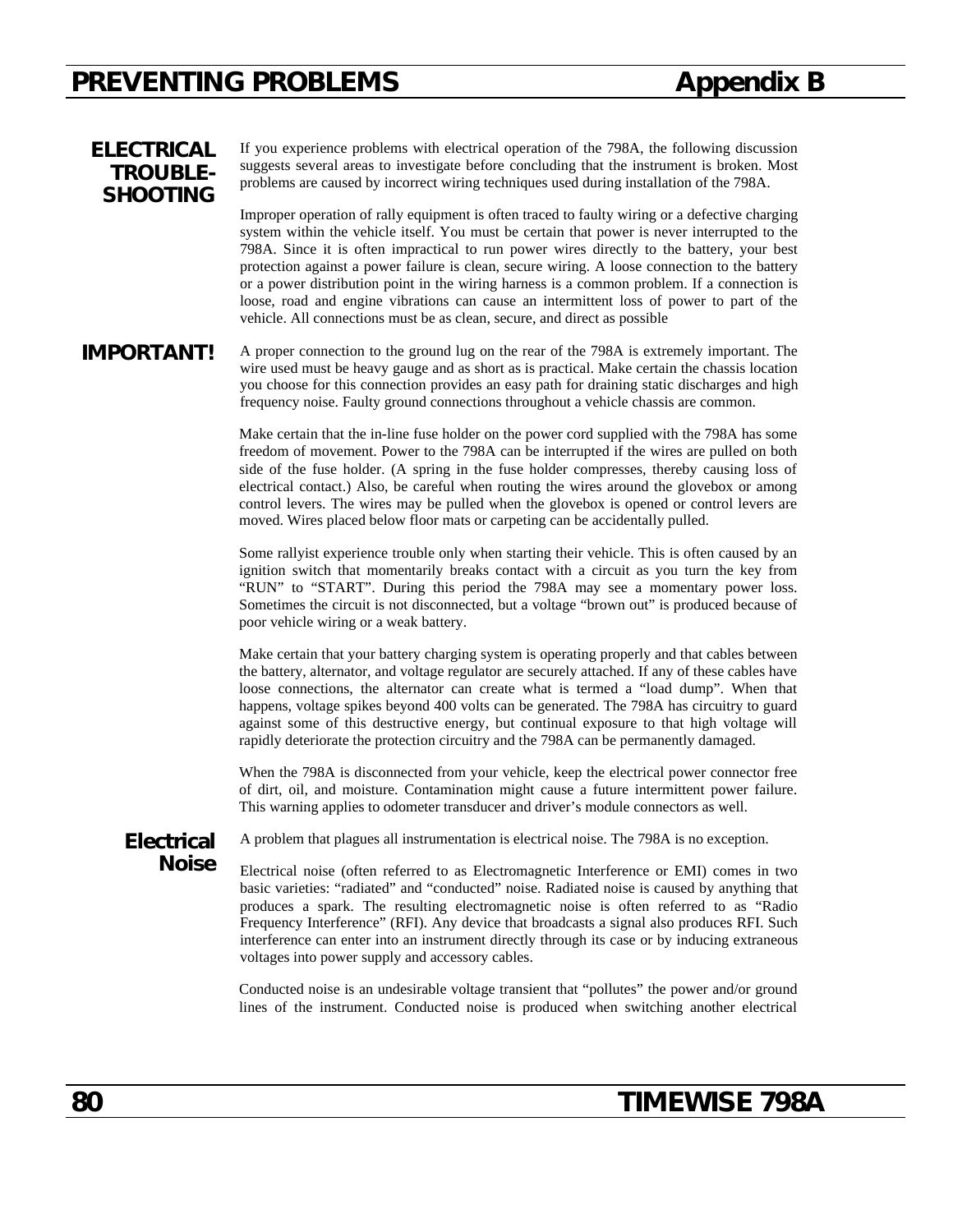## **ELECTRICAL TROUBLE-SHOOTING**

If you experience problems with electrical operation of the 798A, the following discussion suggests several areas to investigate before concluding that the instrument is broken. Most problems are caused by incorrect wiring techniques used during installation of the 798A.

Improper operation of rally equipment is often traced to faulty wiring or a defective charging system within the vehicle itself. You must be certain that power is never interrupted to the 798A. Since it is often impractical to run power wires directly to the battery, your best protection against a power failure is clean, secure wiring. A loose connection to the battery or a power distribution point in the wiring harness is a common problem. If a connection is loose, road and engine vibrations can cause an intermittent loss of power to part of the vehicle. All connections must be as clean, secure, and direct as possible

**Noise**

**IMPORTANT!** A proper connection to the ground lug on the rear of the 798A is extremely important. The wire used must be heavy gauge and as short as is practical. Make certain the chassis location you choose for this connection provides an easy path for draining static discharges and high frequency noise. Faulty ground connections throughout a vehicle chassis are common.

> Make certain that the in-line fuse holder on the power cord supplied with the 798A has some freedom of movement. Power to the 798A can be interrupted if the wires are pulled on both side of the fuse holder. (A spring in the fuse holder compresses, thereby causing loss of electrical contact.) Also, be careful when routing the wires around the glovebox or among control levers. The wires may be pulled when the glovebox is opened or control levers are moved. Wires placed below floor mats or carpeting can be accidentally pulled.

> Some rallyist experience trouble only when starting their vehicle. This is often caused by an ignition switch that momentarily breaks contact with a circuit as you turn the key from "RUN" to "START". During this period the 798A may see a momentary power loss. Sometimes the circuit is not disconnected, but a voltage "brown out" is produced because of poor vehicle wiring or a weak battery.

> Make certain that your battery charging system is operating properly and that cables between the battery, alternator, and voltage regulator are securely attached. If any of these cables have loose connections, the alternator can create what is termed a "load dump". When that happens, voltage spikes beyond 400 volts can be generated. The 798A has circuitry to guard against some of this destructive energy, but continual exposure to that high voltage will rapidly deteriorate the protection circuitry and the 798A can be permanently damaged.

> When the 798A is disconnected from your vehicle, keep the electrical power connector free of dirt, oil, and moisture. Contamination might cause a future intermittent power failure. This warning applies to odometer transducer and driver's module connectors as well.

**Electrical** A problem that plagues all instrumentation is electrical noise. The 798A is no exception.

> Electrical noise (often referred to as Electromagnetic Interference or EMI) comes in two basic varieties: "radiated" and "conducted" noise. Radiated noise is caused by anything that produces a spark. The resulting electromagnetic noise is often referred to as "Radio Frequency Interference" (RFI). Any device that broadcasts a signal also produces RFI. Such interference can enter into an instrument directly through its case or by inducing extraneous voltages into power supply and accessory cables.

> Conducted noise is an undesirable voltage transient that "pollutes" the power and/or ground lines of the instrument. Conducted noise is produced when switching another electrical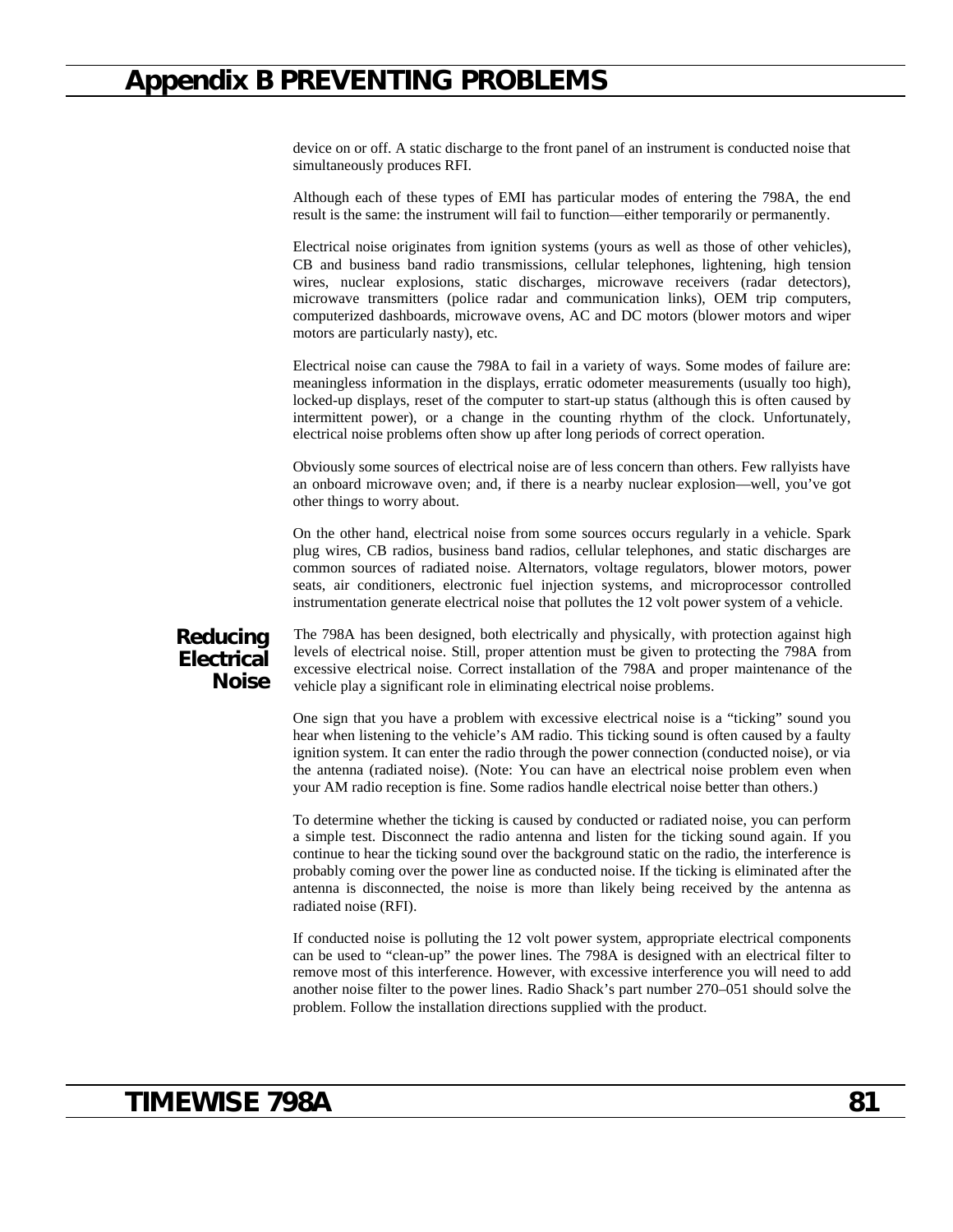# **Appendix B PREVENTING PROBLEMS**

device on or off. A static discharge to the front panel of an instrument is conducted noise that simultaneously produces RFI.

Although each of these types of EMI has particular modes of entering the 798A, the end result is the same: the instrument will fail to function—either temporarily or permanently.

Electrical noise originates from ignition systems (yours as well as those of other vehicles), CB and business band radio transmissions, cellular telephones, lightening, high tension wires, nuclear explosions, static discharges, microwave receivers (radar detectors), microwave transmitters (police radar and communication links), OEM trip computers, computerized dashboards, microwave ovens, AC and DC motors (blower motors and wiper motors are particularly nasty), etc.

Electrical noise can cause the 798A to fail in a variety of ways. Some modes of failure are: meaningless information in the displays, erratic odometer measurements (usually too high), locked-up displays, reset of the computer to start-up status (although this is often caused by intermittent power), or a change in the counting rhythm of the clock. Unfortunately, electrical noise problems often show up after long periods of correct operation.

Obviously some sources of electrical noise are of less concern than others. Few rallyists have an onboard microwave oven; and, if there is a nearby nuclear explosion—well, you've got other things to worry about.

On the other hand, electrical noise from some sources occurs regularly in a vehicle. Spark plug wires, CB radios, business band radios, cellular telephones, and static discharges are common sources of radiated noise. Alternators, voltage regulators, blower motors, power seats, air conditioners, electronic fuel injection systems, and microprocessor controlled instrumentation generate electrical noise that pollutes the 12 volt power system of a vehicle.

### **Reducing Electrical Noise**

The 798A has been designed, both electrically and physically, with protection against high levels of electrical noise. Still, proper attention must be given to protecting the 798A from excessive electrical noise. Correct installation of the 798A and proper maintenance of the vehicle play a significant role in eliminating electrical noise problems.

One sign that you have a problem with excessive electrical noise is a "ticking" sound you hear when listening to the vehicle's AM radio. This ticking sound is often caused by a faulty ignition system. It can enter the radio through the power connection (conducted noise), or via the antenna (radiated noise). (Note: You can have an electrical noise problem even when your AM radio reception is fine. Some radios handle electrical noise better than others.)

To determine whether the ticking is caused by conducted or radiated noise, you can perform a simple test. Disconnect the radio antenna and listen for the ticking sound again. If you continue to hear the ticking sound over the background static on the radio, the interference is probably coming over the power line as conducted noise. If the ticking is eliminated after the antenna is disconnected, the noise is more than likely being received by the antenna as radiated noise (RFI).

If conducted noise is polluting the 12 volt power system, appropriate electrical components can be used to "clean-up" the power lines. The 798A is designed with an electrical filter to remove most of this interference. However, with excessive interference you will need to add another noise filter to the power lines. Radio Shack's part number 270–051 should solve the problem. Follow the installation directions supplied with the product.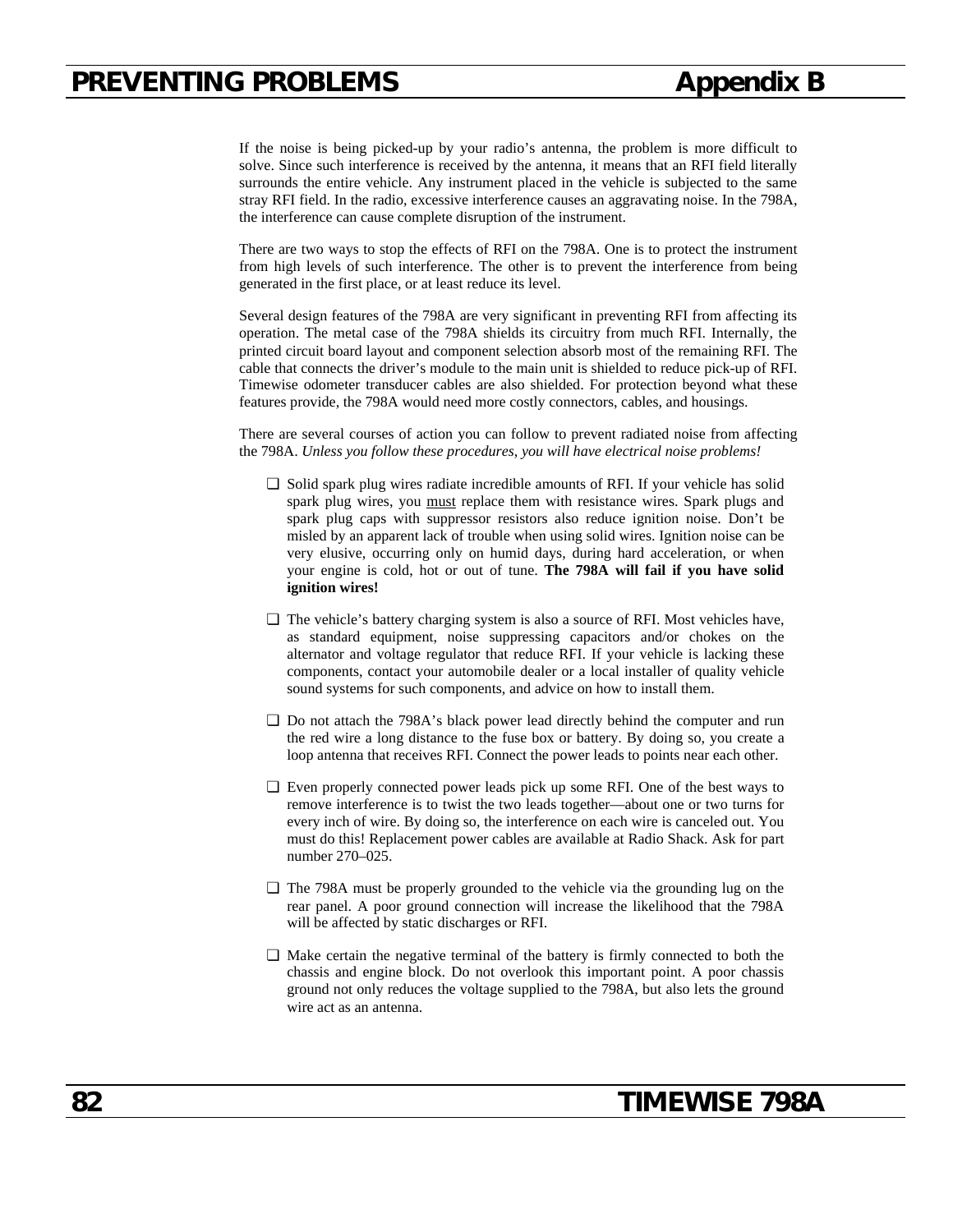If the noise is being picked-up by your radio's antenna, the problem is more difficult to solve. Since such interference is received by the antenna, it means that an RFI field literally surrounds the entire vehicle. Any instrument placed in the vehicle is subjected to the same stray RFI field. In the radio, excessive interference causes an aggravating noise. In the 798A, the interference can cause complete disruption of the instrument.

There are two ways to stop the effects of RFI on the 798A. One is to protect the instrument from high levels of such interference. The other is to prevent the interference from being generated in the first place, or at least reduce its level.

Several design features of the 798A are very significant in preventing RFI from affecting its operation. The metal case of the 798A shields its circuitry from much RFI. Internally, the printed circuit board layout and component selection absorb most of the remaining RFI. The cable that connects the driver's module to the main unit is shielded to reduce pick-up of RFI. Timewise odometer transducer cables are also shielded. For protection beyond what these features provide, the 798A would need more costly connectors, cables, and housings.

There are several courses of action you can follow to prevent radiated noise from affecting the 798A. *Unless you follow these procedures, you will have electrical noise problems!*

- ❏ Solid spark plug wires radiate incredible amounts of RFI. If your vehicle has solid spark plug wires, you must replace them with resistance wires. Spark plugs and spark plug caps with suppressor resistors also reduce ignition noise. Don't be misled by an apparent lack of trouble when using solid wires. Ignition noise can be very elusive, occurring only on humid days, during hard acceleration, or when your engine is cold, hot or out of tune. **The 798A will fail if you have solid ignition wires!**
- ❏ The vehicle's battery charging system is also a source of RFI. Most vehicles have, as standard equipment, noise suppressing capacitors and/or chokes on the alternator and voltage regulator that reduce RFI. If your vehicle is lacking these components, contact your automobile dealer or a local installer of quality vehicle sound systems for such components, and advice on how to install them.
- ❏ Do not attach the 798A's black power lead directly behind the computer and run the red wire a long distance to the fuse box or battery. By doing so, you create a loop antenna that receives RFI. Connect the power leads to points near each other.
- ❏ Even properly connected power leads pick up some RFI. One of the best ways to remove interference is to twist the two leads together—about one or two turns for every inch of wire. By doing so, the interference on each wire is canceled out. You must do this! Replacement power cables are available at Radio Shack. Ask for part number 270–025.
- ❏ The 798A must be properly grounded to the vehicle via the grounding lug on the rear panel. A poor ground connection will increase the likelihood that the 798A will be affected by static discharges or RFI.
- ❏ Make certain the negative terminal of the battery is firmly connected to both the chassis and engine block. Do not overlook this important point. A poor chassis ground not only reduces the voltage supplied to the 798A, but also lets the ground wire act as an antenna.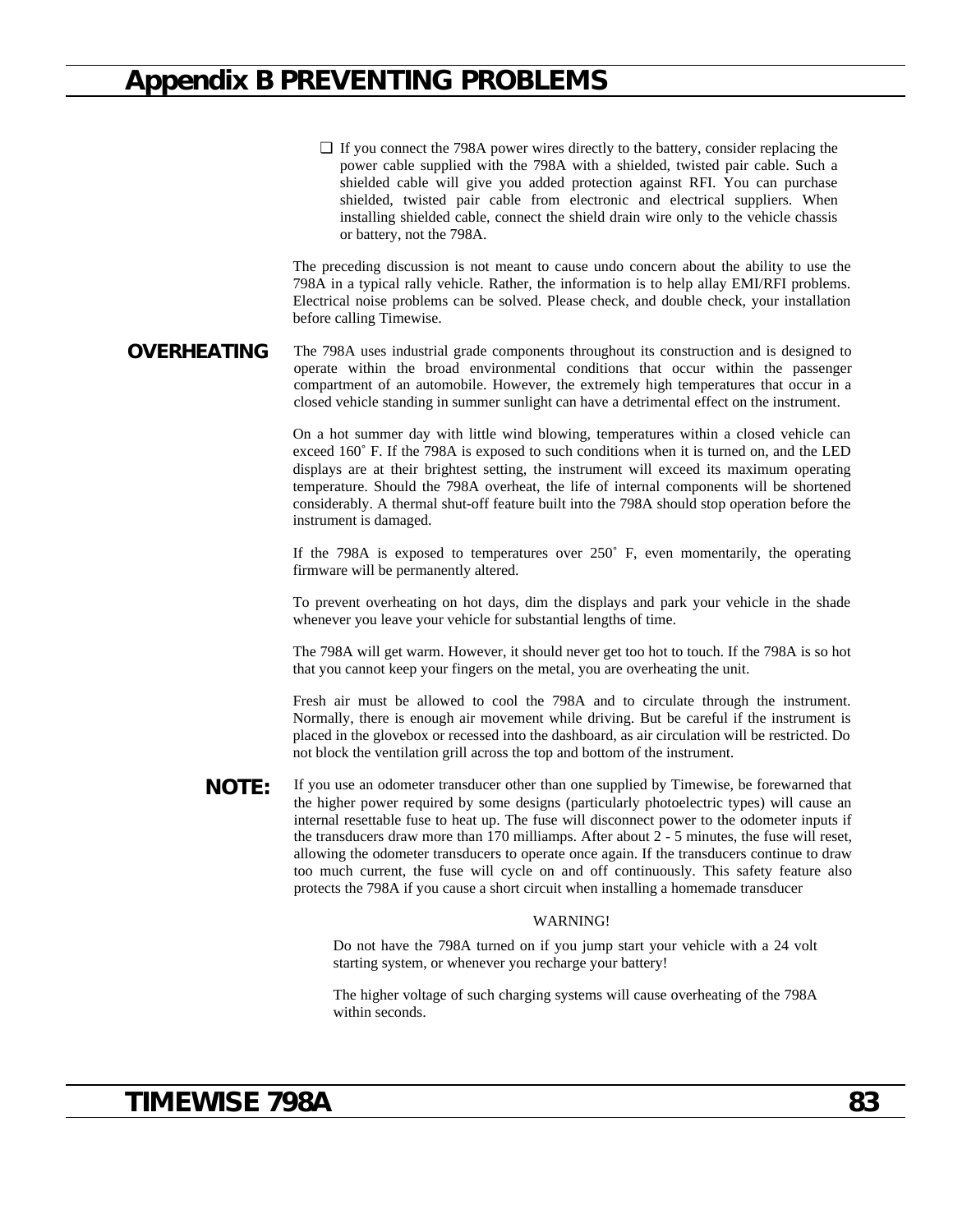# **Appendix B PREVENTING PROBLEMS**

❏ If you connect the 798A power wires directly to the battery, consider replacing the power cable supplied with the 798A with a shielded, twisted pair cable. Such a shielded cable will give you added protection against RFI. You can purchase shielded, twisted pair cable from electronic and electrical suppliers. When installing shielded cable, connect the shield drain wire only to the vehicle chassis or battery, not the 798A.

The preceding discussion is not meant to cause undo concern about the ability to use the 798A in a typical rally vehicle. Rather, the information is to help allay EMI/RFI problems. Electrical noise problems can be solved. Please check, and double check, your installation before calling Timewise.

### **OVERHEATING** The 798A uses industrial grade components throughout its construction and is designed to operate within the broad environmental conditions that occur within the passenger compartment of an automobile. However, the extremely high temperatures that occur in a closed vehicle standing in summer sunlight can have a detrimental effect on the instrument.

On a hot summer day with little wind blowing, temperatures within a closed vehicle can exceed 160˚ F. If the 798A is exposed to such conditions when it is turned on, and the LED displays are at their brightest setting, the instrument will exceed its maximum operating temperature. Should the 798A overheat, the life of internal components will be shortened considerably. A thermal shut-off feature built into the 798A should stop operation before the instrument is damaged.

If the 798A is exposed to temperatures over 250˚ F, even momentarily, the operating firmware will be permanently altered.

To prevent overheating on hot days, dim the displays and park your vehicle in the shade whenever you leave your vehicle for substantial lengths of time.

The 798A will get warm. However, it should never get too hot to touch. If the 798A is so hot that you cannot keep your fingers on the metal, you are overheating the unit.

Fresh air must be allowed to cool the 798A and to circulate through the instrument. Normally, there is enough air movement while driving. But be careful if the instrument is placed in the glovebox or recessed into the dashboard, as air circulation will be restricted. Do not block the ventilation grill across the top and bottom of the instrument.

**NOTE:** If you use an odometer transducer other than one supplied by Timewise, be forewarned that the higher power required by some designs (particularly photoelectric types) will cause an internal resettable fuse to heat up. The fuse will disconnect power to the odometer inputs if the transducers draw more than 170 milliamps. After about 2 - 5 minutes, the fuse will reset, allowing the odometer transducers to operate once again. If the transducers continue to draw too much current, the fuse will cycle on and off continuously. This safety feature also protects the 798A if you cause a short circuit when installing a homemade transducer

### WARNING!

Do not have the 798A turned on if you jump start your vehicle with a 24 volt starting system, or whenever you recharge your battery!

The higher voltage of such charging systems will cause overheating of the 798A within seconds.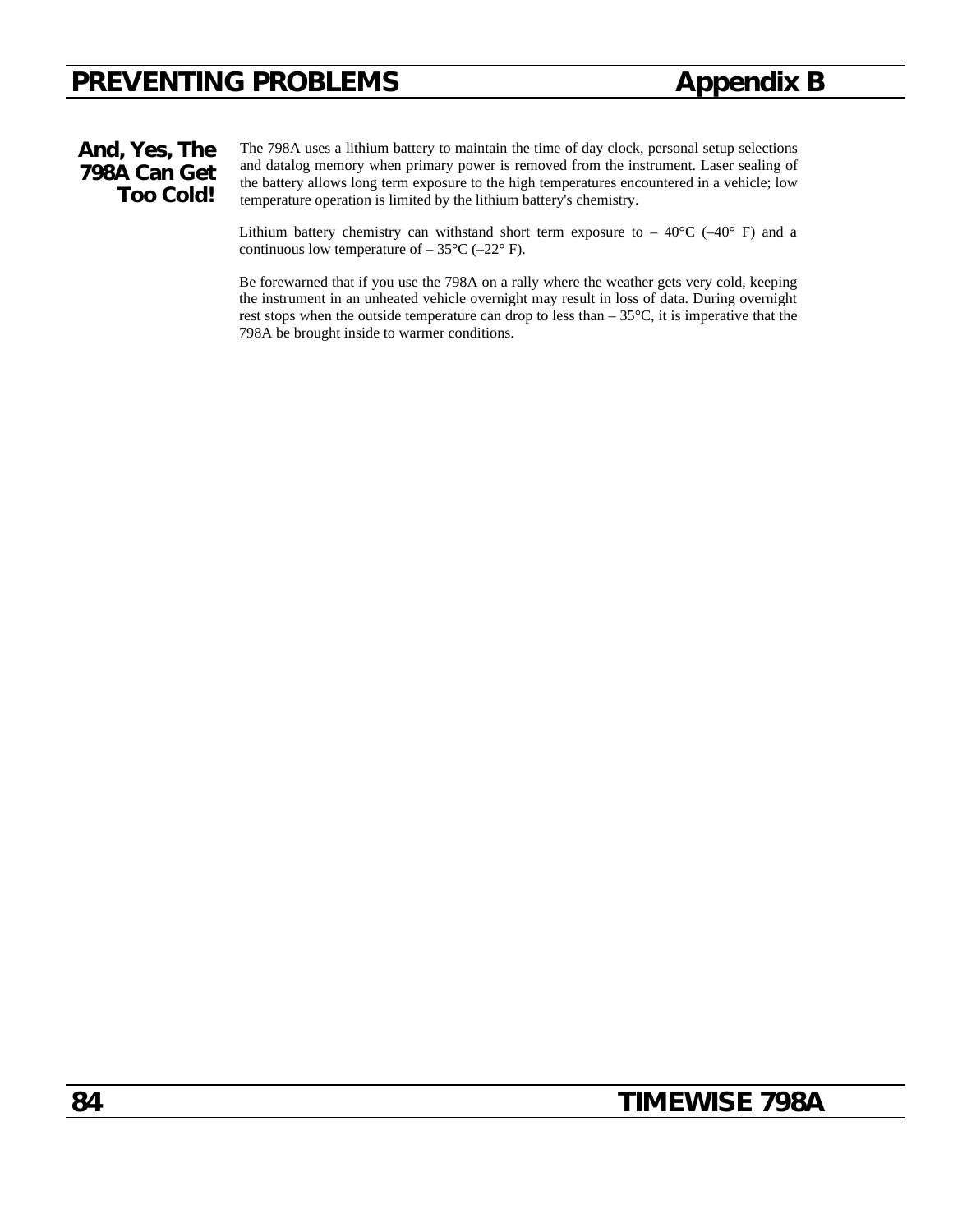# PREVENTING PROBLEMS **Appendix B**

# **And, Yes, The 798A Can Get Too Cold!**

The 798A uses a lithium battery to maintain the time of day clock, personal setup selections and datalog memory when primary power is removed from the instrument. Laser sealing of the battery allows long term exposure to the high temperatures encountered in a vehicle; low temperature operation is limited by the lithium battery's chemistry.

Lithium battery chemistry can withstand short term exposure to  $-40^{\circ}$ C ( $-40^{\circ}$  F) and a continuous low temperature of  $-35^{\circ}$ C ( $-22^{\circ}$  F).

Be forewarned that if you use the 798A on a rally where the weather gets very cold, keeping the instrument in an unheated vehicle overnight may result in loss of data. During overnight rest stops when the outside temperature can drop to less than – 35°C, it is imperative that the 798A be brought inside to warmer conditions.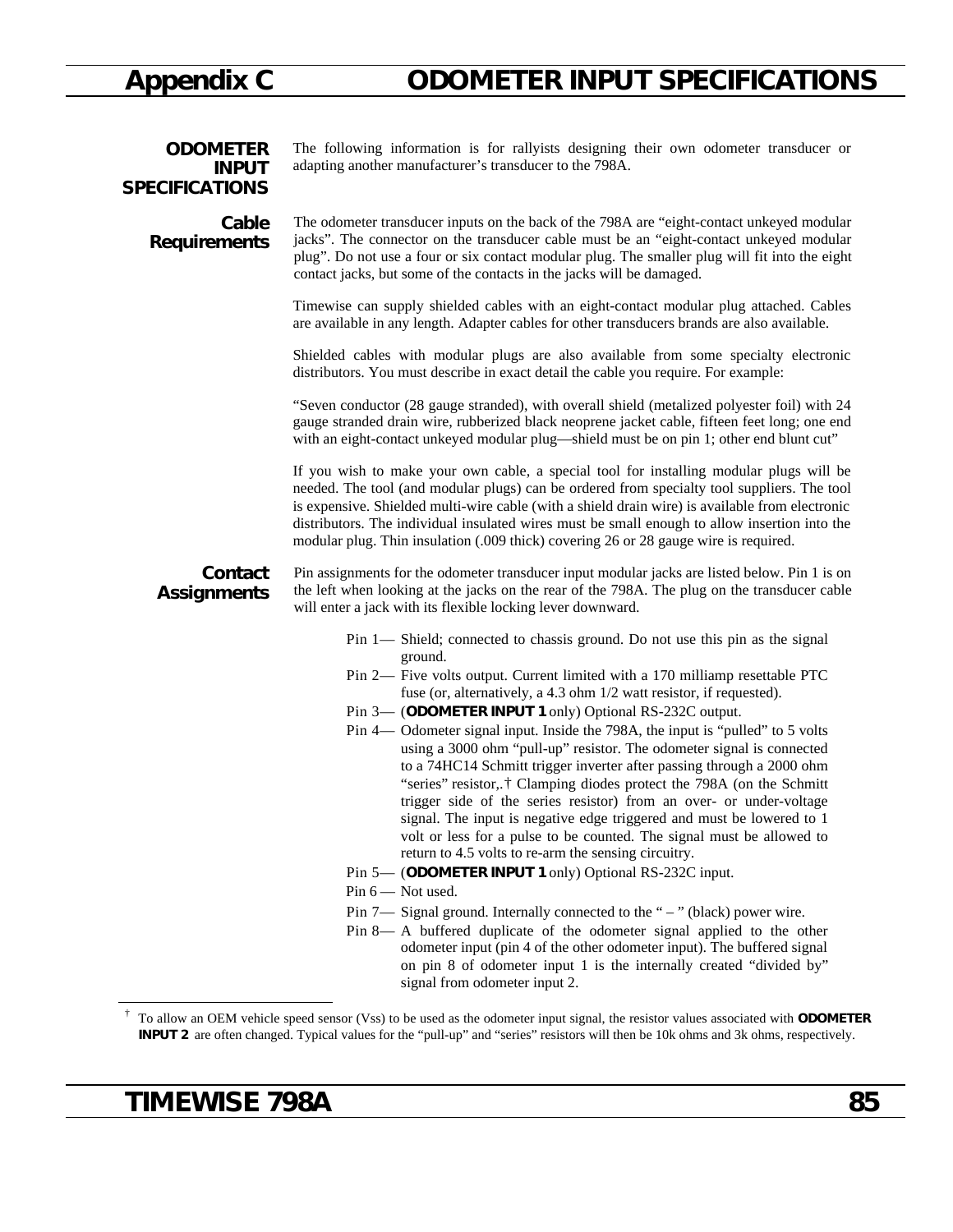| The following information is for rallyists designing their own odometer transducer or<br>adapting another manufacturer's transducer to the 798A.                                                                                                                                                                                                                                                                                                                                                                                                                                                                                                                                                                                                                                                                                                                                                                                                                                                                                                                                                                                                                                                                             |
|------------------------------------------------------------------------------------------------------------------------------------------------------------------------------------------------------------------------------------------------------------------------------------------------------------------------------------------------------------------------------------------------------------------------------------------------------------------------------------------------------------------------------------------------------------------------------------------------------------------------------------------------------------------------------------------------------------------------------------------------------------------------------------------------------------------------------------------------------------------------------------------------------------------------------------------------------------------------------------------------------------------------------------------------------------------------------------------------------------------------------------------------------------------------------------------------------------------------------|
| The odometer transducer inputs on the back of the 798A are "eight-contact unkeyed modular<br>jacks". The connector on the transducer cable must be an "eight-contact unkeyed modular<br>plug". Do not use a four or six contact modular plug. The smaller plug will fit into the eight<br>contact jacks, but some of the contacts in the jacks will be damaged.                                                                                                                                                                                                                                                                                                                                                                                                                                                                                                                                                                                                                                                                                                                                                                                                                                                              |
| Timewise can supply shielded cables with an eight-contact modular plug attached. Cables<br>are available in any length. Adapter cables for other transducers brands are also available.                                                                                                                                                                                                                                                                                                                                                                                                                                                                                                                                                                                                                                                                                                                                                                                                                                                                                                                                                                                                                                      |
| Shielded cables with modular plugs are also available from some specialty electronic<br>distributors. You must describe in exact detail the cable you require. For example:                                                                                                                                                                                                                                                                                                                                                                                                                                                                                                                                                                                                                                                                                                                                                                                                                                                                                                                                                                                                                                                  |
| "Seven conductor (28 gauge stranded), with overall shield (metalized polyester foil) with 24<br>gauge stranded drain wire, rubberized black neoprene jacket cable, fifteen feet long; one end<br>with an eight-contact unkeyed modular plug—shield must be on pin 1; other end blunt cut"                                                                                                                                                                                                                                                                                                                                                                                                                                                                                                                                                                                                                                                                                                                                                                                                                                                                                                                                    |
| If you wish to make your own cable, a special tool for installing modular plugs will be<br>needed. The tool (and modular plugs) can be ordered from specialty tool suppliers. The tool<br>is expensive. Shielded multi-wire cable (with a shield drain wire) is available from electronic<br>distributors. The individual insulated wires must be small enough to allow insertion into the<br>modular plug. Thin insulation (.009 thick) covering 26 or 28 gauge wire is required.                                                                                                                                                                                                                                                                                                                                                                                                                                                                                                                                                                                                                                                                                                                                           |
| Pin assignments for the odometer transducer input modular jacks are listed below. Pin 1 is on<br>the left when looking at the jacks on the rear of the 798A. The plug on the transducer cable<br>will enter a jack with its flexible locking lever downward.                                                                                                                                                                                                                                                                                                                                                                                                                                                                                                                                                                                                                                                                                                                                                                                                                                                                                                                                                                 |
| Pin 1— Shield; connected to chassis ground. Do not use this pin as the signal<br>ground.<br>Pin 2— Five volts output. Current limited with a 170 milliamp resettable PTC<br>fuse (or, alternatively, a 4.3 ohm 1/2 watt resistor, if requested).<br>Pin 3- (ODOMETER INPUT 1 only) Optional RS-232C output.<br>Pin 4— Odometer signal input. Inside the 798A, the input is "pulled" to 5 volts<br>using a 3000 ohm "pull-up" resistor. The odometer signal is connected<br>to a 74HC14 Schmitt trigger inverter after passing through a 2000 ohm<br>"series" resistor, † Clamping diodes protect the 798A (on the Schmitt<br>trigger side of the series resistor) from an over- or under-voltage<br>signal. The input is negative edge triggered and must be lowered to 1<br>volt or less for a pulse to be counted. The signal must be allowed to<br>return to 4.5 volts to re-arm the sensing circuitry.<br>Pin 5— (ODOMETER INPUT 1 only) Optional RS-232C input.<br>Pin 6 - Not used.<br>Pin 7— Signal ground. Internally connected to the "-" (black) power wire.<br>Pin 8— A buffered duplicate of the odometer signal applied to the other<br>odometer input (pin 4 of the other odometer input). The buffered signal |
|                                                                                                                                                                                                                                                                                                                                                                                                                                                                                                                                                                                                                                                                                                                                                                                                                                                                                                                                                                                                                                                                                                                                                                                                                              |

signal from odometer input 2.

 $\overline{a}$ 

<sup>†</sup> To allow an OEM vehicle speed sensor (Vss) to be used as the odometer input signal, the resistor values associated with **ODOMETER INPUT 2** are often changed. Typical values for the "pull-up" and "series" resistors will then be 10k ohms and 3k ohms, respectively.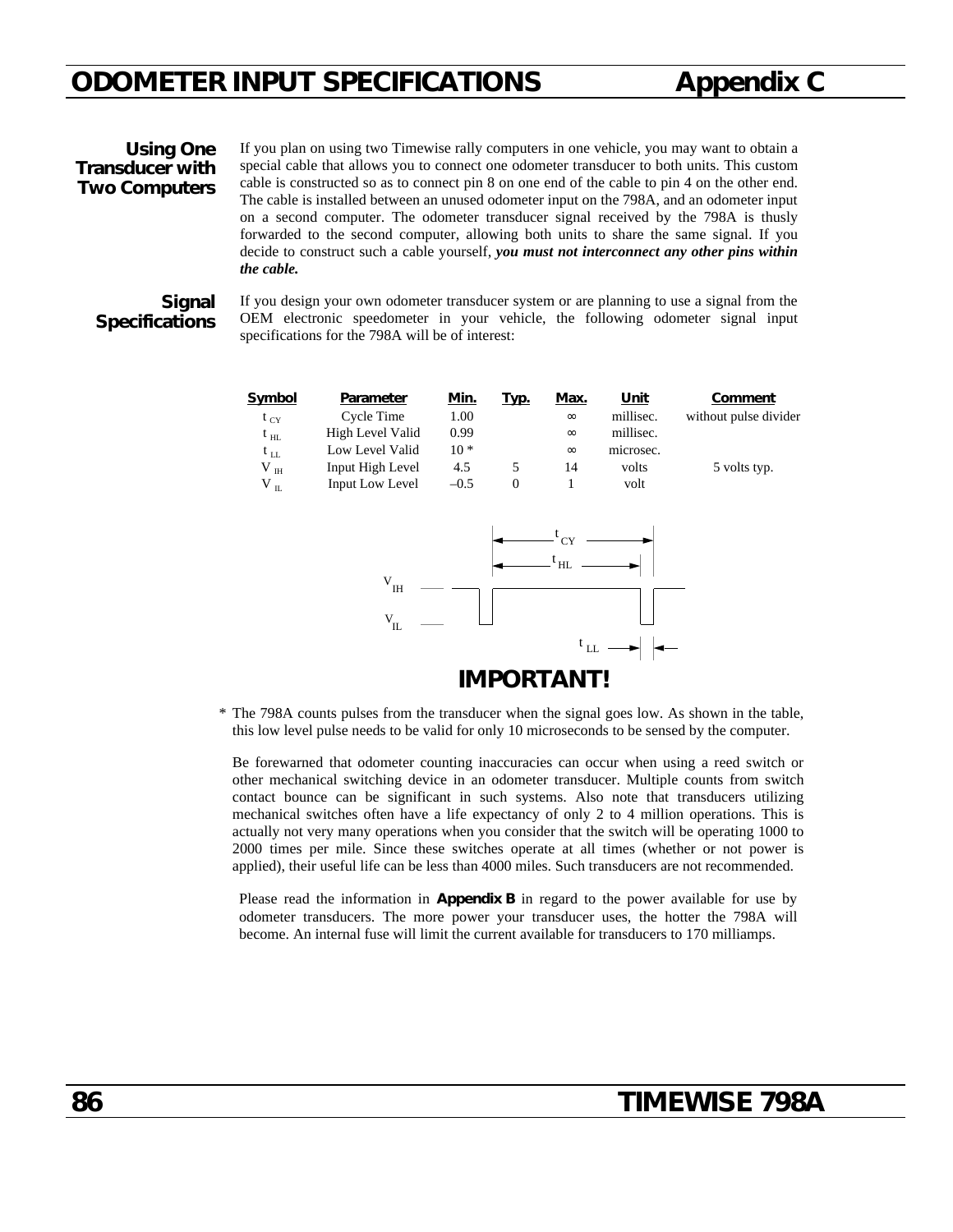# **ODOMETER INPUT SPECIFICATIONS Appendix C**

### **Using One Transducer with Two Computers**

If you plan on using two Timewise rally computers in one vehicle, you may want to obtain a special cable that allows you to connect one odometer transducer to both units. This custom cable is constructed so as to connect pin 8 on one end of the cable to pin 4 on the other end. The cable is installed between an unused odometer input on the 798A, and an odometer input on a second computer. The odometer transducer signal received by the 798A is thusly forwarded to the second computer, allowing both units to share the same signal. If you decide to construct such a cable yourself, *you must not interconnect any other pins within the cable.*

### **Signal Specifications**

If you design your own odometer transducer system or are planning to use a signal from the OEM electronic speedometer in your vehicle, the following odometer signal input specifications for the 798A will be of interest:

| <b>Symbol</b>   | Parameter        | Min.   | Typ.     | Max. | Unit      | Comment               |
|-----------------|------------------|--------|----------|------|-----------|-----------------------|
| $t_{\rm CY}$    | Cycle Time       | 1.00   |          |      | millisec. | without pulse divider |
| $t_{\text{HL}}$ | High Level Valid | 0.99   |          |      | millisec. |                       |
| $t_{LL}$        | Low Level Valid  | $10*$  |          |      | microsec. |                       |
| $V_{\text{TH}}$ | Input High Level | 4.5    |          | 14   | volts     | 5 volts typ.          |
| $V_{\text{IL}}$ | Input Low Level  | $-0.5$ | $\theta$ |      | volt      |                       |





Be forewarned that odometer counting inaccuracies can occur when using a reed switch or other mechanical switching device in an odometer transducer. Multiple counts from switch contact bounce can be significant in such systems. Also note that transducers utilizing mechanical switches often have a life expectancy of only 2 to 4 million operations. This is actually not very many operations when you consider that the switch will be operating 1000 to 2000 times per mile. Since these switches operate at all times (whether or not power is applied), their useful life can be less than 4000 miles. Such transducers are not recommended.

Please read the information in **Appendix B** in regard to the power available for use by odometer transducers. The more power your transducer uses, the hotter the 798A will become. An internal fuse will limit the current available for transducers to 170 milliamps.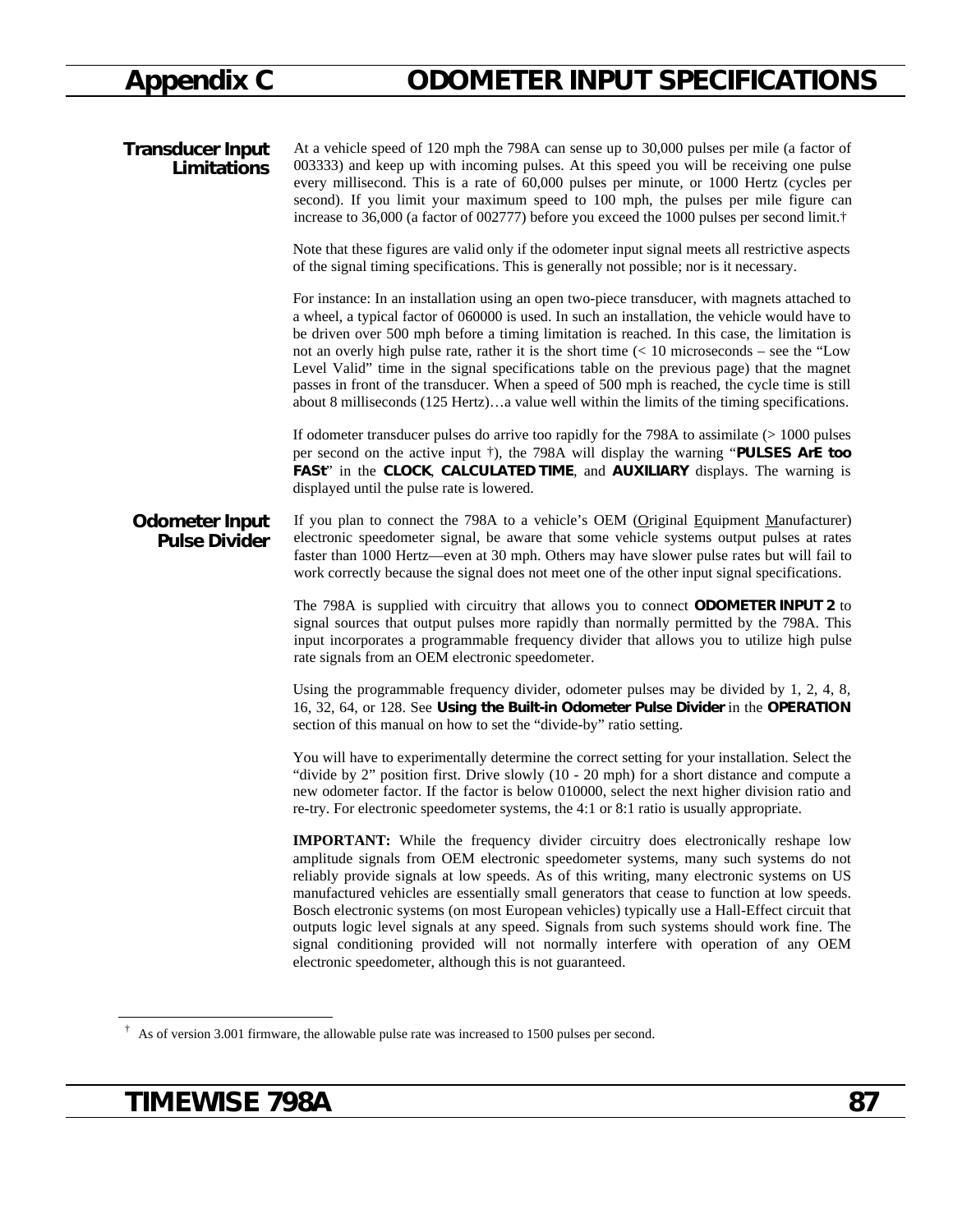| <b>Transducer Input</b><br>Limitations        | At a vehicle speed of 120 mph the 798A can sense up to 30,000 pulses per mile (a factor of<br>003333) and keep up with incoming pulses. At this speed you will be receiving one pulse<br>every millisecond. This is a rate of 60,000 pulses per minute, or 1000 Hertz (cycles per<br>second). If you limit your maximum speed to 100 mph, the pulses per mile figure can<br>increase to 36,000 (a factor of 002777) before you exceed the 1000 pulses per second limit. <sup>†</sup>                                                                                                                                                                                                                                        |
|-----------------------------------------------|-----------------------------------------------------------------------------------------------------------------------------------------------------------------------------------------------------------------------------------------------------------------------------------------------------------------------------------------------------------------------------------------------------------------------------------------------------------------------------------------------------------------------------------------------------------------------------------------------------------------------------------------------------------------------------------------------------------------------------|
|                                               | Note that these figures are valid only if the odometer input signal meets all restrictive aspects<br>of the signal timing specifications. This is generally not possible; nor is it necessary.                                                                                                                                                                                                                                                                                                                                                                                                                                                                                                                              |
|                                               | For instance: In an installation using an open two-piece transducer, with magnets attached to<br>a wheel, a typical factor of 060000 is used. In such an installation, the vehicle would have to<br>be driven over 500 mph before a timing limitation is reached. In this case, the limitation is<br>not an overly high pulse rate, rather it is the short time $\ll 10$ microseconds – see the "Low"<br>Level Valid" time in the signal specifications table on the previous page) that the magnet<br>passes in front of the transducer. When a speed of 500 mph is reached, the cycle time is still<br>about 8 milliseconds (125 Hertz)a value well within the limits of the timing specifications.                       |
|                                               | If odometer transducer pulses do arrive too rapidly for the 798A to assimilate $(>1000$ pulses<br>per second on the active input $\dagger$ ), the 798A will display the warning "PULSES ArE too<br>FASt" in the CLOCK, CALCULATED TIME, and AUXILIARY displays. The warning is<br>displayed until the pulse rate is lowered.                                                                                                                                                                                                                                                                                                                                                                                                |
| <b>Odometer Input</b><br><b>Pulse Divider</b> | If you plan to connect the 798A to a vehicle's OEM (Original Equipment Manufacturer)<br>electronic speedometer signal, be aware that some vehicle systems output pulses at rates<br>faster than 1000 Hertz—even at 30 mph. Others may have slower pulse rates but will fail to<br>work correctly because the signal does not meet one of the other input signal specifications.                                                                                                                                                                                                                                                                                                                                             |
|                                               | The 798A is supplied with circuitry that allows you to connect <b>ODOMETER INPUT 2</b> to<br>signal sources that output pulses more rapidly than normally permitted by the 798A. This<br>input incorporates a programmable frequency divider that allows you to utilize high pulse<br>rate signals from an OEM electronic speedometer.                                                                                                                                                                                                                                                                                                                                                                                      |
|                                               | Using the programmable frequency divider, odometer pulses may be divided by 1, 2, 4, 8,<br>16, 32, 64, or 128. See Using the Built-in Odometer Pulse Divider in the OPERATION<br>section of this manual on how to set the "divide-by" ratio setting.                                                                                                                                                                                                                                                                                                                                                                                                                                                                        |
|                                               | You will have to experimentally determine the correct setting for your installation. Select the<br>"divide by 2" position first. Drive slowly (10 - 20 mph) for a short distance and compute a<br>new odometer factor. If the factor is below 010000, select the next higher division ratio and<br>re-try. For electronic speedometer systems, the 4:1 or 8:1 ratio is usually appropriate.                                                                                                                                                                                                                                                                                                                                 |
|                                               | <b>IMPORTANT:</b> While the frequency divider circuitry does electronically reshape low<br>amplitude signals from OEM electronic speedometer systems, many such systems do not<br>reliably provide signals at low speeds. As of this writing, many electronic systems on US<br>manufactured vehicles are essentially small generators that cease to function at low speeds.<br>Bosch electronic systems (on most European vehicles) typically use a Hall-Effect circuit that<br>outputs logic level signals at any speed. Signals from such systems should work fine. The<br>signal conditioning provided will not normally interfere with operation of any OEM<br>electronic speedometer, although this is not guaranteed. |

# **TIMEWISE 798A 87**

j

<sup>†</sup> As of version 3.001 firmware, the allowable pulse rate was increased to 1500 pulses per second.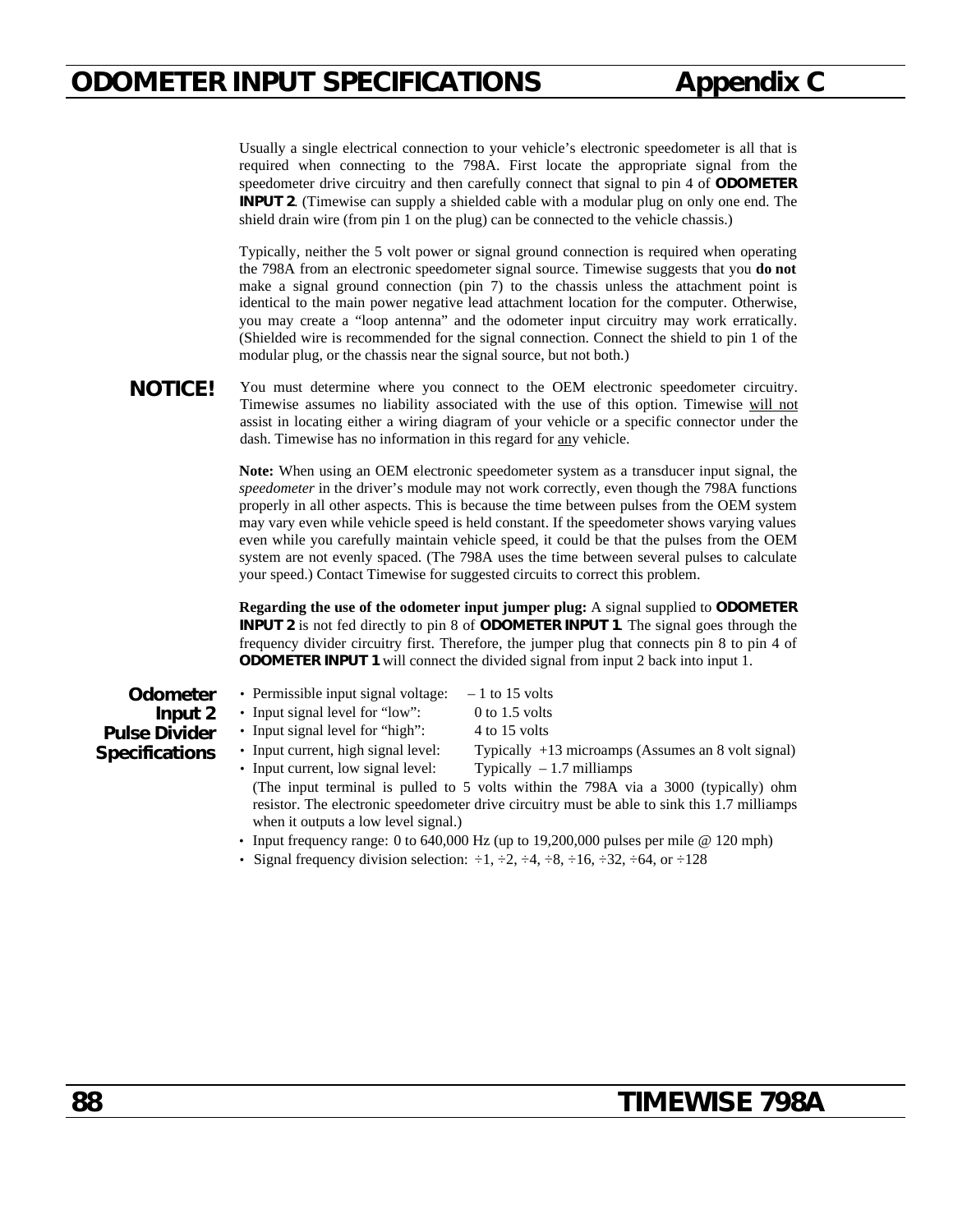# **ODOMETER INPUT SPECIFICATIONS Appendix C**

Usually a single electrical connection to your vehicle's electronic speedometer is all that is required when connecting to the 798A. First locate the appropriate signal from the speedometer drive circuitry and then carefully connect that signal to pin 4 of **ODOMETER INPUT 2**. (Timewise can supply a shielded cable with a modular plug on only one end. The shield drain wire (from pin 1 on the plug) can be connected to the vehicle chassis.)

Typically, neither the 5 volt power or signal ground connection is required when operating the 798A from an electronic speedometer signal source. Timewise suggests that you **do not** make a signal ground connection (pin 7) to the chassis unless the attachment point is identical to the main power negative lead attachment location for the computer. Otherwise, you may create a "loop antenna" and the odometer input circuitry may work erratically. (Shielded wire is recommended for the signal connection. Connect the shield to pin 1 of the modular plug, or the chassis near the signal source, but not both.)

**NOTICE!** You must determine where you connect to the OEM electronic speedometer circuitry. Timewise assumes no liability associated with the use of this option. Timewise will not assist in locating either a wiring diagram of your vehicle or a specific connector under the dash. Timewise has no information in this regard for any vehicle.

> **Note:** When using an OEM electronic speedometer system as a transducer input signal, the *speedometer* in the driver's module may not work correctly, even though the 798A functions properly in all other aspects. This is because the time between pulses from the OEM system may vary even while vehicle speed is held constant. If the speedometer shows varying values even while you carefully maintain vehicle speed, it could be that the pulses from the OEM system are not evenly spaced. (The 798A uses the time between several pulses to calculate your speed.) Contact Timewise for suggested circuits to correct this problem.

> **Regarding the use of the odometer input jumper plug:** A signal supplied to **ODOMETER INPUT 2** is not fed directly to pin 8 of **ODOMETER INPUT 1**. The signal goes through the frequency divider circuitry first. Therefore, the jumper plug that connects pin 8 to pin 4 of **ODOMETER INPUT 1** will connect the divided signal from input 2 back into input 1.

**Odometer Input 2 Pulse Divider Specifications**

- Permissible input signal voltage:  $-1$  to 15 volts • Input signal level for "low": 0 to 1.5 volts
- Input signal level for "high": 4 to 15 volts
	-
- Input current, high signal level: Typically +13 microamps (Assumes an 8 volt signal)
- Input current, low signal level: Typically 1.7 milliamps (The input terminal is pulled to 5 volts within the 798A via a 3000 (typically) ohm
	- resistor. The electronic speedometer drive circuitry must be able to sink this 1.7 milliamps when it outputs a low level signal.)
- Input frequency range: 0 to 640,000 Hz (up to  $19,200,000$  pulses per mile  $\omega$  120 mph)
- Signal frequency division selection:  $\div 1, \div 2, \div 4, \div 8, \div 16, \div 32, \div 64$ , or  $\div 128$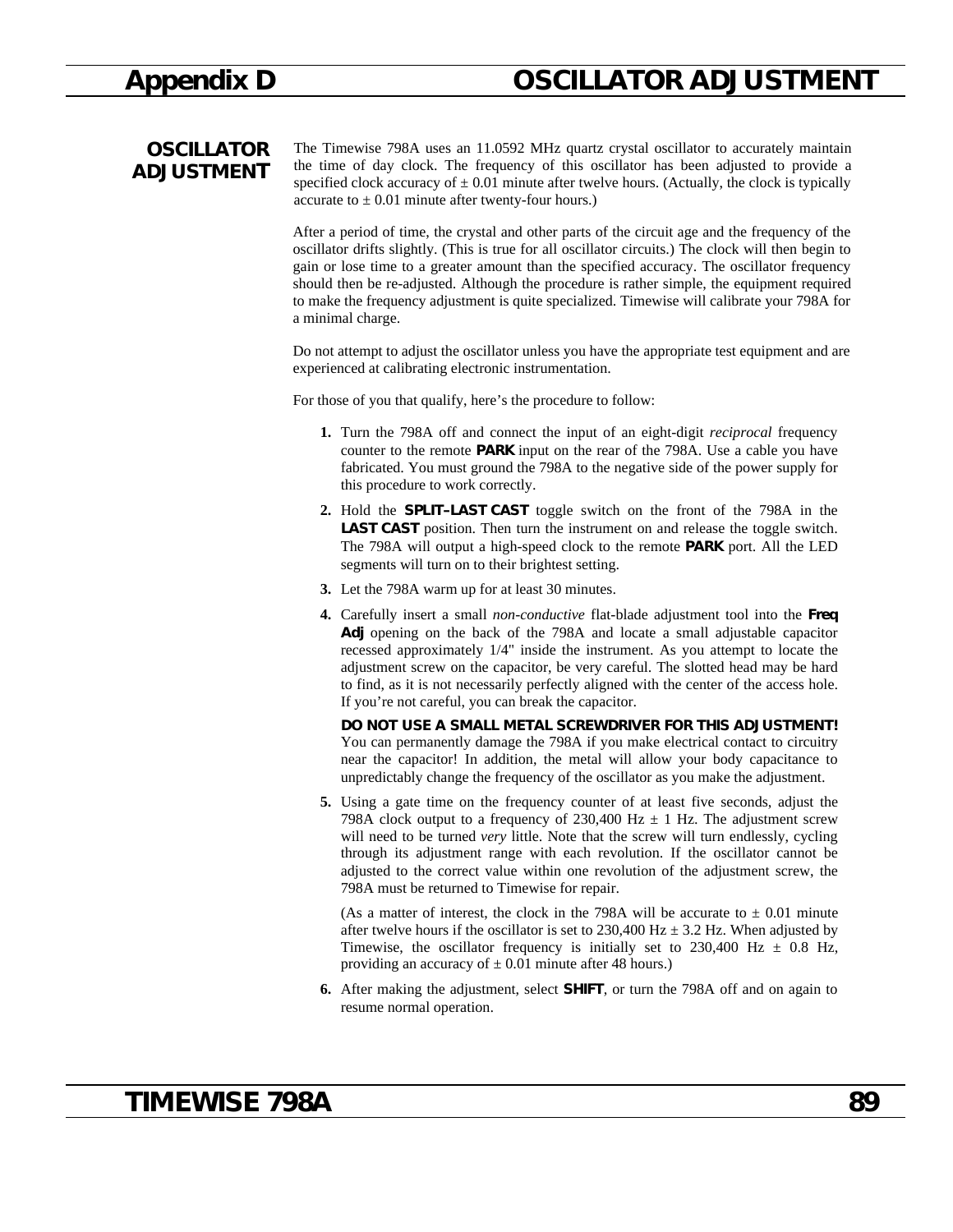### **OSCILLATOR ADJUSTMENT**

The Timewise 798A uses an 11.0592 MHz quartz crystal oscillator to accurately maintain the time of day clock. The frequency of this oscillator has been adjusted to provide a specified clock accuracy of  $\pm 0.01$  minute after twelve hours. (Actually, the clock is typically accurate to  $\pm$  0.01 minute after twenty-four hours.)

After a period of time, the crystal and other parts of the circuit age and the frequency of the oscillator drifts slightly. (This is true for all oscillator circuits.) The clock will then begin to gain or lose time to a greater amount than the specified accuracy. The oscillator frequency should then be re-adjusted. Although the procedure is rather simple, the equipment required to make the frequency adjustment is quite specialized. Timewise will calibrate your 798A for a minimal charge.

Do not attempt to adjust the oscillator unless you have the appropriate test equipment and are experienced at calibrating electronic instrumentation.

For those of you that qualify, here's the procedure to follow:

- **1.** Turn the 798A off and connect the input of an eight-digit *reciprocal* frequency counter to the remote **PARK** input on the rear of the 798A. Use a cable you have fabricated. You must ground the 798A to the negative side of the power supply for this procedure to work correctly.
- 2. Hold the **SPLIT-LAST CAST** toggle switch on the front of the 798A in the **LAST CAST** position. Then turn the instrument on and release the toggle switch. The 798A will output a high-speed clock to the remote **PARK** port. All the LED segments will turn on to their brightest setting.
- **3.** Let the 798A warm up for at least 30 minutes.
- **4.** Carefully insert a small *non-conductive* flat-blade adjustment tool into the **Freq Adj** opening on the back of the 798A and locate a small adjustable capacitor recessed approximately 1/4" inside the instrument. As you attempt to locate the adjustment screw on the capacitor, be very careful. The slotted head may be hard to find, as it is not necessarily perfectly aligned with the center of the access hole. If you're not careful, you can break the capacitor.

**DO NOT USE A SMALL METAL SCREWDRIVER FOR THIS ADJUSTMENT!** You can permanently damage the 798A if you make electrical contact to circuitry near the capacitor! In addition, the metal will allow your body capacitance to unpredictably change the frequency of the oscillator as you make the adjustment.

**5.** Using a gate time on the frequency counter of at least five seconds, adjust the 798A clock output to a frequency of 230,400 Hz  $\pm$  1 Hz. The adjustment screw will need to be turned *very* little. Note that the screw will turn endlessly, cycling through its adjustment range with each revolution. If the oscillator cannot be adjusted to the correct value within one revolution of the adjustment screw, the 798A must be returned to Timewise for repair.

(As a matter of interest, the clock in the 798A will be accurate to  $\pm$  0.01 minute after twelve hours if the oscillator is set to  $230,400$  Hz  $\pm$  3.2 Hz. When adjusted by Timewise, the oscillator frequency is initially set to 230,400 Hz  $\pm$  0.8 Hz, providing an accuracy of  $\pm$  0.01 minute after 48 hours.)

**6.** After making the adjustment, select **SHIFT**, or turn the 798A off and on again to resume normal operation.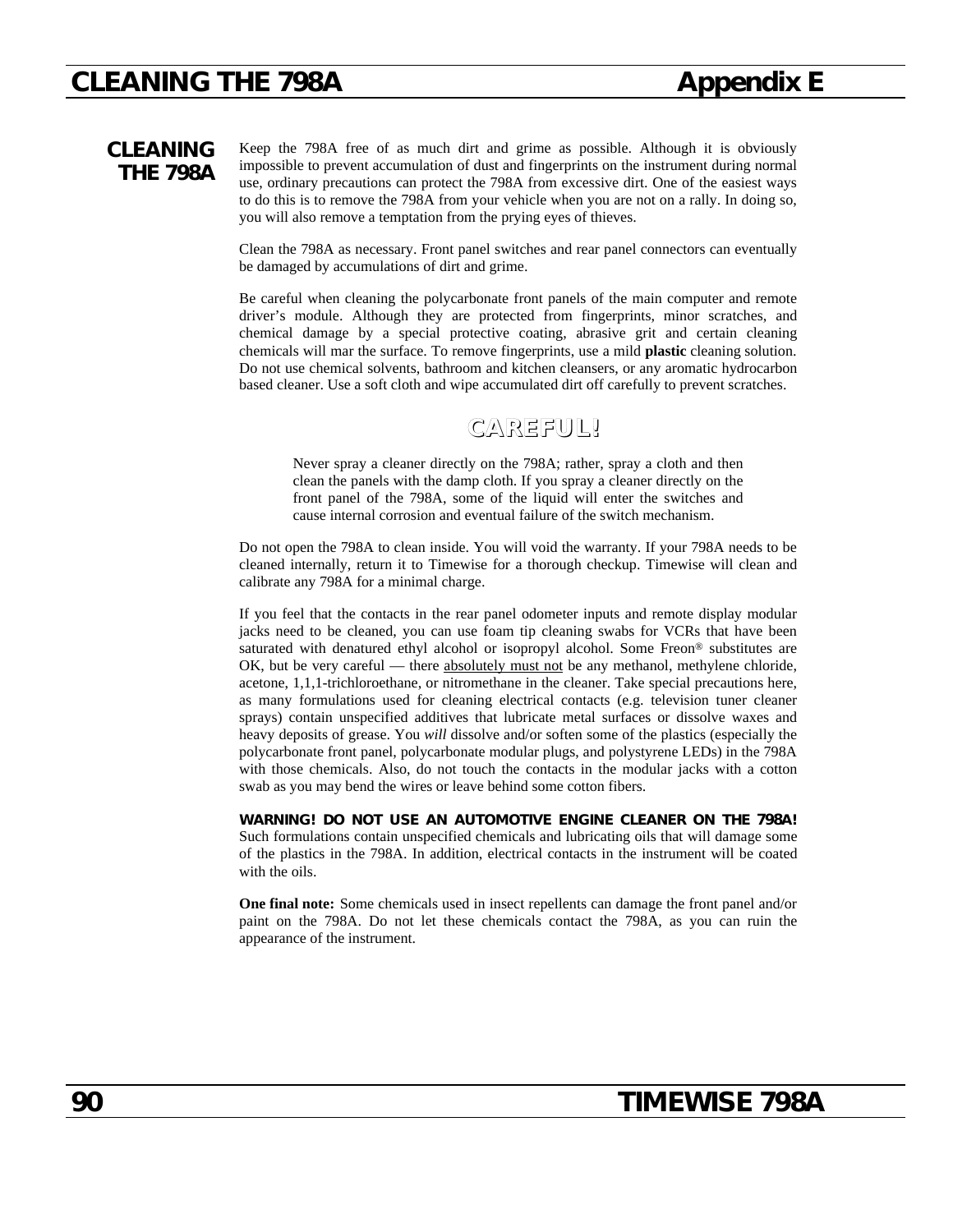### **CLEANING THE 798A**

Keep the 798A free of as much dirt and grime as possible. Although it is obviously impossible to prevent accumulation of dust and fingerprints on the instrument during normal use, ordinary precautions can protect the 798A from excessive dirt. One of the easiest ways to do this is to remove the 798A from your vehicle when you are not on a rally. In doing so, you will also remove a temptation from the prying eyes of thieves.

Clean the 798A as necessary. Front panel switches and rear panel connectors can eventually be damaged by accumulations of dirt and grime.

Be careful when cleaning the polycarbonate front panels of the main computer and remote driver's module. Although they are protected from fingerprints, minor scratches, and chemical damage by a special protective coating, abrasive grit and certain cleaning chemicals will mar the surface. To remove fingerprints, use a mild **plastic** cleaning solution. Do not use chemical solvents, bathroom and kitchen cleansers, or any aromatic hydrocarbon based cleaner. Use a soft cloth and wipe accumulated dirt off carefully to prevent scratches.

# **CAREFUL!**

Never spray a cleaner directly on the 798A; rather, spray a cloth and then clean the panels with the damp cloth. If you spray a cleaner directly on the front panel of the 798A, some of the liquid will enter the switches and cause internal corrosion and eventual failure of the switch mechanism.

Do not open the 798A to clean inside. You will void the warranty. If your 798A needs to be cleaned internally, return it to Timewise for a thorough checkup. Timewise will clean and calibrate any 798A for a minimal charge.

If you feel that the contacts in the rear panel odometer inputs and remote display modular jacks need to be cleaned, you can use foam tip cleaning swabs for VCRs that have been saturated with denatured ethyl alcohol or isopropyl alcohol. Some Freon® substitutes are OK, but be very careful — there absolutely must not be any methanol, methylene chloride, acetone, 1,1,1-trichloroethane, or nitromethane in the cleaner. Take special precautions here, as many formulations used for cleaning electrical contacts (e.g. television tuner cleaner sprays) contain unspecified additives that lubricate metal surfaces or dissolve waxes and heavy deposits of grease. You *will* dissolve and/or soften some of the plastics (especially the polycarbonate front panel, polycarbonate modular plugs, and polystyrene LEDs) in the 798A with those chemicals. Also, do not touch the contacts in the modular jacks with a cotton swab as you may bend the wires or leave behind some cotton fibers.

**WARNING! DO NOT USE AN AUTOMOTIVE ENGINE CLEANER ON THE 798A!** Such formulations contain unspecified chemicals and lubricating oils that will damage some of the plastics in the 798A. In addition, electrical contacts in the instrument will be coated with the oils.

**One final note:** Some chemicals used in insect repellents can damage the front panel and/or paint on the 798A. Do not let these chemicals contact the 798A, as you can ruin the appearance of the instrument.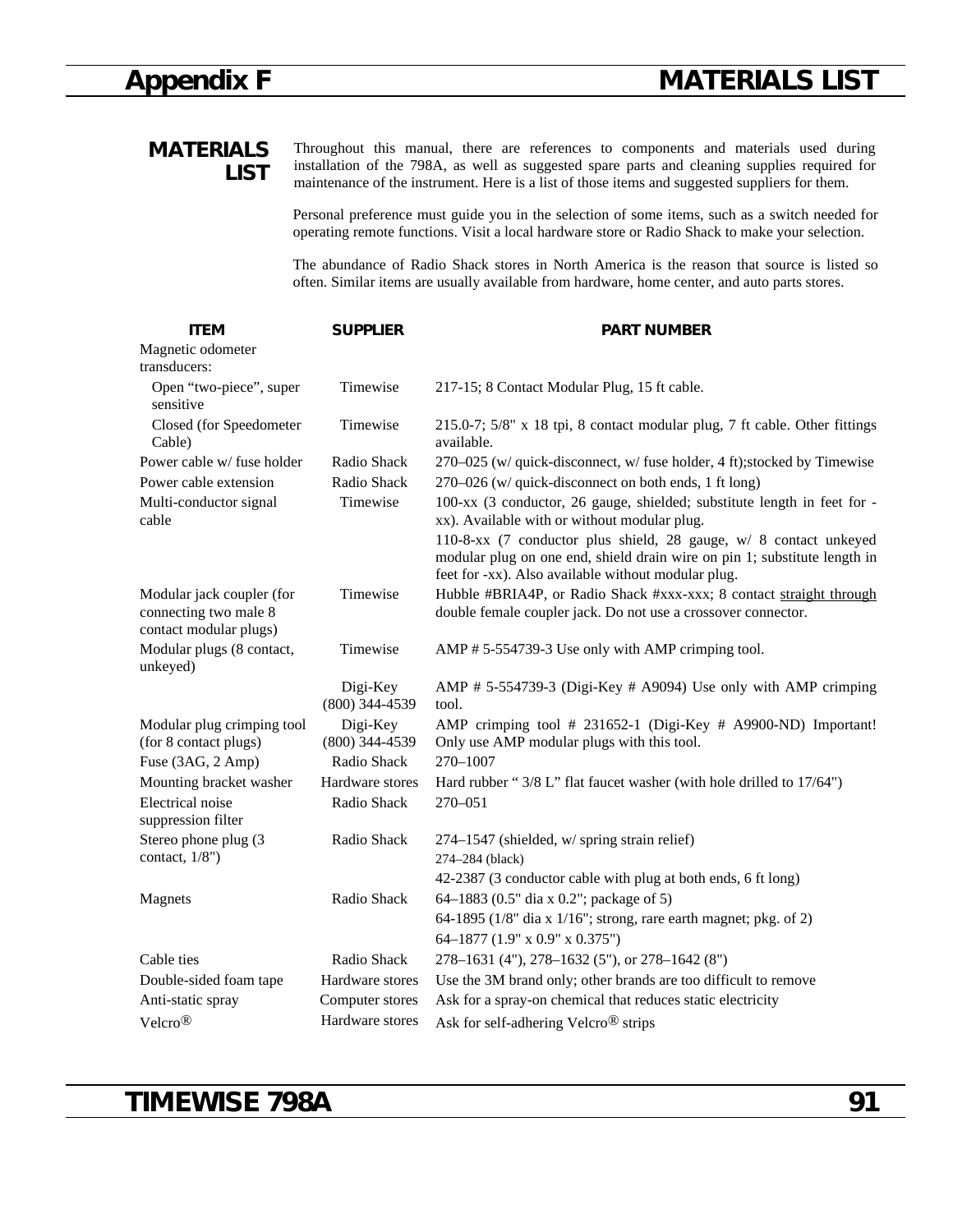| <b>MATERIALS</b><br><b>LIST</b> | Throughout this manual, there are references to components and materials used during<br>installation of the 798A, as well as suggested spare parts and cleaning supplies required for<br>maintenance of the instrument. Here is a list of those items and suggested suppliers for them. |
|---------------------------------|-----------------------------------------------------------------------------------------------------------------------------------------------------------------------------------------------------------------------------------------------------------------------------------------|
|                                 | Personal preference must guide you in the selection of some items, such as a switch needed for                                                                                                                                                                                          |

operating remote functions. Visit a local hardware store or Radio Shack to make your selection.

The abundance of Radio Shack stores in North America is the reason that source is listed so often. Similar items are usually available from hardware, home center, and auto parts stores.

| <b>ITEM</b>                                                                  | <b>SUPPLIER</b>              | <b>PART NUMBER</b>                                                                                                                                                                                    |
|------------------------------------------------------------------------------|------------------------------|-------------------------------------------------------------------------------------------------------------------------------------------------------------------------------------------------------|
| Magnetic odometer<br>transducers:                                            |                              |                                                                                                                                                                                                       |
| Open "two-piece", super<br>sensitive                                         | Timewise                     | 217-15; 8 Contact Modular Plug, 15 ft cable.                                                                                                                                                          |
| Closed (for Speedometer<br>Cable)                                            | Timewise                     | 215.0-7; 5/8" x 18 tpi, 8 contact modular plug, 7 ft cable. Other fittings<br>available.                                                                                                              |
| Power cable w/ fuse holder                                                   | Radio Shack                  | 270–025 (w/ quick-disconnect, w/ fuse holder, 4 ft); stocked by Timewise                                                                                                                              |
| Power cable extension                                                        | Radio Shack                  | 270–026 (w/ quick-disconnect on both ends, 1 ft long)                                                                                                                                                 |
| Multi-conductor signal<br>cable                                              | Timewise                     | 100-xx (3 conductor, 26 gauge, shielded; substitute length in feet for -<br>xx). Available with or without modular plug.                                                                              |
|                                                                              |                              | 110-8-xx (7 conductor plus shield, 28 gauge, w/ 8 contact unkeyed<br>modular plug on one end, shield drain wire on pin 1; substitute length in<br>feet for -xx). Also available without modular plug. |
| Modular jack coupler (for<br>connecting two male 8<br>contact modular plugs) | Timewise                     | Hubble #BRIA4P, or Radio Shack #xxx-xxx; 8 contact straight through<br>double female coupler jack. Do not use a crossover connector.                                                                  |
| Modular plugs (8 contact,<br>unkeyed)                                        | Timewise                     | AMP # 5-554739-3 Use only with AMP crimping tool.                                                                                                                                                     |
|                                                                              | Digi-Key<br>$(800)$ 344-4539 | AMP # 5-554739-3 (Digi-Key # A9094) Use only with AMP crimping<br>tool.                                                                                                                               |
| Modular plug crimping tool<br>(for 8 contact plugs)                          | Digi-Key<br>$(800)$ 344-4539 | AMP crimping tool # 231652-1 (Digi-Key # A9900-ND) Important!<br>Only use AMP modular plugs with this tool.                                                                                           |
| Fuse (3AG, 2 Amp)                                                            | Radio Shack                  | 270-1007                                                                                                                                                                                              |
| Mounting bracket washer                                                      | Hardware stores              | Hard rubber "3/8 L" flat faucet washer (with hole drilled to 17/64")                                                                                                                                  |
| Electrical noise<br>suppression filter                                       | Radio Shack                  | 270-051                                                                                                                                                                                               |
| Stereo phone plug (3<br>contact, $1/8$ ")                                    | Radio Shack                  | 274–1547 (shielded, w/ spring strain relief)<br>274-284 (black)                                                                                                                                       |
| Magnets                                                                      | Radio Shack                  | 42-2387 (3 conductor cable with plug at both ends, 6 ft long)<br>64–1883 (0.5" dia x 0.2"; package of 5)                                                                                              |
|                                                                              |                              | 64-1895 (1/8" dia x 1/16"; strong, rare earth magnet; pkg. of 2)<br>64-1877 (1.9" x 0.9" x 0.375")                                                                                                    |
| Cable ties                                                                   | Radio Shack                  | 278-1631 (4"), 278-1632 (5"), or 278-1642 (8")                                                                                                                                                        |
| Double-sided foam tape                                                       | Hardware stores              | Use the 3M brand only; other brands are too difficult to remove                                                                                                                                       |
| Anti-static spray                                                            | Computer stores              | Ask for a spray-on chemical that reduces static electricity                                                                                                                                           |
| Velcro <sup>®</sup>                                                          | Hardware stores              | Ask for self-adhering Velcro <sup>®</sup> strips                                                                                                                                                      |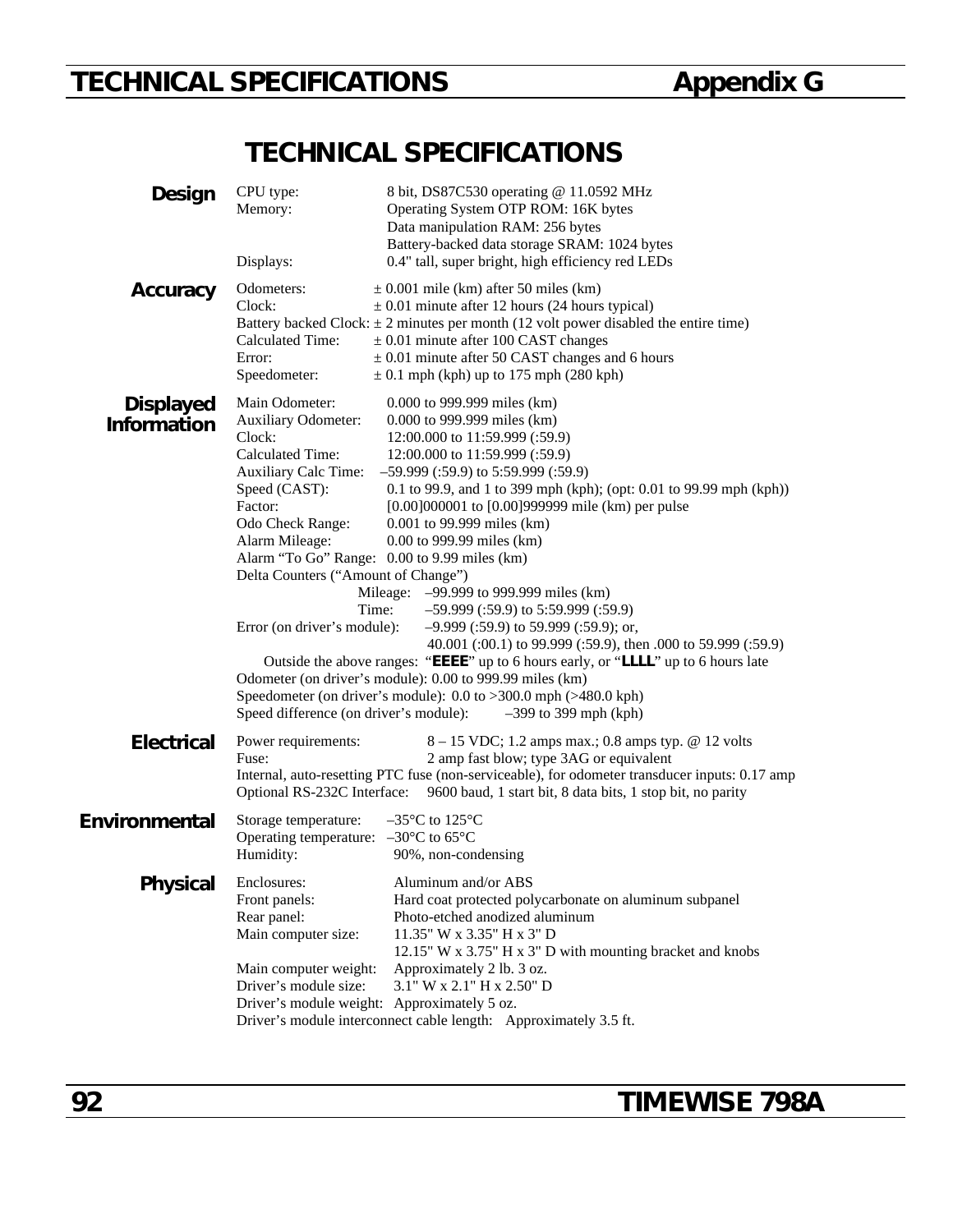# **TECHNICAL SPECIFICATIONS Appendix G**

## **TECHNICAL SPECIFICATIONS**

| Design                                 | CPU type:<br>Memory:<br>Displays:                                                                                                                                                                                                                                                                                                                    | 8 bit, DS87C530 operating @ 11.0592 MHz<br>Operating System OTP ROM: 16K bytes<br>Data manipulation RAM: 256 bytes<br>Battery-backed data storage SRAM: 1024 bytes<br>0.4" tall, super bright, high efficiency red LEDs                                                                                                                                                                                                                                                                                                                                                                                                                                                                                                                                                                                          |
|----------------------------------------|------------------------------------------------------------------------------------------------------------------------------------------------------------------------------------------------------------------------------------------------------------------------------------------------------------------------------------------------------|------------------------------------------------------------------------------------------------------------------------------------------------------------------------------------------------------------------------------------------------------------------------------------------------------------------------------------------------------------------------------------------------------------------------------------------------------------------------------------------------------------------------------------------------------------------------------------------------------------------------------------------------------------------------------------------------------------------------------------------------------------------------------------------------------------------|
| Accuracy                               | Odometers:<br>Clock:<br>Calculated Time:<br>Error:<br>Speedometer:                                                                                                                                                                                                                                                                                   | $\pm$ 0.001 mile (km) after 50 miles (km)<br>$\pm$ 0.01 minute after 12 hours (24 hours typical)<br>Battery backed Clock: $\pm 2$ minutes per month (12 volt power disabled the entire time)<br>$\pm$ 0.01 minute after 100 CAST changes<br>$\pm$ 0.01 minute after 50 CAST changes and 6 hours<br>$\pm$ 0.1 mph (kph) up to 175 mph (280 kph)                                                                                                                                                                                                                                                                                                                                                                                                                                                                   |
| <b>Displayed</b><br><b>Information</b> | Main Odometer:<br><b>Auxiliary Odometer:</b><br>Clock:<br>Calculated Time:<br><b>Auxiliary Calc Time:</b><br>Speed (CAST):<br>Factor:<br>Odo Check Range:<br>Alarm Mileage:<br>Alarm "To Go" Range: 0.00 to 9.99 miles (km)<br>Delta Counters ("Amount of Change")<br>Time:<br>Error (on driver's module):<br>Speed difference (on driver's module): | 0.000 to 999.999 miles (km)<br>0.000 to 999.999 miles (km)<br>12:00.000 to 11:59.999 (:59.9)<br>12:00.000 to 11:59.999 (:59.9)<br>$-59.999$ (:59.9) to 5:59.999 (:59.9)<br>0.1 to 99.9, and 1 to 399 mph (kph); (opt: 0.01 to 99.99 mph (kph))<br>[0.00]000001 to [0.00]999999 mile (km) per pulse<br>0.001 to 99.999 miles (km)<br>0.00 to 999.99 miles (km)<br>-99.999 to 999.999 miles (km)<br>Mileage:<br>-59.999 (:59.9) to 5:59.999 (:59.9)<br>$-9.999$ (:59.9) to 59.999 (:59.9); or,<br>40.001 (:00.1) to 99.999 (:59.9), then .000 to 59.999 (:59.9)<br>Outside the above ranges: "EEEE" up to 6 hours early, or "LLLL" up to 6 hours late<br>Odometer (on driver's module): 0.00 to 999.99 miles (km)<br>Speedometer (on driver's module): $0.0$ to >300.0 mph (>480.0 kph)<br>$-399$ to 399 mph (kph) |
| <b>Electrical</b>                      | Power requirements:<br>Fuse:<br>Optional RS-232C Interface:                                                                                                                                                                                                                                                                                          | 8 – 15 VDC; 1.2 amps max.; 0.8 amps typ. @ 12 volts<br>2 amp fast blow; type 3AG or equivalent<br>Internal, auto-resetting PTC fuse (non-serviceable), for odometer transducer inputs: 0.17 amp<br>9600 baud, 1 start bit, 8 data bits, 1 stop bit, no parity                                                                                                                                                                                                                                                                                                                                                                                                                                                                                                                                                    |
| Environmental                          | Storage temperature:<br>Operating temperature: $-30^{\circ}$ C to 65°C<br>Humidity:                                                                                                                                                                                                                                                                  | $-35^{\circ}$ C to 125 $^{\circ}$ C<br>90%, non-condensing                                                                                                                                                                                                                                                                                                                                                                                                                                                                                                                                                                                                                                                                                                                                                       |
| <b>Physical</b>                        | Enclosures:<br>Front panels:<br>Rear panel:<br>Main computer size:<br>Main computer weight:<br>Driver's module size:<br>Driver's module weight: Approximately 5 oz.                                                                                                                                                                                  | Aluminum and/or ABS<br>Hard coat protected polycarbonate on aluminum subpanel<br>Photo-etched anodized aluminum<br>11.35" W x 3.35" H x 3" D<br>12.15" W x 3.75" H x 3" D with mounting bracket and knobs<br>Approximately 2 lb. 3 oz.<br>3.1" W x 2.1" H x 2.50" D<br>Driver's module interconnect cable length: Approximately 3.5 ft.                                                                                                                                                                                                                                                                                                                                                                                                                                                                          |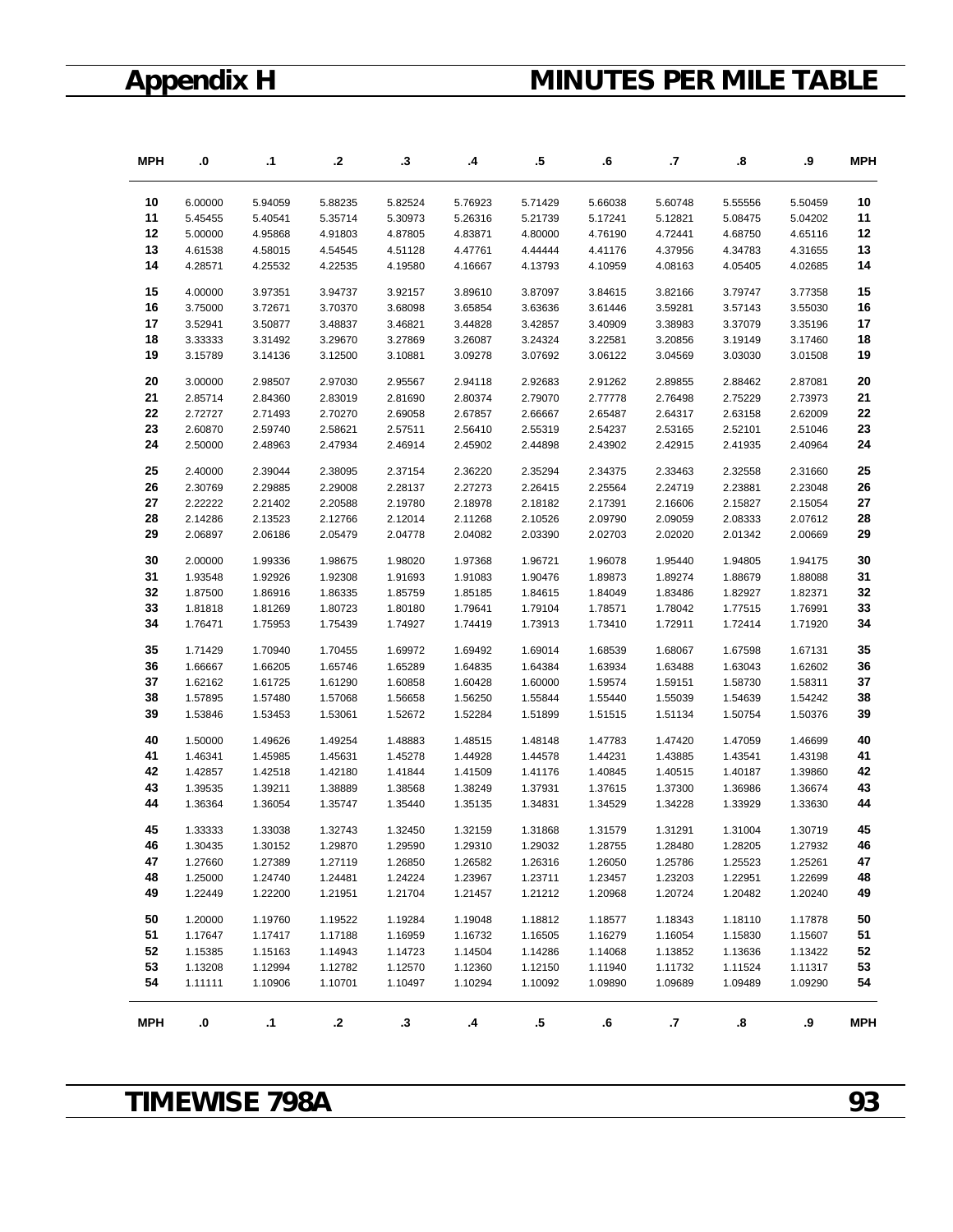# **Appendix H MINUTES PER MILE TABLE**

| <b>MPH</b> | .0      | $\cdot$ 1 | .2      | .3        | .4      | .5      | $\cdot 6$ | .7      | 8.                | $\cdot$ 9 | <b>MPH</b> |
|------------|---------|-----------|---------|-----------|---------|---------|-----------|---------|-------------------|-----------|------------|
| 10         | 6.00000 | 5.94059   | 5.88235 | 5.82524   | 5.76923 | 5.71429 | 5.66038   | 5.60748 | 5.55556           | 5.50459   | 10         |
| 11         | 5.45455 | 5.40541   | 5.35714 | 5.30973   | 5.26316 | 5.21739 | 5.17241   | 5.12821 | 5.08475           | 5.04202   | 11         |
| 12         | 5.00000 | 4.95868   | 4.91803 | 4.87805   | 4.83871 | 4.80000 | 4.76190   | 4.72441 | 4.68750           | 4.65116   | 12         |
| 13         | 4.61538 | 4.58015   | 4.54545 | 4.51128   | 4.47761 | 4.44444 | 4.41176   | 4.37956 | 4.34783           | 4.31655   | 13         |
| 14         | 4.28571 | 4.25532   | 4.22535 | 4.19580   | 4.16667 | 4.13793 | 4.10959   | 4.08163 | 4.05405           | 4.02685   | 14         |
| 15         | 4.00000 | 3.97351   | 3.94737 | 3.92157   | 3.89610 | 3.87097 | 3.84615   | 3.82166 | 3.79747           | 3.77358   | 15         |
| 16         | 3.75000 | 3.72671   | 3.70370 | 3.68098   | 3.65854 | 3.63636 | 3.61446   | 3.59281 | 3.57143           | 3.55030   | 16         |
| 17         | 3.52941 | 3.50877   | 3.48837 | 3.46821   | 3.44828 | 3.42857 | 3.40909   | 3.38983 | 3.37079           | 3.35196   | 17         |
| 18         | 3.33333 | 3.31492   | 3.29670 | 3.27869   | 3.26087 | 3.24324 | 3.22581   | 3.20856 | 3.19149           | 3.17460   | 18         |
| 19         | 3.15789 | 3.14136   | 3.12500 | 3.10881   | 3.09278 | 3.07692 | 3.06122   | 3.04569 | 3.03030           | 3.01508   | 19         |
| 20         | 3.00000 | 2.98507   | 2.97030 | 2.95567   | 2.94118 | 2.92683 | 2.91262   | 2.89855 | 2.88462           | 2.87081   | 20         |
| 21         | 2.85714 | 2.84360   | 2.83019 | 2.81690   | 2.80374 | 2.79070 | 2.77778   | 2.76498 | 2.75229           | 2.73973   | 21         |
| 22         | 2.72727 | 2.71493   | 2.70270 | 2.69058   | 2.67857 | 2.66667 | 2.65487   | 2.64317 | 2.63158           | 2.62009   | 22         |
| 23         | 2.60870 | 2.59740   | 2.58621 | 2.57511   | 2.56410 | 2.55319 | 2.54237   | 2.53165 | 2.52101           | 2.51046   | 23         |
| 24         | 2.50000 | 2.48963   | 2.47934 | 2.46914   | 2.45902 | 2.44898 | 2.43902   | 2.42915 | 2.41935           | 2.40964   | 24         |
| 25         | 2.40000 | 2.39044   | 2.38095 | 2.37154   | 2.36220 | 2.35294 | 2.34375   | 2.33463 | 2.32558           | 2.31660   | 25         |
| 26         | 2.30769 | 2.29885   | 2.29008 | 2.28137   | 2.27273 | 2.26415 | 2.25564   | 2.24719 | 2.23881           | 2.23048   | 26         |
| 27         | 2.22222 | 2.21402   | 2.20588 | 2.19780   | 2.18978 | 2.18182 | 2.17391   | 2.16606 | 2.15827           | 2.15054   | 27         |
| 28         | 2.14286 | 2.13523   | 2.12766 | 2.12014   | 2.11268 | 2.10526 | 2.09790   | 2.09059 | 2.08333           | 2.07612   | 28         |
| 29         | 2.06897 | 2.06186   | 2.05479 | 2.04778   | 2.04082 | 2.03390 | 2.02703   | 2.02020 | 2.01342           | 2.00669   | 29         |
| 30         | 2.00000 | 1.99336   | 1.98675 | 1.98020   | 1.97368 | 1.96721 | 1.96078   | 1.95440 | 1.94805           | 1.94175   | 30         |
| 31         | 1.93548 | 1.92926   | 1.92308 | 1.91693   | 1.91083 | 1.90476 | 1.89873   | 1.89274 | 1.88679           | 1.88088   | 31         |
| 32         | 1.87500 | 1.86916   | 1.86335 | 1.85759   | 1.85185 | 1.84615 | 1.84049   | 1.83486 | 1.82927           | 1.82371   | 32         |
| 33         | 1.81818 | 1.81269   | 1.80723 | 1.80180   | 1.79641 | 1.79104 | 1.78571   | 1.78042 | 1.77515           | 1.76991   | 33         |
| 34         | 1.76471 | 1.75953   | 1.75439 | 1.74927   | 1.74419 | 1.73913 | 1.73410   | 1.72911 | 1.72414           | 1.71920   | 34         |
| 35         | 1.71429 | 1.70940   | 1.70455 | 1.69972   | 1.69492 | 1.69014 | 1.68539   | 1.68067 | 1.67598           | 1.67131   | 35         |
| 36         | 1.66667 | 1.66205   | 1.65746 | 1.65289   | 1.64835 | 1.64384 | 1.63934   | 1.63488 | 1.63043           | 1.62602   | 36         |
| 37         | 1.62162 | 1.61725   | 1.61290 | 1.60858   | 1.60428 | 1.60000 | 1.59574   | 1.59151 | 1.58730           | 1.58311   | 37         |
| 38         | 1.57895 | 1.57480   | 1.57068 | 1.56658   | 1.56250 | 1.55844 | 1.55440   | 1.55039 | 1.54639           | 1.54242   | 38         |
| 39         | 1.53846 | 1.53453   | 1.53061 | 1.52672   | 1.52284 | 1.51899 | 1.51515   | 1.51134 | 1.50754           | 1.50376   | 39         |
| 40         | 1.50000 | 1.49626   | 1.49254 | 1.48883   | 1.48515 | 1.48148 | 1.47783   | 1.47420 | 1.47059           | 1.46699   | 40         |
| 41         | 1.46341 | 1.45985   | 1.45631 | 1.45278   | 1.44928 | 1.44578 | 1.44231   | 1.43885 | 1.43541           | 1.43198   | 41         |
| 42         | 1.42857 | 1.42518   | 1.42180 | 1.41844   | 1.41509 | 1.41176 | 1.40845   | 1.40515 | 1.40187           | 1.39860   | 42         |
| 43         | 1.39535 | 1.39211   | 1.38889 | 1.38568   | 1.38249 | 1.37931 | 1.37615   | 1.37300 | 1.36986           | 1.36674   | 43         |
| 44         | 1.36364 | 1.36054   | 1.35747 | 1.35440   | 1.35135 | 1.34831 | 1.34529   | 1.34228 | 1.33929           | 1.33630   | 44         |
| 45         | 1.33333 | 1.33038   | 1.32743 | 1.32450   | 1.32159 | 1.31868 | 1.31579   | 1.31291 | 1.31004           | 1.30719   | 45         |
| 46         | 1.30435 | 1.30152   | 1.29870 | 1.29590   | 1.29310 | 1.29032 | 1.28755   | 1.28480 | 1.28205           | 1.27932   | 46         |
| 47         | 1.27660 | 1.27389   | 1.27119 | 1.26850   | 1.26582 | 1.26316 | 1.26050   | 1.25786 | 1.25523           | 1.25261   | 47         |
| 48         | 1.25000 | 1.24740   | 1.24481 | 1.24224   | 1.23967 | 1.23711 | 1.23457   | 1.23203 | 1.22951           | 1.22699   | 48         |
| 49         | 1.22449 | 1.22200   | 1.21951 | 1.21704   | 1.21457 | 1.21212 | 1.20968   | 1.20724 | 1.20482           | 1.20240   | 49         |
| 50         | 1.20000 | 1.19760   | 1.19522 | 1.19284   | 1.19048 | 1.18812 | 1.18577   | 1.18343 | 1.18110           | 1.17878   | 50         |
| 51         | 1.17647 | 1.17417   | 1.17188 | 1.16959   | 1.16732 | 1.16505 | 1.16279   | 1.16054 | 1.15830           | 1.15607   | 51         |
| 52         | 1.15385 | 1.15163   | 1.14943 | 1.14723   | 1.14504 | 1.14286 | 1.14068   | 1.13852 | 1.13636           | 1.13422   | 52         |
| 53         | 1.13208 | 1.12994   | 1.12782 | 1.12570   | 1.12360 | 1.12150 | 1.11940   | 1.11732 | 1.11524           | 1.11317   | 53         |
| 54         | 1.11111 | 1.10906   | 1.10701 | 1.10497   | 1.10294 | 1.10092 | 1.09890   | 1.09689 | 1.09489           | 1.09290   | 54         |
| <b>MPH</b> | $\cdot$ | $\cdot$ 1 | $\cdot$ | $\cdot$ 3 | .4      | $.5\,$  | $\cdot$ 6 | $\cdot$ | $\boldsymbol{.8}$ | .9        | <b>MPH</b> |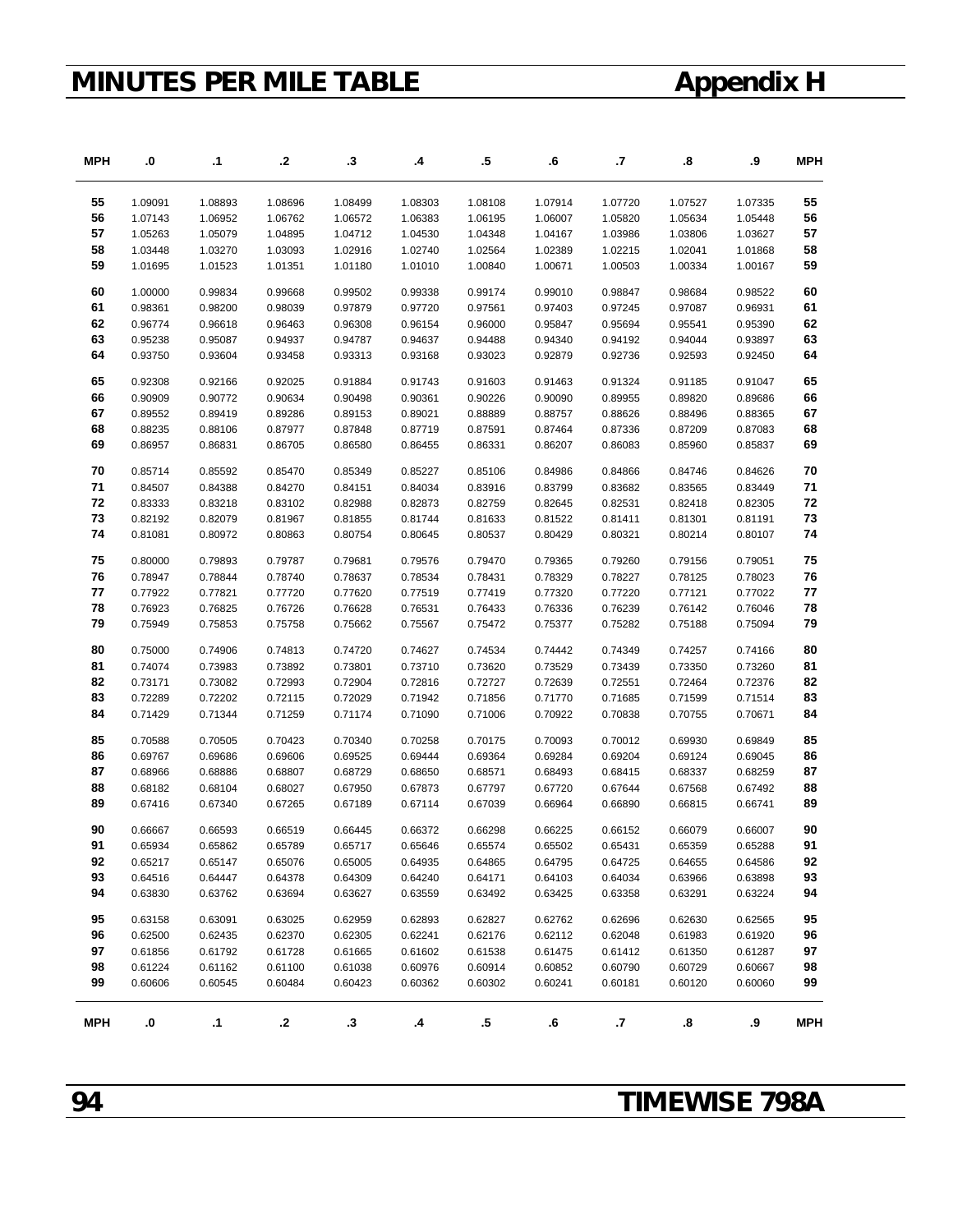# **MINUTES PER MILE TABLE Appendix H**

| <b>MPH</b> | ${\bf .0}$ | $\cdot$ 1 | $\cdot$ | $\cdot$ 3 | .4      | .5      | $\cdot 6$ | .7      | $\boldsymbol{.8}$ | .9        | <b>MPH</b> |
|------------|------------|-----------|---------|-----------|---------|---------|-----------|---------|-------------------|-----------|------------|
| 55         | 1.09091    | 1.08893   | 1.08696 | 1.08499   | 1.08303 | 1.08108 | 1.07914   | 1.07720 | 1.07527           | 1.07335   | 55         |
| 56         | 1.07143    | 1.06952   | 1.06762 | 1.06572   | 1.06383 | 1.06195 | 1.06007   | 1.05820 | 1.05634           | 1.05448   | 56         |
| 57         | 1.05263    | 1.05079   | 1.04895 | 1.04712   | 1.04530 | 1.04348 | 1.04167   | 1.03986 | 1.03806           | 1.03627   | 57         |
| 58         | 1.03448    | 1.03270   | 1.03093 | 1.02916   | 1.02740 | 1.02564 | 1.02389   | 1.02215 | 1.02041           | 1.01868   | 58         |
| 59         | 1.01695    | 1.01523   | 1.01351 | 1.01180   | 1.01010 | 1.00840 | 1.00671   | 1.00503 | 1.00334           | 1.00167   | 59         |
| 60         | 1.00000    | 0.99834   | 0.99668 | 0.99502   | 0.99338 | 0.99174 | 0.99010   | 0.98847 | 0.98684           | 0.98522   | 60         |
| 61         | 0.98361    | 0.98200   | 0.98039 | 0.97879   | 0.97720 | 0.97561 | 0.97403   | 0.97245 | 0.97087           | 0.96931   | 61         |
| 62         | 0.96774    | 0.96618   | 0.96463 | 0.96308   | 0.96154 | 0.96000 | 0.95847   | 0.95694 | 0.95541           | 0.95390   | 62         |
| 63         | 0.95238    | 0.95087   | 0.94937 | 0.94787   | 0.94637 | 0.94488 | 0.94340   | 0.94192 | 0.94044           | 0.93897   | 63         |
| 64         | 0.93750    | 0.93604   | 0.93458 | 0.93313   | 0.93168 | 0.93023 | 0.92879   | 0.92736 | 0.92593           | 0.92450   | 64         |
| 65         | 0.92308    | 0.92166   | 0.92025 | 0.91884   | 0.91743 | 0.91603 | 0.91463   | 0.91324 | 0.91185           | 0.91047   | 65         |
| 66         | 0.90909    | 0.90772   | 0.90634 | 0.90498   | 0.90361 | 0.90226 | 0.90090   | 0.89955 | 0.89820           | 0.89686   | 66         |
| 67         | 0.89552    | 0.89419   | 0.89286 | 0.89153   | 0.89021 | 0.88889 | 0.88757   | 0.88626 | 0.88496           | 0.88365   | 67         |
| 68         | 0.88235    | 0.88106   | 0.87977 | 0.87848   | 0.87719 | 0.87591 | 0.87464   | 0.87336 | 0.87209           | 0.87083   | 68         |
| 69         | 0.86957    | 0.86831   | 0.86705 | 0.86580   | 0.86455 | 0.86331 | 0.86207   | 0.86083 | 0.85960           | 0.85837   | 69         |
| 70         | 0.85714    | 0.85592   | 0.85470 | 0.85349   | 0.85227 | 0.85106 | 0.84986   | 0.84866 | 0.84746           | 0.84626   | 70         |
| 71         | 0.84507    | 0.84388   | 0.84270 | 0.84151   | 0.84034 | 0.83916 | 0.83799   | 0.83682 | 0.83565           | 0.83449   | 71         |
| 72         | 0.83333    | 0.83218   | 0.83102 | 0.82988   | 0.82873 | 0.82759 | 0.82645   | 0.82531 | 0.82418           | 0.82305   | 72         |
| 73         | 0.82192    | 0.82079   | 0.81967 | 0.81855   | 0.81744 | 0.81633 | 0.81522   | 0.81411 | 0.81301           | 0.81191   | 73         |
| 74         | 0.81081    | 0.80972   | 0.80863 | 0.80754   | 0.80645 | 0.80537 | 0.80429   | 0.80321 | 0.80214           | 0.80107   | 74         |
| 75         | 0.80000    | 0.79893   | 0.79787 | 0.79681   | 0.79576 | 0.79470 | 0.79365   | 0.79260 | 0.79156           | 0.79051   | 75         |
| 76         | 0.78947    | 0.78844   | 0.78740 | 0.78637   | 0.78534 | 0.78431 | 0.78329   | 0.78227 | 0.78125           | 0.78023   | 76         |
| 77         | 0.77922    | 0.77821   | 0.77720 | 0.77620   | 0.77519 | 0.77419 | 0.77320   | 0.77220 | 0.77121           | 0.77022   | 77         |
| 78         | 0.76923    | 0.76825   | 0.76726 | 0.76628   | 0.76531 | 0.76433 | 0.76336   | 0.76239 | 0.76142           | 0.76046   | 78         |
| 79         | 0.75949    | 0.75853   | 0.75758 | 0.75662   | 0.75567 | 0.75472 | 0.75377   | 0.75282 | 0.75188           | 0.75094   | 79         |
| 80         | 0.75000    | 0.74906   | 0.74813 | 0.74720   | 0.74627 | 0.74534 | 0.74442   | 0.74349 | 0.74257           | 0.74166   | 80         |
| 81         | 0.74074    | 0.73983   | 0.73892 | 0.73801   | 0.73710 | 0.73620 | 0.73529   | 0.73439 | 0.73350           | 0.73260   | 81         |
| 82         | 0.73171    | 0.73082   | 0.72993 | 0.72904   | 0.72816 | 0.72727 | 0.72639   | 0.72551 | 0.72464           | 0.72376   | 82         |
| 83         | 0.72289    | 0.72202   | 0.72115 | 0.72029   | 0.71942 | 0.71856 | 0.71770   | 0.71685 | 0.71599           | 0.71514   | 83         |
| 84         | 0.71429    | 0.71344   | 0.71259 | 0.71174   | 0.71090 | 0.71006 | 0.70922   | 0.70838 | 0.70755           | 0.70671   | 84         |
| 85         | 0.70588    | 0.70505   | 0.70423 | 0.70340   | 0.70258 | 0.70175 | 0.70093   | 0.70012 | 0.69930           | 0.69849   | 85         |
| 86         | 0.69767    | 0.69686   | 0.69606 | 0.69525   | 0.69444 | 0.69364 | 0.69284   | 0.69204 | 0.69124           | 0.69045   | 86         |
| 87         | 0.68966    | 0.68886   | 0.68807 | 0.68729   | 0.68650 | 0.68571 | 0.68493   | 0.68415 | 0.68337           | 0.68259   | 87         |
| 88         | 0.68182    | 0.68104   | 0.68027 | 0.67950   | 0.67873 | 0.67797 | 0.67720   | 0.67644 | 0.67568           | 0.67492   | 88         |
| 89         | 0.67416    | 0.67340   | 0.67265 | 0.67189   | 0.67114 | 0.67039 | 0.66964   | 0.66890 | 0.66815           | 0.66741   | 89         |
| 90         | 0.66667    | 0.66593   | 0.66519 | 0.66445   | 0.66372 | 0.66298 | 0.66225   | 0.66152 | 0.66079           | 0.66007   | 90         |
| 91         | 0.65934    | 0.65862   | 0.65789 | 0.65717   | 0.65646 | 0.65574 | 0.65502   | 0.65431 | 0.65359           | 0.65288   | 91         |
| 92         | 0.65217    | 0.65147   | 0.65076 | 0.65005   | 0.64935 | 0.64865 | 0.64795   | 0.64725 | 0.64655           | 0.64586   | 92         |
| 93         | 0.64516    | 0.64447   | 0.64378 | 0.64309   | 0.64240 | 0.64171 | 0.64103   | 0.64034 | 0.63966           | 0.63898   | 93         |
| 94         | 0.63830    | 0.63762   | 0.63694 | 0.63627   | 0.63559 | 0.63492 | 0.63425   | 0.63358 | 0.63291           | 0.63224   | 94         |
| 95         | 0.63158    | 0.63091   | 0.63025 | 0.62959   | 0.62893 | 0.62827 | 0.62762   | 0.62696 | 0.62630           | 0.62565   | 95         |
| 96         | 0.62500    | 0.62435   | 0.62370 | 0.62305   | 0.62241 | 0.62176 | 0.62112   | 0.62048 | 0.61983           | 0.61920   | 96         |
| 97         | 0.61856    | 0.61792   | 0.61728 | 0.61665   | 0.61602 | 0.61538 | 0.61475   | 0.61412 | 0.61350           | 0.61287   | 97         |
| 98         | 0.61224    | 0.61162   | 0.61100 | 0.61038   | 0.60976 | 0.60914 | 0.60852   | 0.60790 | 0.60729           | 0.60667   | 98         |
| 99         | 0.60606    | 0.60545   | 0.60484 | 0.60423   | 0.60362 | 0.60302 | 0.60241   | 0.60181 | 0.60120           | 0.60060   | 99         |
| <b>MPH</b> | $\bf{.0}$  | $\cdot$ 1 | $\cdot$ | $\cdot$ 3 | $\cdot$ | $.5\,$  | $\cdot 6$ | $\cdot$ | $\boldsymbol{.8}$ | $\cdot$ 9 | MPH        |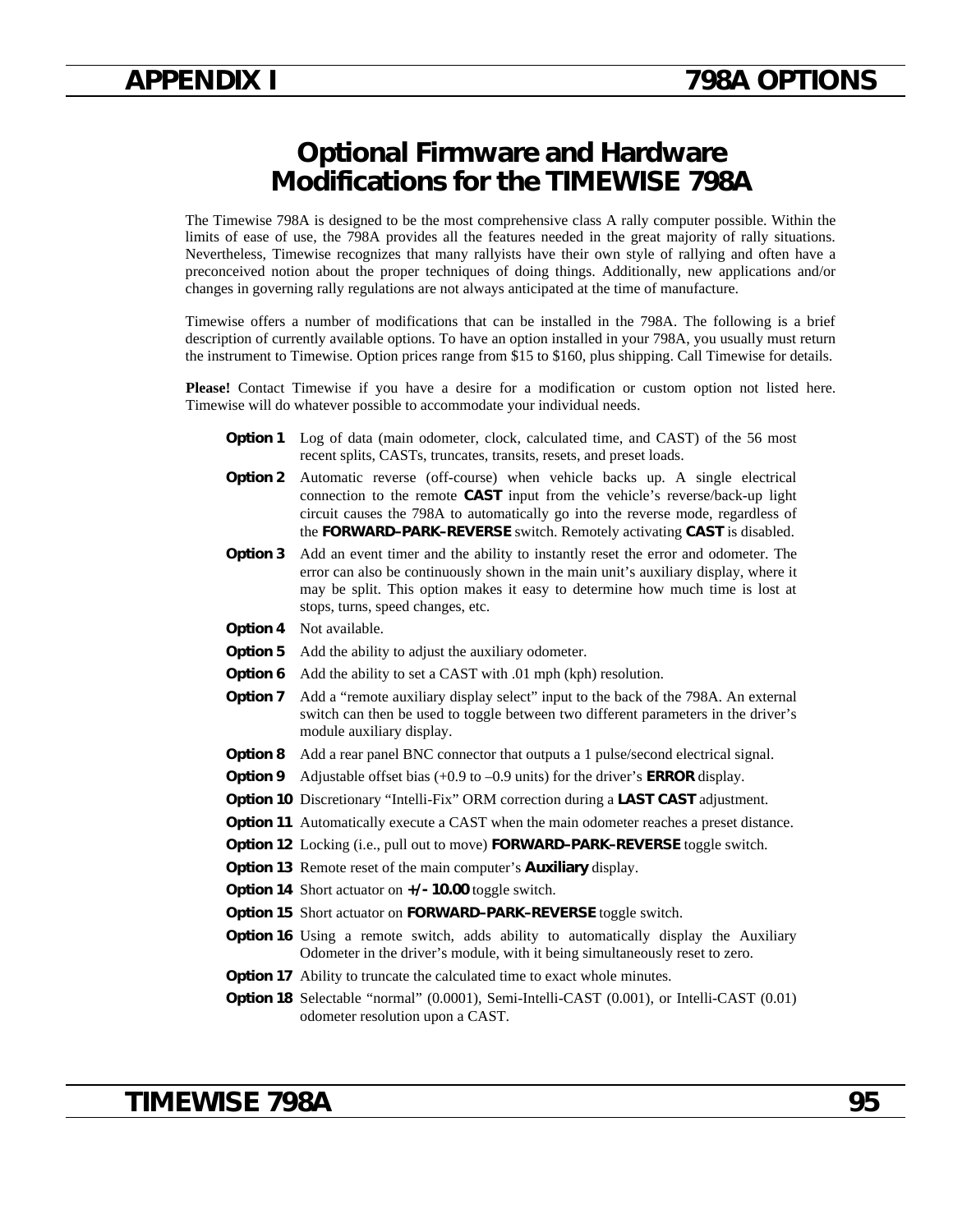## **Optional Firmware and Hardware Modifications for the TIMEWISE 798A**

The Timewise 798A is designed to be the most comprehensive class A rally computer possible. Within the limits of ease of use, the 798A provides all the features needed in the great majority of rally situations. Nevertheless, Timewise recognizes that many rallyists have their own style of rallying and often have a preconceived notion about the proper techniques of doing things. Additionally, new applications and/or changes in governing rally regulations are not always anticipated at the time of manufacture.

Timewise offers a number of modifications that can be installed in the 798A. The following is a brief description of currently available options. To have an option installed in your 798A, you usually must return the instrument to Timewise. Option prices range from \$15 to \$160, plus shipping. Call Timewise for details.

**Please!** Contact Timewise if you have a desire for a modification or custom option not listed here. Timewise will do whatever possible to accommodate your individual needs.

- **Option 1** Log of data (main odometer, clock, calculated time, and CAST) of the 56 most recent splits, CASTs, truncates, transits, resets, and preset loads.
- **Option 2** Automatic reverse (off-course) when vehicle backs up. A single electrical connection to the remote **CAST** input from the vehicle's reverse/back-up light circuit causes the 798A to automatically go into the reverse mode, regardless of the **FORWARD–PARK–REVERSE** switch. Remotely activating **CAST** is disabled.
- **Option 3** Add an event timer and the ability to instantly reset the error and odometer. The error can also be continuously shown in the main unit's auxiliary display, where it may be split. This option makes it easy to determine how much time is lost at stops, turns, speed changes, etc.
- **Option 4** Not available.
- **Option 5** Add the ability to adjust the auxiliary odometer.
- **Option 6** Add the ability to set a CAST with .01 mph (kph) resolution.
- **Option 7** Add a "remote auxiliary display select" input to the back of the 798A. An external switch can then be used to toggle between two different parameters in the driver's module auxiliary display.
- **Option 8** Add a rear panel BNC connector that outputs a 1 pulse/second electrical signal.
- **Option 9** Adjustable offset bias (+0.9 to –0.9 units) for the driver's **ERROR** display.
- **Option 10** Discretionary "Intelli-Fix" ORM correction during a **LAST CAST** adjustment.
- **Option 11** Automatically execute a CAST when the main odometer reaches a preset distance.
- **Option 12** Locking (i.e., pull out to move) **FORWARD–PARK–REVERSE** toggle switch.
- **Option 13** Remote reset of the main computer's **Auxiliary** display.
- **Option 14** Short actuator on **+/- 10.00** toggle switch.
- **Option 15** Short actuator on **FORWARD–PARK–REVERSE** toggle switch.
- **Option 16** Using a remote switch, adds ability to automatically display the Auxiliary Odometer in the driver's module, with it being simultaneously reset to zero.
- **Option 17** Ability to truncate the calculated time to exact whole minutes.
- **Option 18** Selectable "normal" (0.0001), Semi-Intelli-CAST (0.001), or Intelli-CAST (0.01) odometer resolution upon a CAST.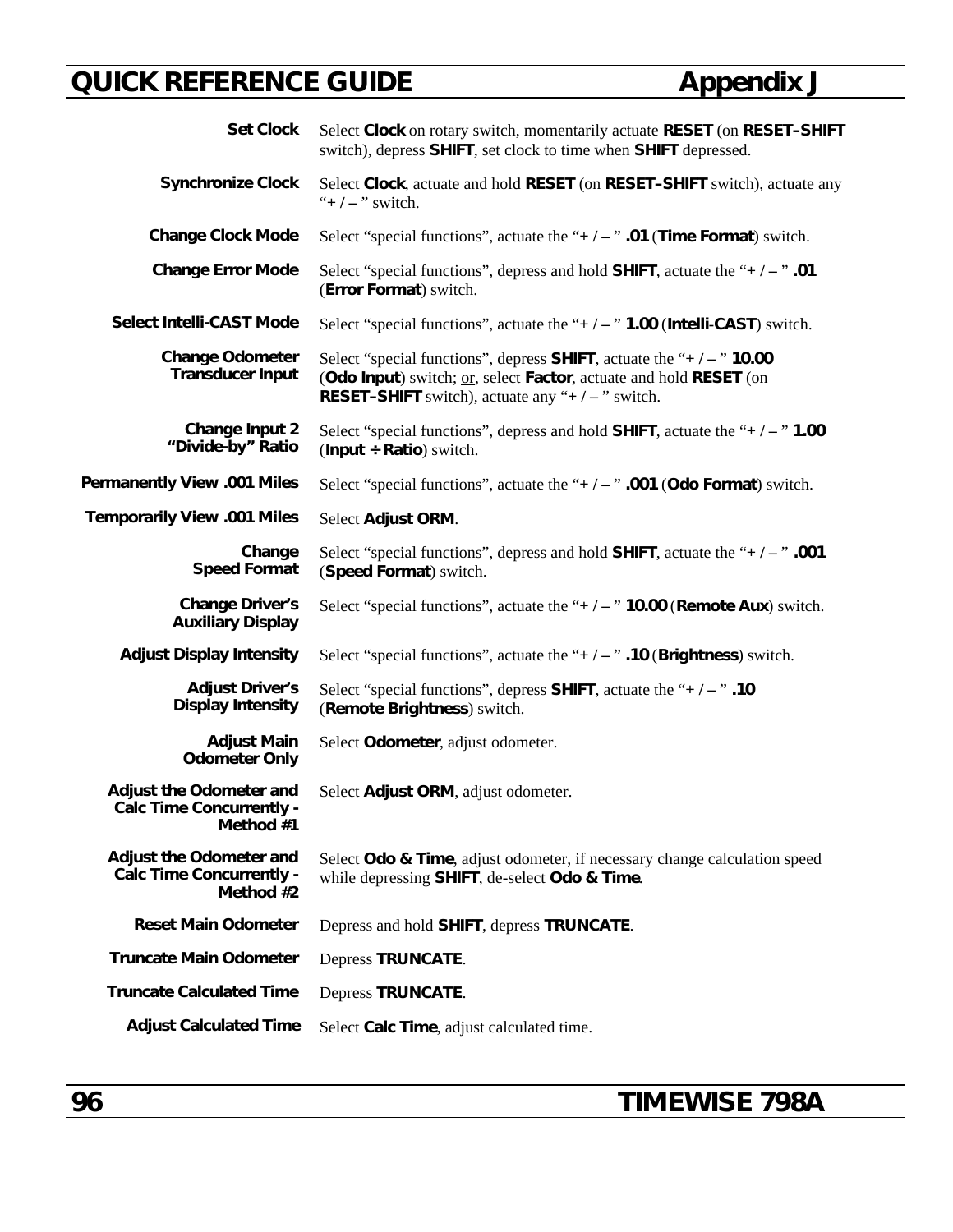# **QUICK REFERENCE GUIDE Appendix J**

| <b>Set Clock</b>                                                        | Select Clock on rotary switch, momentarily actuate RESET (on RESET-SHIFT<br>switch), depress SHIFT, set clock to time when SHIFT depressed.                                                              |
|-------------------------------------------------------------------------|----------------------------------------------------------------------------------------------------------------------------------------------------------------------------------------------------------|
| <b>Synchronize Clock</b>                                                | Select Clock, actuate and hold RESET (on RESET-SHIFT switch), actuate any<br>"+ $/ -$ " switch.                                                                                                          |
| <b>Change Clock Mode</b>                                                | Select "special functions", actuate the " $+/-$ " .01 (Time Format) switch.                                                                                                                              |
| <b>Change Error Mode</b>                                                | Select "special functions", depress and hold <b>SHIFT</b> , actuate the " $+/-$ " .01<br>(Error Format) switch.                                                                                          |
| <b>Select Intelli-CAST Mode</b>                                         | Select "special functions", actuate the " $+/-$ " 1.00 (Intelli-CAST) switch.                                                                                                                            |
| <b>Change Odometer</b><br><b>Transducer Input</b>                       | Select "special functions", depress SHIFT, actuate the " $+/-$ " 10.00<br>(Odo Input) switch; or, select Factor, actuate and hold RESET (on<br><b>RESET-SHIFT</b> switch), actuate any " $+/-$ " switch. |
| Change Input 2<br>"Divide-by" Ratio                                     | Select "special functions", depress and hold SHIFT, actuate the " $+/-$ " 1.00<br>(Input $\div$ Ratio) switch.                                                                                           |
| Permanently View .001 Miles                                             | Select "special functions", actuate the " $+/-$ ".001 (Odo Format) switch.                                                                                                                               |
| <b>Temporarily View .001 Miles</b>                                      | Select Adjust ORM.                                                                                                                                                                                       |
| Change<br><b>Speed Format</b>                                           | Select "special functions", depress and hold SHIFT, actuate the " $+/-$ ".001<br>(Speed Format) switch.                                                                                                  |
| <b>Change Driver's</b><br><b>Auxiliary Display</b>                      | Select "special functions", actuate the " $+/-$ " 10.00 (Remote Aux) switch.                                                                                                                             |
| <b>Adjust Display Intensity</b>                                         | Select "special functions", actuate the " $+/-$ " .10 (Brightness) switch.                                                                                                                               |
| <b>Adjust Driver's</b><br><b>Display Intensity</b>                      | Select "special functions", depress SHIFT, actuate the "+ $/ -$ ".10<br>(Remote Brightness) switch.                                                                                                      |
| <b>Adjust Main</b><br><b>Odometer Only</b>                              | Select Odometer, adjust odometer.                                                                                                                                                                        |
| Adjust the Odometer and<br><b>Calc Time Concurrently -</b><br>Method #1 | Select Adjust ORM, adjust odometer.                                                                                                                                                                      |
| Adjust the Odometer and<br><b>Calc Time Concurrently -</b><br>Method #2 | Select Odo & Time, adjust odometer, if necessary change calculation speed<br>while depressing SHIFT, de-select Odo & Time.                                                                               |
| <b>Reset Main Odometer</b>                                              | Depress and hold SHIFT, depress TRUNCATE.                                                                                                                                                                |
| <b>Truncate Main Odometer</b>                                           | Depress TRUNCATE.                                                                                                                                                                                        |
| <b>Truncate Calculated Time</b>                                         | Depress TRUNCATE.                                                                                                                                                                                        |
| <b>Adjust Calculated Time</b>                                           | Select Calc Time, adjust calculated time.                                                                                                                                                                |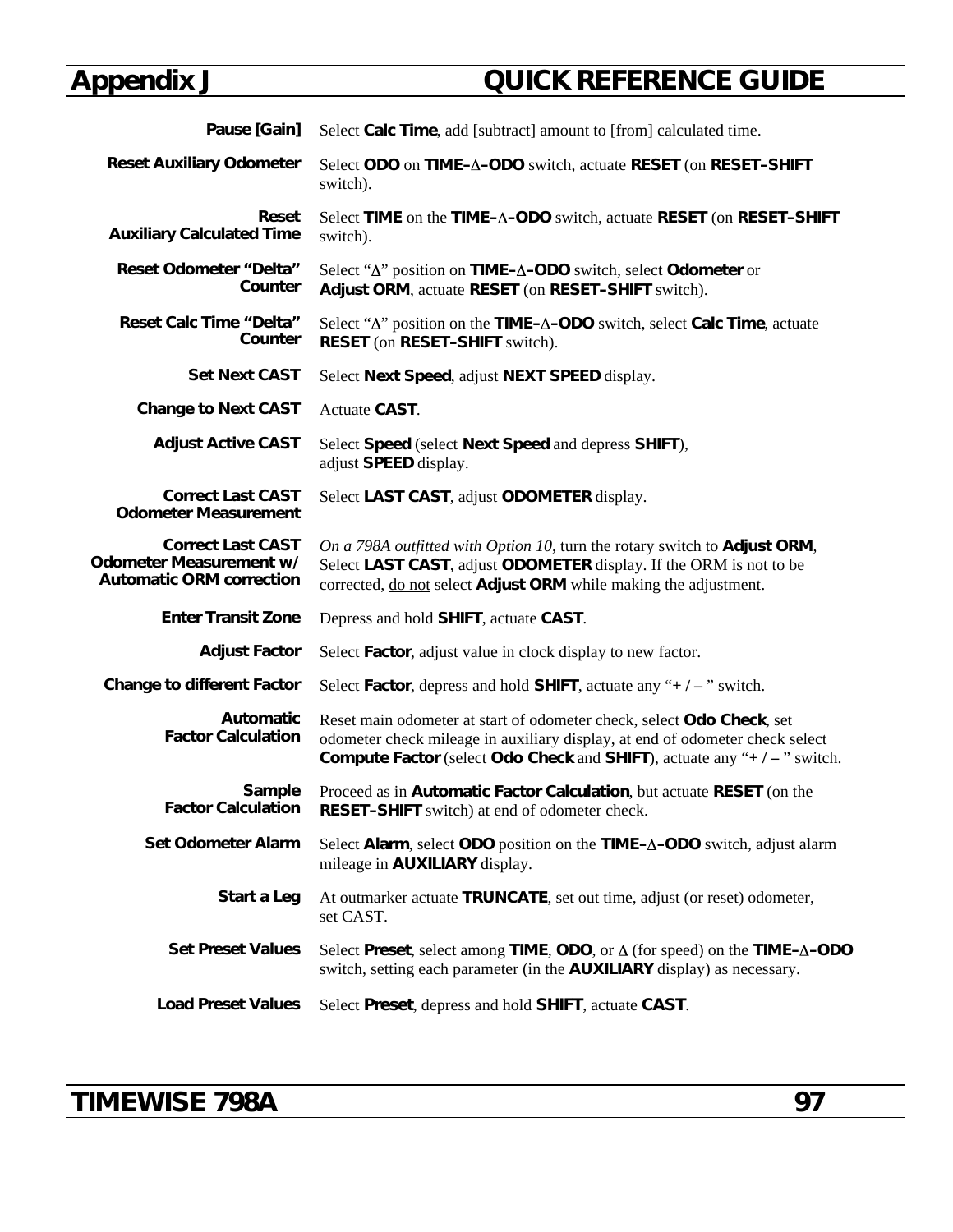# **Appendix J QUICK REFERENCE GUIDE**

| Pause [Gain]                                                                           | Select Calc Time, add [subtract] amount to [from] calculated time.                                                                                                                                                                 |
|----------------------------------------------------------------------------------------|------------------------------------------------------------------------------------------------------------------------------------------------------------------------------------------------------------------------------------|
| <b>Reset Auxiliary Odometer</b>                                                        | Select ODO on TIME- $\Delta$ -ODO switch, actuate RESET (on RESET-SHIFT<br>switch).                                                                                                                                                |
| Reset<br><b>Auxiliary Calculated Time</b>                                              | Select TIME on the TIME- $\Delta$ -ODO switch, actuate RESET (on RESET-SHIFT<br>switch).                                                                                                                                           |
| Reset Odometer "Delta"<br>Counter                                                      | Select "Δ" position on TIME-Δ-ODO switch, select Odometer or<br>Adjust ORM, actuate RESET (on RESET-SHIFT switch).                                                                                                                 |
| <b>Reset Calc Time "Delta"</b><br>Counter                                              | Select "∆" position on the TIME-∆-ODO switch, select Calc Time, actuate<br><b>RESET</b> (on <b>RESET-SHIFT</b> switch).                                                                                                            |
| <b>Set Next CAST</b>                                                                   | Select Next Speed, adjust NEXT SPEED display.                                                                                                                                                                                      |
| <b>Change to Next CAST</b>                                                             | Actuate CAST.                                                                                                                                                                                                                      |
| <b>Adjust Active CAST</b>                                                              | Select Speed (select Next Speed and depress SHIFT),<br>adjust <b>SPEED</b> display.                                                                                                                                                |
| <b>Correct Last CAST</b><br><b>Odometer Measurement</b>                                | Select LAST CAST, adjust ODOMETER display.                                                                                                                                                                                         |
| <b>Correct Last CAST</b><br>Odometer Measurement w/<br><b>Automatic ORM correction</b> | On a 798A outfitted with Option 10, turn the rotary switch to Adjust ORM,<br>Select LAST CAST, adjust ODOMETER display. If the ORM is not to be<br>corrected, do not select Adjust ORM while making the adjustment.                |
| <b>Enter Transit Zone</b>                                                              | Depress and hold SHIFT, actuate CAST.                                                                                                                                                                                              |
| <b>Adjust Factor</b>                                                                   | Select Factor, adjust value in clock display to new factor.                                                                                                                                                                        |
| <b>Change to different Factor</b>                                                      | Select Factor, depress and hold SHIFT, actuate any " $+/-$ " switch.                                                                                                                                                               |
| Automatic<br><b>Factor Calculation</b>                                                 | Reset main odometer at start of odometer check, select Odo Check, set<br>odometer check mileage in auxiliary display, at end of odometer check select<br>Compute Factor (select Odo Check and SHIFT), actuate any "+ / - " switch. |
| Sample<br><b>Factor Calculation</b>                                                    | Proceed as in Automatic Factor Calculation, but actuate RESET (on the<br><b>RESET-SHIFT</b> switch) at end of odometer check.                                                                                                      |
| Set Odometer Alarm                                                                     | Select Alarm, select ODO position on the TIME-∆-ODO switch, adjust alarm<br>mileage in <b>AUXILIARY</b> display.                                                                                                                   |
| Start a Leg                                                                            | At outmarker actuate <b>TRUNCATE</b> , set out time, adjust (or reset) odometer,<br>set CAST.                                                                                                                                      |
| <b>Set Preset Values</b>                                                               | Select Preset, select among TIME, ODO, or $\Delta$ (for speed) on the TIME- $\Delta$ -ODO<br>switch, setting each parameter (in the <b>AUXILIARY</b> display) as necessary.                                                        |
| <b>Load Preset Values</b>                                                              | Select Preset, depress and hold SHIFT, actuate CAST.                                                                                                                                                                               |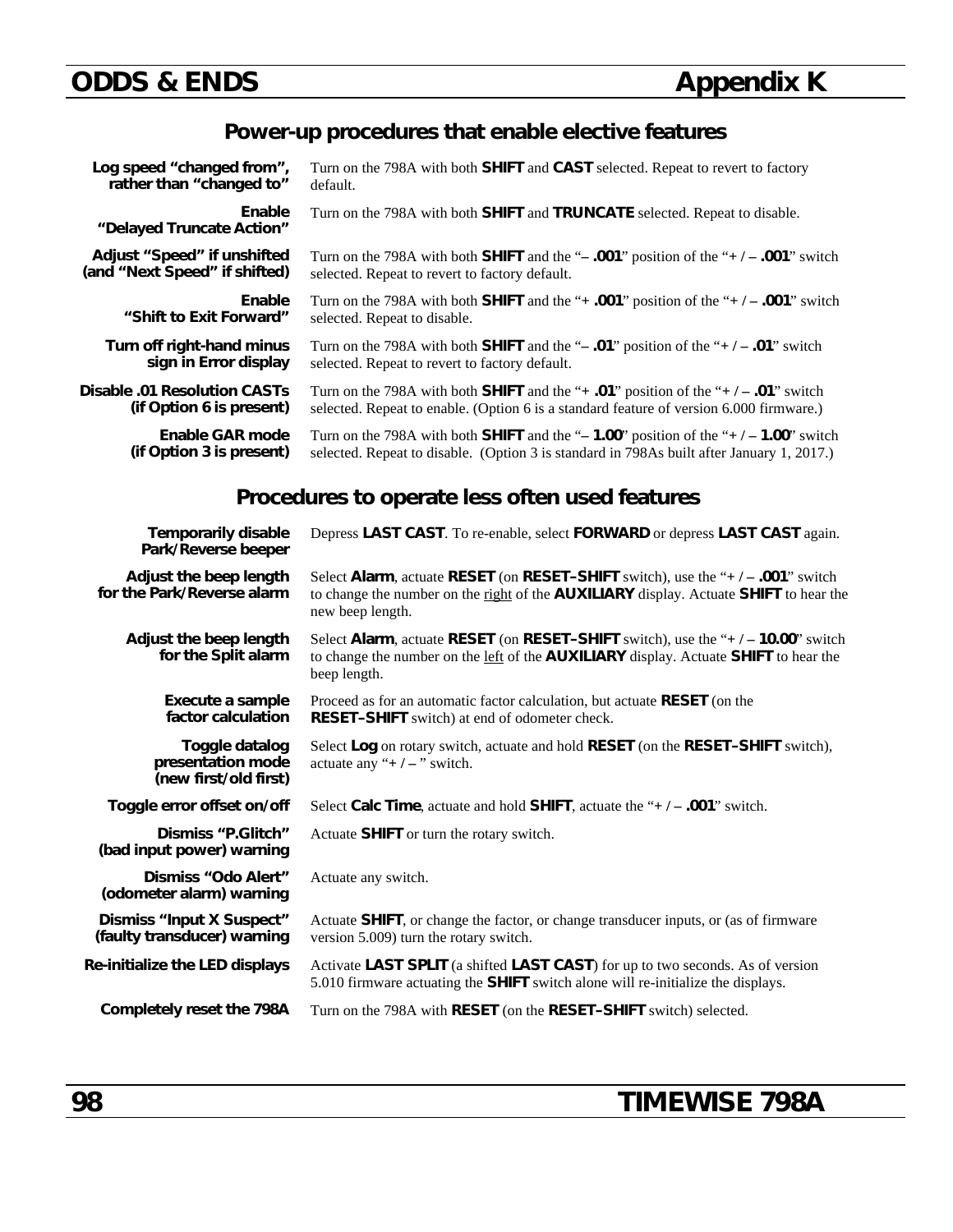## **ODDS & ENDS Appendix K**

## **Power-up procedures that enable elective features**

| Log speed "changed from",<br>rather than "changed to"           | Turn on the 798A with both SHIFT and CAST selected. Repeat to revert to factory<br>default.                                                                                                             |
|-----------------------------------------------------------------|---------------------------------------------------------------------------------------------------------------------------------------------------------------------------------------------------------|
| Enable<br>"Delayed Truncate Action"                             | Turn on the 798A with both SHIFT and TRUNCATE selected. Repeat to disable.                                                                                                                              |
| Adjust "Speed" if unshifted<br>(and "Next Speed" if shifted)    | Turn on the 798A with both SHIFT and the " $-$ .001" position of the " $+$ / $-$ .001" switch<br>selected. Repeat to revert to factory default.                                                         |
| Enable<br>"Shift to Exit Forward"                               | Turn on the 798A with both <b>SHIFT</b> and the "+ .001" position of the "+ $\prime$ - .001" switch<br>selected. Repeat to disable.                                                                     |
| Turn off right-hand minus<br>sign in Error display              | Turn on the 798A with both <b>SHIFT</b> and the " $- .01$ " position of the " $+/- .01$ " switch<br>selected. Repeat to revert to factory default.                                                      |
| <b>Disable .01 Resolution CASTs</b><br>(if Option 6 is present) | Turn on the 798A with both SHIFT and the "+ .01" position of the "+ $/ - .01$ " switch<br>selected. Repeat to enable. (Option 6 is a standard feature of version 6.000 firmware.)                       |
| <b>Enable GAR mode</b><br>(if Option 3 is present)              | Turn on the 798A with both <b>SHIFT</b> and the " $- 1.00$ " position of the " $+ 1.00$ " switch<br>selected. Repeat to disable. (Option 3 is standard in 798As built after January 1, 2017.)           |
|                                                                 | Procedures to operate less often used features                                                                                                                                                          |
| <b>Temporarily disable</b><br>Park/Reverse beeper               | Depress LAST CAST. To re-enable, select FORWARD or depress LAST CAST again.                                                                                                                             |
| Adjust the beep length<br>for the Park/Reverse alarm            | Select Alarm, actuate RESET (on RESET-SHIFT switch), use the " $+/-.001$ " switch<br>to change the number on the right of the AUXILIARY display. Actuate SHIFT to hear the<br>new beep length.          |
| Adjust the beep length<br>for the Split alarm                   | Select Alarm, actuate RESET (on RESET-SHIFT switch), use the "+ / - 10.00" switch<br>to change the number on the left of the <b>AUXILIARY</b> display. Actuate <b>SHIFT</b> to hear the<br>beep length. |
| Execute a sample<br>factor calculation                          | Proceed as for an automatic factor calculation, but actuate RESET (on the<br>RESET-SHIFT switch) at end of odometer check.                                                                              |
| Toggle datalog<br>presentation mode<br>(new first/old first)    | Select Log on rotary switch, actuate and hold RESET (on the RESET-SHIFT switch),<br>actuate any "+ $/ -$ " switch.                                                                                      |
| Toggle error offset on/off                                      | Select Calc Time, actuate and hold SHIFT, actuate the " $+/-.001$ " switch.                                                                                                                             |
| Dismiss "P.Glitch"<br>(bad input power) warning                 | Actuate SHIFT or turn the rotary switch.                                                                                                                                                                |
| Dismiss "Odo Alert"<br>(odometer alarm) warning                 | Actuate any switch.                                                                                                                                                                                     |
| Dismiss "Input X Suspect"<br>(faulty transducer) warning        | Actuate SHIFT, or change the factor, or change transducer inputs, or (as of firmware<br>version 5.009) turn the rotary switch.                                                                          |
| Re-initialize the LED displays                                  | Activate LAST SPLIT (a shifted LAST CAST) for up to two seconds. As of version<br>5.010 firmware actuating the SHIFT switch alone will re-initialize the displays.                                      |
| <b>Completely reset the 798A</b>                                | Turn on the 798A with RESET (on the RESET-SHIFT switch) selected.                                                                                                                                       |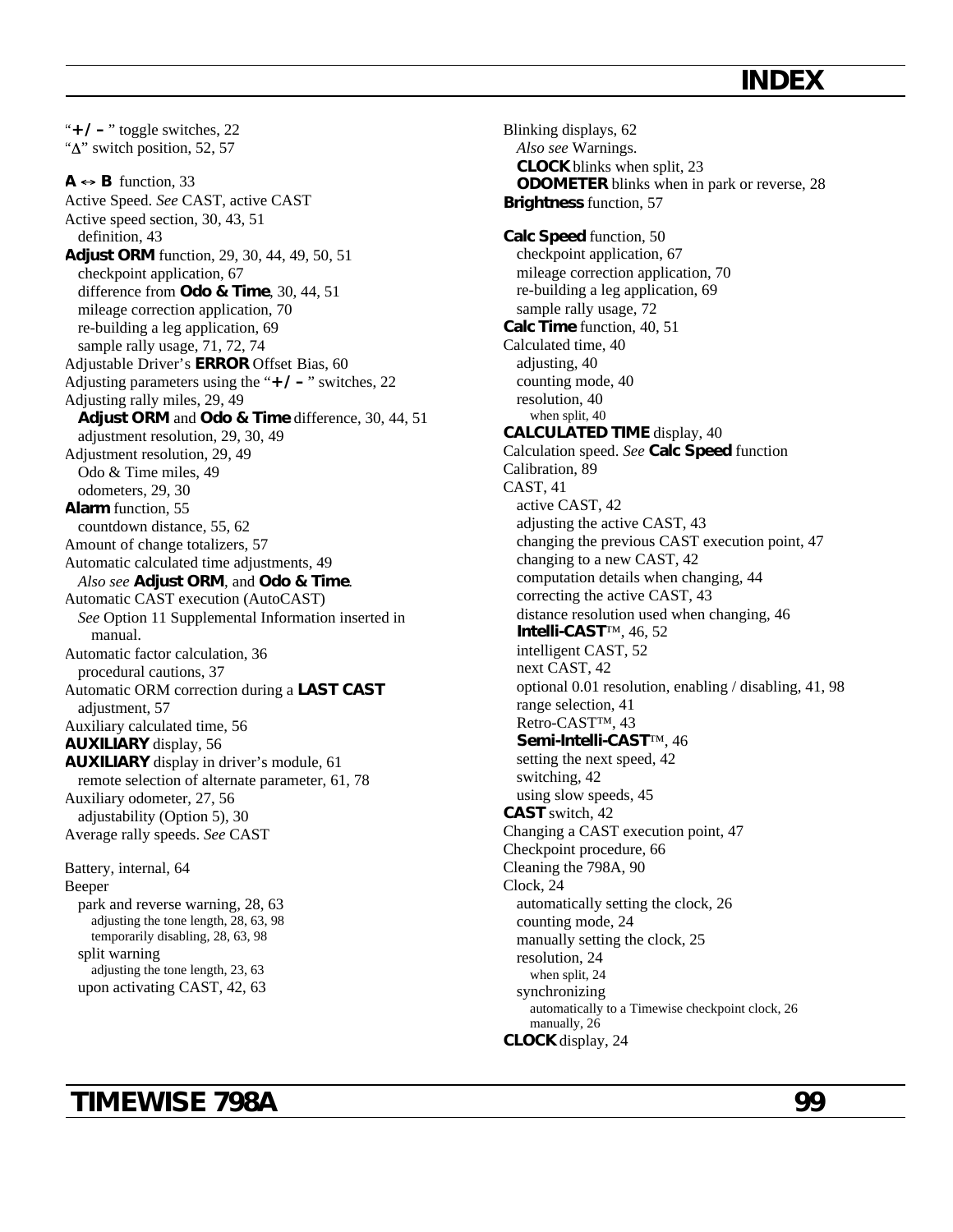"**+ / –** " toggle switches, 22 " $\Delta$ " switch position, 52, 57  $A \leftrightarrow B$  function, 33 Active Speed. *See* CAST, active CAST Active speed section, 30, 43, 51 definition, 43 **Adjust ORM** function, 29, 30, 44, 49, 50, 51 checkpoint application, 67 difference from **Odo & Time**, 30, 44, 51 mileage correction application, 70 re-building a leg application, 69 sample rally usage, 71, 72, 74 Adjustable Driver's **ERROR** Offset Bias, 60 Adjusting parameters using the "**+ / –** " switches, 22 Adjusting rally miles, 29, 49 **Adjust ORM and Odo & Time difference, 30, 44, 51** adjustment resolution, 29, 30, 49 Adjustment resolution, 29, 49 Odo & Time miles, 49 odometers, 29, 30 **Alarm** function, 55 countdown distance, 55, 62 Amount of change totalizers, 57 Automatic calculated time adjustments, 49 *Also see* **Adjust ORM**, and **Odo & Time**. Automatic CAST execution (AutoCAST) *See* Option 11 Supplemental Information inserted in manual. Automatic factor calculation, 36 procedural cautions, 37 Automatic ORM correction during a **LAST CAST** adjustment, 57 Auxiliary calculated time, 56 **AUXILIARY** display, 56 **AUXILIARY** display in driver's module, 61 remote selection of alternate parameter, 61, 78 Auxiliary odometer, 27, 56 adjustability (Option 5), 30 Average rally speeds. *See* CAST Battery, internal, 64 Beeper park and reverse warning, 28, 63 adjusting the tone length, 28, 63, 98 temporarily disabling, 28, 63, 98 split warning adjusting the tone length, 23, 63

Blinking displays, 62 *Also see* Warnings. **CLOCK** blinks when split, 23 **ODOMETER** blinks when in park or reverse, 28 **Brightness** function, 57 **Calc Speed** function, 50 checkpoint application, 67 mileage correction application, 70 re-building a leg application, 69 sample rally usage, 72 **Calc Time** function, 40, 51 Calculated time, 40 adjusting, 40 counting mode, 40 resolution, 40 when split, 40 **CALCULATED TIME** display, 40 Calculation speed. *See* **Calc Speed** function Calibration, 89 CAST, 41 active CAST, 42 adjusting the active CAST, 43 changing the previous CAST execution point, 47 changing to a new CAST, 42 computation details when changing, 44 correcting the active CAST, 43 distance resolution used when changing, 46 **Intelli-CAST**™, 46, 52 intelligent CAST, 52 next CAST, 42 optional 0.01 resolution, enabling / disabling, 41, 98 range selection, 41 Retro-CAST™, 43 **Semi-Intelli-CAST**™, 46 setting the next speed, 42 switching, 42 using slow speeds, 45 **CAST** switch, 42 Changing a CAST execution point, 47 Checkpoint procedure, 66 Cleaning the 798A, 90 Clock, 24 automatically setting the clock, 26 counting mode, 24 manually setting the clock, 25 resolution, 24 when split, 24 synchronizing automatically to a Timewise checkpoint clock, 26 manually, 26 **CLOCK** display, 24

upon activating CAST, 42, 63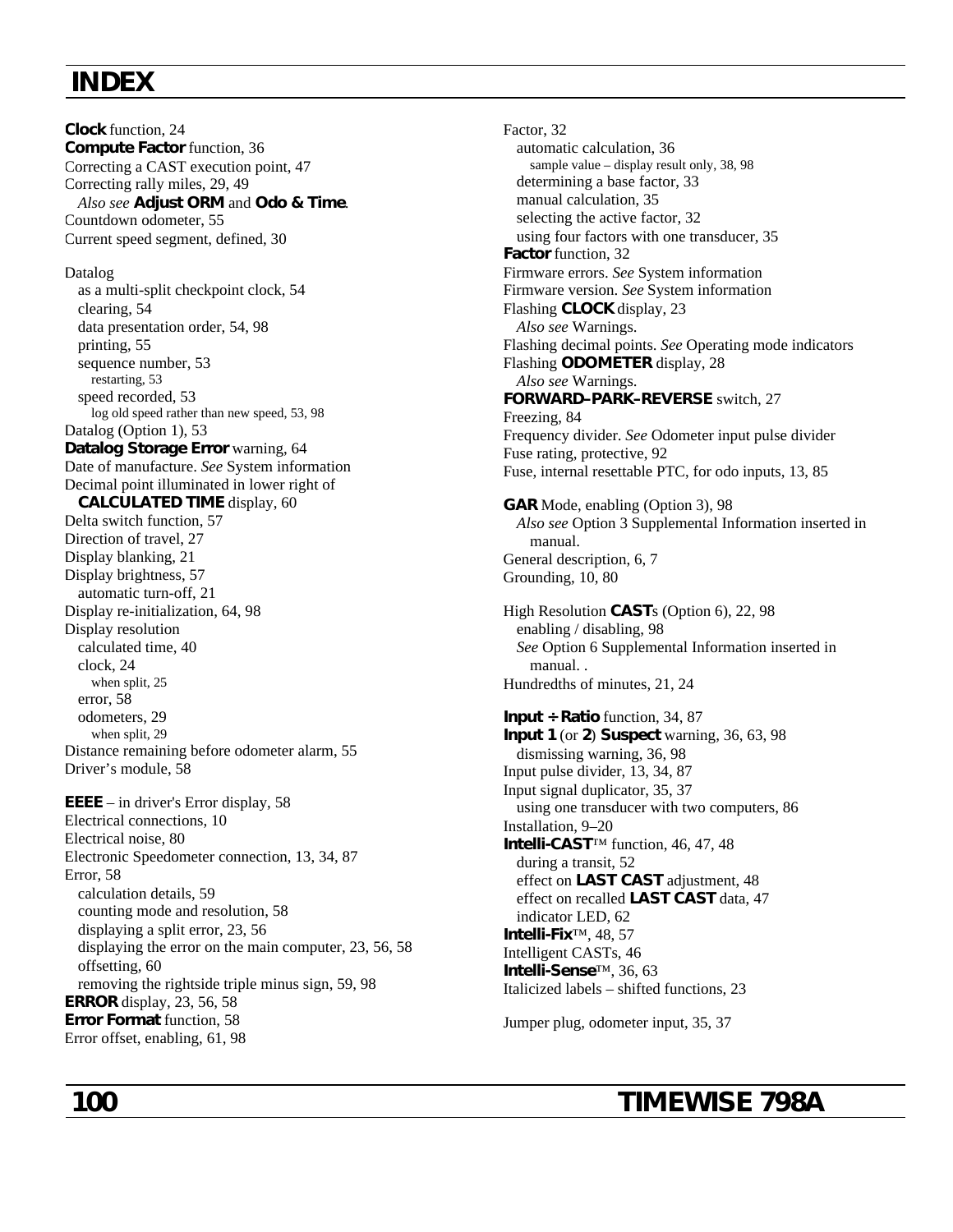**Clock** function, 24 **Compute Factor** function, 36 Correcting a CAST execution point, 47 Correcting rally miles, 29, 49 *Also see* **Adjust ORM** and **Odo & Time**. Countdown odometer, 55 Current speed segment, defined, 30 Datalog as a multi-split checkpoint clock, 54 clearing, 54

data presentation order, 54, 98 printing, 55 sequence number, 53 restarting, 53 speed recorded, 53 log old speed rather than new speed, 53, 98 Datalog (Option 1), 53 **Datalog Storage Error** warning, 64 Date of manufacture. *See* System information Decimal point illuminated in lower right of **CALCULATED TIME** display, 60 Delta switch function, 57 Direction of travel, 27 Display blanking, 21 Display brightness, 57 automatic turn-off, 21 Display re-initialization, 64, 98 Display resolution calculated time, 40 clock, 24 when split, 25 error, 58 odometers, 29 when split, 29 Distance remaining before odometer alarm, 55 Driver's module, 58 **EEEE** – in driver's Error display, 58 Electrical connections, 10 Electrical noise, 80 Electronic Speedometer connection, 13, 34, 87 Error, 58 calculation details, 59 counting mode and resolution, 58

displaying a split error, 23, 56 displaying the error on the main computer, 23, 56, 58 offsetting, 60 removing the rightside triple minus sign, 59, 98 **ERROR** display, 23, 56, 58 **Error Format** function, 58 Error offset, enabling, 61, 98

Factor, 32 automatic calculation, 36 sample value – display result only, 38, 98 determining a base factor, 33 manual calculation, 35 selecting the active factor, 32 using four factors with one transducer, 35 **Factor** function, 32 Firmware errors. *See* System information Firmware version. *See* System information Flashing **CLOCK** display, 23 *Also see* Warnings. Flashing decimal points. *See* Operating mode indicators Flashing **ODOMETER** display, 28 *Also see* Warnings. **FORWARD–PARK–REVERSE** switch, 27 Freezing, 84 Frequency divider. *See* Odometer input pulse divider Fuse rating, protective, 92 Fuse, internal resettable PTC, for odo inputs, 13, 85 **GAR** Mode, enabling (Option 3), 98 *Also see* Option 3 Supplemental Information inserted in manual. General description, 6, 7 Grounding, 10, 80 High Resolution **CAST**s (Option 6), 22, 98 enabling / disabling, 98 *See* Option 6 Supplemental Information inserted in manual. . Hundredths of minutes, 21, 24 **Input ÷ Ratio** function, 34, 87 **Input 1** (or **2**) **Suspect** warning, 36, 63, 98 dismissing warning, 36, 98 Input pulse divider, 13, 34, 87 Input signal duplicator, 35, 37 using one transducer with two computers, 86 Installation, 9–20 **Intelli-CAST**™ function, 46, 47, 48 during a transit, 52 effect on LAST CAST adjustment, 48 effect on recalled **LAST CAST** data, 47 indicator LED, 62 **Intelli-Fix**™, 48, 57 Intelligent CASTs, 46 **Intelli-Sense**™, 36, 63 Italicized labels – shifted functions, 23

Jumper plug, odometer input, 35, 37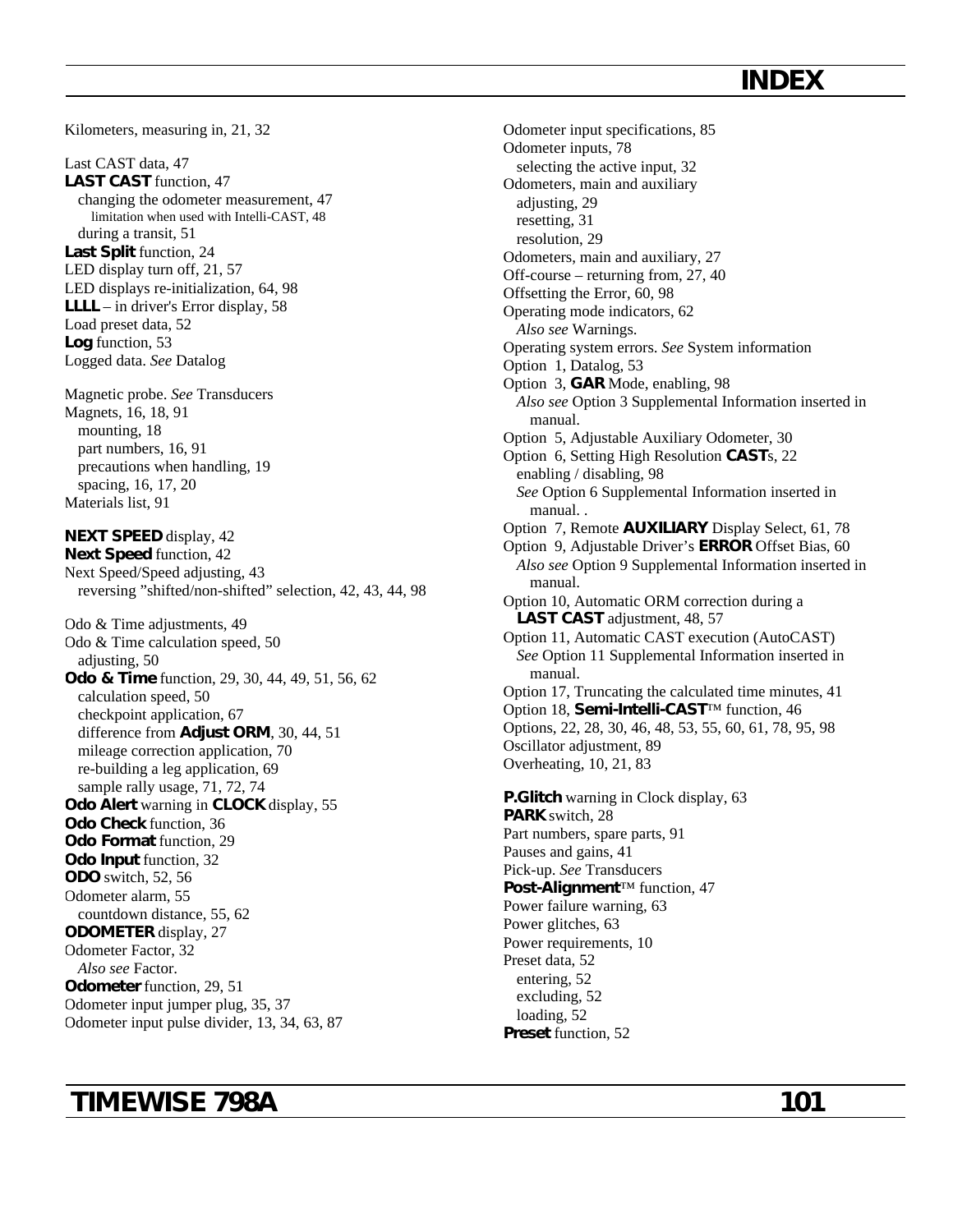Kilometers, measuring in, 21, 32

Last CAST data, 47 **LAST CAST** function, 47 changing the odometer measurement, 47 limitation when used with Intelli-CAST, 48 during a transit, 51 **Last Split** function, 24 LED display turn off, 21, 57 LED displays re-initialization, 64, 98 **LLLL** – in driver's Error display, 58 Load preset data, 52 **Log** function, 53 Logged data. *See* Datalog

Magnetic probe. *See* Transducers Magnets, 16, 18, 91 mounting, 18 part numbers, 16, 91 precautions when handling, 19 spacing, 16, 17, 20 Materials list, 91

**NEXT SPEED** display, 42 **Next Speed** function, 42 Next Speed/Speed adjusting, 43 reversing "shifted/non-shifted" selection, 42, 43, 44, 98

Odo & Time adjustments, 49 Odo & Time calculation speed, 50 adjusting, 50 **Odo & Time** function, 29, 30, 44, 49, 51, 56, 62 calculation speed, 50 checkpoint application, 67 difference from **Adjust ORM**, 30, 44, 51 mileage correction application, 70 re-building a leg application, 69 sample rally usage, 71, 72, 74 **Odo Alert** warning in **CLOCK** display, 55 **Odo Check** function, 36 **Odo Format function, 29 Odo Input** function, 32 **ODO** switch, 52, 56 Odometer alarm, 55 countdown distance, 55, 62 **ODOMETER** display, 27 Odometer Factor, 32 *Also see* Factor. **Odometer** function, 29, 51 Odometer input jumper plug, 35, 37 Odometer input pulse divider, 13, 34, 63, 87

Odometer input specifications, 85 Odometer inputs, 78 selecting the active input, 32 Odometers, main and auxiliary adjusting, 29 resetting, 31 resolution, 29 Odometers, main and auxiliary, 27 Off-course – returning from, 27, 40 Offsetting the Error, 60, 98 Operating mode indicators, 62 *Also see* Warnings. Operating system errors. *See* System information Option 1, Datalog, 53 Option 3, **GAR** Mode, enabling, 98 *Also see* Option 3 Supplemental Information inserted in manual. Option 5, Adjustable Auxiliary Odometer, 30 Option 6, Setting High Resolution **CAST**s, 22 enabling / disabling, 98 *See* Option 6 Supplemental Information inserted in manual. . Option 7, Remote **AUXILIARY** Display Select, 61, 78 Option 9, Adjustable Driver's **ERROR** Offset Bias, 60 *Also see* Option 9 Supplemental Information inserted in manual. Option 10, Automatic ORM correction during a **LAST CAST** adjustment, 48, 57 Option 11, Automatic CAST execution (AutoCAST) *See* Option 11 Supplemental Information inserted in manual. Option 17, Truncating the calculated time minutes, 41 Option 18, **Semi-Intelli-CAST**™ function, 46 Options, 22, 28, 30, 46, 48, 53, 55, 60, 61, 78, 95, 98 Oscillator adjustment, 89 Overheating, 10, 21, 83 **P.Glitch** warning in Clock display, 63 **PARK** switch, 28 Part numbers, spare parts, 91 Pauses and gains, 41 Pick-up. *See* Transducers **Post-Alignment**™ function, 47 Power failure warning, 63 Power glitches, 63 Power requirements, 10 Preset data, 52 entering, 52 excluding, 52

loading, 52 **Preset** function, 52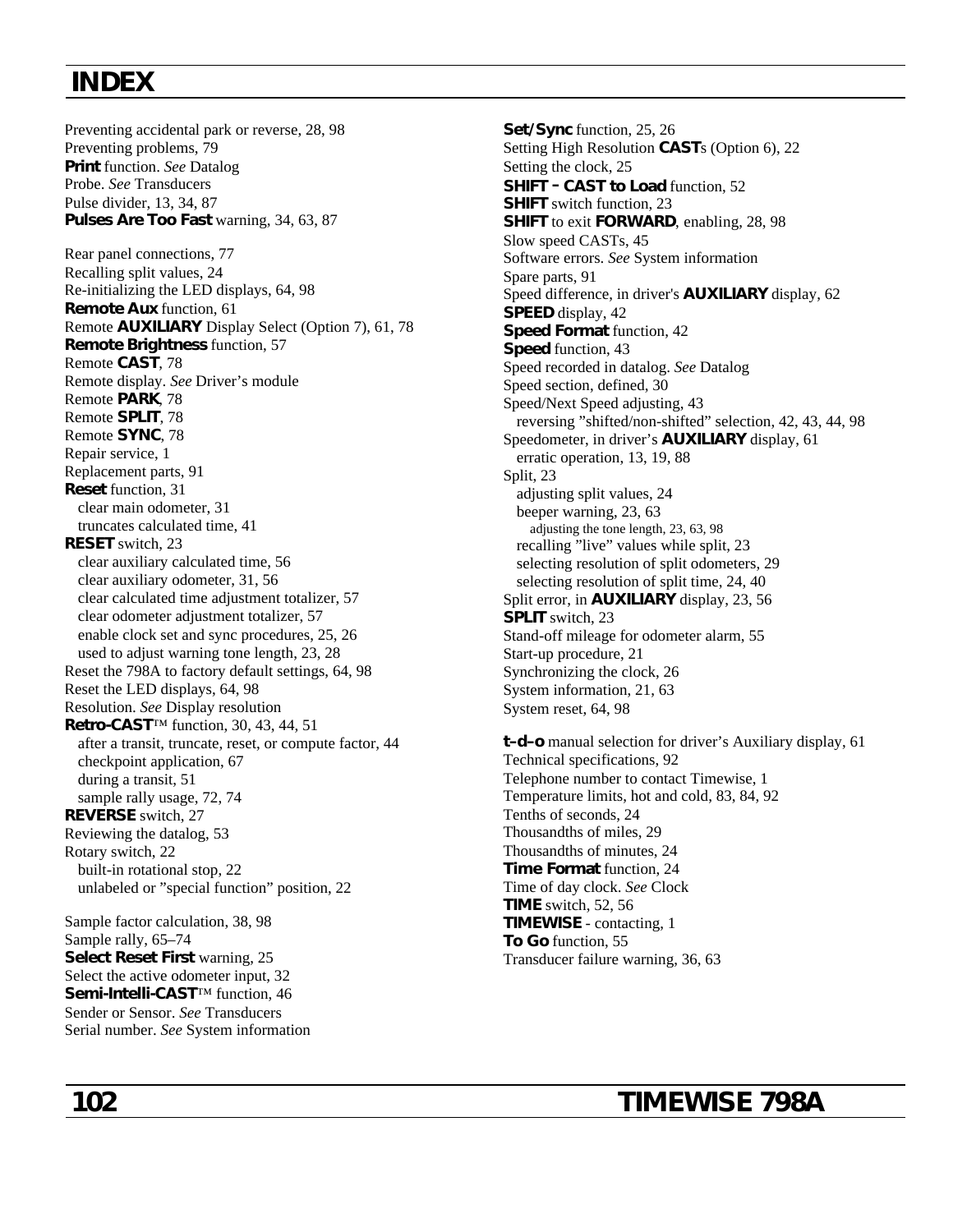Preventing accidental park or reverse, 28, 98 Preventing problems, 79 **Print** function. *See* Datalog Probe. *See* Transducers Pulse divider, 13, 34, 87 **Pulses Are Too Fast** warning, 34, 63, 87 Rear panel connections, 77 Recalling split values, 24 Re-initializing the LED displays, 64, 98 **Remote Aux function, 61** Remote **AUXILIARY** Display Select (Option 7), 61, 78 **Remote Brightness** function, 57 Remote **CAST**, 78 Remote display. *See* Driver's module Remote **PARK**, 78 Remote **SPLIT**, 78 Remote **SYNC**, 78 Repair service, 1 Replacement parts, 91 **Reset** function, 31 clear main odometer, 31 truncates calculated time, 41 **RESET** switch, 23 clear auxiliary calculated time, 56 clear auxiliary odometer, 31, 56 clear calculated time adjustment totalizer, 57 clear odometer adjustment totalizer, 57 enable clock set and sync procedures, 25, 26 used to adjust warning tone length, 23, 28 Reset the 798A to factory default settings, 64, 98 Reset the LED displays, 64, 98 Resolution. *See* Display resolution **Retro-CAST**™ function, 30, 43, 44, 51 after a transit, truncate, reset, or compute factor, 44 checkpoint application, 67 during a transit, 51 sample rally usage, 72, 74 **REVERSE** switch, 27 Reviewing the datalog, 53 Rotary switch, 22 built-in rotational stop, 22 unlabeled or "special function" position, 22 Sample factor calculation, 38, 98 Sample rally, 65–74 **Select Reset First warning, 25** Select the active odometer input, 32 **Semi-Intelli-CAST**™ function, 46

Sender or Sensor. *See* Transducers Serial number. *See* System information

**Set/Sync** function, 25, 26 Setting High Resolution **CAST**s (Option 6), 22 Setting the clock, 25 **SHIFT – CAST to Load** function, 52 **SHIFT** switch function, 23 **SHIFT** to exit **FORWARD**, enabling, 28, 98 Slow speed CASTs, 45 Software errors. *See* System information Spare parts, 91 Speed difference, in driver's **AUXILIARY** display, 62 **SPEED** display, 42 **Speed Format** function, 42 **Speed** function, 43 Speed recorded in datalog. *See* Datalog Speed section, defined, 30 Speed/Next Speed adjusting, 43 reversing "shifted/non-shifted" selection, 42, 43, 44, 98 Speedometer, in driver's **AUXILIARY** display, 61 erratic operation, 13, 19, 88 Split, 23 adjusting split values, 24 beeper warning, 23, 63 adjusting the tone length, 23, 63, 98 recalling "live" values while split, 23 selecting resolution of split odometers, 29 selecting resolution of split time, 24, 40 Split error, in **AUXILIARY** display, 23, 56 **SPLIT** switch, 23 Stand-off mileage for odometer alarm, 55 Start-up procedure, 21 Synchronizing the clock, 26 System information, 21, 63 System reset, 64, 98

**t–d–o** manual selection for driver's Auxiliary display, 61 Technical specifications, 92 Telephone number to contact Timewise, 1 Temperature limits, hot and cold, 83, 84, 92 Tenths of seconds, 24 Thousandths of miles, 29 Thousandths of minutes, 24 **Time Format function, 24** Time of day clock. *See* Clock **TIME** switch, 52, 56 **TIMEWISE** - contacting, 1 **To Go** function, 55 Transducer failure warning, 36, 63